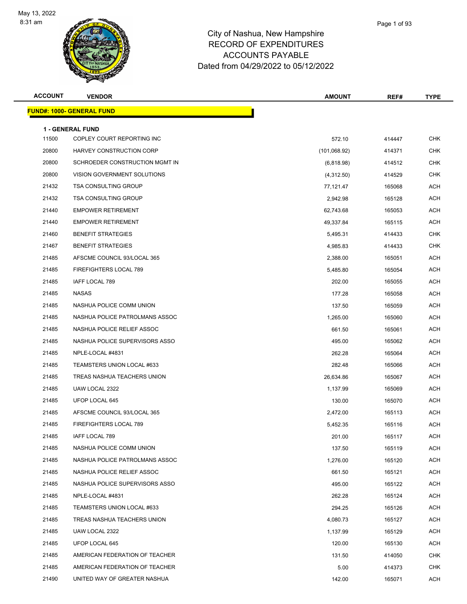

| <b>ACCOUNT</b> | <b>VENDOR</b>                     | <b>AMOUNT</b> | REF#   | <b>TYPE</b> |
|----------------|-----------------------------------|---------------|--------|-------------|
|                | <u> FUND#: 1000- GENERAL FUND</u> |               |        |             |
|                | <b>1 - GENERAL FUND</b>           |               |        |             |
| 11500          | COPLEY COURT REPORTING INC        | 572.10        | 414447 | <b>CHK</b>  |
| 20800          | HARVEY CONSTRUCTION CORP          | (101,068.92)  | 414371 | <b>CHK</b>  |
| 20800          | SCHROEDER CONSTRUCTION MGMT IN    | (6,818.98)    | 414512 | <b>CHK</b>  |
| 20800          | VISION GOVERNMENT SOLUTIONS       | (4,312.50)    | 414529 | <b>CHK</b>  |
| 21432          | <b>TSA CONSULTING GROUP</b>       | 77,121.47     | 165068 | <b>ACH</b>  |
| 21432          | <b>TSA CONSULTING GROUP</b>       | 2,942.98      | 165128 | <b>ACH</b>  |
| 21440          | <b>EMPOWER RETIREMENT</b>         | 62,743.68     | 165053 | ACH         |
| 21440          | <b>EMPOWER RETIREMENT</b>         | 49,337.84     | 165115 | ACH         |
| 21460          | <b>BENEFIT STRATEGIES</b>         | 5,495.31      | 414433 | <b>CHK</b>  |
| 21467          | <b>BENEFIT STRATEGIES</b>         | 4,985.83      | 414433 | <b>CHK</b>  |
| 21485          | AFSCME COUNCIL 93/LOCAL 365       | 2,388.00      | 165051 | <b>ACH</b>  |
| 21485          | FIREFIGHTERS LOCAL 789            | 5,485.80      | 165054 | ACH         |
| 21485          | IAFF LOCAL 789                    | 202.00        | 165055 | ACH         |
| 21485          | <b>NASAS</b>                      | 177.28        | 165058 | <b>ACH</b>  |
| 21485          | NASHUA POLICE COMM UNION          | 137.50        | 165059 | ACH         |
| 21485          | NASHUA POLICE PATROLMANS ASSOC    | 1,265.00      | 165060 | <b>ACH</b>  |
| 21485          | NASHUA POLICE RELIEF ASSOC        | 661.50        | 165061 | ACH         |
| 21485          | NASHUA POLICE SUPERVISORS ASSO    | 495.00        | 165062 | ACH         |
| 21485          | NPLE-LOCAL #4831                  | 262.28        | 165064 | <b>ACH</b>  |
| 21485          | TEAMSTERS UNION LOCAL #633        | 282.48        | 165066 | ACH         |
| 21485          | TREAS NASHUA TEACHERS UNION       | 26,634.86     | 165067 | <b>ACH</b>  |
| 21485          | UAW LOCAL 2322                    | 1,137.99      | 165069 | ACH         |
| 21485          | UFOP LOCAL 645                    | 130.00        | 165070 | ACH         |
| 21485          | AFSCME COUNCIL 93/LOCAL 365       | 2,472.00      | 165113 | ACH         |
| 21485          | FIREFIGHTERS LOCAL 789            | 5,452.35      | 165116 | ACH         |
| 21485          | IAFF LOCAL 789                    | 201.00        | 165117 | ACH         |
| 21485          | NASHUA POLICE COMM UNION          | 137.50        | 165119 | ACH         |
| 21485          | NASHUA POLICE PATROLMANS ASSOC    | 1,276.00      | 165120 | <b>ACH</b>  |
| 21485          | NASHUA POLICE RELIEF ASSOC        | 661.50        | 165121 | ACH         |
| 21485          | NASHUA POLICE SUPERVISORS ASSO    | 495.00        | 165122 | ACH         |
| 21485          | NPLE-LOCAL #4831                  | 262.28        | 165124 | ACH         |
| 21485          | TEAMSTERS UNION LOCAL #633        | 294.25        | 165126 | ACH         |
| 21485          | TREAS NASHUA TEACHERS UNION       | 4,080.73      | 165127 | ACH         |
| 21485          | UAW LOCAL 2322                    | 1,137.99      | 165129 | <b>ACH</b>  |
| 21485          | UFOP LOCAL 645                    | 120.00        | 165130 | ACH         |
| 21485          | AMERICAN FEDERATION OF TEACHER    | 131.50        | 414050 | CHK         |
| 21485          | AMERICAN FEDERATION OF TEACHER    | 5.00          | 414373 | <b>CHK</b>  |
| 21490          | UNITED WAY OF GREATER NASHUA      | 142.00        | 165071 | <b>ACH</b>  |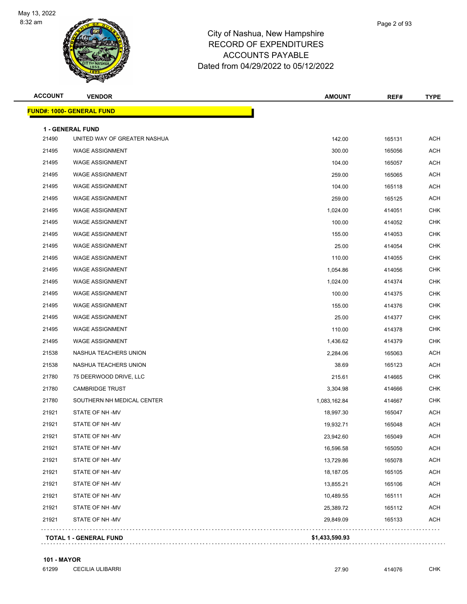**FUND#: 1000- GEI** 



#### City of Nashua, New Hampshire RECORD OF EXPENDITURES ACCOUNTS PAYABLE Dated from 04/29/2022 to 05/12/2022

| <b>ACCOUNT</b> | <b>VENDOR</b>                         | <b>AMOUNT</b> | REF#   | <b>TYPE</b> |
|----------------|---------------------------------------|---------------|--------|-------------|
|                | <mark>JND#: 1000- GENERAL FUND</mark> |               |        |             |
|                | <b>1 - GENERAL FUND</b>               |               |        |             |
| 21490          | UNITED WAY OF GREATER NASHUA          | 142.00        | 165131 | <b>ACH</b>  |
| 21495          | <b>WAGE ASSIGNMENT</b>                | 300.00        | 165056 | <b>ACH</b>  |
| 21495          | <b>WAGE ASSIGNMENT</b>                | 104.00        | 165057 | <b>ACH</b>  |
| 21495          | <b>WAGE ASSIGNMENT</b>                | 259.00        | 165065 | <b>ACH</b>  |
| 21495          | <b>WAGE ASSIGNMENT</b>                | 104.00        | 165118 | <b>ACH</b>  |
| 21495          | <b>WAGE ASSIGNMENT</b>                | 259.00        | 165125 | <b>ACH</b>  |
| 21495          | <b>WAGE ASSIGNMENT</b>                | 1,024.00      | 414051 | <b>CHK</b>  |
| 21495          | <b>WAGE ASSIGNMENT</b>                | 100.00        | 414052 | <b>CHK</b>  |
| 21495          | <b>WAGE ASSIGNMENT</b>                | 155.00        | 414053 | <b>CHK</b>  |
| 21495          | <b>WAGE ASSIGNMENT</b>                | 25.00         | 414054 | <b>CHK</b>  |
| 21495          | <b>WAGE ASSIGNMENT</b>                | 110.00        | 414055 | <b>CHK</b>  |
| 21495          | <b>WAGE ASSIGNMENT</b>                | 1,054.86      | 414056 | <b>CHK</b>  |
| 21495          | <b>WAGE ASSIGNMENT</b>                | 1,024.00      | 414374 | <b>CHK</b>  |
| 21495          | <b>WAGE ASSIGNMENT</b>                | 100.00        | 414375 | <b>CHK</b>  |
| 21495          | <b>WAGE ASSIGNMENT</b>                | 155.00        | 414376 | <b>CHK</b>  |
| 21495          | <b>WAGE ASSIGNMENT</b>                | 25.00         | 414377 | <b>CHK</b>  |
| 21495          | <b>WAGE ASSIGNMENT</b>                | 110.00        | 414378 | <b>CHK</b>  |
| 21495          | <b>WAGE ASSIGNMENT</b>                | 1,436.62      | 414379 | <b>CHK</b>  |
| 21538          | NASHUA TEACHERS UNION                 | 2,284.06      | 165063 | <b>ACH</b>  |
| 21538          | NASHUA TEACHERS UNION                 | 38.69         | 165123 | <b>ACH</b>  |
| 21780          | 75 DEERWOOD DRIVE, LLC                | 215.61        | 414665 | <b>CHK</b>  |
| 21780          | <b>CAMBRIDGE TRUST</b>                | 3,304.98      | 414666 | <b>CHK</b>  |
| 21780          | SOUTHERN NH MEDICAL CENTER            | 1,083,162.84  | 414667 | <b>CHK</b>  |
| 21921          | STATE OF NH-MV                        | 18,997.30     | 165047 | <b>ACH</b>  |
| 21921          | STATE OF NH -MV                       | 19,932.71     | 165048 | <b>ACH</b>  |

 21921 STATE OF NH -MV 23,942.60 165049 ACH 21921 STATE OF NH -MV **16,596.58** 165050 ACH 21921 STATE OF NH -MV 13,729.86 21921 165078 ACH 21921 STATE OF NH -MV 18,187.05 165105 ACH 21921 STATE OF NH -MV 2002 NO 2003 21 21 21 22 21 21 22 21 22 21 22 21 22 21 22 21 22 21 22 21 22 21 22 21 22 2 21921 STATE OF NH -MV 10.489.55 165111 ACH 21921 STATE OF NH -MV 25,389.72 165112 ACH 21921 STATE OF NH -MV 29,849.09 165133 ACH

**TOTAL 1 - GENERAL FUND \$1,433,590.93**

#### **101 - MAYOR**

| 61299 | <b>CECILIA ULIBARRI</b> | 27.90 | 414076 | СНК |
|-------|-------------------------|-------|--------|-----|
|-------|-------------------------|-------|--------|-----|

. . . . . . . . . . .

11111

. . . . . . . . . . . . .

. . . . . . . . . . . . . . . . . . . .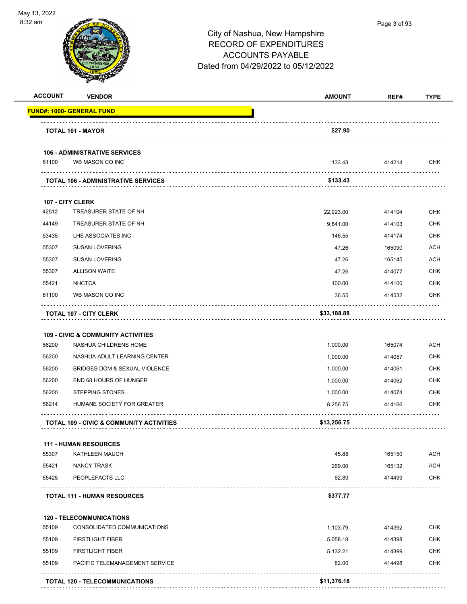

| <b>ACCOUNT</b> | <b>VENDOR</b>                                                          | <b>AMOUNT</b> | REF#   | <b>TYPE</b> |
|----------------|------------------------------------------------------------------------|---------------|--------|-------------|
|                | <u> FUND#: 1000- GENERAL FUND</u>                                      |               |        |             |
|                | TOTAL 101 - MAYOR                                                      | \$27.90       |        |             |
|                |                                                                        |               |        |             |
| 61100          | <b>106 - ADMINISTRATIVE SERVICES</b><br>WB MASON CO INC                | 133.43        | 414214 | <b>CHK</b>  |
|                | <b>TOTAL 106 - ADMINISTRATIVE SERVICES</b>                             | \$133.43      |        |             |
|                |                                                                        |               |        |             |
|                | 107 - CITY CLERK                                                       |               |        |             |
| 42512          | TREASURER STATE OF NH                                                  | 22,923.00     | 414104 | <b>CHK</b>  |
| 44149          | TREASURER STATE OF NH                                                  | 9,841.00      | 414103 | <b>CHK</b>  |
| 53435          | LHS ASSOCIATES INC                                                     | 146.55        | 414174 | <b>CHK</b>  |
| 55307          | <b>SUSAN LOVERING</b>                                                  | 47.26         | 165090 | <b>ACH</b>  |
| 55307          | <b>SUSAN LOVERING</b>                                                  | 47.26         | 165145 | ACH         |
| 55307          | <b>ALLISON WAITE</b>                                                   | 47.26         | 414077 | <b>CHK</b>  |
| 55421          | <b>NHCTCA</b>                                                          | 100.00        | 414100 | <b>CHK</b>  |
| 61100          | WB MASON CO INC                                                        | 36.55         | 414532 | <b>CHK</b>  |
|                | <b>TOTAL 107 - CITY CLERK</b>                                          | \$33,188.88   |        |             |
| 56200          | <b>109 - CIVIC &amp; COMMUNITY ACTIVITIES</b><br>NASHUA CHILDRENS HOME | 1,000.00      | 165074 | <b>ACH</b>  |
| 56200          | NASHUA ADULT LEARNING CENTER                                           | 1,000.00      | 414057 | <b>CHK</b>  |
| 56200          | BRIDGES DOM & SEXUAL VIOLENCE                                          | 1,000.00      | 414061 | <b>CHK</b>  |
| 56200          | END 68 HOURS OF HUNGER                                                 | 1,000.00      | 414062 | <b>CHK</b>  |
| 56200          | <b>STEPPING STONES</b>                                                 |               |        | <b>CHK</b>  |
|                |                                                                        | 1,000.00      | 414074 |             |
| 56214          | HUMANE SOCIETY FOR GREATER                                             | 8,256.75      | 414166 | <b>CHK</b>  |
|                | <b>TOTAL 109 - CIVIC &amp; COMMUNITY ACTIVITIES</b>                    | \$13,256.75   |        |             |
|                | <b>111 - HUMAN RESOURCES</b>                                           |               |        |             |
| 55307          | KATHLEEN MAUCH                                                         | 45.88         | 165150 | ACH         |
| 55421          | <b>NANCY TRASK</b>                                                     | 269.00        | 165132 | <b>ACH</b>  |
| 55425          | PEOPLEFACTS LLC                                                        | 62.89         | 414499 | <b>CHK</b>  |
|                | <b>TOTAL 111 - HUMAN RESOURCES</b>                                     | \$377.77      |        |             |
|                | <b>120 - TELECOMMUNICATIONS</b>                                        |               |        |             |
| 55109          | CONSOLIDATED COMMUNICATIONS                                            | 1,103.79      | 414392 | <b>CHK</b>  |
| 55109          | <b>FIRSTLIGHT FIBER</b>                                                | 5,058.18      | 414398 | <b>CHK</b>  |
| 55109          | <b>FIRSTLIGHT FIBER</b>                                                | 5,132.21      | 414399 | <b>CHK</b>  |
| 55109          | PACIFIC TELEMANAGEMENT SERVICE                                         | 82.00         | 414498 | <b>CHK</b>  |
|                | <b>TOTAL 120 - TELECOMMUNICATIONS</b>                                  | \$11,376.18   |        |             |
|                |                                                                        |               |        |             |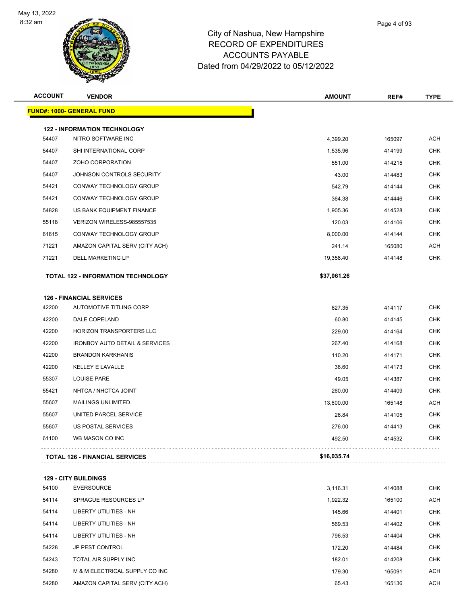

| <b>ACCOUNT</b> | <b>VENDOR</b>                             | <b>AMOUNT</b> | REF#   | <b>TYPE</b> |
|----------------|-------------------------------------------|---------------|--------|-------------|
|                | <b>FUND#: 1000- GENERAL FUND</b>          |               |        |             |
|                | <b>122 - INFORMATION TECHNOLOGY</b>       |               |        |             |
| 54407          | NITRO SOFTWARE INC                        | 4,399.20      | 165097 | <b>ACH</b>  |
| 54407          | SHI INTERNATIONAL CORP                    | 1,535.96      | 414199 | <b>CHK</b>  |
| 54407          | ZOHO CORPORATION                          | 551.00        | 414215 | <b>CHK</b>  |
| 54407          | JOHNSON CONTROLS SECURITY                 | 43.00         | 414483 | <b>CHK</b>  |
| 54421          | CONWAY TECHNOLOGY GROUP                   | 542.79        | 414144 | <b>CHK</b>  |
| 54421          | CONWAY TECHNOLOGY GROUP                   | 364.38        | 414446 | <b>CHK</b>  |
| 54828          | US BANK EQUIPMENT FINANCE                 | 1,905.36      | 414528 | <b>CHK</b>  |
| 55118          | VERIZON WIRELESS-985557535                | 120.03        | 414106 | <b>CHK</b>  |
| 61615          | CONWAY TECHNOLOGY GROUP                   | 8,000.00      | 414144 | <b>CHK</b>  |
| 71221          | AMAZON CAPITAL SERV (CITY ACH)            | 241.14        | 165080 | <b>ACH</b>  |
| 71221          | <b>DELL MARKETING LP</b>                  | 19,358.40     | 414148 | <b>CHK</b>  |
|                | <b>TOTAL 122 - INFORMATION TECHNOLOGY</b> | \$37,061.26   |        |             |
|                | <b>126 - FINANCIAL SERVICES</b>           |               |        |             |
| 42200          | AUTOMOTIVE TITLING CORP                   | 627.35        | 414117 | <b>CHK</b>  |
| 42200          | DALE COPELAND                             | 60.80         | 414145 | <b>CHK</b>  |
| 42200          | HORIZON TRANSPORTERS LLC                  | 229.00        | 414164 | <b>CHK</b>  |
| 42200          | <b>IRONBOY AUTO DETAIL &amp; SERVICES</b> | 267.40        | 414168 | <b>CHK</b>  |
| 42200          | <b>BRANDON KARKHANIS</b>                  | 110.20        | 414171 | <b>CHK</b>  |
| 42200          | <b>KELLEY E LAVALLE</b>                   | 36.60         | 414173 | <b>CHK</b>  |
| 55307          | <b>LOUISE PARE</b>                        | 49.05         | 414387 | CHK.        |

| 55307 | <b>LOUISE PARE</b>        | 49.05     | 414387 | <b>CHK</b> |
|-------|---------------------------|-----------|--------|------------|
| 55421 | NHTCA / NHCTCA JOINT      | 260.00    | 414409 | <b>CHK</b> |
| 55607 | <b>MAILINGS UNLIMITED</b> | 13.600.00 | 165148 | <b>ACH</b> |
| 55607 | UNITED PARCEL SERVICE     | 26.84     | 414105 | <b>CHK</b> |
| 55607 | US POSTAL SERVICES        | 276.00    | 414413 | <b>CHK</b> |
| 61100 | WB MASON CO INC           | 492.50    | 414532 | <b>CHK</b> |
|       |                           |           |        |            |

**TOTAL 126 - FINANCIAL SERVICES \$16,035.74**

|       | <b>129 - CITY BUILDINGS</b>    |          |        |            |  |
|-------|--------------------------------|----------|--------|------------|--|
| 54100 | <b>EVERSOURCE</b>              | 3.116.31 | 414088 | <b>CHK</b> |  |
| 54114 | <b>SPRAGUE RESOURCES LP</b>    | 1,922.32 | 165100 | <b>ACH</b> |  |
| 54114 | <b>LIBERTY UTILITIES - NH</b>  | 145.66   | 414401 | <b>CHK</b> |  |
| 54114 | <b>LIBERTY UTILITIES - NH</b>  | 569.53   | 414402 | <b>CHK</b> |  |
| 54114 | LIBERTY UTILITIES - NH         | 796.53   | 414404 | <b>CHK</b> |  |
| 54228 | <b>JP PEST CONTROL</b>         | 172.20   | 414484 | <b>CHK</b> |  |
| 54243 | TOTAL AIR SUPPLY INC           | 182.01   | 414208 | <b>CHK</b> |  |
| 54280 | M & M ELECTRICAL SUPPLY CO INC | 179.30   | 165091 | <b>ACH</b> |  |
| 54280 | AMAZON CAPITAL SERV (CITY ACH) | 65.43    | 165136 | <b>ACH</b> |  |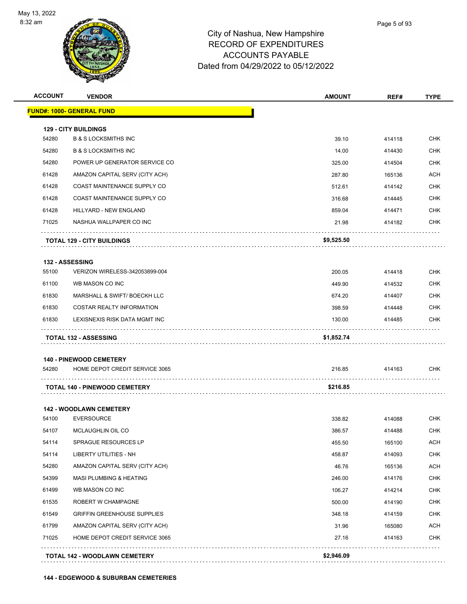

| 54280 | <u> FUND#: 1000- GENERAL FUND</u>    |            |        |            |
|-------|--------------------------------------|------------|--------|------------|
|       |                                      |            |        |            |
|       | <b>129 - CITY BUILDINGS</b>          |            |        |            |
|       | <b>B &amp; S LOCKSMITHS INC</b>      | 39.10      | 414118 | <b>CHK</b> |
| 54280 | <b>B &amp; S LOCKSMITHS INC</b>      | 14.00      | 414430 | <b>CHK</b> |
| 54280 | POWER UP GENERATOR SERVICE CO        | 325.00     | 414504 | <b>CHK</b> |
| 61428 | AMAZON CAPITAL SERV (CITY ACH)       | 287.80     | 165136 | ACH        |
| 61428 | COAST MAINTENANCE SUPPLY CO          | 512.61     | 414142 | <b>CHK</b> |
| 61428 | COAST MAINTENANCE SUPPLY CO          | 316.68     | 414445 | <b>CHK</b> |
| 61428 | HILLYARD - NEW ENGLAND               | 859.04     | 414471 | <b>CHK</b> |
| 71025 | NASHUA WALLPAPER CO INC              | 21.98      | 414182 | <b>CHK</b> |
|       | <b>TOTAL 129 - CITY BUILDINGS</b>    | \$9,525.50 |        |            |
|       | 132 - ASSESSING                      |            |        |            |
| 55100 | VERIZON WIRELESS-342053899-004       | 200.05     | 414418 | CHK        |
| 61100 | WB MASON CO INC                      | 449.90     | 414532 | <b>CHK</b> |
| 61830 | MARSHALL & SWIFT/ BOECKH LLC         | 674.20     | 414407 | <b>CHK</b> |
| 61830 | <b>COSTAR REALTY INFORMATION</b>     | 398.59     | 414448 | <b>CHK</b> |
| 61830 | LEXISNEXIS RISK DATA MGMT INC        | 130.00     | 414485 | <b>CHK</b> |
|       | <b>TOTAL 132 - ASSESSING</b>         | \$1,852.74 |        |            |
|       | <b>140 - PINEWOOD CEMETERY</b>       |            |        |            |
| 54280 | HOME DEPOT CREDIT SERVICE 3065       | 216.85     | 414163 | <b>CHK</b> |
|       | <b>TOTAL 140 - PINEWOOD CEMETERY</b> | \$216.85   |        |            |
|       | <b>142 - WOODLAWN CEMETERY</b>       |            |        |            |
| 54100 | <b>EVERSOURCE</b>                    | 338.82     | 414088 | <b>CHK</b> |
| 54107 | MCLAUGHLIN OIL CO                    | 386.57     | 414488 | CHK        |
| 54114 | SPRAGUE RESOURCES LP                 | 455.50     | 165100 | <b>ACH</b> |
| 54114 | LIBERTY UTILITIES - NH               | 458.87     | 414093 | <b>CHK</b> |
| 54280 | AMAZON CAPITAL SERV (CITY ACH)       | 46.76      | 165136 | ACH        |
| 54399 | <b>MASI PLUMBING &amp; HEATING</b>   | 246.00     | 414176 | <b>CHK</b> |
| 61499 | WB MASON CO INC                      | 106.27     | 414214 | <b>CHK</b> |
| 61535 | ROBERT W CHAMPAGNE                   | 500.00     | 414190 | <b>CHK</b> |
| 61549 | <b>GRIFFIN GREENHOUSE SUPPLIES</b>   | 348.18     | 414159 | <b>CHK</b> |
|       | AMAZON CAPITAL SERV (CITY ACH)       | 31.96      | 165080 | ACH        |
| 61799 |                                      |            |        |            |
| 71025 | HOME DEPOT CREDIT SERVICE 3065       | 27.16      | 414163 | <b>CHK</b> |

**144 - EDGEWOOD & SUBURBAN CEMETERIES**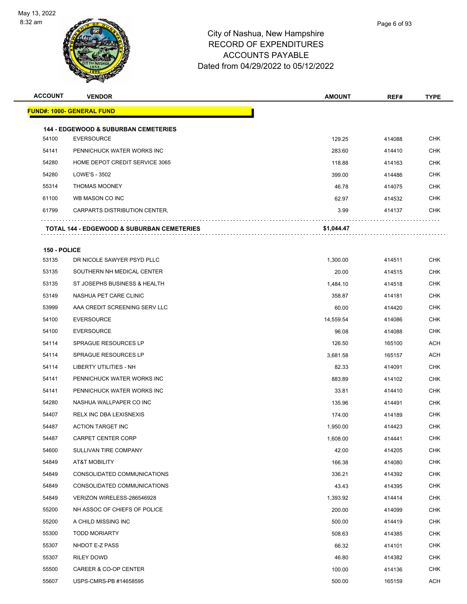

| <b>ACCOUNT</b> | <b>VENDOR</b>                                                        | <b>AMOUNT</b> | REF#   | <b>TYPE</b> |
|----------------|----------------------------------------------------------------------|---------------|--------|-------------|
|                | <u> FUND#: 1000- GENERAL FUND</u>                                    |               |        |             |
|                |                                                                      |               |        |             |
| 54100          | <b>144 - EDGEWOOD &amp; SUBURBAN CEMETERIES</b><br><b>EVERSOURCE</b> | 129.25        | 414088 | <b>CHK</b>  |
| 54141          | PENNICHUCK WATER WORKS INC                                           | 283.60        | 414410 | CHK         |
| 54280          | HOME DEPOT CREDIT SERVICE 3065                                       | 118.88        | 414163 | <b>CHK</b>  |
| 54280          | LOWE'S - 3502                                                        | 399.00        | 414486 | CHK         |
| 55314          | <b>THOMAS MOONEY</b>                                                 | 46.78         | 414075 | <b>CHK</b>  |
| 61100          | WB MASON CO INC                                                      | 62.97         | 414532 | <b>CHK</b>  |
| 61799          | CARPARTS DISTRIBUTION CENTER,                                        | 3.99          | 414137 | CHK         |
|                | TOTAL 144 - EDGEWOOD & SUBURBAN CEMETERIES                           | \$1,044.47    |        |             |
|                |                                                                      |               |        |             |
| 150 - POLICE   |                                                                      |               |        |             |
| 53135          | DR NICOLE SAWYER PSYD PLLC                                           | 1,300.00      | 414511 | <b>CHK</b>  |
| 53135          | SOUTHERN NH MEDICAL CENTER                                           | 20.00         | 414515 | <b>CHK</b>  |
| 53135          | ST JOSEPHS BUSINESS & HEALTH                                         | 1,484.10      | 414518 | CHK         |
| 53149          | NASHUA PET CARE CLINIC                                               | 358.87        | 414181 | <b>CHK</b>  |
| 53999          | AAA CREDIT SCREENING SERV LLC                                        | 60.00         | 414420 | <b>CHK</b>  |
| 54100          | <b>EVERSOURCE</b>                                                    | 14,559.54     | 414086 | <b>CHK</b>  |
| 54100          | <b>EVERSOURCE</b>                                                    | 96.08         | 414088 | CHK         |
| 54114          | <b>SPRAGUE RESOURCES LP</b>                                          | 126.50        | 165100 | ACH         |
| 54114          | <b>SPRAGUE RESOURCES LP</b>                                          | 3,681.58      | 165157 | ACH         |
| 54114          | LIBERTY UTILITIES - NH                                               | 82.33         | 414091 | CHK         |
| 54141          | PENNICHUCK WATER WORKS INC                                           | 883.89        | 414102 | <b>CHK</b>  |
| 54141          | PENNICHUCK WATER WORKS INC                                           | 33.81         | 414410 | <b>CHK</b>  |
| 54280          | NASHUA WALLPAPER CO INC                                              | 135.96        | 414491 | CHK         |
| 54407          | RELX INC DBA LEXISNEXIS                                              | 174.00        | 414189 | <b>CHK</b>  |
| 54487          | <b>ACTION TARGET INC</b>                                             | 1,950.00      | 414423 | CHK         |
| 54487          | CARPET CENTER CORP                                                   | 1,608.00      | 414441 | <b>CHK</b>  |
| 54600          | SULLIVAN TIRE COMPANY                                                | 42.00         | 414205 | <b>CHK</b>  |
| 54849          | AT&T MOBILITY                                                        | 166.38        | 414080 | <b>CHK</b>  |
| 54849          | CONSOLIDATED COMMUNICATIONS                                          | 336.21        | 414392 | <b>CHK</b>  |
| 54849          | CONSOLIDATED COMMUNICATIONS                                          | 43.43         | 414395 | <b>CHK</b>  |
| 54849          | VERIZON WIRELESS-286546928                                           | 1,393.92      | 414414 | <b>CHK</b>  |
| 55200          | NH ASSOC OF CHIEFS OF POLICE                                         | 200.00        | 414099 | CHK         |
| 55200          | A CHILD MISSING INC                                                  | 500.00        | 414419 | <b>CHK</b>  |
| 55300          | <b>TODD MORIARTY</b>                                                 | 508.63        | 414385 | <b>CHK</b>  |
| 55307          | NHDOT E-Z PASS                                                       | 66.32         | 414101 | CHK         |
| 55307          | RILEY DOWD                                                           | 46.80         | 414382 | <b>CHK</b>  |
| 55500          | CAREER & CO-OP CENTER                                                | 100.00        | 414136 | CHK         |
| 55607          | USPS-CMRS-PB #14658595                                               | 500.00        | 165159 | ACH         |
|                |                                                                      |               |        |             |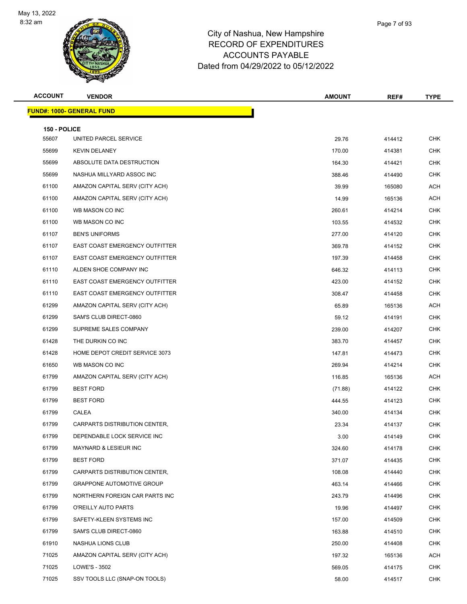

| <b>ACCOUNT</b>        | <b>VENDOR</b>                    | <b>AMOUNT</b> | REF#   | <b>TYPE</b> |
|-----------------------|----------------------------------|---------------|--------|-------------|
|                       | <b>FUND#: 1000- GENERAL FUND</b> |               |        |             |
|                       |                                  |               |        |             |
| 150 - POLICE<br>55607 | UNITED PARCEL SERVICE            | 29.76         | 414412 | <b>CHK</b>  |
| 55699                 | <b>KEVIN DELANEY</b>             | 170.00        | 414381 | <b>CHK</b>  |
| 55699                 | ABSOLUTE DATA DESTRUCTION        | 164.30        | 414421 | <b>CHK</b>  |
| 55699                 | NASHUA MILLYARD ASSOC INC        | 388.46        | 414490 | <b>CHK</b>  |
| 61100                 | AMAZON CAPITAL SERV (CITY ACH)   | 39.99         | 165080 | <b>ACH</b>  |
| 61100                 | AMAZON CAPITAL SERV (CITY ACH)   | 14.99         | 165136 | <b>ACH</b>  |
| 61100                 | WB MASON CO INC                  | 260.61        | 414214 | <b>CHK</b>  |
| 61100                 | WB MASON CO INC                  | 103.55        | 414532 | <b>CHK</b>  |
| 61107                 | <b>BEN'S UNIFORMS</b>            | 277.00        | 414120 | <b>CHK</b>  |
| 61107                 | EAST COAST EMERGENCY OUTFITTER   | 369.78        | 414152 | <b>CHK</b>  |
| 61107                 | EAST COAST EMERGENCY OUTFITTER   | 197.39        | 414458 | <b>CHK</b>  |
| 61110                 | ALDEN SHOE COMPANY INC           | 646.32        | 414113 | <b>CHK</b>  |
| 61110                 | EAST COAST EMERGENCY OUTFITTER   | 423.00        | 414152 | <b>CHK</b>  |
| 61110                 | EAST COAST EMERGENCY OUTFITTER   | 308.47        | 414458 | <b>CHK</b>  |
| 61299                 | AMAZON CAPITAL SERV (CITY ACH)   | 65.89         | 165136 | <b>ACH</b>  |
| 61299                 | SAM'S CLUB DIRECT-0860           | 59.12         | 414191 | <b>CHK</b>  |
| 61299                 | SUPREME SALES COMPANY            | 239.00        | 414207 | <b>CHK</b>  |
| 61428                 | THE DURKIN CO INC                | 383.70        | 414457 | <b>CHK</b>  |
| 61428                 | HOME DEPOT CREDIT SERVICE 3073   | 147.81        | 414473 | <b>CHK</b>  |
| 61650                 | WB MASON CO INC                  | 269.94        | 414214 | <b>CHK</b>  |
| 61799                 | AMAZON CAPITAL SERV (CITY ACH)   | 116.85        | 165136 | <b>ACH</b>  |
| 61799                 | <b>BEST FORD</b>                 | (71.88)       | 414122 | <b>CHK</b>  |
| 61799                 | <b>BEST FORD</b>                 | 444.55        | 414123 | <b>CHK</b>  |
| 61799                 | CALEA                            | 340.00        | 414134 | <b>CHK</b>  |
| 61799                 | CARPARTS DISTRIBUTION CENTER,    | 23.34         | 414137 | <b>CHK</b>  |
| 61799                 | DEPENDABLE LOCK SERVICE INC      | 3.00          | 414149 | CHK         |
| 61799                 | MAYNARD & LESIEUR INC            | 324.60        | 414178 | <b>CHK</b>  |
| 61799                 | <b>BEST FORD</b>                 | 371.07        | 414435 | <b>CHK</b>  |
| 61799                 | CARPARTS DISTRIBUTION CENTER,    | 108.08        | 414440 | <b>CHK</b>  |
| 61799                 | <b>GRAPPONE AUTOMOTIVE GROUP</b> | 463.14        | 414466 | <b>CHK</b>  |
| 61799                 | NORTHERN FOREIGN CAR PARTS INC   | 243.79        | 414496 | <b>CHK</b>  |
| 61799                 | O'REILLY AUTO PARTS              | 19.96         | 414497 | <b>CHK</b>  |
| 61799                 | SAFETY-KLEEN SYSTEMS INC         | 157.00        | 414509 | <b>CHK</b>  |
| 61799                 | SAM'S CLUB DIRECT-0860           | 163.88        | 414510 | <b>CHK</b>  |
| 61910                 | NASHUA LIONS CLUB                | 250.00        | 414408 | <b>CHK</b>  |
| 71025                 | AMAZON CAPITAL SERV (CITY ACH)   | 197.32        | 165136 | ACH         |
| 71025                 | LOWE'S - 3502                    | 569.05        | 414175 | <b>CHK</b>  |
| 71025                 | SSV TOOLS LLC (SNAP-ON TOOLS)    | 58.00         | 414517 | <b>CHK</b>  |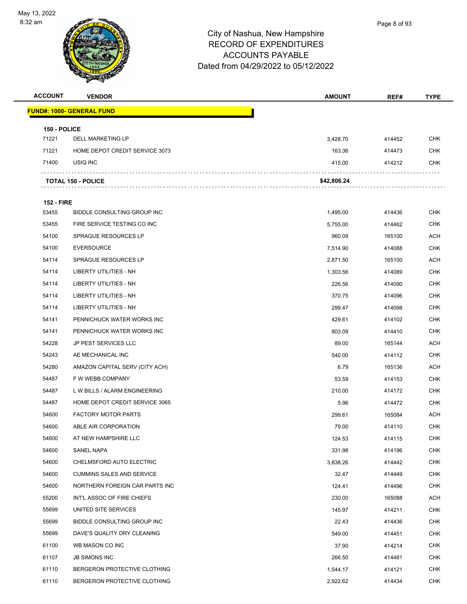

| <b>ACCOUNT</b>        | <b>VENDOR</b>                    | <b>AMOUNT</b> | REF#   | <b>TYPE</b> |
|-----------------------|----------------------------------|---------------|--------|-------------|
|                       | <b>FUND#: 1000- GENERAL FUND</b> |               |        |             |
|                       |                                  |               |        |             |
| 150 - POLICE<br>71221 | <b>DELL MARKETING LP</b>         | 3,428.70      | 414452 | <b>CHK</b>  |
| 71221                 | HOME DEPOT CREDIT SERVICE 3073   | 163.36        | 414473 | <b>CHK</b>  |
| 71400                 | USIQ INC                         | 415.00        | 414212 | <b>CHK</b>  |
|                       |                                  |               |        |             |
|                       | <b>TOTAL 150 - POLICE</b>        | \$42,806.24   |        |             |
| <b>152 - FIRE</b>     |                                  |               |        |             |
| 53455                 | BIDDLE CONSULTING GROUP INC      | 1,495.00      | 414436 | <b>CHK</b>  |
| 53455                 | FIRE SERVICE TESTING CO INC      | 5,755.00      | 414462 | <b>CHK</b>  |
| 54100                 | SPRAGUE RESOURCES LP             | 960.09        | 165100 | ACH         |
| 54100                 | <b>EVERSOURCE</b>                | 7,514.90      | 414088 | CHK         |
| 54114                 | SPRAGUE RESOURCES LP             | 2,871.50      | 165100 | <b>ACH</b>  |
| 54114                 | LIBERTY UTILITIES - NH           | 1,303.56      | 414089 | <b>CHK</b>  |
| 54114                 | LIBERTY UTILITIES - NH           | 226.56        | 414090 | <b>CHK</b>  |
| 54114                 | <b>LIBERTY UTILITIES - NH</b>    | 370.75        | 414096 | <b>CHK</b>  |
| 54114                 | <b>LIBERTY UTILITIES - NH</b>    | 299.47        | 414098 | <b>CHK</b>  |
| 54141                 | PENNICHUCK WATER WORKS INC       | 429.61        | 414102 | <b>CHK</b>  |
| 54141                 | PENNICHUCK WATER WORKS INC       | 803.09        | 414410 | <b>CHK</b>  |
| 54228                 | <b>JP PEST SERVICES LLC</b>      | 89.00         | 165144 | ACH         |
| 54243                 | AE MECHANICAL INC                | 540.00        | 414112 | <b>CHK</b>  |
| 54280                 | AMAZON CAPITAL SERV (CITY ACH)   | 6.79          | 165136 | <b>ACH</b>  |
| 54487                 | F W WEBB COMPANY                 | 53.59         | 414153 | <b>CHK</b>  |
| 54487                 | L W BILLS / ALARM ENGINEERING    | 210.00        | 414172 | CHK         |
| 54487                 | HOME DEPOT CREDIT SERVICE 3065   | 5.96          | 414472 | <b>CHK</b>  |
| 54600                 | <b>FACTORY MOTOR PARTS</b>       | 299.61        | 165084 | ACH         |
| 54600                 | ABLE AIR CORPORATION             | 79.00         | 414110 | <b>CHK</b>  |
| 54600                 | AT NEW HAMPSHIRE LLC             | 124.53        | 414115 | <b>CHK</b>  |
| 54600                 | SANEL NAPA                       | 331.98        | 414196 | <b>CHK</b>  |
| 54600                 | CHELMSFORD AUTO ELECTRIC         | 3,838.26      | 414442 | <b>CHK</b>  |
| 54600                 | <b>CUMMINS SALES AND SERVICE</b> | 32.47         | 414449 | <b>CHK</b>  |
| 54600                 | NORTHERN FOREIGN CAR PARTS INC   | 124.41        | 414496 | <b>CHK</b>  |
| 55200                 | INT'L ASSOC OF FIRE CHIEFS       | 230.00        | 165088 | ACH         |
| 55699                 | UNITED SITE SERVICES             | 145.97        | 414211 | CHK         |
| 55699                 | BIDDLE CONSULTING GROUP INC      | 22.43         | 414436 | <b>CHK</b>  |
| 55699                 | DAVE'S QUALITY DRY CLEANING      | 549.00        | 414451 | <b>CHK</b>  |
| 61100                 | WB MASON CO INC                  | 37.90         | 414214 | CHK         |
| 61107                 | <b>JB SIMONS INC</b>             | 266.50        | 414481 | <b>CHK</b>  |
| 61110                 | BERGERON PROTECTIVE CLOTHING     | 1,544.17      | 414121 | CHK         |
| 61110                 | BERGERON PROTECTIVE CLOTHING     | 2,922.62      | 414434 | <b>CHK</b>  |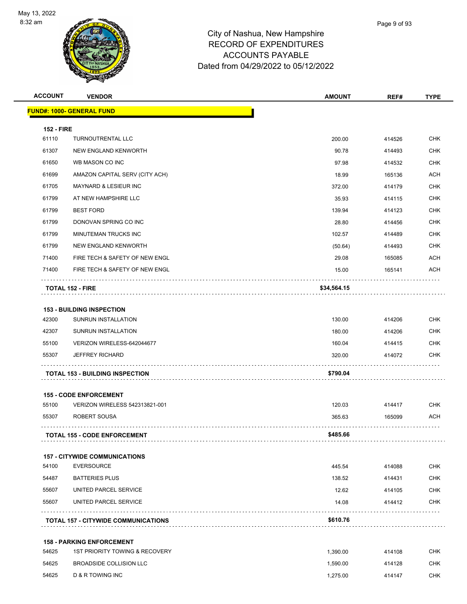

| <b>ACCOUNT</b>    | <b>VENDOR</b>                              | <b>AMOUNT</b> | REF#   | <b>TYPE</b> |
|-------------------|--------------------------------------------|---------------|--------|-------------|
|                   | <b>FUND#: 1000- GENERAL FUND</b>           |               |        |             |
| <b>152 - FIRE</b> |                                            |               |        |             |
| 61110             | TURNOUTRENTAL LLC                          | 200.00        | 414526 | <b>CHK</b>  |
| 61307             | NEW ENGLAND KENWORTH                       | 90.78         | 414493 | <b>CHK</b>  |
| 61650             | WB MASON CO INC                            | 97.98         | 414532 | <b>CHK</b>  |
| 61699             | AMAZON CAPITAL SERV (CITY ACH)             | 18.99         | 165136 | <b>ACH</b>  |
| 61705             | <b>MAYNARD &amp; LESIEUR INC</b>           | 372.00        | 414179 | <b>CHK</b>  |
| 61799             | AT NEW HAMPSHIRE LLC                       | 35.93         | 414115 | <b>CHK</b>  |
| 61799             | <b>BEST FORD</b>                           | 139.94        | 414123 | <b>CHK</b>  |
| 61799             | DONOVAN SPRING CO INC                      | 28.80         | 414456 | <b>CHK</b>  |
| 61799             | MINUTEMAN TRUCKS INC                       | 102.57        | 414489 | <b>CHK</b>  |
| 61799             | NEW ENGLAND KENWORTH                       | (50.64)       | 414493 | <b>CHK</b>  |
| 71400             | FIRE TECH & SAFETY OF NEW ENGL             | 29.08         | 165085 | ACH         |
| 71400             | FIRE TECH & SAFETY OF NEW ENGL             | 15.00         | 165141 | ACH         |
|                   | <b>TOTAL 152 - FIRE</b>                    | \$34,564.15   |        |             |
|                   | <b>153 - BUILDING INSPECTION</b>           |               |        |             |
| 42300             | <b>SUNRUN INSTALLATION</b>                 | 130.00        | 414206 | <b>CHK</b>  |
| 42307             | <b>SUNRUN INSTALLATION</b>                 | 180.00        | 414206 | <b>CHK</b>  |
| 55100             | VERIZON WIRELESS-642044677                 | 160.04        | 414415 | <b>CHK</b>  |
| 55307             | <b>JEFFREY RICHARD</b>                     | 320.00        | 414072 | CHK         |
|                   | <b>TOTAL 153 - BUILDING INSPECTION</b>     | \$790.04      |        |             |
|                   | <b>155 - CODE ENFORCEMENT</b>              |               |        |             |
| 55100             | VERIZON WIRELESS 542313821-001             | 120.03        | 414417 | <b>CHK</b>  |
| 55307             | <b>ROBERT SOUSA</b>                        | 365.63        | 165099 | ACH         |
|                   | <b>TOTAL 155 - CODE ENFORCEMENT</b>        | \$485.66      |        |             |
|                   | <b>157 - CITYWIDE COMMUNICATIONS</b>       |               |        |             |
| 54100             | <b>EVERSOURCE</b>                          | 445.54        | 414088 | <b>CHK</b>  |
| 54487             | <b>BATTERIES PLUS</b>                      | 138.52        | 414431 | <b>CHK</b>  |
| 55607             | UNITED PARCEL SERVICE                      | 12.62         | 414105 | <b>CHK</b>  |
| 55607             | UNITED PARCEL SERVICE                      | 14.08         | 414412 | <b>CHK</b>  |
|                   | <b>TOTAL 157 - CITYWIDE COMMUNICATIONS</b> | \$610.76      |        |             |
|                   | <b>158 - PARKING ENFORCEMENT</b>           |               |        |             |
| 54625             | 1ST PRIORITY TOWING & RECOVERY             | 1,390.00      | 414108 | <b>CHK</b>  |
| 54625             | <b>BROADSIDE COLLISION LLC</b>             | 1,590.00      | 414128 | <b>CHK</b>  |
| 54625             | D & R TOWING INC                           | 1,275.00      | 414147 | <b>CHK</b>  |
|                   |                                            |               |        |             |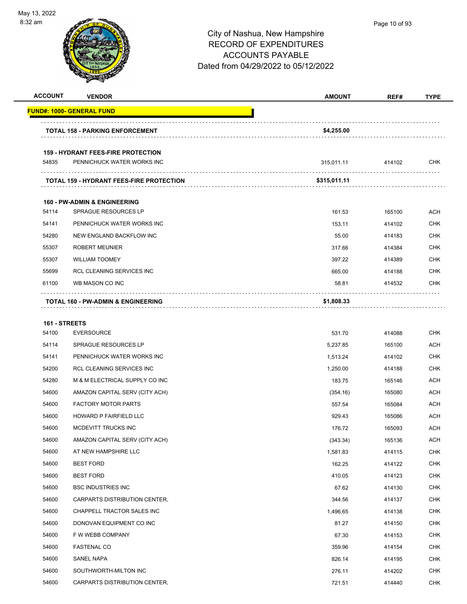

| <b>ACCOUNT</b> | <b>VENDOR</b>                                   | <b>AMOUNT</b> | REF#   | <b>TYPE</b> |
|----------------|-------------------------------------------------|---------------|--------|-------------|
|                | <u> FUND#: 1000- GENERAL FUND</u>               |               |        |             |
|                | <b>TOTAL 158 - PARKING ENFORCEMENT</b>          | \$4,255.00    |        |             |
|                | <b>159 - HYDRANT FEES-FIRE PROTECTION</b>       |               |        |             |
| 54835          | PENNICHUCK WATER WORKS INC                      | 315,011.11    | 414102 | CHK         |
|                | <b>TOTAL 159 - HYDRANT FEES-FIRE PROTECTION</b> | \$315,011.11  |        |             |
|                | <b>160 - PW-ADMIN &amp; ENGINEERING</b>         |               |        |             |
| 54114          | SPRAGUE RESOURCES LP                            | 161.53        | 165100 | <b>ACH</b>  |
| 54141          | PENNICHUCK WATER WORKS INC                      | 153.11        | 414102 | <b>CHK</b>  |
| 54280          | NEW ENGLAND BACKFLOW INC                        | 55.00         | 414183 | <b>CHK</b>  |
| 55307          | <b>ROBERT MEUNIER</b>                           | 317.66        | 414384 | <b>CHK</b>  |
| 55307          | <b>WILLIAM TOOMEY</b>                           | 397.22        | 414389 | CHK         |
| 55699          | RCL CLEANING SERVICES INC                       | 665.00        | 414188 | <b>CHK</b>  |
| 61100          | WB MASON CO INC                                 | 58.81         | 414532 | <b>CHK</b>  |
|                | TOTAL 160 - PW-ADMIN & ENGINEERING              | \$1,808.33    |        |             |
| 161 - STREETS  |                                                 |               |        |             |
| 54100          | <b>EVERSOURCE</b>                               | 531.70        | 414088 | <b>CHK</b>  |
| 54114          | <b>SPRAGUE RESOURCES LP</b>                     | 5,237.85      | 165100 | <b>ACH</b>  |
| 54141          | PENNICHUCK WATER WORKS INC                      | 1,513.24      | 414102 | CHK         |
| 54200          | RCL CLEANING SERVICES INC                       | 1,250.00      | 414188 | <b>CHK</b>  |
| 54280          | M & M ELECTRICAL SUPPLY CO INC                  | 183.75        | 165146 | ACH         |
| 54600          | AMAZON CAPITAL SERV (CITY ACH)                  | (354.16)      | 165080 | ACH         |
| 54600          | <b>FACTORY MOTOR PARTS</b>                      | 557.54        | 165084 | <b>ACH</b>  |
| 54600          | HOWARD P FAIRFIELD LLC                          | 929.43        | 165086 | <b>ACH</b>  |
| 54600          | MCDEVITT TRUCKS INC                             | 176.72        | 165093 | <b>ACH</b>  |
| 54600          | AMAZON CAPITAL SERV (CITY ACH)                  | (343.34)      | 165136 | ACH         |
| 54600          | AT NEW HAMPSHIRE LLC                            | 1,581.83      | 414115 | <b>CHK</b>  |
| 54600          | <b>BEST FORD</b>                                | 162.25        | 414122 | <b>CHK</b>  |
| 54600          | <b>BEST FORD</b>                                | 410.05        | 414123 | <b>CHK</b>  |
| 54600          | <b>BSC INDUSTRIES INC</b>                       | 67.62         | 414130 | <b>CHK</b>  |
| 54600          | CARPARTS DISTRIBUTION CENTER,                   | 344.56        | 414137 | <b>CHK</b>  |
| 54600          | CHAPPELL TRACTOR SALES INC                      | 1,496.65      | 414138 | <b>CHK</b>  |
| 54600          | DONOVAN EQUIPMENT CO INC                        | 81.27         | 414150 | <b>CHK</b>  |
| 54600          | F W WEBB COMPANY                                | 67.30         | 414153 | <b>CHK</b>  |
| 54600          | <b>FASTENAL CO</b>                              | 359.96        | 414154 | <b>CHK</b>  |
| 54600          | SANEL NAPA                                      | 826.14        | 414195 | <b>CHK</b>  |
| 54600          | SOUTHWORTH-MILTON INC                           | 276.11        | 414202 | <b>CHK</b>  |
| 54600          | CARPARTS DISTRIBUTION CENTER,                   | 721.51        | 414440 | CHK         |
|                |                                                 |               |        |             |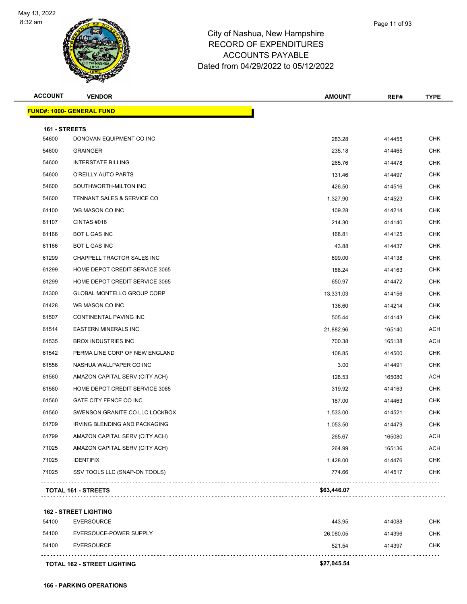

| <b>ACCOUNT</b> | <b>VENDOR</b>                    | <b>AMOUNT</b> | REF#   | <b>TYPE</b> |
|----------------|----------------------------------|---------------|--------|-------------|
|                | <b>FUND#: 1000- GENERAL FUND</b> |               |        |             |
| 161 - STREETS  |                                  |               |        |             |
| 54600          | DONOVAN EQUIPMENT CO INC         | 283.28        | 414455 | <b>CHK</b>  |
| 54600          | <b>GRAINGER</b>                  | 235.18        | 414465 | CHK         |
| 54600          | <b>INTERSTATE BILLING</b>        | 265.76        | 414478 | <b>CHK</b>  |
| 54600          | O'REILLY AUTO PARTS              | 131.46        | 414497 | <b>CHK</b>  |
| 54600          | SOUTHWORTH-MILTON INC            | 426.50        | 414516 | <b>CHK</b>  |
| 54600          | TENNANT SALES & SERVICE CO       | 1,327.90      | 414523 | CHK         |
| 61100          | WB MASON CO INC                  | 109.28        | 414214 | CHK         |
| 61107          | CINTAS#016                       | 214.30        | 414140 | <b>CHK</b>  |
| 61166          | <b>BOT L GAS INC</b>             | 168.81        | 414125 | CHK         |
| 61166          | BOT L GAS INC                    | 43.88         | 414437 | <b>CHK</b>  |
| 61299          | CHAPPELL TRACTOR SALES INC       | 699.00        | 414138 | CHK         |
| 61299          | HOME DEPOT CREDIT SERVICE 3065   | 188.24        | 414163 | <b>CHK</b>  |
| 61299          | HOME DEPOT CREDIT SERVICE 3065   | 650.97        | 414472 | <b>CHK</b>  |
| 61300          | GLOBAL MONTELLO GROUP CORP       | 13,331.03     | 414156 | <b>CHK</b>  |
| 61428          | WB MASON CO INC                  | 136.60        | 414214 | <b>CHK</b>  |
| 61507          | CONTINENTAL PAVING INC           | 505.44        | 414143 | CHK         |
| 61514          | <b>EASTERN MINERALS INC</b>      | 21,882.96     | 165140 | ACH         |
| 61535          | <b>BROX INDUSTRIES INC</b>       | 700.38        | 165138 | ACH         |
| 61542          | PERMA LINE CORP OF NEW ENGLAND   | 108.85        | 414500 | <b>CHK</b>  |
| 61556          | NASHUA WALLPAPER CO INC          | 3.00          | 414491 | <b>CHK</b>  |
| 61560          | AMAZON CAPITAL SERV (CITY ACH)   | 128.53        | 165080 | ACH         |
| 61560          | HOME DEPOT CREDIT SERVICE 3065   | 319.92        | 414163 | <b>CHK</b>  |
| 61560          | GATE CITY FENCE CO INC           | 187.00        | 414463 | <b>CHK</b>  |
| 61560          | SWENSON GRANITE CO LLC LOCKBOX   | 1,533.00      | 414521 | CHK         |
| 61709          | IRVING BLENDING AND PACKAGING    | 1,053.50      | 414479 | <b>CHK</b>  |
| 61799          | AMAZON CAPITAL SERV (CITY ACH)   | 265.67        | 165080 | ACH         |
| 71025          | AMAZON CAPITAL SERV (CITY ACH)   | 264.99        | 165136 | ACH         |
| 71025          | <b>IDENTIFIX</b>                 | 1,428.00      | 414476 | <b>CHK</b>  |
| 71025          | SSV TOOLS LLC (SNAP-ON TOOLS)    | 774.66        | 414517 | <b>CHK</b>  |
|                | <b>TOTAL 161 - STREETS</b>       | \$63,446.07   |        |             |

**162 - STREET LIGHTING**

|       | <b>TOTAL 162 - STREET LIGHTING</b> | \$27,045.54 |        |            |
|-------|------------------------------------|-------------|--------|------------|
| 54100 | <b>EVERSOURCE</b>                  | 521.54      | 414397 | <b>CHK</b> |
| 54100 | EVERSOUCE-POWER SUPPLY             | 26.080.05   | 414396 | <b>CHK</b> |
| 54100 | EVERSOURCE                         | 443.95      | 414088 | <b>CHK</b> |
|       | 194 - 31 NEL LEGITING              |             |        |            |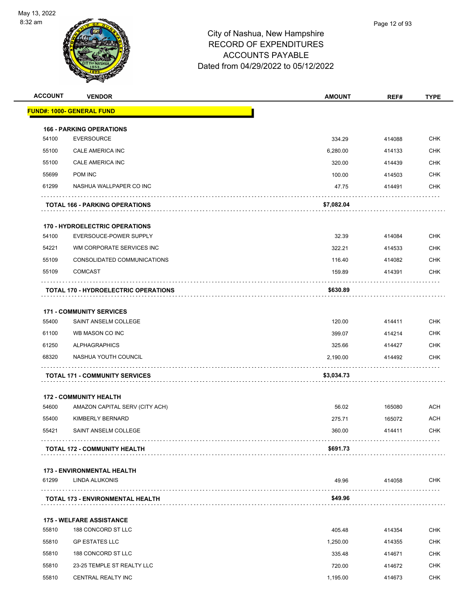

| <b>ACCOUNT</b> | <b>VENDOR</b>                               | <b>AMOUNT</b> | REF#   | <b>TYPE</b> |
|----------------|---------------------------------------------|---------------|--------|-------------|
|                | <b>FUND#: 1000- GENERAL FUND</b>            |               |        |             |
|                | <b>166 - PARKING OPERATIONS</b>             |               |        |             |
| 54100          | <b>EVERSOURCE</b>                           | 334.29        | 414088 | <b>CHK</b>  |
| 55100          | CALE AMERICA INC                            | 6,280.00      | 414133 | <b>CHK</b>  |
| 55100          | CALE AMERICA INC                            | 320.00        | 414439 | <b>CHK</b>  |
| 55699          | POM INC                                     | 100.00        | 414503 | <b>CHK</b>  |
| 61299          | NASHUA WALLPAPER CO INC                     | 47.75         | 414491 | <b>CHK</b>  |
|                | <b>TOTAL 166 - PARKING OPERATIONS</b>       | \$7,082.04    |        |             |
|                | <b>170 - HYDROELECTRIC OPERATIONS</b>       |               |        |             |
| 54100          | EVERSOUCE-POWER SUPPLY                      | 32.39         | 414084 | <b>CHK</b>  |
| 54221          | WM CORPORATE SERVICES INC                   | 322.21        | 414533 | <b>CHK</b>  |
| 55109          | CONSOLIDATED COMMUNICATIONS                 | 116.40        | 414082 | <b>CHK</b>  |
| 55109          | <b>COMCAST</b>                              | 159.89        | 414391 | <b>CHK</b>  |
|                | <b>TOTAL 170 - HYDROELECTRIC OPERATIONS</b> | \$630.89      |        |             |
|                | <b>171 - COMMUNITY SERVICES</b>             |               |        |             |
| 55400          | SAINT ANSELM COLLEGE                        | 120.00        | 414411 | <b>CHK</b>  |
| 61100          | WB MASON CO INC                             | 399.07        | 414214 | <b>CHK</b>  |
| 61250          | <b>ALPHAGRAPHICS</b>                        | 325.66        | 414427 | <b>CHK</b>  |
| 68320          | NASHUA YOUTH COUNCIL                        | 2,190.00      | 414492 | <b>CHK</b>  |
|                | <b>TOTAL 171 - COMMUNITY SERVICES</b>       | \$3,034.73    |        |             |
|                | <b>172 - COMMUNITY HEALTH</b>               |               |        |             |
| 54600          | AMAZON CAPITAL SERV (CITY ACH)              | 56.02         | 165080 | <b>ACH</b>  |
| 55400          | KIMBERLY BERNARD                            | 275.71        | 165072 | <b>ACH</b>  |
| 55421          | SAINT ANSELM COLLEGE                        | 360.00        | 414411 | <b>CHK</b>  |
|                | <b>TOTAL 172 - COMMUNITY HEALTH</b>         | \$691.73      |        |             |
|                | <b>173 - ENVIRONMENTAL HEALTH</b>           |               |        |             |
| 61299          | <b>LINDA ALUKONIS</b>                       | 49.96         | 414058 | <b>CHK</b>  |
|                | <b>TOTAL 173 - ENVIRONMENTAL HEALTH</b>     | \$49.96       | .      |             |
|                |                                             |               |        |             |
|                | <b>175 - WELFARE ASSISTANCE</b>             |               |        |             |
| 55810          | 188 CONCORD ST LLC                          | 405.48        | 414354 | <b>CHK</b>  |
| 55810          | <b>GP ESTATES LLC</b>                       | 1,250.00      | 414355 | <b>CHK</b>  |
| 55810          | 188 CONCORD ST LLC                          | 335.48        | 414671 | CHK         |
| 55810          | 23-25 TEMPLE ST REALTY LLC                  | 720.00        | 414672 | <b>CHK</b>  |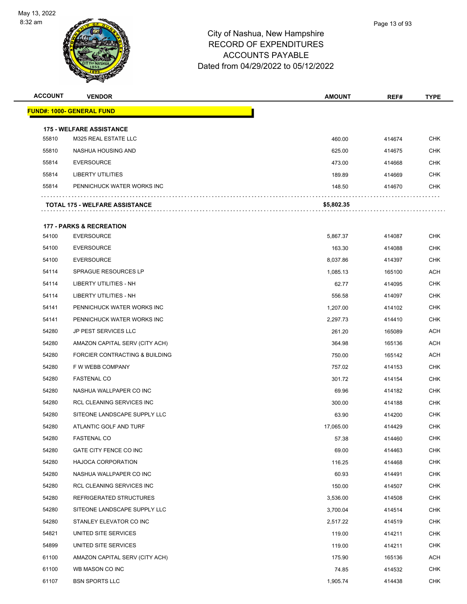

| <b>ACCOUNT</b> | <b>VENDOR</b>                                            | <b>AMOUNT</b> | REF#   | <b>TYPE</b> |
|----------------|----------------------------------------------------------|---------------|--------|-------------|
|                | <u> FUND#: 1000- GENERAL FUND</u>                        |               |        |             |
|                |                                                          |               |        |             |
| 55810          | <b>175 - WELFARE ASSISTANCE</b><br>M325 REAL ESTATE LLC  | 460.00        | 414674 | <b>CHK</b>  |
| 55810          | NASHUA HOUSING AND                                       | 625.00        | 414675 | <b>CHK</b>  |
| 55814          | <b>EVERSOURCE</b>                                        | 473.00        | 414668 | <b>CHK</b>  |
| 55814          | <b>LIBERTY UTILITIES</b>                                 | 189.89        | 414669 | <b>CHK</b>  |
| 55814          | PENNICHUCK WATER WORKS INC                               | 148.50        | 414670 | CHK         |
|                | <b>TOTAL 175 - WELFARE ASSISTANCE</b>                    | \$5,802.35    |        |             |
|                |                                                          |               |        |             |
| 54100          | <b>177 - PARKS &amp; RECREATION</b><br><b>EVERSOURCE</b> | 5,867.37      | 414087 | <b>CHK</b>  |
| 54100          | <b>EVERSOURCE</b>                                        | 163.30        | 414088 | <b>CHK</b>  |
| 54100          | <b>EVERSOURCE</b>                                        | 8,037.86      | 414397 | <b>CHK</b>  |
| 54114          | <b>SPRAGUE RESOURCES LP</b>                              | 1,085.13      | 165100 | ACH         |
| 54114          | LIBERTY UTILITIES - NH                                   | 62.77         | 414095 | CHK         |
| 54114          | LIBERTY UTILITIES - NH                                   | 556.58        | 414097 | <b>CHK</b>  |
| 54141          | PENNICHUCK WATER WORKS INC                               | 1,207.00      | 414102 | <b>CHK</b>  |
| 54141          | PENNICHUCK WATER WORKS INC                               | 2,297.73      | 414410 | <b>CHK</b>  |
| 54280          | <b>JP PEST SERVICES LLC</b>                              | 261.20        | 165089 | ACH         |
| 54280          | AMAZON CAPITAL SERV (CITY ACH)                           | 364.98        | 165136 | ACH         |
| 54280          | FORCIER CONTRACTING & BUILDING                           | 750.00        | 165142 | ACH         |
| 54280          | F W WEBB COMPANY                                         | 757.02        | 414153 | <b>CHK</b>  |
| 54280          | <b>FASTENAL CO</b>                                       | 301.72        | 414154 | <b>CHK</b>  |
| 54280          | NASHUA WALLPAPER CO INC                                  | 69.96         | 414182 | <b>CHK</b>  |
| 54280          | RCL CLEANING SERVICES INC                                | 300.00        | 414188 | CHK         |
| 54280          | SITEONE LANDSCAPE SUPPLY LLC                             | 63.90         | 414200 | <b>CHK</b>  |
| 54280          | ATLANTIC GOLF AND TURF                                   | 17,065.00     | 414429 | <b>CHK</b>  |
| 54280          | <b>FASTENAL CO</b>                                       | 57.38         | 414460 | <b>CHK</b>  |
| 54280          | GATE CITY FENCE CO INC                                   | 69.00         | 414463 | <b>CHK</b>  |
| 54280          | <b>HAJOCA CORPORATION</b>                                | 116.25        | 414468 | <b>CHK</b>  |
| 54280          | NASHUA WALLPAPER CO INC                                  | 60.93         | 414491 | <b>CHK</b>  |
| 54280          | RCL CLEANING SERVICES INC                                | 150.00        | 414507 | <b>CHK</b>  |
| 54280          | REFRIGERATED STRUCTURES                                  | 3,536.00      | 414508 | <b>CHK</b>  |
| 54280          | SITEONE LANDSCAPE SUPPLY LLC                             | 3,700.04      | 414514 | <b>CHK</b>  |
| 54280          | STANLEY ELEVATOR CO INC                                  | 2,517.22      | 414519 | <b>CHK</b>  |
| 54821          | UNITED SITE SERVICES                                     | 119.00        | 414211 | <b>CHK</b>  |
| 54899          | UNITED SITE SERVICES                                     | 119.00        | 414211 | <b>CHK</b>  |
| 61100          | AMAZON CAPITAL SERV (CITY ACH)                           | 175.90        | 165136 | ACH         |
| 61100          | WB MASON CO INC                                          | 74.85         | 414532 | <b>CHK</b>  |
| 61107          | <b>BSN SPORTS LLC</b>                                    | 1,905.74      | 414438 | <b>CHK</b>  |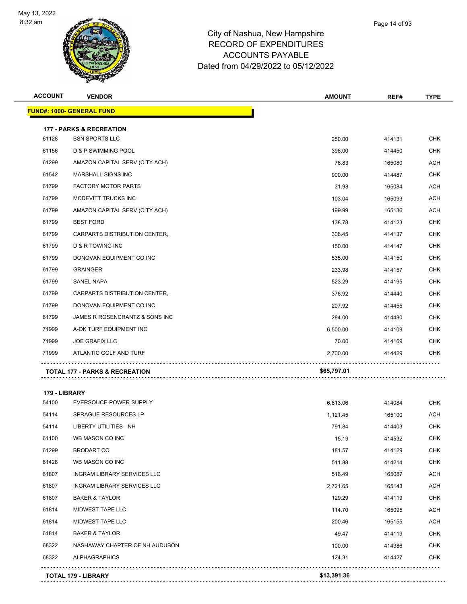

| <b>ACCOUNT</b> | <b>VENDOR</b>                             | <b>AMOUNT</b> | REF#   | <b>TYPE</b> |
|----------------|-------------------------------------------|---------------|--------|-------------|
|                | <b>FUND#: 1000- GENERAL FUND</b>          |               |        |             |
|                | <b>177 - PARKS &amp; RECREATION</b>       |               |        |             |
| 61128          | <b>BSN SPORTS LLC</b>                     | 250.00        | 414131 | <b>CHK</b>  |
| 61156          | D & P SWIMMING POOL                       | 396.00        | 414450 | <b>CHK</b>  |
| 61299          | AMAZON CAPITAL SERV (CITY ACH)            | 76.83         | 165080 | <b>ACH</b>  |
| 61542          | MARSHALL SIGNS INC                        | 900.00        | 414487 | <b>CHK</b>  |
| 61799          | <b>FACTORY MOTOR PARTS</b>                | 31.98         | 165084 | <b>ACH</b>  |
| 61799          | MCDEVITT TRUCKS INC                       | 103.04        | 165093 | <b>ACH</b>  |
| 61799          | AMAZON CAPITAL SERV (CITY ACH)            | 199.99        | 165136 | <b>ACH</b>  |
| 61799          | <b>BEST FORD</b>                          | 138.78        | 414123 | <b>CHK</b>  |
| 61799          | CARPARTS DISTRIBUTION CENTER,             | 306.45        | 414137 | <b>CHK</b>  |
| 61799          | <b>D &amp; R TOWING INC</b>               | 150.00        | 414147 | <b>CHK</b>  |
| 61799          | DONOVAN EQUIPMENT CO INC                  | 535.00        | 414150 | <b>CHK</b>  |
| 61799          | <b>GRAINGER</b>                           | 233.98        | 414157 | CHK         |
| 61799          | SANEL NAPA                                | 523.29        | 414195 | <b>CHK</b>  |
| 61799          | CARPARTS DISTRIBUTION CENTER,             | 376.92        | 414440 | <b>CHK</b>  |
| 61799          | DONOVAN EQUIPMENT CO INC                  | 207.92        | 414455 | <b>CHK</b>  |
| 61799          | JAMES R ROSENCRANTZ & SONS INC            | 284.00        | 414480 | <b>CHK</b>  |
| 71999          | A-OK TURF EQUIPMENT INC                   | 6,500.00      | 414109 | <b>CHK</b>  |
| 71999          | <b>JOE GRAFIX LLC</b>                     | 70.00         | 414169 | CHK         |
| 71999          | ATLANTIC GOLF AND TURF                    | 2,700.00      | 414429 | <b>CHK</b>  |
|                | <b>TOTAL 177 - PARKS &amp; RECREATION</b> | \$65,797.01   |        |             |

| 179 - LIBRARY |                                    |             |        |            |
|---------------|------------------------------------|-------------|--------|------------|
| 54100         | EVERSOUCE-POWER SUPPLY             | 6,813.06    | 414084 | <b>CHK</b> |
| 54114         | <b>SPRAGUE RESOURCES LP</b>        | 1,121.45    | 165100 | <b>ACH</b> |
| 54114         | <b>LIBERTY UTILITIES - NH</b>      | 791.84      | 414403 | <b>CHK</b> |
| 61100         | WB MASON CO INC                    | 15.19       | 414532 | <b>CHK</b> |
| 61299         | <b>BRODART CO</b>                  | 181.57      | 414129 | <b>CHK</b> |
| 61428         | WB MASON CO INC                    | 511.88      | 414214 | <b>CHK</b> |
| 61807         | <b>INGRAM LIBRARY SERVICES LLC</b> | 516.49      | 165087 | <b>ACH</b> |
| 61807         | <b>INGRAM LIBRARY SERVICES LLC</b> | 2,721.65    | 165143 | <b>ACH</b> |
| 61807         | <b>BAKER &amp; TAYLOR</b>          | 129.29      | 414119 | <b>CHK</b> |
| 61814         | <b>MIDWEST TAPE LLC</b>            | 114.70      | 165095 | <b>ACH</b> |
| 61814         | MIDWEST TAPE LLC                   | 200.46      | 165155 | <b>ACH</b> |
| 61814         | <b>BAKER &amp; TAYLOR</b>          | 49.47       | 414119 | <b>CHK</b> |
| 68322         | NASHAWAY CHAPTER OF NH AUDUBON     | 100.00      | 414386 | <b>CHK</b> |
| 68322         | <b>ALPHAGRAPHICS</b>               | 124.31      | 414427 | <b>CHK</b> |
|               | <b>TOTAL 179 - LIBRARY</b>         | \$13,391.36 |        |            |
|               |                                    |             |        |            |
|               |                                    |             |        |            |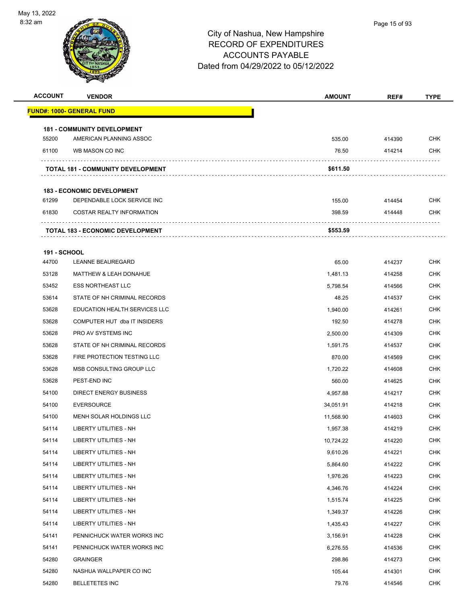

| <b>ACCOUNT</b>               | <b>VENDOR</b>                            | <b>AMOUNT</b> | REF#   | <b>TYPE</b> |
|------------------------------|------------------------------------------|---------------|--------|-------------|
|                              | FUND#: 1000- GENERAL FUND                |               |        |             |
|                              | <b>181 - COMMUNITY DEVELOPMENT</b>       |               |        |             |
| 55200                        | AMERICAN PLANNING ASSOC                  | 535.00        | 414390 | <b>CHK</b>  |
| 61100                        | WB MASON CO INC                          | 76.50         | 414214 | <b>CHK</b>  |
|                              | <b>TOTAL 181 - COMMUNITY DEVELOPMENT</b> | \$611.50      |        |             |
|                              | <b>183 - ECONOMIC DEVELOPMENT</b>        |               |        |             |
| 61299                        | DEPENDABLE LOCK SERVICE INC              | 155.00        | 414454 | <b>CHK</b>  |
| 61830                        | <b>COSTAR REALTY INFORMATION</b>         | 398.59        | 414448 | <b>CHK</b>  |
|                              | <b>TOTAL 183 - ECONOMIC DEVELOPMENT</b>  | \$553.59      |        |             |
|                              |                                          |               |        |             |
| <b>191 - SCHOOL</b><br>44700 | <b>LEANNE BEAUREGARD</b>                 | 65.00         | 414237 | <b>CHK</b>  |
| 53128                        | <b>MATTHEW &amp; LEAH DONAHUE</b>        | 1,481.13      | 414258 | <b>CHK</b>  |
| 53452                        | <b>ESS NORTHEAST LLC</b>                 | 5,798.54      | 414566 | <b>CHK</b>  |
| 53614                        | STATE OF NH CRIMINAL RECORDS             | 48.25         | 414537 | CHK         |
| 53628                        | EDUCATION HEALTH SERVICES LLC            | 1,940.00      | 414261 | <b>CHK</b>  |
| 53628                        | COMPUTER HUT dba IT INSIDERS             | 192.50        | 414278 | <b>CHK</b>  |
| 53628                        | PRO AV SYSTEMS INC                       | 2,500.00      | 414309 | CHK         |
| 53628                        | STATE OF NH CRIMINAL RECORDS             | 1,591.75      | 414537 | <b>CHK</b>  |
| 53628                        | FIRE PROTECTION TESTING LLC              | 870.00        | 414569 | CHK         |
| 53628                        | MSB CONSULTING GROUP LLC                 | 1,720.22      | 414608 | <b>CHK</b>  |
| 53628                        | PEST-END INC                             | 560.00        | 414625 | <b>CHK</b>  |
| 54100                        | <b>DIRECT ENERGY BUSINESS</b>            | 4,957.88      | 414217 | <b>CHK</b>  |
| 54100                        | <b>EVERSOURCE</b>                        | 34,051.91     | 414218 | <b>CHK</b>  |
| 54100                        | MENH SOLAR HOLDINGS LLC                  | 11,568.90     | 414603 | CHK         |
| 54114                        | LIBERTY UTILITIES - NH                   | 1,957.38      | 414219 | <b>CHK</b>  |
| 54114                        | LIBERTY UTILITIES - NH                   | 10,724.22     | 414220 | <b>CHK</b>  |
| 54114                        | LIBERTY UTILITIES - NH                   | 9,610.26      | 414221 | <b>CHK</b>  |
| 54114                        | LIBERTY UTILITIES - NH                   | 5,864.60      | 414222 | <b>CHK</b>  |
| 54114                        | <b>LIBERTY UTILITIES - NH</b>            | 1,976.26      | 414223 | <b>CHK</b>  |
| 54114                        | LIBERTY UTILITIES - NH                   | 4,346.76      | 414224 | <b>CHK</b>  |
| 54114                        | LIBERTY UTILITIES - NH                   | 1,515.74      | 414225 | <b>CHK</b>  |
| 54114                        | <b>LIBERTY UTILITIES - NH</b>            | 1,349.37      | 414226 | <b>CHK</b>  |
| 54114                        | <b>LIBERTY UTILITIES - NH</b>            | 1,435.43      | 414227 | <b>CHK</b>  |
| 54141                        | PENNICHUCK WATER WORKS INC               | 3,156.91      | 414228 | CHK         |
| 54141                        | PENNICHUCK WATER WORKS INC               | 6,276.55      | 414536 | <b>CHK</b>  |
| 54280                        | <b>GRAINGER</b>                          | 298.86        | 414273 | <b>CHK</b>  |
| 54280                        | NASHUA WALLPAPER CO INC                  | 105.44        | 414301 | CHK         |
| 54280                        | <b>BELLETETES INC</b>                    | 79.76         | 414546 | <b>CHK</b>  |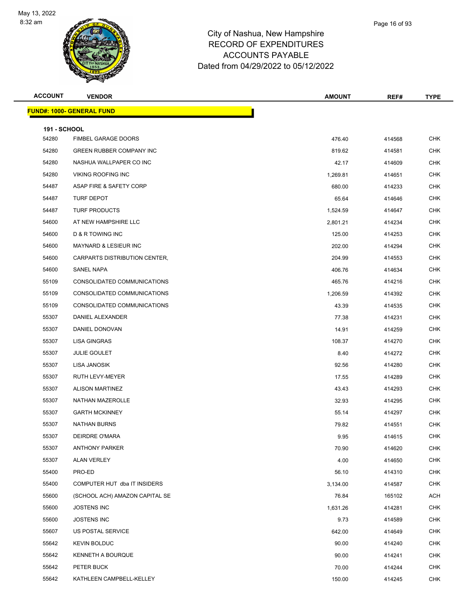

| <b>VENDOR</b>                    | <b>AMOUNT</b>                                   | REF#            | <b>TYPE</b> |
|----------------------------------|-------------------------------------------------|-----------------|-------------|
| <b>FUND#: 1000- GENERAL FUND</b> |                                                 |                 |             |
|                                  |                                                 |                 |             |
| FIMBEL GARAGE DOORS              | 476.40                                          | 414568          | <b>CHK</b>  |
|                                  |                                                 |                 | <b>CHK</b>  |
| NASHUA WALLPAPER CO INC          |                                                 | 414609          | <b>CHK</b>  |
| VIKING ROOFING INC               | 1,269.81                                        | 414651          | CHK         |
| ASAP FIRE & SAFETY CORP          | 680.00                                          | 414233          | <b>CHK</b>  |
| TURF DEPOT                       | 65.64                                           | 414646          | <b>CHK</b>  |
| <b>TURF PRODUCTS</b>             | 1,524.59                                        | 414647          | <b>CHK</b>  |
| AT NEW HAMPSHIRE LLC             | 2,801.21                                        | 414234          | <b>CHK</b>  |
| D & R TOWING INC                 | 125.00                                          | 414253          | CHK         |
| MAYNARD & LESIEUR INC            | 202.00                                          | 414294          | <b>CHK</b>  |
| CARPARTS DISTRIBUTION CENTER,    | 204.99                                          | 414553          | <b>CHK</b>  |
| SANEL NAPA                       | 406.76                                          | 414634          | <b>CHK</b>  |
| CONSOLIDATED COMMUNICATIONS      | 465.76                                          | 414216          | <b>CHK</b>  |
| CONSOLIDATED COMMUNICATIONS      | 1,206.59                                        | 414392          | CHK         |
| CONSOLIDATED COMMUNICATIONS      | 43.39                                           | 414535          | <b>CHK</b>  |
| DANIEL ALEXANDER                 | 77.38                                           | 414231          | <b>CHK</b>  |
| DANIEL DONOVAN                   | 14.91                                           | 414259          | <b>CHK</b>  |
| <b>LISA GINGRAS</b>              | 108.37                                          | 414270          | <b>CHK</b>  |
| <b>JULIE GOULET</b>              | 8.40                                            | 414272          | <b>CHK</b>  |
| LISA JANOSIK                     | 92.56                                           | 414280          | <b>CHK</b>  |
| RUTH LEVY-MEYER                  | 17.55                                           | 414289          | <b>CHK</b>  |
| <b>ALISON MARTINEZ</b>           | 43.43                                           | 414293          | <b>CHK</b>  |
| <b>NATHAN MAZEROLLE</b>          | 32.93                                           | 414295          | <b>CHK</b>  |
| <b>GARTH MCKINNEY</b>            | 55.14                                           | 414297          | CHK         |
| <b>NATHAN BURNS</b>              | 79.82                                           | 414551          | <b>CHK</b>  |
| DEIRDRE O'MARA                   | 9.95                                            | 414615          | <b>CHK</b>  |
| <b>ANTHONY PARKER</b>            | 70.90                                           | 414620          | <b>CHK</b>  |
| <b>ALAN VERLEY</b>               | 4.00                                            | 414650          | <b>CHK</b>  |
| PRO-ED                           | 56.10                                           | 414310          | <b>CHK</b>  |
| COMPUTER HUT dba IT INSIDERS     | 3,134.00                                        | 414587          | <b>CHK</b>  |
| (SCHOOL ACH) AMAZON CAPITAL SE   | 76.84                                           | 165102          | <b>ACH</b>  |
| <b>JOSTENS INC</b>               | 1,631.26                                        | 414281          | <b>CHK</b>  |
| <b>JOSTENS INC</b>               | 9.73                                            | 414589          | <b>CHK</b>  |
| US POSTAL SERVICE                | 642.00                                          | 414649          | <b>CHK</b>  |
| <b>KEVIN BOLDUC</b>              | 90.00                                           | 414240          | <b>CHK</b>  |
| KENNETH A BOURQUE                | 90.00                                           | 414241          | <b>CHK</b>  |
| PETER BUCK                       | 70.00                                           | 414244          | <b>CHK</b>  |
| KATHLEEN CAMPBELL-KELLEY         | 150.00                                          | 414245          | <b>CHK</b>  |
|                                  | <b>191 - SCHOOL</b><br>GREEN RUBBER COMPANY INC | 819.62<br>42.17 | 414581      |

Page 16 of 93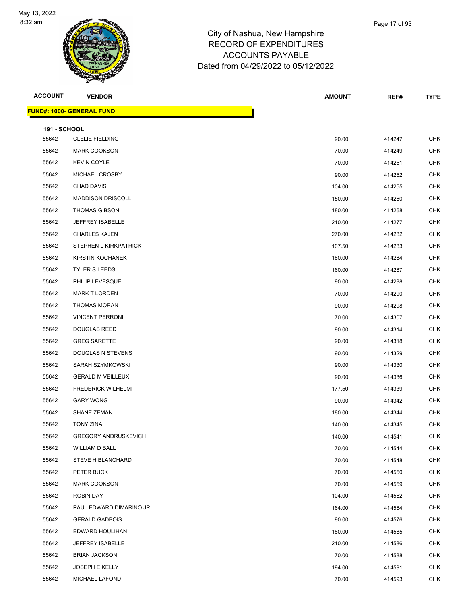

| <b>ACCOUNT</b>               | <b>VENDOR</b>                    | <b>AMOUNT</b> | REF#   | <b>TYPE</b> |
|------------------------------|----------------------------------|---------------|--------|-------------|
|                              | <b>FUND#: 1000- GENERAL FUND</b> |               |        |             |
|                              |                                  |               |        |             |
| <b>191 - SCHOOL</b><br>55642 | <b>CLELIE FIELDING</b>           | 90.00         | 414247 | <b>CHK</b>  |
| 55642                        | <b>MARK COOKSON</b>              | 70.00         | 414249 | <b>CHK</b>  |
| 55642                        | <b>KEVIN COYLE</b>               | 70.00         | 414251 | CHK         |
| 55642                        | MICHAEL CROSBY                   | 90.00         | 414252 | <b>CHK</b>  |
| 55642                        | <b>CHAD DAVIS</b>                | 104.00        | 414255 | <b>CHK</b>  |
| 55642                        | <b>MADDISON DRISCOLL</b>         | 150.00        | 414260 | <b>CHK</b>  |
| 55642                        | <b>THOMAS GIBSON</b>             | 180.00        | 414268 | <b>CHK</b>  |
| 55642                        | JEFFREY ISABELLE                 | 210.00        | 414277 | <b>CHK</b>  |
| 55642                        | <b>CHARLES KAJEN</b>             | 270.00        | 414282 | <b>CHK</b>  |
| 55642                        | <b>STEPHEN L KIRKPATRICK</b>     | 107.50        | 414283 | <b>CHK</b>  |
| 55642                        | KIRSTIN KOCHANEK                 | 180.00        | 414284 | <b>CHK</b>  |
| 55642                        | <b>TYLER S LEEDS</b>             | 160.00        | 414287 | <b>CHK</b>  |
| 55642                        | PHILIP LEVESQUE                  | 90.00         | 414288 | <b>CHK</b>  |
| 55642                        | <b>MARK T LORDEN</b>             | 70.00         | 414290 | <b>CHK</b>  |
| 55642                        | <b>THOMAS MORAN</b>              | 90.00         | 414298 | <b>CHK</b>  |
| 55642                        | <b>VINCENT PERRONI</b>           | 70.00         | 414307 | CHK         |
| 55642                        | <b>DOUGLAS REED</b>              | 90.00         | 414314 | <b>CHK</b>  |
| 55642                        | <b>GREG SARETTE</b>              | 90.00         | 414318 | <b>CHK</b>  |
| 55642                        | DOUGLAS N STEVENS                | 90.00         | 414329 | <b>CHK</b>  |
| 55642                        | SARAH SZYMKOWSKI                 | 90.00         | 414330 | <b>CHK</b>  |
| 55642                        | <b>GERALD M VEILLEUX</b>         | 90.00         | 414336 | <b>CHK</b>  |
| 55642                        | <b>FREDERICK WILHELMI</b>        | 177.50        | 414339 | <b>CHK</b>  |
| 55642                        | <b>GARY WONG</b>                 | 90.00         | 414342 | CHK         |
| 55642                        | SHANE ZEMAN                      | 180.00        | 414344 | <b>CHK</b>  |
| 55642                        | <b>TONY ZINA</b>                 | 140.00        | 414345 | <b>CHK</b>  |
| 55642                        | <b>GREGORY ANDRUSKEVICH</b>      | 140.00        | 414541 | CHK         |
| 55642                        | WILLIAM D BALL                   | 70.00         | 414544 | <b>CHK</b>  |
| 55642                        | <b>STEVE H BLANCHARD</b>         | 70.00         | 414548 | <b>CHK</b>  |
| 55642                        | PETER BUCK                       | 70.00         | 414550 | <b>CHK</b>  |
| 55642                        | <b>MARK COOKSON</b>              | 70.00         | 414559 | <b>CHK</b>  |
| 55642                        | ROBIN DAY                        | 104.00        | 414562 | <b>CHK</b>  |
| 55642                        | PAUL EDWARD DIMARINO JR          | 164.00        | 414564 | <b>CHK</b>  |
| 55642                        | <b>GERALD GADBOIS</b>            | 90.00         | 414576 | <b>CHK</b>  |
| 55642                        | EDWARD HOULIHAN                  | 180.00        | 414585 | <b>CHK</b>  |
| 55642                        | JEFFREY ISABELLE                 | 210.00        | 414586 | <b>CHK</b>  |
| 55642                        | <b>BRIAN JACKSON</b>             | 70.00         | 414588 | <b>CHK</b>  |
| 55642                        | <b>JOSEPH E KELLY</b>            | 194.00        | 414591 | <b>CHK</b>  |
| 55642                        | MICHAEL LAFOND                   | 70.00         | 414593 | <b>CHK</b>  |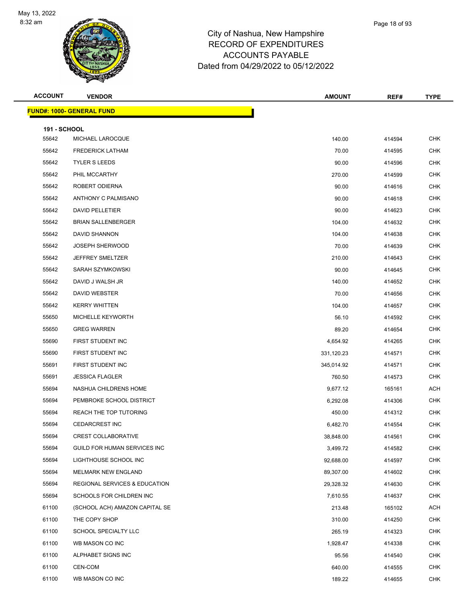

| <b>ACCOUNT</b>      | <b>VENDOR</b>                    | <b>AMOUNT</b> | REF#   | <b>TYPE</b> |
|---------------------|----------------------------------|---------------|--------|-------------|
|                     | <b>FUND#: 1000- GENERAL FUND</b> |               |        |             |
| <b>191 - SCHOOL</b> |                                  |               |        |             |
| 55642               | MICHAEL LAROCQUE                 | 140.00        | 414594 | <b>CHK</b>  |
| 55642               | <b>FREDERICK LATHAM</b>          | 70.00         | 414595 | <b>CHK</b>  |
| 55642               | <b>TYLER S LEEDS</b>             | 90.00         | 414596 | <b>CHK</b>  |
| 55642               | PHIL MCCARTHY                    | 270.00        | 414599 | <b>CHK</b>  |
| 55642               | ROBERT ODIERNA                   | 90.00         | 414616 | <b>CHK</b>  |
| 55642               | ANTHONY C PALMISANO              | 90.00         | 414618 | <b>CHK</b>  |
| 55642               | DAVID PELLETIER                  | 90.00         | 414623 | <b>CHK</b>  |
| 55642               | <b>BRIAN SALLENBERGER</b>        | 104.00        | 414632 | <b>CHK</b>  |
| 55642               | DAVID SHANNON                    | 104.00        | 414638 | <b>CHK</b>  |
| 55642               | <b>JOSEPH SHERWOOD</b>           | 70.00         | 414639 | <b>CHK</b>  |
| 55642               | JEFFREY SMELTZER                 | 210.00        | 414643 | <b>CHK</b>  |
| 55642               | SARAH SZYMKOWSKI                 | 90.00         | 414645 | <b>CHK</b>  |
| 55642               | DAVID J WALSH JR                 | 140.00        | 414652 | <b>CHK</b>  |
| 55642               | DAVID WEBSTER                    | 70.00         | 414656 | <b>CHK</b>  |
| 55642               | <b>KERRY WHITTEN</b>             | 104.00        | 414657 | <b>CHK</b>  |
| 55650               | <b>MICHELLE KEYWORTH</b>         | 56.10         | 414592 | <b>CHK</b>  |
| 55650               | <b>GREG WARREN</b>               | 89.20         | 414654 | <b>CHK</b>  |
| 55690               | FIRST STUDENT INC                | 4,654.92      | 414265 | <b>CHK</b>  |
| 55690               | FIRST STUDENT INC                | 331,120.23    | 414571 | <b>CHK</b>  |
| 55691               | FIRST STUDENT INC                | 345,014.92    | 414571 | <b>CHK</b>  |
| 55691               | <b>JESSICA FLAGLER</b>           | 760.50        | 414573 | <b>CHK</b>  |
| 55694               | NASHUA CHILDRENS HOME            | 9,677.12      | 165161 | <b>ACH</b>  |
| 55694               | PEMBROKE SCHOOL DISTRICT         | 6,292.08      | 414306 | <b>CHK</b>  |
| 55694               | REACH THE TOP TUTORING           | 450.00        | 414312 | <b>CHK</b>  |
| 55694               | <b>CEDARCREST INC</b>            | 6,482.70      | 414554 | <b>CHK</b>  |
| 55694               | CREST COLLABORATIVE              | 38,848.00     | 414561 | CHK         |
| 55694               | GUILD FOR HUMAN SERVICES INC     | 3,499.72      | 414582 | <b>CHK</b>  |
| 55694               | LIGHTHOUSE SCHOOL INC            | 92,688.00     | 414597 | <b>CHK</b>  |
| 55694               | MELMARK NEW ENGLAND              | 89,307.00     | 414602 | <b>CHK</b>  |
| 55694               | REGIONAL SERVICES & EDUCATION    | 29,328.32     | 414630 | <b>CHK</b>  |
| 55694               | SCHOOLS FOR CHILDREN INC         | 7,610.55      | 414637 | <b>CHK</b>  |
| 61100               | (SCHOOL ACH) AMAZON CAPITAL SE   | 213.48        | 165102 | <b>ACH</b>  |
| 61100               | THE COPY SHOP                    | 310.00        | 414250 | <b>CHK</b>  |
| 61100               | SCHOOL SPECIALTY LLC             | 265.19        | 414323 | <b>CHK</b>  |
| 61100               | WB MASON CO INC                  | 1,928.47      | 414338 | <b>CHK</b>  |
| 61100               | ALPHABET SIGNS INC               | 95.56         | 414540 | <b>CHK</b>  |
| 61100               | CEN-COM                          | 640.00        | 414555 | <b>CHK</b>  |
| 61100               | WB MASON CO INC                  | 189.22        | 414655 | <b>CHK</b>  |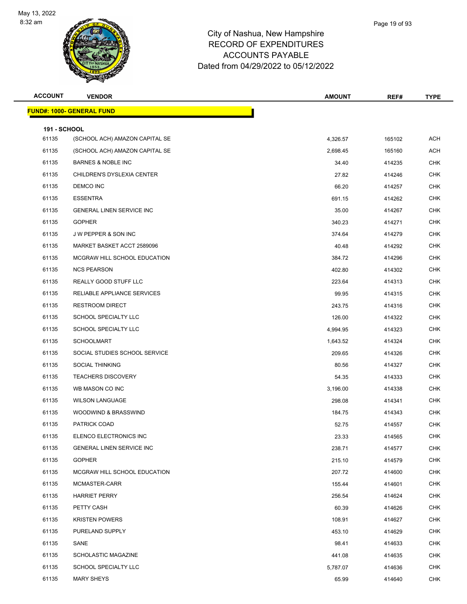

| Page 19 of 93 |
|---------------|
|               |

| <b>ACCOUNT</b>               | <b>VENDOR</b>                     | <b>AMOUNT</b> | REF#   | <b>TYPE</b> |
|------------------------------|-----------------------------------|---------------|--------|-------------|
|                              | <u> FUND#: 1000- GENERAL FUND</u> |               |        |             |
|                              |                                   |               |        |             |
| <b>191 - SCHOOL</b><br>61135 | (SCHOOL ACH) AMAZON CAPITAL SE    | 4,326.57      | 165102 | ACH         |
| 61135                        | (SCHOOL ACH) AMAZON CAPITAL SE    | 2,698.45      | 165160 | ACH         |
| 61135                        | <b>BARNES &amp; NOBLE INC</b>     | 34.40         | 414235 | <b>CHK</b>  |
| 61135                        | CHILDREN'S DYSLEXIA CENTER        | 27.82         | 414246 | <b>CHK</b>  |
| 61135                        | DEMCO INC                         | 66.20         | 414257 | <b>CHK</b>  |
| 61135                        | <b>ESSENTRA</b>                   | 691.15        | 414262 | <b>CHK</b>  |
| 61135                        | GENERAL LINEN SERVICE INC         | 35.00         | 414267 | <b>CHK</b>  |
| 61135                        | <b>GOPHER</b>                     | 340.23        | 414271 | <b>CHK</b>  |
| 61135                        | J W PEPPER & SON INC              | 374.64        | 414279 | <b>CHK</b>  |
| 61135                        | MARKET BASKET ACCT 2589096        | 40.48         | 414292 | <b>CHK</b>  |
| 61135                        | MCGRAW HILL SCHOOL EDUCATION      | 384.72        | 414296 | <b>CHK</b>  |
| 61135                        | <b>NCS PEARSON</b>                | 402.80        | 414302 | <b>CHK</b>  |
| 61135                        | REALLY GOOD STUFF LLC             | 223.64        | 414313 | <b>CHK</b>  |
| 61135                        | RELIABLE APPLIANCE SERVICES       | 99.95         | 414315 | <b>CHK</b>  |
| 61135                        | <b>RESTROOM DIRECT</b>            | 243.75        | 414316 | <b>CHK</b>  |
| 61135                        | SCHOOL SPECIALTY LLC              | 126.00        | 414322 | <b>CHK</b>  |
| 61135                        | SCHOOL SPECIALTY LLC              | 4,994.95      | 414323 | <b>CHK</b>  |
| 61135                        | <b>SCHOOLMART</b>                 | 1,643.52      | 414324 | <b>CHK</b>  |
| 61135                        | SOCIAL STUDIES SCHOOL SERVICE     | 209.65        | 414326 | <b>CHK</b>  |
| 61135                        | <b>SOCIAL THINKING</b>            | 80.56         | 414327 | <b>CHK</b>  |
| 61135                        | <b>TEACHERS DISCOVERY</b>         | 54.35         | 414333 | <b>CHK</b>  |
| 61135                        | WB MASON CO INC                   | 3,196.00      | 414338 | <b>CHK</b>  |
| 61135                        | <b>WILSON LANGUAGE</b>            | 298.08        | 414341 | <b>CHK</b>  |
| 61135                        | WOODWIND & BRASSWIND              | 184.75        | 414343 | <b>CHK</b>  |
| 61135                        | PATRICK COAD                      | 52.75         | 414557 | <b>CHK</b>  |
| 61135                        | ELENCO ELECTRONICS INC            | 23.33         | 414565 | <b>CHK</b>  |
| 61135                        | <b>GENERAL LINEN SERVICE INC</b>  | 238.71        | 414577 | <b>CHK</b>  |
| 61135                        | <b>GOPHER</b>                     | 215.10        | 414579 | <b>CHK</b>  |
| 61135                        | MCGRAW HILL SCHOOL EDUCATION      | 207.72        | 414600 | <b>CHK</b>  |
| 61135                        | MCMASTER-CARR                     | 155.44        | 414601 | <b>CHK</b>  |
| 61135                        | <b>HARRIET PERRY</b>              | 256.54        | 414624 | <b>CHK</b>  |
| 61135                        | PETTY CASH                        | 60.39         | 414626 | <b>CHK</b>  |
| 61135                        | <b>KRISTEN POWERS</b>             | 108.91        | 414627 | <b>CHK</b>  |
| 61135                        | PURELAND SUPPLY                   | 453.10        | 414629 | <b>CHK</b>  |
| 61135                        | SANE                              | 98.41         | 414633 | CHK         |
| 61135                        | SCHOLASTIC MAGAZINE               | 441.08        | 414635 | <b>CHK</b>  |
| 61135                        | SCHOOL SPECIALTY LLC              | 5,787.07      | 414636 | <b>CHK</b>  |
| 61135                        | MARY SHEYS                        | 65.99         | 414640 | <b>CHK</b>  |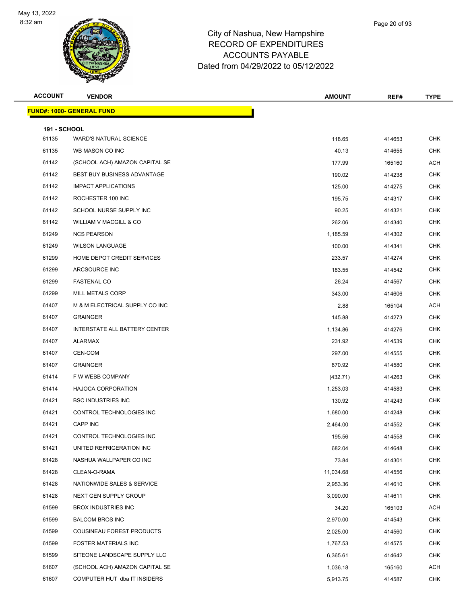

|         | Page 20 of 93 |  |
|---------|---------------|--|
| €       |               |  |
| ۰.<br>╮ |               |  |

| <b>ACCOUNT</b>               | <b>VENDOR</b>                     | <b>AMOUNT</b> | REF#   | <b>TYPE</b> |
|------------------------------|-----------------------------------|---------------|--------|-------------|
|                              | <u> FUND#: 1000- GENERAL FUND</u> |               |        |             |
|                              |                                   |               |        |             |
| <b>191 - SCHOOL</b><br>61135 | <b>WARD'S NATURAL SCIENCE</b>     | 118.65        | 414653 | <b>CHK</b>  |
| 61135                        | WB MASON CO INC                   | 40.13         | 414655 | <b>CHK</b>  |
| 61142                        | (SCHOOL ACH) AMAZON CAPITAL SE    | 177.99        | 165160 | ACH         |
| 61142                        | BEST BUY BUSINESS ADVANTAGE       | 190.02        | 414238 | <b>CHK</b>  |
| 61142                        | <b>IMPACT APPLICATIONS</b>        | 125.00        | 414275 | <b>CHK</b>  |
| 61142                        | ROCHESTER 100 INC                 | 195.75        | 414317 | CHK         |
| 61142                        | SCHOOL NURSE SUPPLY INC           | 90.25         | 414321 | <b>CHK</b>  |
| 61142                        | WILLIAM V MACGILL & CO            | 262.06        | 414340 | <b>CHK</b>  |
| 61249                        | <b>NCS PEARSON</b>                | 1,185.59      | 414302 | <b>CHK</b>  |
| 61249                        | <b>WILSON LANGUAGE</b>            | 100.00        | 414341 | <b>CHK</b>  |
| 61299                        | HOME DEPOT CREDIT SERVICES        | 233.57        | 414274 | <b>CHK</b>  |
| 61299                        | ARCSOURCE INC                     | 183.55        | 414542 | <b>CHK</b>  |
| 61299                        | <b>FASTENAL CO</b>                | 26.24         | 414567 | <b>CHK</b>  |
| 61299                        | MILL METALS CORP                  | 343.00        | 414606 | <b>CHK</b>  |
| 61407                        | M & M ELECTRICAL SUPPLY CO INC    | 2.88          | 165104 | ACH         |
| 61407                        | <b>GRAINGER</b>                   | 145.88        | 414273 | CHK         |
| 61407                        | INTERSTATE ALL BATTERY CENTER     | 1,134.86      | 414276 | <b>CHK</b>  |
| 61407                        | ALARMAX                           | 231.92        | 414539 | <b>CHK</b>  |
| 61407                        | CEN-COM                           | 297.00        | 414555 | <b>CHK</b>  |
| 61407                        | <b>GRAINGER</b>                   | 870.92        | 414580 | <b>CHK</b>  |
| 61414                        | F W WEBB COMPANY                  | (432.71)      | 414263 | <b>CHK</b>  |
| 61414                        | HAJOCA CORPORATION                | 1,253.03      | 414583 | <b>CHK</b>  |
| 61421                        | <b>BSC INDUSTRIES INC</b>         | 130.92        | 414243 | CHK         |
| 61421                        | CONTROL TECHNOLOGIES INC          | 1,680.00      | 414248 | <b>CHK</b>  |
| 61421                        | <b>CAPP INC</b>                   | 2,464.00      | 414552 | <b>CHK</b>  |
| 61421                        | CONTROL TECHNOLOGIES INC          | 195.56        | 414558 | <b>CHK</b>  |
| 61421                        | UNITED REFRIGERATION INC          | 682.04        | 414648 | <b>CHK</b>  |
| 61428                        | NASHUA WALLPAPER CO INC           | 73.84         | 414301 | <b>CHK</b>  |
| 61428                        | CLEAN-O-RAMA                      | 11,034.68     | 414556 | <b>CHK</b>  |
| 61428                        | NATIONWIDE SALES & SERVICE        | 2,953.36      | 414610 | <b>CHK</b>  |
| 61428                        | NEXT GEN SUPPLY GROUP             | 3,090.00      | 414611 | CHK         |
| 61599                        | <b>BROX INDUSTRIES INC</b>        | 34.20         | 165103 | ACH         |
| 61599                        | <b>BALCOM BROS INC</b>            | 2,970.00      | 414543 | <b>CHK</b>  |
| 61599                        | COUSINEAU FOREST PRODUCTS         | 2,025.00      | 414560 | <b>CHK</b>  |
| 61599                        | <b>FOSTER MATERIALS INC</b>       | 1,767.53      | 414575 | <b>CHK</b>  |
| 61599                        | SITEONE LANDSCAPE SUPPLY LLC      | 6,365.61      | 414642 | <b>CHK</b>  |
| 61607                        | (SCHOOL ACH) AMAZON CAPITAL SE    | 1,036.18      | 165160 | ACH         |
| 61607                        | COMPUTER HUT dba IT INSIDERS      | 5,913.75      | 414587 | <b>CHK</b>  |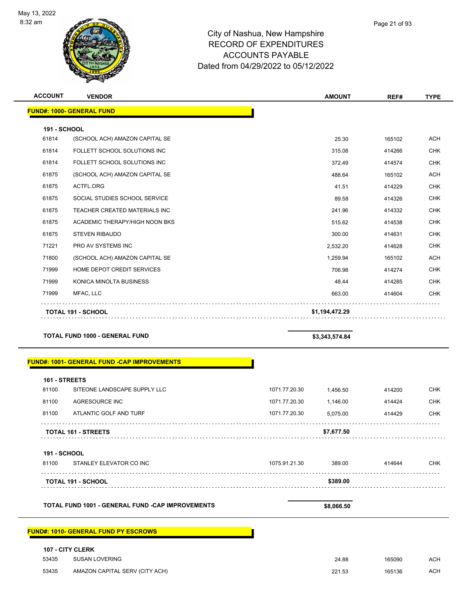

| <b>ACCOUNT</b>      | <b>VENDOR</b>                        | <b>AMOUNT</b>  | REF#   | <b>TYPE</b> |
|---------------------|--------------------------------------|----------------|--------|-------------|
|                     | <b>FUND#: 1000- GENERAL FUND</b>     |                |        |             |
| <b>191 - SCHOOL</b> |                                      |                |        |             |
| 61814               | (SCHOOL ACH) AMAZON CAPITAL SE       | 25.30          | 165102 | <b>ACH</b>  |
| 61814               | FOLLETT SCHOOL SOLUTIONS INC         | 315.08         | 414266 | <b>CHK</b>  |
| 61814               | FOLLETT SCHOOL SOLUTIONS INC         | 372.49         | 414574 | <b>CHK</b>  |
| 61875               | (SCHOOL ACH) AMAZON CAPITAL SE       | 488.64         | 165102 | <b>ACH</b>  |
| 61875               | ACTFL.ORG                            | 41.51          | 414229 | <b>CHK</b>  |
| 61875               | SOCIAL STUDIES SCHOOL SERVICE        | 89.58          | 414326 | <b>CHK</b>  |
| 61875               | <b>TEACHER CREATED MATERIALS INC</b> | 241.96         | 414332 | <b>CHK</b>  |
| 61875               | ACADEMIC THERAPY/HIGH NOON BKS       | 515.62         | 414538 | <b>CHK</b>  |
| 61875               | <b>STEVEN RIBAUDO</b>                | 300.00         | 414631 | <b>CHK</b>  |
| 71221               | PRO AV SYSTEMS INC                   | 2,532.20       | 414628 | <b>CHK</b>  |
| 71800               | (SCHOOL ACH) AMAZON CAPITAL SE       | 1,259.94       | 165102 | <b>ACH</b>  |
| 71999               | HOME DEPOT CREDIT SERVICES           | 706.98         | 414274 | <b>CHK</b>  |
| 71999               | KONICA MINOLTA BUSINESS              | 48.44          | 414285 | <b>CHK</b>  |
| 71999               | MFAC, LLC                            | 663.00         | 414604 | <b>CHK</b>  |
|                     | <b>TOTAL 191 - SCHOOL</b>            | \$1,194,472.29 |        |             |
|                     |                                      |                |        |             |

#### **TOTAL FUND 1000 - GENERAL FUND \$3,343,574.84**

#### **FUND#: 1001- GENERAL FUND -CAP IMPROVEMENTS**

|                              | <b>TOTAL FUND 1001 - GENERAL FUND -CAP IMPROVEMENTS</b> |               | \$8,066.50 |        |            |
|------------------------------|---------------------------------------------------------|---------------|------------|--------|------------|
|                              | <b>TOTAL 191 - SCHOOL</b>                               |               | \$389.00   |        |            |
| <b>191 - SCHOOL</b><br>81100 | STANLEY ELEVATOR CO INC                                 | 1075.91.21.30 | 389.00     | 414644 | <b>CHK</b> |
|                              | <b>TOTAL 161 - STREETS</b>                              |               | \$7,677.50 |        |            |
| 81100                        | ATLANTIC GOLF AND TURF                                  | 1071.77.20.30 | 5,075.00   | 414429 | <b>CHK</b> |
| 81100                        | AGRESOURCE INC                                          | 1071.77.20.30 | 1,146.00   | 414424 | <b>CHK</b> |
| 81100                        | SITEONE LANDSCAPE SUPPLY LLC                            | 1071.77.20.30 | 1,456.50   | 414200 | <b>CHK</b> |

#### **107 - CITY CLERK**

| 53435 | <b>SUSAN LOVERING</b>          | 24.88  | 165090 | ACH |
|-------|--------------------------------|--------|--------|-----|
| 53435 | AMAZON CAPITAL SERV (CITY ACH) | 221.53 | 165136 | ACH |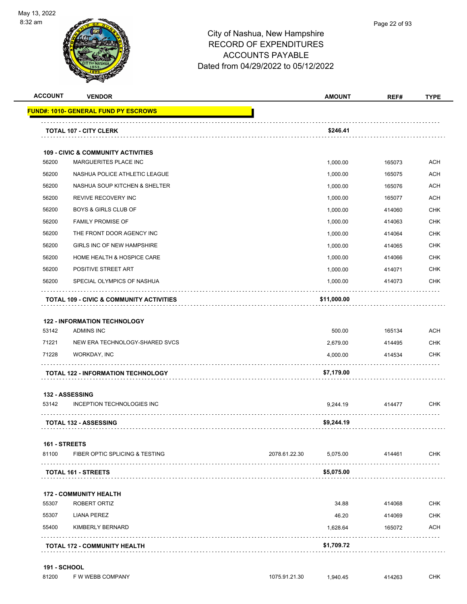

| <b>ACCOUNT</b>          | <b>VENDOR</b>                                                          |               | <b>AMOUNT</b> | REF#   | <b>TYPE</b>                     |
|-------------------------|------------------------------------------------------------------------|---------------|---------------|--------|---------------------------------|
|                         | <b>FUND#: 1010- GENERAL FUND PY ESCROWS</b>                            |               |               |        |                                 |
|                         | <b>TOTAL 107 - CITY CLERK</b>                                          |               | \$246.41      |        |                                 |
|                         |                                                                        |               |               |        |                                 |
| 56200                   | <b>109 - CIVIC &amp; COMMUNITY ACTIVITIES</b><br>MARGUERITES PLACE INC |               | 1,000.00      | 165073 | ACH                             |
| 56200                   | NASHUA POLICE ATHLETIC LEAGUE                                          |               | 1,000.00      | 165075 | <b>ACH</b>                      |
| 56200                   | NASHUA SOUP KITCHEN & SHELTER                                          |               | 1,000.00      | 165076 | <b>ACH</b>                      |
| 56200                   | <b>REVIVE RECOVERY INC</b>                                             |               | 1,000.00      | 165077 | ACH                             |
| 56200                   | <b>BOYS &amp; GIRLS CLUB OF</b>                                        |               | 1,000.00      | 414060 | <b>CHK</b>                      |
| 56200                   | <b>FAMILY PROMISE OF</b>                                               |               | 1,000.00      | 414063 | <b>CHK</b>                      |
| 56200                   | THE FRONT DOOR AGENCY INC                                              |               | 1,000.00      | 414064 | <b>CHK</b>                      |
| 56200                   | GIRLS INC OF NEW HAMPSHIRE                                             |               | 1,000.00      | 414065 | <b>CHK</b>                      |
| 56200                   | HOME HEALTH & HOSPICE CARE                                             |               | 1,000.00      | 414066 | <b>CHK</b>                      |
| 56200                   | POSITIVE STREET ART                                                    |               | 1,000.00      | 414071 | <b>CHK</b>                      |
| 56200                   | SPECIAL OLYMPICS OF NASHUA                                             |               | 1,000.00      | 414073 | <b>CHK</b>                      |
|                         |                                                                        |               |               |        |                                 |
|                         | <b>TOTAL 109 - CIVIC &amp; COMMUNITY ACTIVITIES</b>                    |               | \$11,000.00   |        |                                 |
|                         | <b>122 - INFORMATION TECHNOLOGY</b>                                    |               |               |        |                                 |
| 53142                   | <b>ADMINS INC</b>                                                      |               | 500.00        | 165134 | <b>ACH</b>                      |
| 71221                   | NEW ERA TECHNOLOGY-SHARED SVCS                                         |               | 2,679.00      | 414495 | CHK                             |
| 71228                   | WORKDAY, INC                                                           |               | 4,000.00      | 414534 | <b>CHK</b>                      |
|                         | <b>TOTAL 122 - INFORMATION TECHNOLOGY</b>                              |               | \$7,179.00    |        |                                 |
|                         |                                                                        |               |               |        |                                 |
| 53142                   | <b>132 - ASSESSING</b><br><b>INCEPTION TECHNOLOGIES INC</b>            |               | 9,244.19      | 414477 | <b>CHK</b>                      |
|                         |                                                                        |               |               |        |                                 |
|                         | <b>TOTAL 132 - ASSESSING</b>                                           |               | \$9,244.19    |        |                                 |
|                         | 161 - STREETS                                                          |               |               |        |                                 |
|                         | FIBER OPTIC SPLICING & TESTING                                         | 2078.61.22.30 | 5,075.00      | 414461 | <b>CHK</b>                      |
|                         |                                                                        |               |               |        |                                 |
|                         | TOTAL 161 - STREETS                                                    |               | \$5,075.00    |        |                                 |
| 81100                   | <b>172 - COMMUNITY HEALTH</b>                                          |               |               |        |                                 |
|                         | ROBERT ORTIZ                                                           |               | 34.88         | 414068 |                                 |
|                         | <b>LIANA PEREZ</b>                                                     |               | 46.20         | 414069 |                                 |
| 55307<br>55307<br>55400 | <b>KIMBERLY BERNARD</b>                                                |               | 1,628.64      | 165072 | <b>CHK</b><br><b>CHK</b><br>ACH |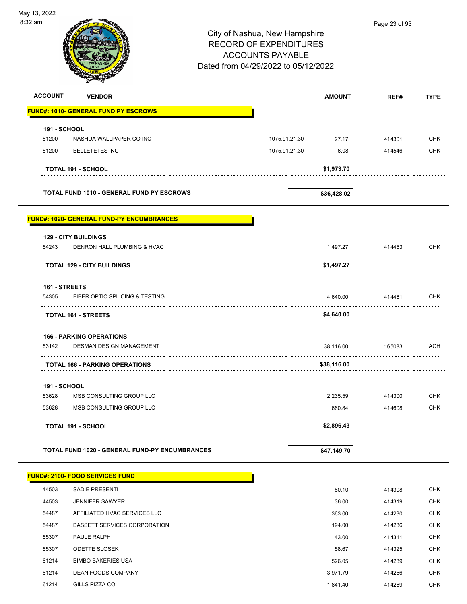| <b>ACCOUNT</b><br><b>VENDOR</b>                                                | <b>AMOUNT</b><br>REF#     | <b>TYPE</b>              |
|--------------------------------------------------------------------------------|---------------------------|--------------------------|
| <b>FUND#: 1010- GENERAL FUND PY ESCROWS</b>                                    |                           |                          |
|                                                                                |                           |                          |
| 191 - SCHOOL<br>81200<br>NASHUA WALLPAPER CO INC<br>1075.91.21.30              | 27.17<br>414301           | <b>CHK</b>               |
| 81200<br><b>BELLETETES INC</b><br>1075.91.21.30                                | 6.08<br>414546            | <b>CHK</b>               |
|                                                                                |                           |                          |
| <b>TOTAL 191 - SCHOOL</b>                                                      | \$1,973.70                |                          |
|                                                                                |                           |                          |
| TOTAL FUND 1010 - GENERAL FUND PY ESCROWS                                      | \$36,428.02               |                          |
| <b>FUND#: 1020- GENERAL FUND-PY ENCUMBRANCES</b>                               |                           |                          |
|                                                                                |                           |                          |
| <b>129 - CITY BUILDINGS</b><br>54243<br><b>DENRON HALL PLUMBING &amp; HVAC</b> | 1,497.27<br>414453        | <b>CHK</b>               |
|                                                                                |                           |                          |
| <b>TOTAL 129 - CITY BUILDINGS</b>                                              | \$1,497.27                |                          |
| 161 - STREETS                                                                  |                           |                          |
| 54305<br>FIBER OPTIC SPLICING & TESTING                                        | 414461<br>4,640.00        | <b>CHK</b>               |
|                                                                                |                           |                          |
| TOTAL 161 - STREETS                                                            | \$4,640.00                |                          |
| <b>166 - PARKING OPERATIONS</b>                                                |                           |                          |
| 53142<br><b>DESMAN DESIGN MANAGEMENT</b>                                       | 38,116.00<br>165083       | <b>ACH</b>               |
| <b>TOTAL 166 - PARKING OPERATIONS</b>                                          | \$38,116.00               |                          |
|                                                                                |                           |                          |
| <b>191 - SCHOOL</b>                                                            |                           |                          |
| 53628<br>MSB CONSULTING GROUP LLC                                              | 2,235.59<br>414300        | <b>CHK</b>               |
| 53628<br>MSB CONSULTING GROUP LLC                                              | 660.84<br>414608          | <b>CHK</b>               |
| <b>TOTAL 191 - SCHOOL</b>                                                      | \$2,896.43                |                          |
|                                                                                |                           |                          |
| <b>TOTAL FUND 1020 - GENERAL FUND-PY ENCUMBRANCES</b>                          | \$47,149.70               |                          |
|                                                                                |                           |                          |
| <b>FUND#: 2100- FOOD SERVICES FUND</b>                                         |                           |                          |
| 44503<br>SADIE PRESENTI                                                        | 80.10<br>414308           | <b>CHK</b>               |
| 44503<br><b>JENNIFER SAWYER</b>                                                | 36.00<br>414319           | <b>CHK</b>               |
| 54487<br>AFFILIATED HVAC SERVICES LLC                                          | 363.00<br>414230          | <b>CHK</b>               |
| 54487<br><b>BASSETT SERVICES CORPORATION</b><br>55307<br>PAULE RALPH           | 194.00<br>414236<br>43.00 | <b>CHK</b><br><b>CHK</b> |
| 55307<br><b>ODETTE SLOSEK</b>                                                  | 414311<br>58.67<br>414325 | <b>CHK</b>               |
| 61214<br><b>BIMBO BAKERIES USA</b>                                             | 526.05<br>414239          | <b>CHK</b>               |
|                                                                                |                           |                          |

61214 GILLS PIZZA CO 1,841.40 414269 CHK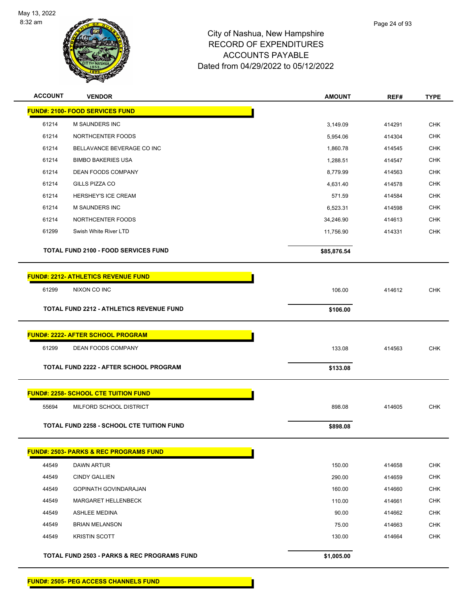

| <b>ACCOUNT</b> | <b>VENDOR</b>                                     | <b>AMOUNT</b> | REF#   | <b>TYPE</b> |
|----------------|---------------------------------------------------|---------------|--------|-------------|
|                | <b>FUND#: 2100- FOOD SERVICES FUND</b>            |               |        |             |
| 61214          | <b>M SAUNDERS INC</b>                             | 3,149.09      | 414291 | <b>CHK</b>  |
| 61214          | NORTHCENTER FOODS                                 | 5,954.06      | 414304 | <b>CHK</b>  |
| 61214          | BELLAVANCE BEVERAGE CO INC                        | 1,860.78      | 414545 | <b>CHK</b>  |
| 61214          | <b>BIMBO BAKERIES USA</b>                         | 1,288.51      | 414547 | <b>CHK</b>  |
| 61214          | <b>DEAN FOODS COMPANY</b>                         | 8,779.99      | 414563 | <b>CHK</b>  |
| 61214          | GILLS PIZZA CO                                    | 4,631.40      | 414578 | <b>CHK</b>  |
| 61214          | <b>HERSHEY'S ICE CREAM</b>                        | 571.59        | 414584 | <b>CHK</b>  |
| 61214          | <b>M SAUNDERS INC</b>                             | 6,523.31      | 414598 | <b>CHK</b>  |
| 61214          | NORTHCENTER FOODS                                 | 34,246.90     | 414613 | <b>CHK</b>  |
| 61299          | Swish White River LTD                             | 11,756.90     | 414331 | <b>CHK</b>  |
|                | <b>TOTAL FUND 2100 - FOOD SERVICES FUND</b>       | \$85,876.54   |        |             |
|                | <b>FUND#: 2212- ATHLETICS REVENUE FUND</b>        |               |        |             |
| 61299          | NIXON CO INC                                      | 106.00        | 414612 | <b>CHK</b>  |
|                | <b>TOTAL FUND 2212 - ATHLETICS REVENUE FUND</b>   | \$106.00      |        |             |
|                | <u> FUND#: 2222- AFTER SCHOOL PROGRAM</u>         |               |        |             |
| 61299          | <b>DEAN FOODS COMPANY</b>                         | 133.08        | 414563 | <b>CHK</b>  |
|                | TOTAL FUND 2222 - AFTER SCHOOL PROGRAM            | \$133.08      |        |             |
|                | <u> FUND#: 2258- SCHOOL CTE TUITION FUND</u>      |               |        |             |
| 55694          | MILFORD SCHOOL DISTRICT                           | 898.08        | 414605 | <b>CHK</b>  |
|                | <b>TOTAL FUND 2258 - SCHOOL CTE TUITION FUND</b>  | \$898.08      |        |             |
|                | <b>FUND#: 2503- PARKS &amp; REC PROGRAMS FUND</b> |               |        |             |
| 44549          | DAWN ARTUR                                        | 150.00        | 414658 | <b>CHK</b>  |
| 44549          | <b>CINDY GALLIEN</b>                              | 290.00        | 414659 | <b>CHK</b>  |
| 44549          | GOPINATH GOVINDARAJAN                             | 160.00        | 414660 | <b>CHK</b>  |
| 44549          | <b>MARGARET HELLENBECK</b>                        | 110.00        | 414661 | <b>CHK</b>  |
| 44549          | <b>ASHLEE MEDINA</b>                              | 90.00         | 414662 | <b>CHK</b>  |
| 44549          | <b>BRIAN MELANSON</b>                             | 75.00         | 414663 | <b>CHK</b>  |
| 44549          | <b>KRISTIN SCOTT</b>                              | 130.00        | 414664 | <b>CHK</b>  |
|                |                                                   |               |        |             |

**TOTAL FUND 2503 - PARKS & REC PROGRAMS FUND \$1,005.00**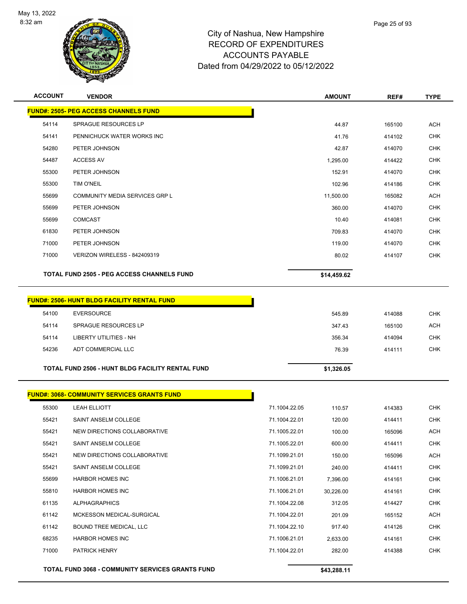

| <b>ACCOUNT</b> | <b>VENDOR</b>                                      | <b>AMOUNT</b>              | REF#   | <b>TYPE</b> |
|----------------|----------------------------------------------------|----------------------------|--------|-------------|
|                | <b>FUND#: 2505- PEG ACCESS CHANNELS FUND</b>       |                            |        |             |
| 54114          | SPRAGUE RESOURCES LP                               | 44.87                      | 165100 | <b>ACH</b>  |
| 54141          | PENNICHUCK WATER WORKS INC                         | 41.76                      | 414102 | <b>CHK</b>  |
| 54280          | PETER JOHNSON                                      | 42.87                      | 414070 | CHK         |
| 54487          | <b>ACCESS AV</b>                                   | 1,295.00                   | 414422 | <b>CHK</b>  |
| 55300          | PETER JOHNSON                                      | 152.91                     | 414070 | CHK         |
| 55300          | <b>TIM O'NEIL</b>                                  | 102.96                     | 414186 | <b>CHK</b>  |
| 55699          | COMMUNITY MEDIA SERVICES GRP L                     | 11,500.00                  | 165082 | <b>ACH</b>  |
| 55699          | PETER JOHNSON                                      | 360.00                     | 414070 | <b>CHK</b>  |
| 55699          | <b>COMCAST</b>                                     | 10.40                      | 414081 | <b>CHK</b>  |
| 61830          | PETER JOHNSON                                      | 709.83                     | 414070 | CHK         |
| 71000          | PETER JOHNSON                                      | 119.00                     | 414070 | <b>CHK</b>  |
| 71000          | <b>VERIZON WIRELESS - 842409319</b>                | 80.02                      | 414107 | <b>CHK</b>  |
|                | <b>TOTAL FUND 2505 - PEG ACCESS CHANNELS FUND</b>  | \$14,459.62                |        |             |
|                |                                                    |                            |        |             |
|                | <b>FUND#: 2506- HUNT BLDG FACILITY RENTAL FUND</b> |                            |        |             |
| 54100          | <b>EVERSOURCE</b>                                  | 545.89                     | 414088 | <b>CHK</b>  |
| 54114          | SPRAGUE RESOURCES LP                               | 347.43                     | 165100 | <b>ACH</b>  |
| 54114          | <b>LIBERTY UTILITIES - NH</b>                      | 356.34                     | 414094 | <b>CHK</b>  |
| 54236          | ADT COMMERCIAL LLC                                 | 76.39                      | 414111 | <b>CHK</b>  |
|                | TOTAL FUND 2506 - HUNT BLDG FACILITY RENTAL FUND   | \$1,326.05                 |        |             |
|                |                                                    |                            |        |             |
|                | <b>FUND#: 3068- COMMUNITY SERVICES GRANTS FUND</b> |                            |        |             |
| 55300          | <b>LEAH ELLIOTT</b>                                | 71.1004.22.05<br>110.57    | 414383 | <b>CHK</b>  |
| 55421          | SAINT ANSELM COLLEGE                               | 71.1004.22.01<br>120.00    | 414411 | <b>CHK</b>  |
| 55421          | NEW DIRECTIONS COLLABORATIVE                       | 71.1005.22.01<br>100.00    | 165096 | ACH         |
| 55421          | SAINT ANSELM COLLEGE                               | 71.1005.22.01<br>600.00    | 414411 | CHK         |
| 55421          | NEW DIRECTIONS COLLABORATIVE                       | 71.1099.21.01<br>150.00    | 165096 | ACH         |
| 55421          | SAINT ANSELM COLLEGE                               | 71.1099.21.01<br>240.00    | 414411 | CHK         |
| 55699          | <b>HARBOR HOMES INC</b>                            | 71.1006.21.01<br>7,396.00  | 414161 | <b>CHK</b>  |
| 55810          | <b>HARBOR HOMES INC</b>                            | 71.1006.21.01<br>30,226.00 | 414161 | CHK         |
| 61135          | <b>ALPHAGRAPHICS</b>                               | 71.1004.22.08<br>312.05    | 414427 | CHK         |
| 61142          | MCKESSON MEDICAL-SURGICAL                          | 71.1004.22.01<br>201.09    | 165152 | ACH         |
| 61142          | BOUND TREE MEDICAL, LLC                            | 71.1004.22.10<br>917.40    | 414126 | CHK         |
| 68235          | <b>HARBOR HOMES INC</b>                            | 71.1006.21.01<br>2,633.00  | 414161 | <b>CHK</b>  |
| 71000          | PATRICK HENRY                                      | 71.1004.22.01<br>282.00    | 414388 | <b>CHK</b>  |
|                | TOTAL FUND 3068 - COMMUNITY SERVICES GRANTS FUND   | \$43,288.11                |        |             |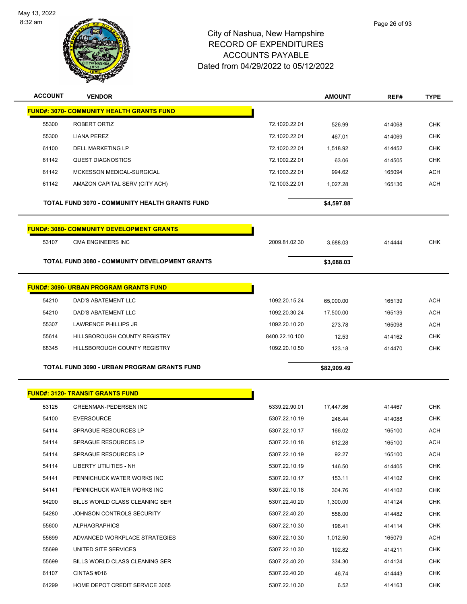

| <b>ACCOUNT</b> | <b>VENDOR</b>                                         |                | <b>AMOUNT</b> | REF#   | <b>TYPE</b> |
|----------------|-------------------------------------------------------|----------------|---------------|--------|-------------|
|                | <b>FUND#: 3070- COMMUNITY HEALTH GRANTS FUND</b>      |                |               |        |             |
| 55300          | ROBERT ORTIZ                                          | 72.1020.22.01  | 526.99        | 414068 | <b>CHK</b>  |
| 55300          | <b>LIANA PEREZ</b>                                    | 72.1020.22.01  | 467.01        | 414069 | <b>CHK</b>  |
| 61100          | DELL MARKETING LP                                     | 72.1020.22.01  | 1,518.92      | 414452 | <b>CHK</b>  |
| 61142          | <b>QUEST DIAGNOSTICS</b>                              | 72.1002.22.01  | 63.06         | 414505 | <b>CHK</b>  |
| 61142          | MCKESSON MEDICAL-SURGICAL                             | 72.1003.22.01  | 994.62        | 165094 | <b>ACH</b>  |
| 61142          | AMAZON CAPITAL SERV (CITY ACH)                        | 72.1003.22.01  | 1,027.28      | 165136 | <b>ACH</b>  |
|                | <b>TOTAL FUND 3070 - COMMUNITY HEALTH GRANTS FUND</b> |                | \$4,597.88    |        |             |
|                | <b>FUND#: 3080- COMMUNITY DEVELOPMENT GRANTS</b>      |                |               |        |             |
| 53107          | CMA ENGINEERS INC                                     | 2009.81.02.30  | 3,688.03      | 414444 | <b>CHK</b>  |
|                | TOTAL FUND 3080 - COMMUNITY DEVELOPMENT GRANTS        |                | \$3,688.03    |        |             |
|                | <b>FUND#: 3090- URBAN PROGRAM GRANTS FUND</b>         |                |               |        |             |
| 54210          | <b>DAD'S ABATEMENT LLC</b>                            | 1092.20.15.24  | 65,000.00     | 165139 | <b>ACH</b>  |
| 54210          | DAD'S ABATEMENT LLC                                   | 1092.20.30.24  | 17,500.00     | 165139 | <b>ACH</b>  |
| 55307          | LAWRENCE PHILLIPS JR                                  | 1092.20.10.20  | 273.78        | 165098 | ACH         |
| 55614          | HILLSBOROUGH COUNTY REGISTRY                          | 8400.22.10.100 | 12.53         | 414162 | <b>CHK</b>  |
| 68345          | HILLSBOROUGH COUNTY REGISTRY                          | 1092.20.10.50  | 123.18        | 414470 | <b>CHK</b>  |
|                | TOTAL FUND 3090 - URBAN PROGRAM GRANTS FUND           |                | \$82,909.49   |        |             |
|                | <b>FUND#: 3120- TRANSIT GRANTS FUND</b>               |                |               |        |             |
| 53125          | <b>GREENMAN-PEDERSEN INC</b>                          | 5339.22.90.01  | 17,447.86     | 414467 | <b>CHK</b>  |
| 54100          | <b>EVERSOURCE</b>                                     | 5307.22.10.19  | 246.44        | 414088 | <b>CHK</b>  |
| 54114          | <b>SPRAGUE RESOURCES LP</b>                           | 5307.22.10.17  | 166.02        | 165100 | <b>ACH</b>  |
| 54114          | SPRAGUE RESOURCES LP                                  | 5307.22.10.18  | 612.28        | 165100 | <b>ACH</b>  |
| 54114          | SPRAGUE RESOURCES LP                                  | 5307.22.10.19  | 92.27         | 165100 | ACH         |
| 54114          | <b>LIBERTY UTILITIES - NH</b>                         | 5307.22.10.19  | 146.50        | 414405 | <b>CHK</b>  |
| 54141          | PENNICHUCK WATER WORKS INC                            | 5307.22.10.17  | 153.11        | 414102 | <b>CHK</b>  |
| 54141          | PENNICHUCK WATER WORKS INC                            | 5307.22.10.18  | 304.76        | 414102 | <b>CHK</b>  |
| 54200          | BILLS WORLD CLASS CLEANING SER                        | 5307.22.40.20  | 1,300.00      | 414124 | <b>CHK</b>  |
| 54280          | JOHNSON CONTROLS SECURITY                             | 5307.22.40.20  | 558.00        | 414482 | <b>CHK</b>  |
| 55600          | <b>ALPHAGRAPHICS</b>                                  | 5307.22.10.30  | 196.41        | 414114 | <b>CHK</b>  |
| 55699          | ADVANCED WORKPLACE STRATEGIES                         | 5307.22.10.30  | 1,012.50      | 165079 | <b>ACH</b>  |
| 55699          | UNITED SITE SERVICES                                  | 5307.22.10.30  | 192.82        | 414211 | <b>CHK</b>  |
| 55699          | BILLS WORLD CLASS CLEANING SER                        | 5307.22.40.20  | 334.30        | 414124 | <b>CHK</b>  |
|                |                                                       |                |               |        |             |
| 61107          | CINTAS #016                                           | 5307.22.40.20  | 46.74         | 414443 | <b>CHK</b>  |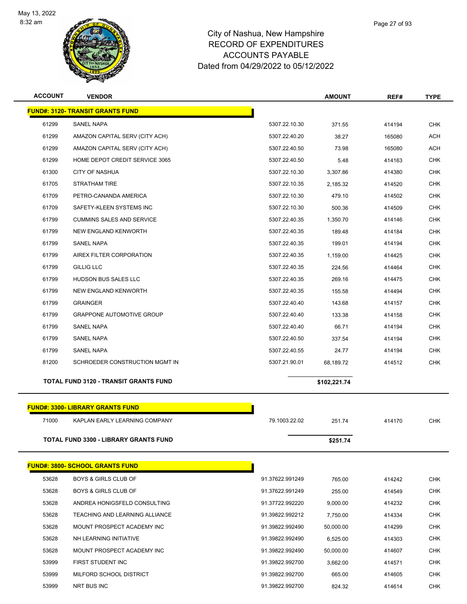

| <b>ACCOUNT</b> | <b>VENDOR</b>                           |                 | <b>AMOUNT</b> | REF#   | TYPE       |
|----------------|-----------------------------------------|-----------------|---------------|--------|------------|
|                | <b>FUND#: 3120- TRANSIT GRANTS FUND</b> |                 |               |        |            |
| 61299          | SANEL NAPA                              | 5307.22.10.30   | 371.55        | 414194 | <b>CHK</b> |
| 61299          | AMAZON CAPITAL SERV (CITY ACH)          | 5307.22.40.20   | 38.27         | 165080 | <b>ACH</b> |
| 61299          | AMAZON CAPITAL SERV (CITY ACH)          | 5307.22.40.50   | 73.98         | 165080 | ACH        |
| 61299          | HOME DEPOT CREDIT SERVICE 3065          | 5307.22.40.50   | 5.48          | 414163 | <b>CHK</b> |
| 61300          | <b>CITY OF NASHUA</b>                   | 5307.22.10.30   | 3,307.86      | 414380 | <b>CHK</b> |
| 61705          | STRATHAM TIRE                           | 5307.22.10.35   | 2,185.32      | 414520 | <b>CHK</b> |
| 61709          | PETRO-CANANDA AMERICA                   | 5307.22.10.30   | 479.10        | 414502 | <b>CHK</b> |
| 61709          | SAFETY-KLEEN SYSTEMS INC                | 5307.22.10.30   | 500.36        | 414509 | <b>CHK</b> |
| 61799          | <b>CUMMINS SALES AND SERVICE</b>        | 5307.22.40.35   | 1,350.70      | 414146 | <b>CHK</b> |
| 61799          | NEW ENGLAND KENWORTH                    | 5307.22.40.35   | 189.48        | 414184 | <b>CHK</b> |
| 61799          | <b>SANEL NAPA</b>                       | 5307.22.40.35   | 199.01        | 414194 | CHK        |
| 61799          | AIREX FILTER CORPORATION                | 5307.22.40.35   | 1,159.00      | 414425 | <b>CHK</b> |
| 61799          | <b>GILLIG LLC</b>                       | 5307.22.40.35   | 224.56        | 414464 | <b>CHK</b> |
| 61799          | HUDSON BUS SALES LLC                    | 5307.22.40.35   | 269.16        | 414475 | <b>CHK</b> |
| 61799          | NEW ENGLAND KENWORTH                    | 5307.22.40.35   | 155.58        | 414494 | <b>CHK</b> |
| 61799          | <b>GRAINGER</b>                         | 5307.22.40.40   | 143.68        | 414157 | <b>CHK</b> |
| 61799          | <b>GRAPPONE AUTOMOTIVE GROUP</b>        | 5307.22.40.40   | 133.38        | 414158 | <b>CHK</b> |
| 61799          | SANEL NAPA                              | 5307.22.40.40   | 66.71         | 414194 | <b>CHK</b> |
| 61799          | <b>SANEL NAPA</b>                       | 5307.22.40.50   | 337.54        | 414194 | <b>CHK</b> |
| 61799          | <b>SANEL NAPA</b>                       | 5307.22.40.55   | 24.77         | 414194 | <b>CHK</b> |
| 81200          | SCHROEDER CONSTRUCTION MGMT IN          | 5307.21.90.01   | 68,189.72     | 414512 | <b>CHK</b> |
|                | TOTAL FUND 3120 - TRANSIT GRANTS FUND   |                 | \$102,221.74  |        |            |
|                | <b>FUND#: 3300- LIBRARY GRANTS FUND</b> |                 |               |        |            |
| 71000          | KAPLAN EARLY LEARNING COMPANY           | 79.1003.22.02   | 251.74        | 414170 | <b>CHK</b> |
|                | TOTAL FUND 3300 - LIBRARY GRANTS FUND   |                 | \$251.74      |        |            |
|                |                                         |                 |               |        |            |
|                | <b>FUND#: 3800- SCHOOL GRANTS FUND</b>  |                 |               |        |            |
| 53628          | <b>BOYS &amp; GIRLS CLUB OF</b>         | 91.37622.991249 | 765.00        | 414242 | <b>CHK</b> |
| 53628          | <b>BOYS &amp; GIRLS CLUB OF</b>         | 91.37622.991249 | 255.00        | 414549 | <b>CHK</b> |
| 53628          | ANDREA HONIGSFELD CONSULTING            | 91.37722.992220 | 9,000.00      | 414232 | <b>CHK</b> |
| 53628          | TEACHING AND LEARNING ALLIANCE          | 91.39822.992212 | 7,750.00      | 414334 | <b>CHK</b> |
| 53628          | MOUNT PROSPECT ACADEMY INC              | 91.39822.992490 | 50,000.00     | 414299 | CHK        |
| 53628          | NH LEARNING INITIATIVE                  | 91.39822.992490 | 6,525.00      | 414303 | <b>CHK</b> |
| 53628          | MOUNT PROSPECT ACADEMY INC              | 91.39822.992490 | 50,000.00     | 414607 | <b>CHK</b> |
| 53999          | FIRST STUDENT INC                       | 91.39822.992700 | 3,662.00      | 414571 | CHK        |
| 53999          | MILFORD SCHOOL DISTRICT                 | 91.39822.992700 | 665.00        | 414605 | <b>CHK</b> |
| 53999          | NRT BUS INC                             | 91.39822.992700 | 824.32        | 414614 | <b>CHK</b> |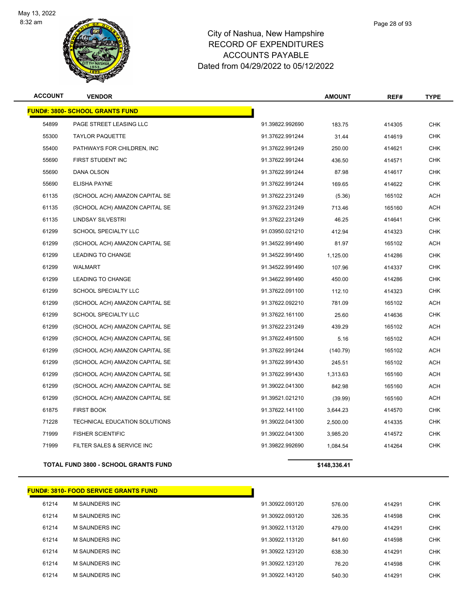

| <b>ACCOUNT</b> | <b>VENDOR</b>                          |                 | <b>AMOUNT</b> | REF#   | <b>TYPE</b> |
|----------------|----------------------------------------|-----------------|---------------|--------|-------------|
|                | <b>FUND#: 3800- SCHOOL GRANTS FUND</b> |                 |               |        |             |
| 54899          | PAGE STREET LEASING LLC                | 91.39822.992690 | 183.75        | 414305 | <b>CHK</b>  |
| 55300          | <b>TAYLOR PAQUETTE</b>                 | 91.37622.991244 | 31.44         | 414619 | <b>CHK</b>  |
| 55400          | PATHWAYS FOR CHILDREN, INC             | 91.37622.991249 | 250.00        | 414621 | <b>CHK</b>  |
| 55690          | FIRST STUDENT INC                      | 91.37622.991244 | 436.50        | 414571 | <b>CHK</b>  |
| 55690          | DANA OLSON                             | 91.37622.991244 | 87.98         | 414617 | <b>CHK</b>  |
| 55690          | <b>ELISHA PAYNE</b>                    | 91.37622.991244 | 169.65        | 414622 | <b>CHK</b>  |
| 61135          | (SCHOOL ACH) AMAZON CAPITAL SE         | 91.37622.231249 | (5.36)        | 165102 | <b>ACH</b>  |
| 61135          | (SCHOOL ACH) AMAZON CAPITAL SE         | 91.37622.231249 | 713.46        | 165160 | <b>ACH</b>  |
| 61135          | LINDSAY SILVESTRI                      | 91.37622.231249 | 46.25         | 414641 | <b>CHK</b>  |
| 61299          | SCHOOL SPECIALTY LLC                   | 91.03950.021210 | 412.94        | 414323 | <b>CHK</b>  |
| 61299          | (SCHOOL ACH) AMAZON CAPITAL SE         | 91.34522.991490 | 81.97         | 165102 | <b>ACH</b>  |
| 61299          | <b>LEADING TO CHANGE</b>               | 91.34522.991490 | 1,125.00      | 414286 | <b>CHK</b>  |
| 61299          | WALMART                                | 91.34522.991490 | 107.96        | 414337 | <b>CHK</b>  |
| 61299          | LEADING TO CHANGE                      | 91.34622.991490 | 450.00        | 414286 | CHK         |
| 61299          | SCHOOL SPECIALTY LLC                   | 91.37622.091100 | 112.10        | 414323 | <b>CHK</b>  |
| 61299          | (SCHOOL ACH) AMAZON CAPITAL SE         | 91.37622.092210 | 781.09        | 165102 | <b>ACH</b>  |
| 61299          | SCHOOL SPECIALTY LLC                   | 91.37622.161100 | 25.60         | 414636 | <b>CHK</b>  |
| 61299          | (SCHOOL ACH) AMAZON CAPITAL SE         | 91.37622.231249 | 439.29        | 165102 | <b>ACH</b>  |
| 61299          | (SCHOOL ACH) AMAZON CAPITAL SE         | 91.37622.491500 | 5.16          | 165102 | <b>ACH</b>  |
| 61299          | (SCHOOL ACH) AMAZON CAPITAL SE         | 91.37622.991244 | (140.79)      | 165102 | <b>ACH</b>  |
| 61299          | (SCHOOL ACH) AMAZON CAPITAL SE         | 91.37622.991430 | 245.51        | 165102 | <b>ACH</b>  |
| 61299          | (SCHOOL ACH) AMAZON CAPITAL SE         | 91.37622.991430 | 1,313.63      | 165160 | <b>ACH</b>  |
| 61299          | (SCHOOL ACH) AMAZON CAPITAL SE         | 91.39022.041300 | 842.98        | 165160 | ACH         |
| 61299          | (SCHOOL ACH) AMAZON CAPITAL SE         | 91.39521.021210 | (39.99)       | 165160 | <b>ACH</b>  |
| 61875          | <b>FIRST BOOK</b>                      | 91.37622.141100 | 3,644.23      | 414570 | <b>CHK</b>  |
| 71228          | TECHNICAL EDUCATION SOLUTIONS          | 91.39022.041300 | 2,500.00      | 414335 | <b>CHK</b>  |
| 71999          | <b>FISHER SCIENTIFIC</b>               | 91.39022.041300 | 3,985.20      | 414572 | <b>CHK</b>  |
| 71999          | FILTER SALES & SERVICE INC             | 91.39822.992690 | 1,084.54      | 414264 | <b>CHK</b>  |
|                |                                        |                 |               |        |             |

**TOTAL FUND 3800 - SCHOOL GRANTS FUND \$148,336.41** 

|       | <b>FUND#: 3810- FOOD SERVICE GRANTS FUND</b> |                 |        |        |            |
|-------|----------------------------------------------|-----------------|--------|--------|------------|
| 61214 | M SAUNDERS INC                               | 91.30922.093120 | 576.00 | 414291 | <b>CHK</b> |
| 61214 | M SAUNDERS INC                               | 91.30922.093120 | 326.35 | 414598 | <b>CHK</b> |
| 61214 | M SAUNDERS INC                               | 91.30922.113120 | 479.00 | 414291 | <b>CHK</b> |
| 61214 | M SAUNDERS INC                               | 91.30922.113120 | 841.60 | 414598 | <b>CHK</b> |
| 61214 | M SAUNDERS INC                               | 91.30922.123120 | 638.30 | 414291 | <b>CHK</b> |
| 61214 | M SAUNDERS INC                               | 91.30922.123120 | 76.20  | 414598 | <b>CHK</b> |
| 61214 | M SAUNDERS INC                               | 91.30922.143120 | 540.30 | 414291 | <b>CHK</b> |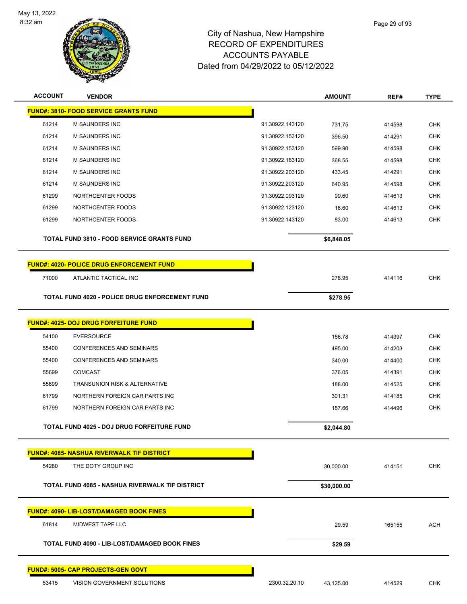

| <b>ACCOUNT</b><br><b>VENDOR</b>                        |                 | <b>AMOUNT</b> | REF#   | <b>TYPE</b> |
|--------------------------------------------------------|-----------------|---------------|--------|-------------|
| <b>FUND#: 3810- FOOD SERVICE GRANTS FUND</b>           |                 |               |        |             |
| 61214<br><b>M SAUNDERS INC</b>                         | 91.30922.143120 | 731.75        | 414598 | <b>CHK</b>  |
| 61214<br><b>M SAUNDERS INC</b>                         | 91.30922.153120 | 396.50        | 414291 | <b>CHK</b>  |
| 61214<br>M SAUNDERS INC                                | 91.30922.153120 | 599.90        | 414598 | <b>CHK</b>  |
| 61214<br><b>M SAUNDERS INC</b>                         | 91.30922.163120 | 368.55        | 414598 | <b>CHK</b>  |
| 61214<br><b>M SAUNDERS INC</b>                         | 91.30922.203120 | 433.45        | 414291 | <b>CHK</b>  |
| 61214<br><b>M SAUNDERS INC</b>                         | 91.30922.203120 | 640.95        | 414598 | <b>CHK</b>  |
| 61299<br>NORTHCENTER FOODS                             | 91.30922.093120 | 99.60         | 414613 | <b>CHK</b>  |
| 61299<br>NORTHCENTER FOODS                             | 91.30922.123120 | 16.60         | 414613 | <b>CHK</b>  |
| 61299<br>NORTHCENTER FOODS                             | 91.30922.143120 | 83.00         | 414613 | <b>CHK</b>  |
| <b>TOTAL FUND 3810 - FOOD SERVICE GRANTS FUND</b>      |                 | \$6,848.05    |        |             |
| <b>FUND#: 4020- POLICE DRUG ENFORCEMENT FUND</b>       |                 |               |        |             |
| 71000<br>ATLANTIC TACTICAL INC                         |                 | 278.95        | 414116 | <b>CHK</b>  |
|                                                        |                 |               |        |             |
| TOTAL FUND 4020 - POLICE DRUG ENFORCEMENT FUND         |                 | \$278.95      |        |             |
| <b>FUND#: 4025- DOJ DRUG FORFEITURE FUND</b>           |                 |               |        |             |
| 54100<br><b>EVERSOURCE</b>                             |                 | 156.78        | 414397 | <b>CHK</b>  |
| 55400<br>CONFERENCES AND SEMINARS                      |                 | 495.00        | 414203 | <b>CHK</b>  |
| 55400<br><b>CONFERENCES AND SEMINARS</b>               |                 | 340.00        | 414400 | <b>CHK</b>  |
| 55699<br><b>COMCAST</b>                                |                 | 376.05        | 414391 | <b>CHK</b>  |
| 55699<br>TRANSUNION RISK & ALTERNATIVE                 |                 | 188.00        | 414525 | <b>CHK</b>  |
| 61799<br>NORTHERN FOREIGN CAR PARTS INC                |                 | 301.31        | 414185 | <b>CHK</b>  |
| 61799<br>NORTHERN FOREIGN CAR PARTS INC                |                 | 187.66        | 414496 | <b>CHK</b>  |
| TOTAL FUND 4025 - DOJ DRUG FORFEITURE FUND             |                 | \$2,044.80    |        |             |
| <b>FUND#: 4085- NASHUA RIVERWALK TIF DISTRICT</b>      |                 |               |        |             |
| THE DOTY GROUP INC<br>54280                            |                 | 30,000.00     | 414151 | <b>CHK</b>  |
| <b>TOTAL FUND 4085 - NASHUA RIVERWALK TIF DISTRICT</b> |                 | \$30,000.00   |        |             |
|                                                        |                 |               |        |             |
| <b>FUND#: 4090- LIB-LOST/DAMAGED BOOK FINES</b>        |                 |               |        |             |
| 61814<br>MIDWEST TAPE LLC                              |                 | 29.59         | 165155 | <b>ACH</b>  |
| TOTAL FUND 4090 - LIB-LOST/DAMAGED BOOK FINES          |                 | \$29.59       |        |             |
| <u> FUND#: 5005- CAP PROJECTS-GEN GOVT</u>             |                 |               |        |             |
| 53415<br>VISION GOVERNMENT SOLUTIONS                   | 2300.32.20.10   | 43,125.00     | 414529 | <b>CHK</b>  |
|                                                        |                 |               |        |             |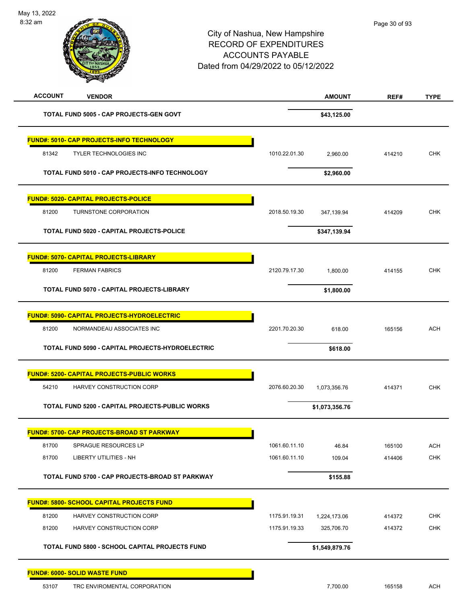May 13, 2022 8:32 am



| <b>ACCOUNT</b><br><b>VENDOR</b>                        | <b>AMOUNT</b>                 | REF#   | <b>TYPE</b> |
|--------------------------------------------------------|-------------------------------|--------|-------------|
| TOTAL FUND 5005 - CAP PROJECTS-GEN GOVT                | \$43,125.00                   |        |             |
| FUND#: 5010- CAP PROJECTS-INFO TECHNOLOGY              |                               |        |             |
| 81342<br><b>TYLER TECHNOLOGIES INC</b>                 | 1010.22.01.30<br>2,960.00     | 414210 | <b>CHK</b>  |
| TOTAL FUND 5010 - CAP PROJECTS-INFO TECHNOLOGY         | \$2,960.00                    |        |             |
| <b>FUND#: 5020- CAPITAL PROJECTS-POLICE</b>            |                               |        |             |
| 81200<br>TURNSTONE CORPORATION                         | 2018.50.19.30<br>347,139.94   | 414209 | <b>CHK</b>  |
| TOTAL FUND 5020 - CAPITAL PROJECTS-POLICE              | \$347,139.94                  |        |             |
| <b>FUND#: 5070- CAPITAL PROJECTS-LIBRARY</b>           |                               |        |             |
| 81200<br><b>FERMAN FABRICS</b>                         | 2120.79.17.30<br>1,800.00     | 414155 | <b>CHK</b>  |
| TOTAL FUND 5070 - CAPITAL PROJECTS-LIBRARY             | \$1,800.00                    |        |             |
| <b>FUND#: 5090- CAPITAL PROJECTS-HYDROELECTRIC</b>     |                               |        |             |
| NORMANDEAU ASSOCIATES INC<br>81200                     | 2201.70.20.30<br>618.00       | 165156 | <b>ACH</b>  |
| TOTAL FUND 5090 - CAPITAL PROJECTS-HYDROELECTRIC       | \$618.00                      |        |             |
| FUND#: 5200- CAPITAL PROJECTS-PUBLIC WORKS             |                               |        |             |
| 54210<br>HARVEY CONSTRUCTION CORP                      | 2076.60.20.30<br>1,073,356.76 | 414371 | <b>CHK</b>  |
| <b>TOTAL FUND 5200 - CAPITAL PROJECTS-PUBLIC WORKS</b> | \$1,073,356.76                |        |             |
| <b>FUND#: 5700- CAP PROJECTS-BROAD ST PARKWAY</b>      |                               |        |             |
| 81700<br>SPRAGUE RESOURCES LP                          | 1061.60.11.10<br>46.84        | 165100 | ACH         |
| 81700<br><b>LIBERTY UTILITIES - NH</b>                 | 1061.60.11.10<br>109.04       | 414406 | <b>CHK</b>  |
| TOTAL FUND 5700 - CAP PROJECTS-BROAD ST PARKWAY        | \$155.88                      |        |             |
| <b>FUND#: 5800- SCHOOL CAPITAL PROJECTS FUND</b>       |                               |        |             |
| 81200<br>HARVEY CONSTRUCTION CORP                      | 1175.91.19.31<br>1,224,173.06 | 414372 | <b>CHK</b>  |
| 81200<br>HARVEY CONSTRUCTION CORP                      | 1175.91.19.33<br>325,706.70   | 414372 | <b>CHK</b>  |
| TOTAL FUND 5800 - SCHOOL CAPITAL PROJECTS FUND         | \$1,549,879.76                |        |             |
| <b>FUND#: 6000- SOLID WASTE FUND</b>                   |                               |        |             |
| TRC ENVIROMENTAL CORPORATION<br>53107                  | 7,700.00                      | 165158 | <b>ACH</b>  |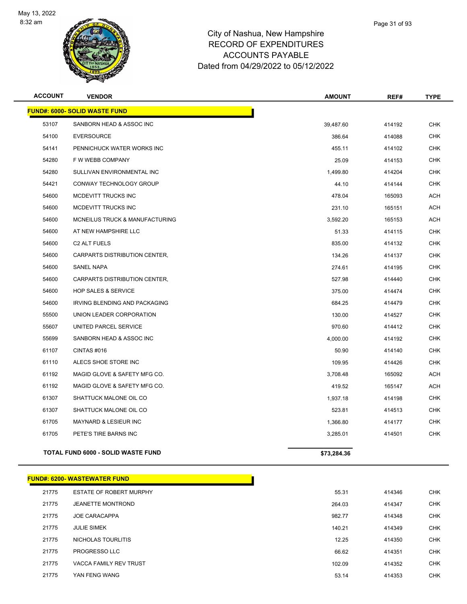

| <b>ACCOUNT</b> | <b>VENDOR</b>                             | <b>AMOUNT</b> | REF#   | <b>TYPE</b> |
|----------------|-------------------------------------------|---------------|--------|-------------|
|                | <b>FUND#: 6000- SOLID WASTE FUND</b>      |               |        |             |
| 53107          | SANBORN HEAD & ASSOC INC                  | 39,487.60     | 414192 | <b>CHK</b>  |
| 54100          | <b>EVERSOURCE</b>                         | 386.64        | 414088 | <b>CHK</b>  |
| 54141          | PENNICHUCK WATER WORKS INC                | 455.11        | 414102 | <b>CHK</b>  |
| 54280          | F W WEBB COMPANY                          | 25.09         | 414153 | <b>CHK</b>  |
| 54280          | SULLIVAN ENVIRONMENTAL INC                | 1,499.80      | 414204 | <b>CHK</b>  |
| 54421          | CONWAY TECHNOLOGY GROUP                   | 44.10         | 414144 | <b>CHK</b>  |
| 54600          | MCDEVITT TRUCKS INC                       | 478.04        | 165093 | <b>ACH</b>  |
| 54600          | MCDEVITT TRUCKS INC                       | 231.10        | 165151 | <b>ACH</b>  |
| 54600          | <b>MCNEILUS TRUCK &amp; MANUFACTURING</b> | 3,592.20      | 165153 | <b>ACH</b>  |
| 54600          | AT NEW HAMPSHIRE LLC                      | 51.33         | 414115 | <b>CHK</b>  |
| 54600          | C <sub>2</sub> ALT FUELS                  | 835.00        | 414132 | <b>CHK</b>  |
| 54600          | CARPARTS DISTRIBUTION CENTER,             | 134.26        | 414137 | <b>CHK</b>  |
| 54600          | <b>SANEL NAPA</b>                         | 274.61        | 414195 | <b>CHK</b>  |
| 54600          | CARPARTS DISTRIBUTION CENTER,             | 527.98        | 414440 | <b>CHK</b>  |
| 54600          | <b>HOP SALES &amp; SERVICE</b>            | 375.00        | 414474 | <b>CHK</b>  |
| 54600          | IRVING BLENDING AND PACKAGING             | 684.25        | 414479 | <b>CHK</b>  |
| 55500          | UNION LEADER CORPORATION                  | 130.00        | 414527 | <b>CHK</b>  |
| 55607          | UNITED PARCEL SERVICE                     | 970.60        | 414412 | <b>CHK</b>  |
| 55699          | SANBORN HEAD & ASSOC INC                  | 4,000.00      | 414192 | <b>CHK</b>  |
| 61107          | CINTAS #016                               | 50.90         | 414140 | <b>CHK</b>  |
| 61110          | ALECS SHOE STORE INC                      | 109.95        | 414426 | <b>CHK</b>  |
| 61192          | MAGID GLOVE & SAFETY MFG CO.              | 3,708.48      | 165092 | <b>ACH</b>  |
| 61192          | MAGID GLOVE & SAFETY MFG CO.              | 419.52        | 165147 | <b>ACH</b>  |
| 61307          | SHATTUCK MALONE OIL CO                    | 1,937.18      | 414198 | <b>CHK</b>  |
| 61307          | SHATTUCK MALONE OIL CO                    | 523.81        | 414513 | <b>CHK</b>  |
| 61705          | <b>MAYNARD &amp; LESIEUR INC</b>          | 1,366.80      | 414177 | <b>CHK</b>  |
| 61705          | PETE'S TIRE BARNS INC                     | 3,285.01      | 414501 | <b>CHK</b>  |
|                | <b>TOTAL FUND 6000 - SOLID WASTE FUND</b> | \$73,284.36   |        |             |

|       | <b>FUND#: 6200- WASTEWATER FUND</b> |        |        |            |
|-------|-------------------------------------|--------|--------|------------|
| 21775 | <b>ESTATE OF ROBERT MURPHY</b>      | 55.31  | 414346 | <b>CHK</b> |
| 21775 | <b>JEANETTE MONTROND</b>            | 264.03 | 414347 | <b>CHK</b> |
| 21775 | <b>JOE CARACAPPA</b>                | 982.77 | 414348 | <b>CHK</b> |
| 21775 | <b>JULIE SIMEK</b>                  | 140.21 | 414349 | <b>CHK</b> |
| 21775 | NICHOLAS TOURLITIS                  | 12.25  | 414350 | <b>CHK</b> |
| 21775 | PROGRESSO LLC                       | 66.62  | 414351 | <b>CHK</b> |
| 21775 | VACCA FAMILY REV TRUST              | 102.09 | 414352 | <b>CHK</b> |
| 21775 | YAN FENG WANG                       | 53.14  | 414353 | <b>CHK</b> |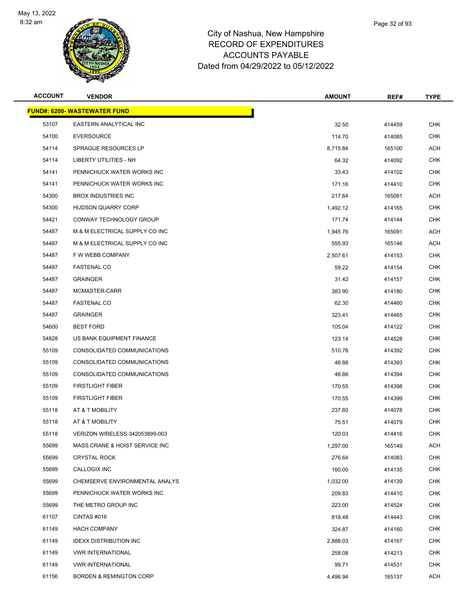

| <b>ACCOUNT</b> | <b>VENDOR</b>                       | <b>AMOUNT</b> | REF#   | <b>TYPE</b> |
|----------------|-------------------------------------|---------------|--------|-------------|
|                | <b>FUND#: 6200- WASTEWATER FUND</b> |               |        |             |
| 53107          | EASTERN ANALYTICAL INC              | 32.50         | 414459 | <b>CHK</b>  |
| 54100          | <b>EVERSOURCE</b>                   | 114.70        | 414085 | <b>CHK</b>  |
| 54114          | <b>SPRAGUE RESOURCES LP</b>         | 8,715.84      | 165100 | ACH         |
| 54114          | LIBERTY UTILITIES - NH              | 64.32         | 414092 | CHK         |
| 54141          | PENNICHUCK WATER WORKS INC          | 33.43         | 414102 | <b>CHK</b>  |
| 54141          | PENNICHUCK WATER WORKS INC          | 171.16        | 414410 | CHK         |
| 54300          | <b>BROX INDUSTRIES INC</b>          | 217.64        | 165081 | <b>ACH</b>  |
| 54300          | <b>HUDSON QUARRY CORP</b>           | 1,492.12      | 414165 | CHK         |
| 54421          | CONWAY TECHNOLOGY GROUP             | 171.74        | 414144 | CHK         |
| 54487          | M & M ELECTRICAL SUPPLY CO INC      | 1,945.76      | 165091 | ACH         |
| 54487          | M & M ELECTRICAL SUPPLY CO INC      | 555.93        | 165146 | ACH         |
| 54487          | F W WEBB COMPANY                    | 2,507.61      | 414153 | <b>CHK</b>  |
| 54487          | <b>FASTENAL CO</b>                  | 59.22         | 414154 | CHK         |
| 54487          | <b>GRAINGER</b>                     | 31.42         | 414157 | <b>CHK</b>  |
| 54487          | MCMASTER-CARR                       | 383.90        | 414180 | CHK         |
| 54487          | <b>FASTENAL CO</b>                  | 62.30         | 414460 | <b>CHK</b>  |
| 54487          | <b>GRAINGER</b>                     | 323.41        | 414465 | <b>CHK</b>  |
| 54600          | <b>BEST FORD</b>                    | 105.04        | 414122 | CHK         |
| 54828          | US BANK EQUIPMENT FINANCE           | 123.14        | 414528 | <b>CHK</b>  |
| 55109          | CONSOLIDATED COMMUNICATIONS         | 510.78        | 414392 | <b>CHK</b>  |
| 55109          | CONSOLIDATED COMMUNICATIONS         | 46.86         | 414393 | <b>CHK</b>  |
| 55109          | CONSOLIDATED COMMUNICATIONS         | 46.86         | 414394 | <b>CHK</b>  |
| 55109          | <b>FIRSTLIGHT FIBER</b>             | 170.55        | 414398 | CHK         |
| 55109          | <b>FIRSTLIGHT FIBER</b>             | 170.55        | 414399 | <b>CHK</b>  |
| 55118          | AT & T MOBILITY                     | 237.60        | 414078 | CHK         |
| 55118          | AT & T MOBILITY                     | 75.51         | 414079 | <b>CHK</b>  |
| 55118          | VERIZON WIRELESS-342053899-003      | 120.03        | 414416 | <b>CHK</b>  |
| 55699          | MASS CRANE & HOIST SERVICE INC      | 1,297.00      | 165149 | <b>ACH</b>  |
| 55699          | <b>CRYSTAL ROCK</b>                 | 276.64        | 414083 | <b>CHK</b>  |
| 55699          | CALLOGIX INC                        | 160.00        | 414135 | <b>CHK</b>  |
| 55699          | CHEMSERVE ENVIRONMENTAL ANALYS      | 1,032.00      | 414139 | <b>CHK</b>  |
| 55699          | PENNICHUCK WATER WORKS INC          | 209.83        | 414410 | <b>CHK</b>  |
| 55699          | THE METRO GROUP INC                 | 223.00        | 414524 | <b>CHK</b>  |
| 61107          | CINTAS #016                         | 818.48        | 414443 | <b>CHK</b>  |
| 61149          | <b>HACH COMPANY</b>                 | 324.87        | 414160 | <b>CHK</b>  |
| 61149          | <b>IDEXX DISTRIBUTION INC</b>       | 2,888.03      | 414167 | <b>CHK</b>  |
| 61149          | <b>VWR INTERNATIONAL</b>            | 258.08        | 414213 | <b>CHK</b>  |
| 61149          | <b>VWR INTERNATIONAL</b>            | 99.71         | 414531 | <b>CHK</b>  |
| 61156          | <b>BORDEN &amp; REMINGTON CORP</b>  | 4,496.94      | 165137 | ACH         |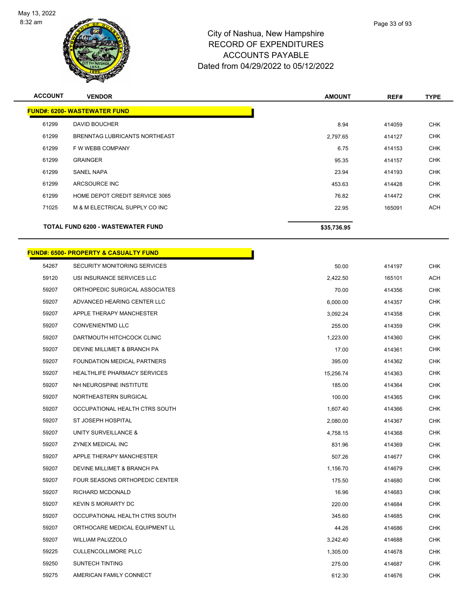

| <b>ACCOUNT</b>                           | <b>VENDOR</b>                                     | <b>AMOUNT</b> | REF#   | <b>TYPE</b> |
|------------------------------------------|---------------------------------------------------|---------------|--------|-------------|
|                                          | <u> FUND#: 6200- WASTEWATER FUND</u>              |               |        |             |
| 61299                                    | DAVID BOUCHER                                     | 8.94          | 414059 | <b>CHK</b>  |
| 61299                                    | BRENNTAG LUBRICANTS NORTHEAST                     | 2,797.65      | 414127 | <b>CHK</b>  |
| 61299                                    | F W WEBB COMPANY                                  | 6.75          | 414153 | <b>CHK</b>  |
| 61299                                    | <b>GRAINGER</b>                                   | 95.35         | 414157 | <b>CHK</b>  |
| 61299                                    | <b>SANEL NAPA</b>                                 | 23.94         | 414193 | <b>CHK</b>  |
| 61299                                    | ARCSOURCE INC                                     | 453.63        | 414428 | <b>CHK</b>  |
| 61299                                    | HOME DEPOT CREDIT SERVICE 3065                    | 76.82         | 414472 | <b>CHK</b>  |
| 71025                                    | M & M ELECTRICAL SUPPLY CO INC                    | 22.95         | 165091 | <b>ACH</b>  |
| <b>TOTAL FUND 6200 - WASTEWATER FUND</b> |                                                   | \$35,736.95   |        |             |
|                                          | <u> FUND#: 6500- PROPERTY &amp; CASUALTY FUND</u> |               |        |             |
| 54267                                    | SECURITY MONITORING SERVICES                      | 50.00         | 414197 | <b>CHK</b>  |
| 59120                                    | USI INSURANCE SERVICES LLC                        | 2,422.50      | 165101 | <b>ACH</b>  |
| 59207                                    | ORTHOPEDIC SURGICAL ASSOCIATES                    | 70.00         | 414356 | <b>CHK</b>  |
| 59207                                    | ADVANCED HEARING CENTER LLC                       | 6,000.00      | 414357 | <b>CHK</b>  |
| 59207                                    | APPLE THERAPY MANCHESTER                          | 3,092.24      | 414358 | <b>CHK</b>  |
| 59207                                    | <b>CONVENIENTMD LLC</b>                           | 255.00        | 414359 | <b>CHK</b>  |
| 59207                                    | DARTMOUTH HITCHCOCK CLINIC                        | 1,223.00      | 414360 | <b>CHK</b>  |
| 59207                                    | DEVINE MILLIMET & BRANCH PA                       | 17.00         | 414361 | <b>CHK</b>  |
| 59207                                    | FOUNDATION MEDICAL PARTNERS                       | 395.00        | 414362 | <b>CHK</b>  |
| 59207                                    | <b>HEALTHLIFE PHARMACY SERVICES</b>               | 15,256.74     | 414363 | <b>CHK</b>  |
| 59207                                    | NH NEUROSPINE INSTITUTE                           | 185.00        | 414364 | <b>CHK</b>  |
| 59207                                    | NORTHEASTERN SURGICAL                             | 100.00        | 414365 | <b>CHK</b>  |
| 59207                                    | OCCUPATIONAL HEALTH CTRS SOUTH                    | 1,607.40      | 414366 | <b>CHK</b>  |
| 59207                                    | ST JOSEPH HOSPITAL                                | 2,080.00      | 414367 | <b>CHK</b>  |
| 59207                                    | UNITY SURVEILLANCE &                              | 4,758.15      | 414368 | <b>CHK</b>  |
| 59207                                    | ZYNEX MEDICAL INC                                 | 831.96        | 414369 | <b>CHK</b>  |
| 59207                                    | APPLE THERAPY MANCHESTER                          | 507.26        | 414677 | <b>CHK</b>  |
| 59207                                    | DEVINE MILLIMET & BRANCH PA                       | 1,156.70      | 414679 | <b>CHK</b>  |

| 59207 | APPLE THERAPY MANCHESTER       | 507.26   | 414677 | <b>CHK</b> |
|-------|--------------------------------|----------|--------|------------|
| 59207 | DEVINE MILLIMET & BRANCH PA    | 1,156.70 | 414679 | <b>CHK</b> |
| 59207 | FOUR SEASONS ORTHOPEDIC CENTER | 175.50   | 414680 | <b>CHK</b> |
| 59207 | RICHARD MCDONALD               | 16.96    | 414683 | <b>CHK</b> |
| 59207 | KEVIN S MORIARTY DC            | 220.00   | 414684 | <b>CHK</b> |
| 59207 | OCCUPATIONAL HEALTH CTRS SOUTH | 345.60   | 414685 | <b>CHK</b> |
| 59207 | ORTHOCARE MEDICAL EQUIPMENT LL | 44.26    | 414686 | <b>CHK</b> |
| 59207 | <b>WILLIAM PALIZZOLO</b>       | 3,242.40 | 414688 | <b>CHK</b> |
| 59225 | <b>CULLENCOLLIMORE PLLC</b>    | 1,305.00 | 414678 | <b>CHK</b> |
| 59250 | <b>SUNTECH TINTING</b>         | 275.00   | 414687 | <b>CHK</b> |
| 59275 | AMERICAN FAMILY CONNECT        | 612.30   | 414676 | <b>CHK</b> |
|       |                                |          |        |            |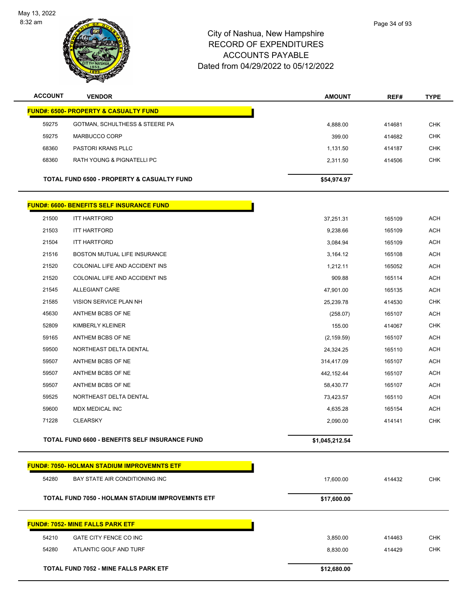

| <b>ACCOUNT</b>                                   | <b>VENDOR</b>                                         | <b>AMOUNT</b>  | REF#   | <b>TYPE</b> |
|--------------------------------------------------|-------------------------------------------------------|----------------|--------|-------------|
|                                                  | <b>FUND#: 6500- PROPERTY &amp; CASUALTY FUND</b>      |                |        |             |
| 59275                                            | GOTMAN, SCHULTHESS & STEERE PA                        | 4,888.00       | 414681 | <b>CHK</b>  |
| 59275                                            | MARBUCCO CORP                                         | 399.00         | 414682 | <b>CHK</b>  |
| 68360                                            | PASTORI KRANS PLLC                                    | 1,131.50       | 414187 | <b>CHK</b>  |
| 68360                                            | RATH YOUNG & PIGNATELLI PC                            | 2,311.50       | 414506 | <b>CHK</b>  |
|                                                  | <b>TOTAL FUND 6500 - PROPERTY &amp; CASUALTY FUND</b> | \$54,974.97    |        |             |
|                                                  | <b>FUND#: 6600- BENEFITS SELF INSURANCE FUND</b>      |                |        |             |
| 21500                                            | <b>ITT HARTFORD</b>                                   | 37,251.31      | 165109 | <b>ACH</b>  |
| 21503                                            | <b>ITT HARTFORD</b>                                   | 9,238.66       | 165109 | <b>ACH</b>  |
| 21504                                            | <b>ITT HARTFORD</b>                                   | 3,084.94       | 165109 | <b>ACH</b>  |
| 21516                                            | BOSTON MUTUAL LIFE INSURANCE                          | 3,164.12       | 165108 | <b>ACH</b>  |
| 21520                                            | COLONIAL LIFE AND ACCIDENT INS                        | 1,212.11       | 165052 | <b>ACH</b>  |
| 21520                                            | COLONIAL LIFE AND ACCIDENT INS                        | 909.88         | 165114 | <b>ACH</b>  |
| 21545                                            | ALLEGIANT CARE                                        | 47,901.00      | 165135 | <b>ACH</b>  |
| 21585                                            | VISION SERVICE PLAN NH                                | 25,239.78      | 414530 | <b>CHK</b>  |
| 45630                                            | ANTHEM BCBS OF NE                                     | (258.07)       | 165107 | <b>ACH</b>  |
| 52809                                            | KIMBERLY KLEINER                                      | 155.00         | 414067 | <b>CHK</b>  |
| 59165                                            | ANTHEM BCBS OF NE                                     | (2, 159.59)    | 165107 | <b>ACH</b>  |
| 59500                                            | NORTHEAST DELTA DENTAL                                | 24,324.25      | 165110 | <b>ACH</b>  |
| 59507                                            | ANTHEM BCBS OF NE                                     | 314,417.09     | 165107 | <b>ACH</b>  |
| 59507                                            | ANTHEM BCBS OF NE                                     | 442,152.44     | 165107 | <b>ACH</b>  |
| 59507                                            | ANTHEM BCBS OF NE                                     | 58,430.77      | 165107 | <b>ACH</b>  |
| 59525                                            | NORTHEAST DELTA DENTAL                                | 73,423.57      | 165110 | <b>ACH</b>  |
| 59600                                            | MDX MEDICAL INC                                       | 4,635.28       | 165154 | ACH         |
| 71228                                            | <b>CLEARSKY</b>                                       | 2,090.00       | 414141 | <b>CHK</b>  |
|                                                  | TOTAL FUND 6600 - BENEFITS SELF INSURANCE FUND        | \$1,045,212.54 |        |             |
|                                                  |                                                       |                |        |             |
|                                                  | <b>FUND#: 7050- HOLMAN STADIUM IMPROVEMNTS ETF</b>    |                |        |             |
| 54280                                            | BAY STATE AIR CONDITIONING INC                        | 17,600.00      | 414432 | <b>CHK</b>  |
| TOTAL FUND 7050 - HOLMAN STADIUM IMPROVEMNTS ETF |                                                       | \$17,600.00    |        |             |
|                                                  | <b>FUND#: 7052- MINE FALLS PARK ETF</b>               |                |        |             |
| 54210                                            | GATE CITY FENCE CO INC                                | 3,850.00       | 414463 | <b>CHK</b>  |
| 54280                                            | ATLANTIC GOLF AND TURF                                | 8,830.00       | 414429 | <b>CHK</b>  |
|                                                  | TOTAL FUND 7052 - MINE FALLS PARK ETF                 | \$12,680.00    |        |             |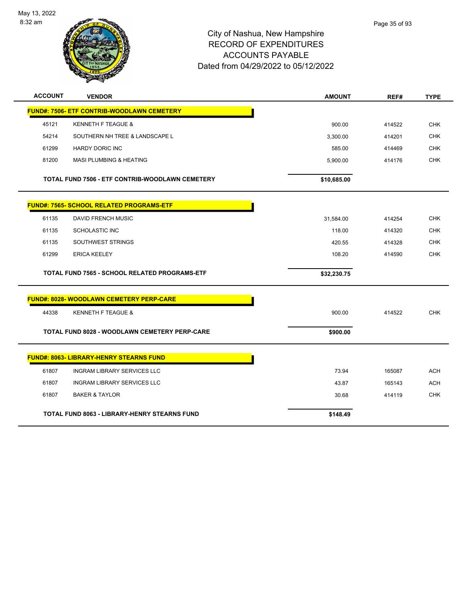

| <b>ACCOUNT</b> | <b>VENDOR</b>                                        | <b>AMOUNT</b> | REF#   | <b>TYPE</b> |  |
|----------------|------------------------------------------------------|---------------|--------|-------------|--|
|                | <b>FUND#: 7506- ETF CONTRIB-WOODLAWN CEMETERY</b>    |               |        |             |  |
| 45121          | <b>KENNETH F TEAGUE &amp;</b>                        | 900.00        | 414522 | <b>CHK</b>  |  |
| 54214          | SOUTHERN NH TREE & LANDSCAPE L                       | 3,300.00      | 414201 | <b>CHK</b>  |  |
| 61299          | <b>HARDY DORIC INC</b>                               | 585.00        | 414469 | <b>CHK</b>  |  |
| 81200          | <b>MASI PLUMBING &amp; HEATING</b>                   | 5,900.00      | 414176 | <b>CHK</b>  |  |
|                | TOTAL FUND 7506 - ETF CONTRIB-WOODLAWN CEMETERY      | \$10,685.00   |        |             |  |
|                | <b>FUND#: 7565- SCHOOL RELATED PROGRAMS-ETF</b>      |               |        |             |  |
| 61135          | <b>DAVID FRENCH MUSIC</b>                            | 31,584.00     | 414254 | <b>CHK</b>  |  |
| 61135          | <b>SCHOLASTIC INC</b>                                | 118.00        | 414320 | <b>CHK</b>  |  |
| 61135          | SOUTHWEST STRINGS                                    | 420.55        | 414328 | <b>CHK</b>  |  |
| 61299          | <b>ERICA KEELEY</b>                                  | 108.20        | 414590 | <b>CHK</b>  |  |
|                | TOTAL FUND 7565 - SCHOOL RELATED PROGRAMS-ETF        | \$32,230.75   |        |             |  |
|                | <b>FUND#: 8028- WOODLAWN CEMETERY PERP-CARE</b>      |               |        |             |  |
| 44338          | <b>KENNETH F TEAGUE &amp;</b>                        | 900.00        | 414522 | <b>CHK</b>  |  |
|                | <b>TOTAL FUND 8028 - WOODLAWN CEMETERY PERP-CARE</b> | \$900.00      |        |             |  |
|                | <b>FUND#: 8063- LIBRARY-HENRY STEARNS FUND</b>       |               |        |             |  |
| 61807          | <b>INGRAM LIBRARY SERVICES LLC</b>                   | 73.94         | 165087 | <b>ACH</b>  |  |
| 61807          | <b>INGRAM LIBRARY SERVICES LLC</b>                   | 43.87         | 165143 | <b>ACH</b>  |  |
| 61807          | <b>BAKER &amp; TAYLOR</b>                            | 30.68         | 414119 | <b>CHK</b>  |  |
|                | <b>TOTAL FUND 8063 - LIBRARY-HENRY STEARNS FUND</b>  | \$148.49      |        |             |  |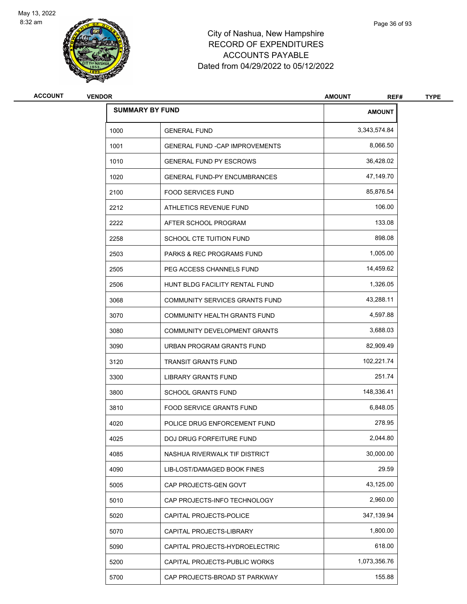

| <b>ACCOUNT</b> | <b>VENDOR</b> |                                       | <b>AMOUNT</b><br>REF# | <b>TYPE</b> |
|----------------|---------------|---------------------------------------|-----------------------|-------------|
|                |               | <b>SUMMARY BY FUND</b>                | <b>AMOUNT</b>         |             |
|                | 1000          | <b>GENERAL FUND</b>                   | 3,343,574.84          |             |
|                | 1001          | <b>GENERAL FUND -CAP IMPROVEMENTS</b> | 8,066.50              |             |
|                | 1010          | <b>GENERAL FUND PY ESCROWS</b>        | 36,428.02             |             |
|                | 1020          | <b>GENERAL FUND-PY ENCUMBRANCES</b>   | 47,149.70             |             |
|                | 2100          | <b>FOOD SERVICES FUND</b>             | 85,876.54             |             |
|                | 2212          | ATHLETICS REVENUE FUND                | 106.00                |             |
|                | 2222          | AFTER SCHOOL PROGRAM                  | 133.08                |             |
|                | 2258          | SCHOOL CTE TUITION FUND               | 898.08                |             |
|                | 2503          | <b>PARKS &amp; REC PROGRAMS FUND</b>  | 1,005.00              |             |
|                | 2505          | PEG ACCESS CHANNELS FUND              | 14,459.62             |             |
|                | 2506          | HUNT BLDG FACILITY RENTAL FUND        | 1,326.05              |             |
|                | 3068          | COMMUNITY SERVICES GRANTS FUND        | 43,288.11             |             |
|                | 3070          | COMMUNITY HEALTH GRANTS FUND          | 4,597.88              |             |
|                | 3080          | COMMUNITY DEVELOPMENT GRANTS          | 3,688.03              |             |
|                | 3090          | URBAN PROGRAM GRANTS FUND             | 82,909.49             |             |
|                | 3120          | <b>TRANSIT GRANTS FUND</b>            | 102,221.74            |             |
|                | 3300          | LIBRARY GRANTS FUND                   | 251.74                |             |
|                | 3800          | <b>SCHOOL GRANTS FUND</b>             | 148,336.41            |             |
|                | 3810          | <b>FOOD SERVICE GRANTS FUND</b>       | 6,848.05              |             |
|                | 4020          | POLICE DRUG ENFORCEMENT FUND          | 278.95                |             |
|                | 4025          | DOJ DRUG FORFEITURE FUND              | 2,044.80              |             |
|                | 4085          | NASHUA RIVERWALK TIF DISTRICT         | 30,000.00             |             |
|                | 4090          | LIB-LOST/DAMAGED BOOK FINES           | 29.59                 |             |
|                | 5005          | CAP PROJECTS-GEN GOVT                 | 43,125.00             |             |
|                | 5010          | CAP PROJECTS-INFO TECHNOLOGY          | 2,960.00              |             |
|                | 5020          | CAPITAL PROJECTS-POLICE               | 347,139.94            |             |
|                | 5070          | CAPITAL PROJECTS-LIBRARY              | 1,800.00              |             |
|                | 5090          | CAPITAL PROJECTS-HYDROELECTRIC        | 618.00                |             |
|                | 5200          | CAPITAL PROJECTS-PUBLIC WORKS         | 1,073,356.76          |             |
|                | 5700          | CAP PROJECTS-BROAD ST PARKWAY         | 155.88                |             |

Page 36 of 93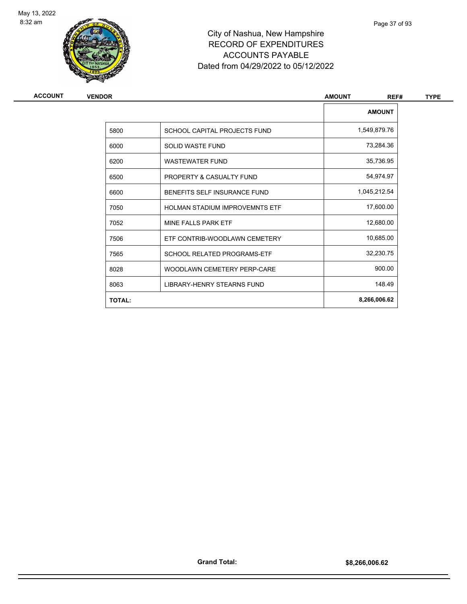

# City of Nashua, New Hampshire RECORD OF EXPENDITURES ACCOUNTS PAYABLE Dated from 04/29/2022 to 05/12/2022

| <b>ACCOUNT</b> |  |
|----------------|--|
|----------------|--|

| ACCOUNT | <b>VENDOR</b> |                                       | <b>AMOUNT</b><br>REF# | <b>TYPE</b> |
|---------|---------------|---------------------------------------|-----------------------|-------------|
|         |               |                                       | <b>AMOUNT</b>         |             |
|         | 5800          | SCHOOL CAPITAL PROJECTS FUND          | 1,549,879.76          |             |
|         | 6000          | <b>SOLID WASTE FUND</b>               | 73,284.36             |             |
|         | 6200          | <b>WASTEWATER FUND</b>                | 35,736.95             |             |
|         | 6500          | PROPERTY & CASUALTY FUND              | 54,974.97             |             |
|         | 6600          | BENEFITS SELF INSURANCE FUND          | 1,045,212.54          |             |
|         | 7050          | <b>HOLMAN STADIUM IMPROVEMNTS ETF</b> | 17,600.00             |             |
|         | 7052          | MINE FALLS PARK ETF                   | 12,680.00             |             |
|         | 7506          | ETF CONTRIB-WOODLAWN CEMETERY         | 10,685.00             |             |
|         | 7565          | <b>SCHOOL RELATED PROGRAMS-ETF</b>    | 32,230.75             |             |
|         | 8028          | WOODLAWN CEMETERY PERP-CARE           | 900.00                |             |
|         | 8063          | LIBRARY-HENRY STEARNS FUND            | 148.49                |             |
|         | <b>TOTAL:</b> |                                       | 8,266,006.62          |             |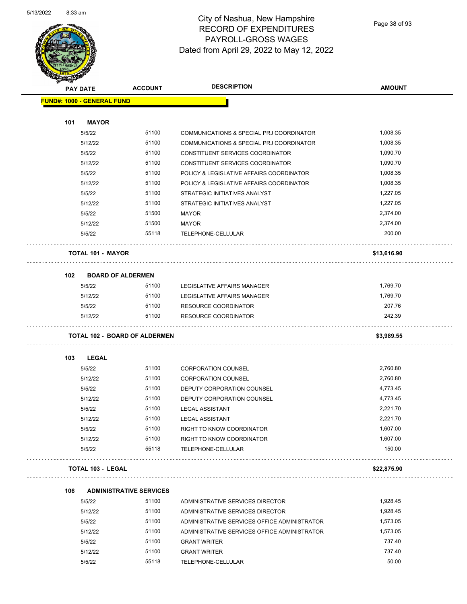

Page 38 of 93

| <b>ANG CASA</b> |                                      |                                         |                                              |               |
|-----------------|--------------------------------------|-----------------------------------------|----------------------------------------------|---------------|
|                 | <b>PAY DATE</b>                      | <b>ACCOUNT</b>                          | <b>DESCRIPTION</b>                           | <b>AMOUNT</b> |
|                 | <b>FUND#: 1000 - GENERAL FUND</b>    |                                         |                                              |               |
|                 |                                      |                                         |                                              |               |
| 101             | <b>MAYOR</b>                         |                                         |                                              |               |
|                 | 5/5/22                               | 51100                                   | COMMUNICATIONS & SPECIAL PRJ COORDINATOR     | 1,008.35      |
|                 | 5/12/22                              | 51100                                   | COMMUNICATIONS & SPECIAL PRJ COORDINATOR     | 1,008.35      |
|                 | 5/5/22                               | 51100                                   | CONSTITUENT SERVICES COORDINATOR             | 1,090.70      |
|                 | 5/12/22                              | 51100                                   | CONSTITUENT SERVICES COORDINATOR             | 1,090.70      |
|                 | 5/5/22                               | 51100                                   | POLICY & LEGISLATIVE AFFAIRS COORDINATOR     | 1,008.35      |
|                 | 5/12/22                              | 51100                                   | POLICY & LEGISLATIVE AFFAIRS COORDINATOR     | 1,008.35      |
|                 | 5/5/22                               | 51100                                   | STRATEGIC INITIATIVES ANALYST                | 1,227.05      |
|                 | 5/12/22                              | 51100                                   | STRATEGIC INITIATIVES ANALYST                | 1,227.05      |
|                 | 5/5/22                               | 51500                                   | <b>MAYOR</b>                                 | 2,374.00      |
|                 | 5/12/22                              | 51500                                   | <b>MAYOR</b>                                 | 2,374.00      |
|                 | 5/5/22                               | 55118                                   | TELEPHONE-CELLULAR                           | 200.00        |
|                 | <b>TOTAL 101 - MAYOR</b>             |                                         |                                              | \$13,616.90   |
| 102             | <b>BOARD OF ALDERMEN</b>             |                                         |                                              |               |
|                 | 5/5/22                               | 51100                                   | LEGISLATIVE AFFAIRS MANAGER                  | 1,769.70      |
|                 | 5/12/22                              | 51100                                   | LEGISLATIVE AFFAIRS MANAGER                  | 1,769.70      |
|                 | 5/5/22                               | 51100                                   | RESOURCE COORDINATOR                         | 207.76        |
|                 | 5/12/22                              | 51100                                   | <b>RESOURCE COORDINATOR</b>                  | 242.39        |
|                 | <b>TOTAL 102 - BOARD OF ALDERMEN</b> |                                         |                                              | \$3,989.55    |
| 103             | <b>LEGAL</b>                         |                                         |                                              |               |
|                 | 5/5/22                               | 51100                                   | <b>CORPORATION COUNSEL</b>                   | 2,760.80      |
|                 | 5/12/22                              | 51100                                   | <b>CORPORATION COUNSEL</b>                   | 2,760.80      |
|                 | 5/5/22                               | 51100                                   | DEPUTY CORPORATION COUNSEL                   | 4,773.45      |
|                 | 5/12/22                              | 51100                                   | DEPUTY CORPORATION COUNSEL                   | 4,773.45      |
|                 | 5/5/22                               | 51100                                   | <b>LEGAL ASSISTANT</b>                       | 2,221.70      |
|                 | 5/12/22                              | 51100                                   | <b>LEGAL ASSISTANT</b>                       | 2,221.70      |
|                 | 5/5/22                               | 51100                                   | RIGHT TO KNOW COORDINATOR                    | 1,607.00      |
|                 | 5/12/22                              | 51100                                   | RIGHT TO KNOW COORDINATOR                    | 1,607.00      |
|                 | 5/5/22                               | 55118                                   | TELEPHONE-CELLULAR                           | 150.00        |
|                 | <b>TOTAL 103 - LEGAL</b>             |                                         |                                              | \$22,875.90   |
|                 |                                      |                                         |                                              |               |
| 106             | 5/5/22                               | <b>ADMINISTRATIVE SERVICES</b><br>51100 | ADMINISTRATIVE SERVICES DIRECTOR             | 1,928.45      |
|                 |                                      | 51100                                   |                                              | 1,928.45      |
|                 | 5/12/22                              |                                         | ADMINISTRATIVE SERVICES DIRECTOR             |               |
|                 | 5/5/22                               | 51100                                   | ADMINISTRATIVE SERVICES OFFICE ADMINISTRATOR | 1,573.05      |
|                 | 5/12/22                              | 51100                                   | ADMINISTRATIVE SERVICES OFFICE ADMINISTRATOR | 1,573.05      |
|                 | 5/5/22                               | 51100                                   | <b>GRANT WRITER</b>                          | 737.40        |
|                 | 5/12/22                              | 51100                                   | <b>GRANT WRITER</b>                          | 737.40        |
|                 | 5/5/22                               | 55118                                   | TELEPHONE-CELLULAR                           | 50.00         |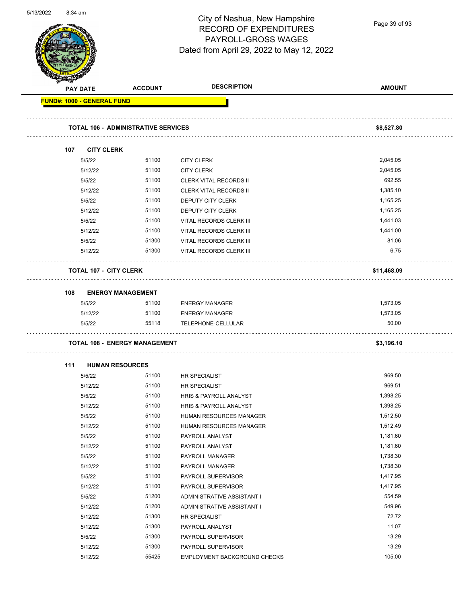

Page 39 of 93

|     | <b>PAY DATE</b>                            | <b>ACCOUNT</b> | <b>DESCRIPTION</b>                | <b>AMOUNT</b> |
|-----|--------------------------------------------|----------------|-----------------------------------|---------------|
|     | <b>FUND#: 1000 - GENERAL FUND</b>          |                |                                   |               |
|     | <b>TOTAL 106 - ADMINISTRATIVE SERVICES</b> |                |                                   | \$8,527.80    |
| 107 | <b>CITY CLERK</b>                          |                |                                   |               |
|     | 5/5/22                                     | 51100          | <b>CITY CLERK</b>                 | 2,045.05      |
|     | 5/12/22                                    | 51100          | <b>CITY CLERK</b>                 | 2,045.05      |
|     | 5/5/22                                     | 51100          | <b>CLERK VITAL RECORDS II</b>     | 692.55        |
|     | 5/12/22                                    | 51100          | <b>CLERK VITAL RECORDS II</b>     | 1,385.10      |
|     | 5/5/22                                     | 51100          | DEPUTY CITY CLERK                 | 1,165.25      |
|     | 5/12/22                                    | 51100          | DEPUTY CITY CLERK                 | 1,165.25      |
|     | 5/5/22                                     | 51100          | VITAL RECORDS CLERK III           | 1,441.03      |
|     | 5/12/22                                    | 51100          | VITAL RECORDS CLERK III           | 1,441.00      |
|     | 5/5/22                                     | 51300          | VITAL RECORDS CLERK III           | 81.06         |
|     | 5/12/22                                    | 51300          | VITAL RECORDS CLERK III           | 6.75          |
|     | <b>TOTAL 107 - CITY CLERK</b>              |                |                                   | \$11,468.09   |
| 108 | <b>ENERGY MANAGEMENT</b>                   |                |                                   |               |
|     | 5/5/22                                     | 51100          | <b>ENERGY MANAGER</b>             | 1,573.05      |
|     | 5/12/22                                    | 51100          | <b>ENERGY MANAGER</b>             | 1,573.05      |
|     | 5/5/22                                     | 55118          | TELEPHONE-CELLULAR                | 50.00         |
|     |                                            |                |                                   |               |
|     | <b>TOTAL 108 - ENERGY MANAGEMENT</b>       |                |                                   | \$3,196.10    |
| 111 | <b>HUMAN RESOURCES</b>                     |                |                                   |               |
|     | 5/5/22                                     | 51100          | HR SPECIALIST                     | 969.50        |
|     | 5/12/22                                    | 51100          | HR SPECIALIST                     | 969.51        |
|     | 5/5/22                                     | 51100          | <b>HRIS &amp; PAYROLL ANALYST</b> | 1,398.25      |
|     | 5/12/22                                    | 51100          | <b>HRIS &amp; PAYROLL ANALYST</b> | 1,398.25      |
|     | 5/5/22                                     | 51100          | HUMAN RESOURCES MANAGER           | 1,512.50      |
|     | 5/12/22                                    | 51100          | HUMAN RESOURCES MANAGER           | 1,512.49      |
|     | 5/5/22                                     | 51100          | PAYROLL ANALYST                   | 1,181.60      |
|     | 5/12/22                                    | 51100          | PAYROLL ANALYST                   | 1,181.60      |
|     | 5/5/22                                     | 51100          | PAYROLL MANAGER                   | 1,738.30      |
|     | 5/12/22                                    | 51100          | PAYROLL MANAGER                   | 1,738.30      |
|     | 5/5/22                                     | 51100          | PAYROLL SUPERVISOR                | 1,417.95      |
|     | 5/12/22                                    | 51100          | PAYROLL SUPERVISOR                | 1,417.95      |
|     | 5/5/22                                     | 51200          | ADMINISTRATIVE ASSISTANT I        | 554.59        |
|     | 5/12/22                                    | 51200          | ADMINISTRATIVE ASSISTANT I        | 549.96        |
|     | 5/12/22                                    | 51300          | HR SPECIALIST                     | 72.72         |
|     | 5/12/22                                    | 51300          | PAYROLL ANALYST                   | 11.07         |
|     | 5/5/22                                     | 51300          | PAYROLL SUPERVISOR                | 13.29         |
|     | 5/12/22                                    | 51300          | PAYROLL SUPERVISOR                | 13.29         |
|     | 5/12/22                                    | 55425          | EMPLOYMENT BACKGROUND CHECKS      | 105.00        |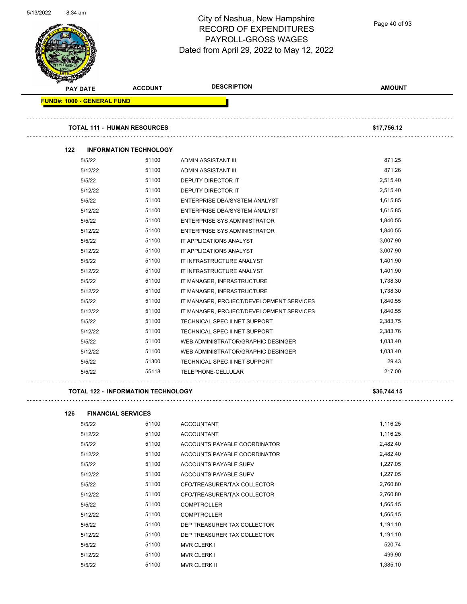

Page 40 of 93

| <b>PAY DATE</b>                   | <b>ACCOUNT</b>                     | <b>DESCRIPTION</b>                       | <b>AMOUNT</b> |
|-----------------------------------|------------------------------------|------------------------------------------|---------------|
| <b>FUND#: 1000 - GENERAL FUND</b> |                                    |                                          |               |
|                                   | <b>TOTAL 111 - HUMAN RESOURCES</b> |                                          | \$17,756.12   |
| 122                               | <b>INFORMATION TECHNOLOGY</b>      |                                          |               |
| 5/5/22                            | 51100                              | ADMIN ASSISTANT III                      | 871.25        |
| 5/12/22                           | 51100                              | ADMIN ASSISTANT III                      | 871.26        |
| 5/5/22                            | 51100                              | <b>DEPUTY DIRECTOR IT</b>                | 2,515.40      |
| 5/12/22                           | 51100                              | <b>DEPUTY DIRECTOR IT</b>                | 2,515.40      |
| 5/5/22                            | 51100                              | ENTERPRISE DBA/SYSTEM ANALYST            | 1,615.85      |
| 5/12/22                           | 51100                              | ENTERPRISE DBA/SYSTEM ANALYST            | 1,615.85      |
| 5/5/22                            | 51100                              | <b>ENTERPRISE SYS ADMINISTRATOR</b>      | 1,840.55      |
| 5/12/22                           | 51100                              | <b>ENTERPRISE SYS ADMINISTRATOR</b>      | 1,840.55      |
| 5/5/22                            | 51100                              | IT APPLICATIONS ANALYST                  | 3,007.90      |
| 5/12/22                           | 51100                              | IT APPLICATIONS ANALYST                  | 3,007.90      |
| 5/5/22                            | 51100                              | IT INFRASTRUCTURE ANALYST                | 1,401.90      |
| 5/12/22                           | 51100                              | IT INFRASTRUCTURE ANALYST                | 1,401.90      |
| 5/5/22                            | 51100                              | IT MANAGER, INFRASTRUCTURE               | 1,738.30      |
| 5/12/22                           | 51100                              | IT MANAGER, INFRASTRUCTURE               | 1,738.30      |
| 5/5/22                            | 51100                              | IT MANAGER, PROJECT/DEVELOPMENT SERVICES | 1,840.55      |
| 5/12/22                           | 51100                              | IT MANAGER, PROJECT/DEVELOPMENT SERVICES | 1,840.55      |
| 5/5/22                            | 51100                              | TECHNICAL SPEC II NET SUPPORT            | 2,383.75      |
| 5/12/22                           | 51100                              | TECHNICAL SPEC II NET SUPPORT            | 2,383.76      |
| 5/5/22                            | 51100                              | WEB ADMINISTRATOR/GRAPHIC DESINGER       | 1,033.40      |
| 5/12/22                           | 51100                              | WEB ADMINISTRATOR/GRAPHIC DESINGER       | 1,033.40      |
| 5/5/22                            | 51300                              | TECHNICAL SPEC II NET SUPPORT            | 29.43         |
| 5/5/22                            | 55118                              | TELEPHONE-CELLULAR                       | 217.00        |

**TOTAL 122 - INFORMATION TECHNOLOGY \$36,744.15**

| 5/5/22  | 51100 | <b>ACCOUNTANT</b>            | 1,116.25 |
|---------|-------|------------------------------|----------|
| 5/12/22 | 51100 | <b>ACCOUNTANT</b>            | 1,116.25 |
| 5/5/22  | 51100 | ACCOUNTS PAYABLE COORDINATOR | 2,482.40 |
| 5/12/22 | 51100 | ACCOUNTS PAYABLE COORDINATOR | 2,482.40 |
| 5/5/22  | 51100 | ACCOUNTS PAYABLE SUPV        | 1,227.05 |
| 5/12/22 | 51100 | ACCOUNTS PAYABLE SUPV        | 1,227.05 |
| 5/5/22  | 51100 | CFO/TREASURER/TAX COLLECTOR  | 2,760.80 |
| 5/12/22 | 51100 | CFO/TREASURER/TAX COLLECTOR  | 2,760.80 |
| 5/5/22  | 51100 | <b>COMPTROLLER</b>           | 1,565.15 |
| 5/12/22 | 51100 | <b>COMPTROLLER</b>           | 1,565.15 |
| 5/5/22  | 51100 | DEP TREASURER TAX COLLECTOR  | 1,191.10 |
| 5/12/22 | 51100 | DEP TREASURER TAX COLLECTOR  | 1,191.10 |
| 5/5/22  | 51100 | <b>MVR CLERK I</b>           | 520.74   |
| 5/12/22 | 51100 | <b>MVR CLERK I</b>           | 499.90   |
| 5/5/22  | 51100 | <b>MVR CLERK II</b>          | 1,385.10 |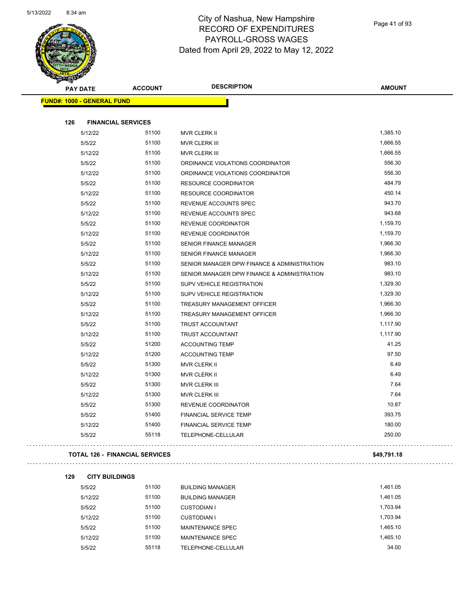$\overline{\phantom{0}}$ 

 $\ddot{\phantom{a}}$ 



## City of Nashua, New Hampshire RECORD OF EXPENDITURES PAYROLL-GROSS WAGES Dated from April 29, 2022 to May 12, 2022

|     | <b>PAY DATE</b>                   | <b>ACCOUNT</b>                        | <b>DESCRIPTION</b>                          | <b>AMOUNT</b> |
|-----|-----------------------------------|---------------------------------------|---------------------------------------------|---------------|
|     | <b>FUND#: 1000 - GENERAL FUND</b> |                                       |                                             |               |
| 126 |                                   | <b>FINANCIAL SERVICES</b>             |                                             |               |
|     | 5/12/22                           | 51100                                 | MVR CLERK II                                | 1,385.10      |
|     | 5/5/22                            | 51100                                 | MVR CLERK III                               | 1,666.55      |
|     | 5/12/22                           | 51100                                 | MVR CLERK III                               | 1,666.55      |
|     | 5/5/22                            | 51100                                 | ORDINANCE VIOLATIONS COORDINATOR            | 556.30        |
|     | 5/12/22                           | 51100                                 | ORDINANCE VIOLATIONS COORDINATOR            | 556.30        |
|     | 5/5/22                            | 51100                                 | RESOURCE COORDINATOR                        | 484.79        |
|     | 5/12/22                           | 51100                                 | RESOURCE COORDINATOR                        | 450.14        |
|     | 5/5/22                            | 51100                                 | REVENUE ACCOUNTS SPEC                       | 943.70        |
|     | 5/12/22                           | 51100                                 | REVENUE ACCOUNTS SPEC                       | 943.68        |
|     | 5/5/22                            | 51100                                 | REVENUE COORDINATOR                         | 1,159.70      |
|     | 5/12/22                           | 51100                                 | <b>REVENUE COORDINATOR</b>                  | 1,159.70      |
|     | 5/5/22                            | 51100                                 | <b>SENIOR FINANCE MANAGER</b>               | 1,966.30      |
|     | 5/12/22                           | 51100                                 | <b>SENIOR FINANCE MANAGER</b>               | 1,966.30      |
|     | 5/5/22                            | 51100                                 | SENIOR MANAGER DPW FINANCE & ADMINISTRATION | 983.10        |
|     | 5/12/22                           | 51100                                 | SENIOR MANAGER DPW FINANCE & ADMINISTRATION | 983.10        |
|     | 5/5/22                            | 51100                                 | SUPV VEHICLE REGISTRATION                   | 1,329.30      |
|     | 5/12/22                           | 51100                                 | <b>SUPV VEHICLE REGISTRATION</b>            | 1,329.30      |
|     | 5/5/22                            | 51100                                 | TREASURY MANAGEMENT OFFICER                 | 1,966.30      |
|     | 5/12/22                           | 51100                                 | TREASURY MANAGEMENT OFFICER                 | 1,966.30      |
|     | 5/5/22                            | 51100                                 | <b>TRUST ACCOUNTANT</b>                     | 1,117.90      |
|     | 5/12/22                           | 51100                                 | TRUST ACCOUNTANT                            | 1,117.90      |
|     | 5/5/22                            | 51200                                 | <b>ACCOUNTING TEMP</b>                      | 41.25         |
|     | 5/12/22                           | 51200                                 | <b>ACCOUNTING TEMP</b>                      | 97.50         |
|     | 5/5/22                            | 51300                                 | MVR CLERK II                                | 6.49          |
|     | 5/12/22                           | 51300                                 | MVR CLERK II                                | 6.49          |
|     | 5/5/22                            | 51300                                 | MVR CLERK III                               | 7.64          |
|     | 5/12/22                           | 51300                                 | MVR CLERK III                               | 7.64          |
|     | 5/5/22                            | 51300                                 | REVENUE COORDINATOR                         | 10.87         |
|     | 5/5/22                            | 51400                                 | FINANCIAL SERVICE TEMP                      | 393.75        |
|     | 5/12/22                           | 51400                                 | <b>FINANCIAL SERVICE TEMP</b>               | 180.00        |
|     | 5/5/22                            | 55118                                 | TELEPHONE-CELLULAR                          | 250.00        |
|     |                                   | <b>TOTAL 126 - FINANCIAL SERVICES</b> |                                             | \$49,791.18   |
| 129 | <b>CITY BUILDINGS</b>             |                                       |                                             |               |
|     | 5/5/22                            | 51100                                 | <b>BUILDING MANAGER</b>                     | 1,461.05      |
|     | 5/12/22                           | 51100                                 | <b>BUILDING MANAGER</b>                     | 1,461.05      |
|     | 5/5/22                            | 51100                                 | <b>CUSTODIAN I</b>                          | 1,703.94      |
|     | 5/12/22                           | 51100                                 | <b>CUSTODIAN I</b>                          | 1,703.94      |
|     | 5/5/22                            | 51100                                 | MAINTENANCE SPEC                            | 1,465.10      |
|     | 5/12/22                           | 51100                                 | MAINTENANCE SPEC                            | 1,465.10      |
|     | 5/5/22                            | 55118                                 | TELEPHONE-CELLULAR                          | 34.00         |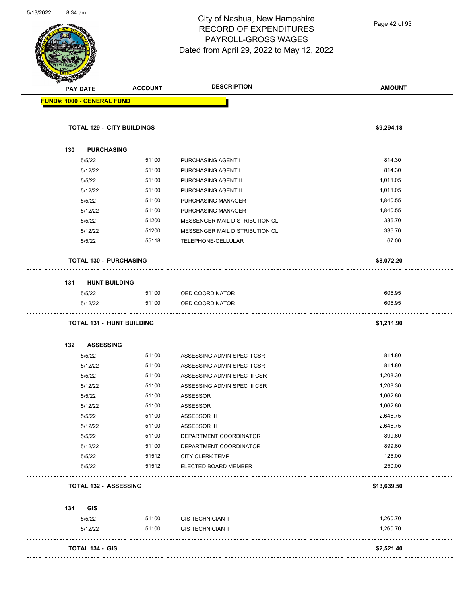

Page 42 of 93

|     | <b>PAY DATE</b>                   | <b>ACCOUNT</b>                    | <b>DESCRIPTION</b>             | <b>AMOUNT</b> |
|-----|-----------------------------------|-----------------------------------|--------------------------------|---------------|
|     | <b>FUND#: 1000 - GENERAL FUND</b> |                                   |                                |               |
|     |                                   | <b>TOTAL 129 - CITY BUILDINGS</b> |                                | \$9,294.18    |
| 130 | <b>PURCHASING</b>                 |                                   |                                |               |
|     | 5/5/22                            | 51100                             | PURCHASING AGENT I             | 814.30        |
|     | 5/12/22                           | 51100                             | PURCHASING AGENT I             | 814.30        |
|     | 5/5/22                            | 51100                             | PURCHASING AGENT II            | 1,011.05      |
|     | 5/12/22                           | 51100                             | PURCHASING AGENT II            | 1,011.05      |
|     | 5/5/22                            | 51100                             | PURCHASING MANAGER             | 1,840.55      |
|     | 5/12/22                           | 51100                             | PURCHASING MANAGER             | 1,840.55      |
|     | 5/5/22                            | 51200                             | MESSENGER MAIL DISTRIBUTION CL | 336.70        |
|     | 5/12/22                           | 51200                             | MESSENGER MAIL DISTRIBUTION CL | 336.70        |
|     | 5/5/22                            | 55118                             | TELEPHONE-CELLULAR             | 67.00         |
|     |                                   | <b>TOTAL 130 - PURCHASING</b>     |                                | \$8,072.20    |
| 131 | <b>HUNT BUILDING</b>              |                                   |                                |               |
|     | 5/5/22                            | 51100                             | OED COORDINATOR                | 605.95        |
|     | 5/12/22                           | 51100                             | OED COORDINATOR                | 605.95        |
|     |                                   | <b>TOTAL 131 - HUNT BUILDING</b>  |                                | \$1,211.90    |
| 132 | <b>ASSESSING</b>                  |                                   |                                |               |
|     | 5/5/22                            | 51100                             | ASSESSING ADMIN SPEC II CSR    | 814.80        |
|     | 5/12/22                           | 51100                             | ASSESSING ADMIN SPEC II CSR    | 814.80        |
|     | 5/5/22                            | 51100                             | ASSESSING ADMIN SPEC III CSR   | 1,208.30      |
|     | 5/12/22                           | 51100                             | ASSESSING ADMIN SPEC III CSR   | 1,208.30      |
|     | 5/5/22                            | 51100                             | ASSESSOR I                     | 1,062.80      |
|     | 5/12/22                           | 51100                             | ASSESSOR I                     | 1,062.80      |
|     | 5/5/22                            | 51100                             | ASSESSOR III                   | 2,646.75      |
|     | 5/12/22                           | 51100                             | ASSESSOR III                   | 2,646.75      |
|     | 5/5/22                            | 51100                             | DEPARTMENT COORDINATOR         | 899.60        |
|     | 5/12/22                           | 51100                             | DEPARTMENT COORDINATOR         | 899.60        |
|     | 5/5/22                            | 51512                             | <b>CITY CLERK TEMP</b>         | 125.00        |
|     | 5/5/22                            | 51512                             | ELECTED BOARD MEMBER           | 250.00        |
|     |                                   | TOTAL 132 - ASSESSING             |                                | \$13,639.50   |
| 134 | <b>GIS</b>                        |                                   |                                |               |
|     | 5/5/22                            | 51100                             | <b>GIS TECHNICIAN II</b>       | 1,260.70      |
|     | 5/12/22                           | 51100                             | <b>GIS TECHNICIAN II</b>       | 1,260.70      |
|     |                                   |                                   | .                              |               |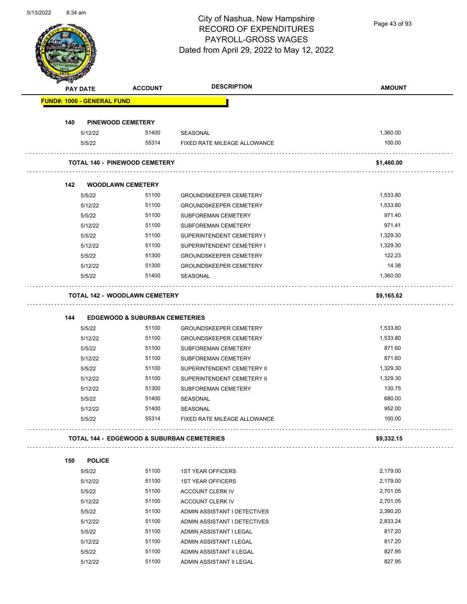

Page 43 of 93

|     | <b>PAY DATE</b>                   | <b>ACCOUNT</b>                            | <b>DESCRIPTION</b>                                         | <b>AMOUNT</b>    |
|-----|-----------------------------------|-------------------------------------------|------------------------------------------------------------|------------------|
|     | <b>FUND#: 1000 - GENERAL FUND</b> |                                           |                                                            |                  |
| 140 | <b>PINEWOOD CEMETERY</b>          |                                           |                                                            |                  |
|     | 5/12/22                           | 51400                                     | SEASONAL                                                   | 1,360.00         |
|     | 5/5/22                            | 55314                                     | FIXED RATE MILEAGE ALLOWANCE                               | 100.00           |
|     |                                   | <b>TOTAL 140 - PINEWOOD CEMETERY</b>      |                                                            | \$1,460.00       |
|     |                                   |                                           |                                                            |                  |
| 142 | <b>WOODLAWN CEMETERY</b>          |                                           |                                                            |                  |
|     | 5/5/22                            | 51100                                     | <b>GROUNDSKEEPER CEMETERY</b>                              | 1,533.80         |
|     | 5/12/22                           | 51100                                     | <b>GROUNDSKEEPER CEMETERY</b>                              | 1,533.80         |
|     | 5/5/22                            | 51100                                     | SUBFOREMAN CEMETERY                                        | 971.40           |
|     | 5/12/22                           | 51100                                     | SUBFOREMAN CEMETERY                                        | 971.41           |
|     | 5/5/22                            | 51100                                     | SUPERINTENDENT CEMETERY I                                  | 1,329.30         |
|     | 5/12/22                           | 51100                                     | SUPERINTENDENT CEMETERY I                                  | 1,329.30         |
|     | 5/5/22                            | 51300                                     | <b>GROUNDSKEEPER CEMETERY</b>                              | 122.23           |
|     | 5/12/22                           | 51300                                     | <b>GROUNDSKEEPER CEMETERY</b>                              | 14.38            |
|     | 5/5/22                            | 51400                                     | <b>SEASONAL</b>                                            | 1,360.00         |
|     |                                   | <b>TOTAL 142 - WOODLAWN CEMETERY</b>      |                                                            | \$9,165.62       |
|     |                                   |                                           |                                                            |                  |
|     |                                   |                                           |                                                            |                  |
| 144 |                                   | <b>EDGEWOOD &amp; SUBURBAN CEMETERIES</b> |                                                            |                  |
|     | 5/5/22                            | 51100                                     | <b>GROUNDSKEEPER CEMETERY</b>                              | 1,533.80         |
|     | 5/12/22                           | 51100                                     | <b>GROUNDSKEEPER CEMETERY</b>                              | 1,533.80         |
|     | 5/5/22                            | 51100                                     | <b>SUBFOREMAN CEMETERY</b>                                 | 871.60           |
|     | 5/12/22                           | 51100                                     | <b>SUBFOREMAN CEMETERY</b>                                 | 871.60           |
|     | 5/5/22                            | 51100                                     | SUPERINTENDENT CEMETERY II                                 | 1,329.30         |
|     | 5/12/22                           | 51100                                     | SUPERINTENDENT CEMETERY II                                 | 1,329.30         |
|     | 5/12/22                           | 51300                                     | SUBFOREMAN CEMETERY                                        | 130.75           |
|     | 5/5/22                            | 51400                                     | <b>SEASONAL</b>                                            | 680.00           |
|     | 5/12/22                           | 51400                                     | <b>SEASONAL</b>                                            | 952.00           |
|     | 5/5/22                            | 55314                                     | FIXED RATE MILEAGE ALLOWANCE                               | 100.00           |
|     |                                   |                                           | .<br><b>TOTAL 144 - EDGEWOOD &amp; SUBURBAN CEMETERIES</b> | \$9,332.15       |
| 150 | <b>POLICE</b>                     |                                           |                                                            |                  |
|     | 5/5/22                            | 51100                                     | <b>1ST YEAR OFFICERS</b>                                   | 2,179.00         |
|     |                                   | 51100                                     |                                                            | 2,179.00         |
|     | 5/12/22                           | 51100                                     | <b>1ST YEAR OFFICERS</b>                                   | 2,701.05         |
|     | 5/5/22                            |                                           | ACCOUNT CLERK IV                                           |                  |
|     | 5/12/22                           | 51100                                     | ACCOUNT CLERK IV                                           | 2,701.05         |
|     | 5/5/22                            | 51100                                     | ADMIN ASSISTANT I DETECTIVES                               | 2,390.20         |
|     | 5/12/22                           | 51100                                     | ADMIN ASSISTANT I DETECTIVES                               | 2,833.24         |
|     | 5/5/22                            | 51100                                     | ADMIN ASSISTANT I LEGAL                                    | 817.20           |
|     | 5/12/22<br>5/5/22                 | 51100<br>51100                            | ADMIN ASSISTANT I LEGAL<br>ADMIN ASSISTANT II LEGAL        | 817.20<br>827.95 |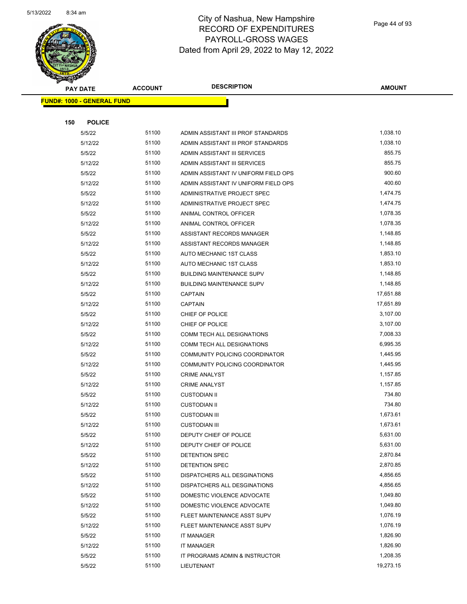

|     | <b>PAY DATE</b>                   | <b>ACCOUNT</b> | <b>DESCRIPTION</b>                   | <b>AMOUNT</b> |
|-----|-----------------------------------|----------------|--------------------------------------|---------------|
|     | <b>FUND#: 1000 - GENERAL FUND</b> |                |                                      |               |
|     |                                   |                |                                      |               |
| 150 | <b>POLICE</b>                     |                |                                      |               |
|     | 5/5/22                            | 51100          | ADMIN ASSISTANT III PROF STANDARDS   | 1,038.10      |
|     | 5/12/22                           | 51100          | ADMIN ASSISTANT III PROF STANDARDS   | 1,038.10      |
|     | 5/5/22                            | 51100          | ADMIN ASSISTANT III SERVICES         | 855.75        |
|     | 5/12/22                           | 51100          | ADMIN ASSISTANT III SERVICES         | 855.75        |
|     | 5/5/22                            | 51100          | ADMIN ASSISTANT IV UNIFORM FIELD OPS | 900.60        |
|     | 5/12/22                           | 51100          | ADMIN ASSISTANT IV UNIFORM FIELD OPS | 400.60        |
|     | 5/5/22                            | 51100          | ADMINISTRATIVE PROJECT SPEC          | 1,474.75      |
|     | 5/12/22                           | 51100          | ADMINISTRATIVE PROJECT SPEC          | 1,474.75      |
|     | 5/5/22                            | 51100          | ANIMAL CONTROL OFFICER               | 1,078.35      |
|     | 5/12/22                           | 51100          | ANIMAL CONTROL OFFICER               | 1,078.35      |
|     | 5/5/22                            | 51100          | ASSISTANT RECORDS MANAGER            | 1,148.85      |
|     | 5/12/22                           | 51100          | ASSISTANT RECORDS MANAGER            | 1,148.85      |
|     | 5/5/22                            | 51100          | AUTO MECHANIC 1ST CLASS              | 1,853.10      |
|     | 5/12/22                           | 51100          | AUTO MECHANIC 1ST CLASS              | 1,853.10      |
|     | 5/5/22                            | 51100          | <b>BUILDING MAINTENANCE SUPV</b>     | 1,148.85      |
|     | 5/12/22                           | 51100          | <b>BUILDING MAINTENANCE SUPV</b>     | 1,148.85      |
|     | 5/5/22                            | 51100          | <b>CAPTAIN</b>                       | 17,651.88     |
|     | 5/12/22                           | 51100          | <b>CAPTAIN</b>                       | 17,651.89     |
|     | 5/5/22                            | 51100          | CHIEF OF POLICE                      | 3,107.00      |
|     | 5/12/22                           | 51100          | CHIEF OF POLICE                      | 3,107.00      |
|     | 5/5/22                            | 51100          | COMM TECH ALL DESIGNATIONS           | 7,008.33      |
|     | 5/12/22                           | 51100          | COMM TECH ALL DESIGNATIONS           | 6,995.35      |
|     | 5/5/22                            | 51100          | COMMUNITY POLICING COORDINATOR       | 1,445.95      |
|     | 5/12/22                           | 51100          | COMMUNITY POLICING COORDINATOR       | 1,445.95      |
|     | 5/5/22                            | 51100          | <b>CRIME ANALYST</b>                 | 1,157.85      |
|     | 5/12/22                           | 51100          | <b>CRIME ANALYST</b>                 | 1,157.85      |
|     | 5/5/22                            | 51100          | <b>CUSTODIAN II</b>                  | 734.80        |
|     | 5/12/22                           | 51100          | <b>CUSTODIAN II</b>                  | 734.80        |
|     | 5/5/22                            | 51100          | <b>CUSTODIAN III</b>                 | 1,673.61      |
|     | 5/12/22                           | 51100          | <b>CUSTODIAN III</b>                 | 1,673.61      |
|     | 5/5/22                            | 51100          | DEPUTY CHIEF OF POLICE               | 5,631.00      |
|     | 5/12/22                           | 51100          | DEPUTY CHIEF OF POLICE               | 5,631.00      |
|     | 5/5/22                            | 51100          | DETENTION SPEC                       | 2,870.84      |
|     | 5/12/22                           | 51100          | DETENTION SPEC                       | 2,870.85      |
|     | 5/5/22                            | 51100          | DISPATCHERS ALL DESGINATIONS         | 4,856.65      |
|     | 5/12/22                           | 51100          | DISPATCHERS ALL DESGINATIONS         | 4,856.65      |
|     | 5/5/22                            | 51100          | DOMESTIC VIOLENCE ADVOCATE           | 1,049.80      |
|     | 5/12/22                           | 51100          | DOMESTIC VIOLENCE ADVOCATE           | 1,049.80      |
|     | 5/5/22                            | 51100          | FLEET MAINTENANCE ASST SUPV          | 1,076.19      |
|     | 5/12/22                           | 51100          | FLEET MAINTENANCE ASST SUPV          | 1,076.19      |
|     | 5/5/22                            | 51100          | IT MANAGER                           | 1,826.90      |
|     | 5/12/22                           | 51100          | <b>IT MANAGER</b>                    | 1,826.90      |
|     | 5/5/22                            | 51100          | IT PROGRAMS ADMIN & INSTRUCTOR       | 1,208.35      |
|     | 5/5/22                            | 51100          | LIEUTENANT                           | 19,273.15     |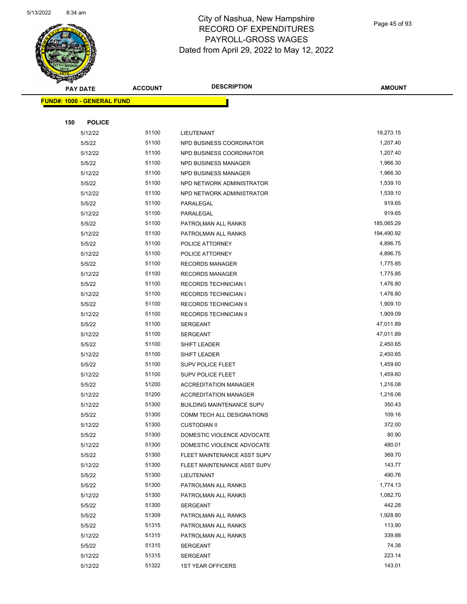

Page 45 of 93

| $\blacktriangleleft$ .<br><b>PAY DATE</b> | <b>ACCOUNT</b> | <b>DESCRIPTION</b>                | <b>AMOUNT</b> |
|-------------------------------------------|----------------|-----------------------------------|---------------|
| <b>FUND#: 1000 - GENERAL FUND</b>         |                |                                   |               |
|                                           |                |                                   |               |
| 150<br><b>POLICE</b>                      |                |                                   |               |
| 5/12/22                                   | 51100          | LIEUTENANT                        | 19,273.15     |
| 5/5/22                                    | 51100          | NPD BUSINESS COORDINATOR          | 1,207.40      |
| 5/12/22                                   | 51100          | NPD BUSINESS COORDINATOR          | 1,207.40      |
| 5/5/22                                    | 51100          | NPD BUSINESS MANAGER              | 1,966.30      |
| 5/12/22                                   | 51100          | <b>NPD BUSINESS MANAGER</b>       | 1,966.30      |
| 5/5/22                                    | 51100          | NPD NETWORK ADMINISTRATOR         | 1,539.10      |
| 5/12/22                                   | 51100          | NPD NETWORK ADMINISTRATOR         | 1,539.10      |
| 5/5/22                                    | 51100          | PARALEGAL                         | 919.65        |
| 5/12/22                                   | 51100          | PARALEGAL                         | 919.65        |
| 5/5/22                                    | 51100          | PATROLMAN ALL RANKS               | 185,065.29    |
| 5/12/22                                   | 51100          | PATROLMAN ALL RANKS               | 194,490.92    |
| 5/5/22                                    | 51100          | POLICE ATTORNEY                   | 4,896.75      |
| 5/12/22                                   | 51100          | POLICE ATTORNEY                   | 4,896.75      |
| 5/5/22                                    | 51100          | <b>RECORDS MANAGER</b>            | 1,775.85      |
| 5/12/22                                   | 51100          | <b>RECORDS MANAGER</b>            | 1,775.85      |
| 5/5/22                                    | 51100          | <b>RECORDS TECHNICIAN I</b>       | 1,476.80      |
| 5/12/22                                   | 51100          | RECORDS TECHNICIAN I              | 1,476.80      |
| 5/5/22                                    | 51100          | RECORDS TECHNICIAN II             | 1,909.10      |
| 5/12/22                                   | 51100          | RECORDS TECHNICIAN II             | 1,909.09      |
| 5/5/22                                    | 51100          | <b>SERGEANT</b>                   | 47,011.89     |
| 5/12/22                                   | 51100          | <b>SERGEANT</b>                   | 47,011.89     |
| 5/5/22                                    | 51100          | SHIFT LEADER                      | 2,450.65      |
| 5/12/22                                   | 51100          | SHIFT LEADER                      | 2,450.65      |
| 5/5/22                                    | 51100          | <b>SUPV POLICE FLEET</b>          | 1,459.60      |
| 5/12/22                                   | 51100          | SUPV POLICE FLEET                 | 1,459.60      |
| 5/5/22                                    | 51200          | <b>ACCREDITATION MANAGER</b>      | 1,216.08      |
| 5/12/22                                   | 51200          | <b>ACCREDITATION MANAGER</b>      | 1,216.08      |
| 5/12/22                                   | 51300          | <b>BUILDING MAINTENANCE SUPV</b>  | 350.43        |
| 5/5/22                                    | 51300          | <b>COMM TECH ALL DESIGNATIONS</b> | 109.16        |
| 5/12/22                                   | 51300          | <b>CUSTODIAN II</b>               | 372.00        |
| 5/5/22                                    | 51300          | DOMESTIC VIOLENCE ADVOCATE        | 80.90         |
| 5/12/22                                   | 51300          | DOMESTIC VIOLENCE ADVOCATE        | 480.01        |
| 5/5/22                                    | 51300          | FLEET MAINTENANCE ASST SUPV       | 369.70        |
| 5/12/22                                   | 51300          | FLEET MAINTENANCE ASST SUPV       | 143.77        |
| 5/5/22                                    | 51300          | LIEUTENANT                        | 490.76        |
| 5/5/22                                    | 51300          | PATROLMAN ALL RANKS               | 1,774.13      |
| 5/12/22                                   | 51300          | PATROLMAN ALL RANKS               | 1,082.70      |
| 5/5/22                                    | 51300          | SERGEANT                          | 442.28        |
| 5/5/22                                    | 51309          | PATROLMAN ALL RANKS               | 1,928.80      |
| 5/5/22                                    | 51315          | PATROLMAN ALL RANKS               | 113.90        |
| 5/12/22                                   | 51315          | PATROLMAN ALL RANKS               | 339.88        |
| 5/5/22                                    | 51315          | SERGEANT                          | 74.38         |
| 5/12/22                                   | 51315          | SERGEANT                          | 223.14        |
| 5/12/22                                   | 51322          | <b>1ST YEAR OFFICERS</b>          | 143.01        |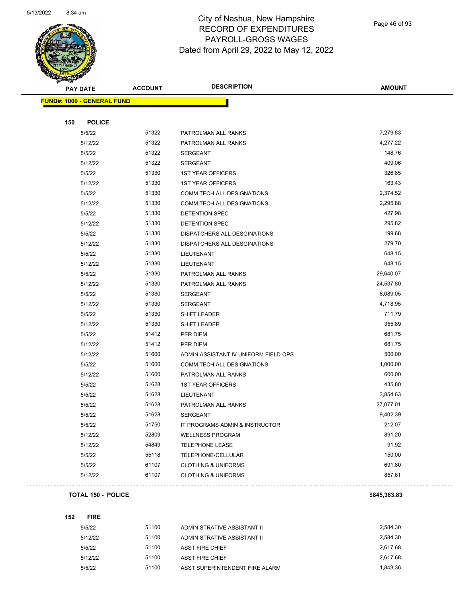

Page 46 of 93

| <b>PAY DATE</b>                   | <b>ACCOUNT</b> | <b>DESCRIPTION</b>                   | <b>AMOUNT</b> |
|-----------------------------------|----------------|--------------------------------------|---------------|
| <b>FUND#: 1000 - GENERAL FUND</b> |                |                                      |               |
|                                   |                |                                      |               |
| 150<br><b>POLICE</b>              |                |                                      |               |
| 5/5/22                            | 51322          | PATROLMAN ALL RANKS                  | 7,279.83      |
| 5/12/22                           | 51322          | PATROLMAN ALL RANKS                  | 4,277.22      |
| 5/5/22                            | 51322          | <b>SERGEANT</b>                      | 148.76        |
| 5/12/22                           | 51322          | SERGEANT                             | 409.06        |
| 5/5/22                            | 51330          | <b>1ST YEAR OFFICERS</b>             | 326.85        |
| 5/12/22                           | 51330          | <b>1ST YEAR OFFICERS</b>             | 163.43        |
| 5/5/22                            | 51330          | COMM TECH ALL DESIGNATIONS           | 2,374.52      |
| 5/12/22                           | 51330          | COMM TECH ALL DESIGNATIONS           | 2,295.88      |
| 5/5/22                            | 51330          | DETENTION SPEC                       | 427.98        |
| 5/12/22                           | 51330          | DETENTION SPEC                       | 295.82        |
| 5/5/22                            | 51330          | DISPATCHERS ALL DESGINATIONS         | 199.68        |
| 5/12/22                           | 51330          | DISPATCHERS ALL DESGINATIONS         | 279.70        |
| 5/5/22                            | 51330          | LIEUTENANT                           | 648.15        |
| 5/12/22                           | 51330          | LIEUTENANT                           | 648.15        |
| 5/5/22                            | 51330          | PATROLMAN ALL RANKS                  | 29,640.07     |
| 5/12/22                           | 51330          | PATROLMAN ALL RANKS                  | 24,537.80     |
| 5/5/22                            | 51330          | <b>SERGEANT</b>                      | 8,089.05      |
| 5/12/22                           | 51330          | SERGEANT                             | 4,718.95      |
| 5/5/22                            | 51330          | SHIFT LEADER                         | 711.79        |
| 5/12/22                           | 51330          | <b>SHIFT LEADER</b>                  | 355.89        |
| 5/5/22                            | 51412          | PER DIEM                             | 681.75        |
| 5/12/22                           | 51412          | PER DIEM                             | 681.75        |
| 5/12/22                           | 51600          | ADMIN ASSISTANT IV UNIFORM FIELD OPS | 500.00        |
| 5/5/22                            | 51600          | COMM TECH ALL DESIGNATIONS           | 1,000.00      |
| 5/12/22                           | 51600          | PATROLMAN ALL RANKS                  | 600.00        |
| 5/5/22                            | 51628          | <b>1ST YEAR OFFICERS</b>             | 435.80        |
| 5/5/22                            | 51628          | LIEUTENANT                           | 3,854.63      |
| 5/5/22                            | 51628          | PATROLMAN ALL RANKS                  | 37,077.01     |
| 5/5/22                            | 51628          | <b>SERGEANT</b>                      | 9,402.39      |
| 5/5/22                            | 51750          | IT PROGRAMS ADMIN & INSTRUCTOR       | 212.07        |
| 5/12/22                           | 52809          | <b>WELLNESS PROGRAM</b>              | 891.20        |
| 5/12/22                           | 54849          | TELEPHONE LEASE                      | 91.92         |
| 5/5/22                            | 55118          | TELEPHONE-CELLULAR                   | 150.00        |
| 5/5/22                            | 61107          | <b>CLOTHING &amp; UNIFORMS</b>       | 691.80        |
| 5/12/22                           | 61107          | <b>CLOTHING &amp; UNIFORMS</b>       | 857.61        |
| <b>TOTAL 150 - POLICE</b>         |                |                                      | \$845,383.83  |

**152 FIRE**

 $\ddot{\phantom{a}}$ 

5/5/22 51100 ADMINISTRATIVE ASSISTANT II 2,584.30 5/12/22 51100 ADMINISTRATIVE ASSISTANT II 2,584.30 5/5/22 51100 ASST FIRE CHIEF 2,617.68 5/12/22 51100 ASST FIRE CHIEF 2,617.68 5/5/22 51100 ASST SUPERINTENDENT FIRE ALARM 1,843.36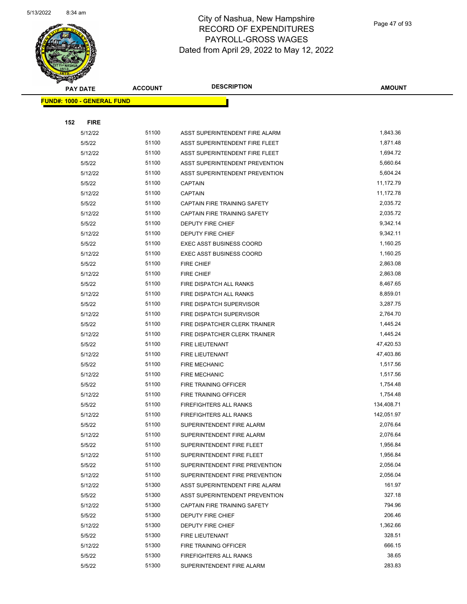

| <b>PAY DATE</b> |                                   | <b>ACCOUNT</b> | <b>DESCRIPTION</b>                  | <b>AMOUNT</b> |
|-----------------|-----------------------------------|----------------|-------------------------------------|---------------|
|                 | <b>FUND#: 1000 - GENERAL FUND</b> |                |                                     |               |
|                 |                                   |                |                                     |               |
| 152             | <b>FIRE</b>                       |                |                                     |               |
|                 | 5/12/22                           | 51100          | ASST SUPERINTENDENT FIRE ALARM      | 1,843.36      |
|                 | 5/5/22                            | 51100          | ASST SUPERINTENDENT FIRE FLEET      | 1,871.48      |
|                 | 5/12/22                           | 51100          | ASST SUPERINTENDENT FIRE FLEET      | 1,694.72      |
|                 | 5/5/22                            | 51100          | ASST SUPERINTENDENT PREVENTION      | 5,660.64      |
|                 | 5/12/22                           | 51100          | ASST SUPERINTENDENT PREVENTION      | 5,604.24      |
|                 | 5/5/22                            | 51100          | <b>CAPTAIN</b>                      | 11,172.79     |
|                 | 5/12/22                           | 51100          | <b>CAPTAIN</b>                      | 11,172.78     |
|                 | 5/5/22                            | 51100          | <b>CAPTAIN FIRE TRAINING SAFETY</b> | 2,035.72      |
|                 | 5/12/22                           | 51100          | CAPTAIN FIRE TRAINING SAFETY        | 2,035.72      |
|                 | 5/5/22                            | 51100          | DEPUTY FIRE CHIEF                   | 9,342.14      |
|                 | 5/12/22                           | 51100          | <b>DEPUTY FIRE CHIEF</b>            | 9,342.11      |
|                 | 5/5/22                            | 51100          | EXEC ASST BUSINESS COORD            | 1,160.25      |
|                 | 5/12/22                           | 51100          | <b>EXEC ASST BUSINESS COORD</b>     | 1,160.25      |
|                 | 5/5/22                            | 51100          | <b>FIRE CHIEF</b>                   | 2,863.08      |
|                 | 5/12/22                           | 51100          | <b>FIRE CHIEF</b>                   | 2,863.08      |
|                 | 5/5/22                            | 51100          | FIRE DISPATCH ALL RANKS             | 8,467.65      |
|                 | 5/12/22                           | 51100          | FIRE DISPATCH ALL RANKS             | 8,859.01      |
|                 | 5/5/22                            | 51100          | FIRE DISPATCH SUPERVISOR            | 3,287.75      |
|                 | 5/12/22                           | 51100          | FIRE DISPATCH SUPERVISOR            | 2,764.70      |
|                 | 5/5/22                            | 51100          | FIRE DISPATCHER CLERK TRAINER       | 1,445.24      |
|                 | 5/12/22                           | 51100          | FIRE DISPATCHER CLERK TRAINER       | 1,445.24      |
|                 | 5/5/22                            | 51100          | FIRE LIEUTENANT                     | 47,420.53     |
|                 | 5/12/22                           | 51100          | FIRE LIEUTENANT                     | 47,403.86     |
|                 | 5/5/22                            | 51100          | <b>FIRE MECHANIC</b>                | 1,517.56      |
|                 | 5/12/22                           | 51100          | <b>FIRE MECHANIC</b>                | 1,517.56      |
|                 | 5/5/22                            | 51100          | <b>FIRE TRAINING OFFICER</b>        | 1,754.48      |
|                 | 5/12/22                           | 51100          | <b>FIRE TRAINING OFFICER</b>        | 1,754.48      |
|                 | 5/5/22                            | 51100          | FIREFIGHTERS ALL RANKS              | 134,408.71    |
|                 | 5/12/22                           | 51100          | <b>FIREFIGHTERS ALL RANKS</b>       | 142,051.97    |
|                 | 5/5/22                            | 51100          | SUPERINTENDENT FIRE ALARM           | 2,076.64      |
|                 | 5/12/22                           | 51100          | SUPERINTENDENT FIRE ALARM           | 2,076.64      |
|                 | 5/5/22                            | 51100          | SUPERINTENDENT FIRE FLEET           | 1,956.84      |
|                 | 5/12/22                           | 51100          | SUPERINTENDENT FIRE FLEET           | 1,956.84      |
|                 | 5/5/22                            | 51100          | SUPERINTENDENT FIRE PREVENTION      | 2,056.04      |
|                 | 5/12/22                           | 51100          | SUPERINTENDENT FIRE PREVENTION      | 2,056.04      |
|                 | 5/12/22                           | 51300          | ASST SUPERINTENDENT FIRE ALARM      | 161.97        |
|                 | 5/5/22                            | 51300          | ASST SUPERINTENDENT PREVENTION      | 327.18        |
|                 | 5/12/22                           | 51300          | CAPTAIN FIRE TRAINING SAFETY        | 794.96        |
|                 | 5/5/22                            | 51300          | DEPUTY FIRE CHIEF                   | 206.46        |
|                 | 5/12/22                           | 51300          | DEPUTY FIRE CHIEF                   | 1,362.66      |
|                 | 5/5/22                            | 51300          | FIRE LIEUTENANT                     | 328.51        |
|                 | 5/12/22                           | 51300          | FIRE TRAINING OFFICER               | 666.15        |
|                 | 5/5/22                            | 51300          | FIREFIGHTERS ALL RANKS              | 38.65         |
|                 | 5/5/22                            | 51300          | SUPERINTENDENT FIRE ALARM           | 283.83        |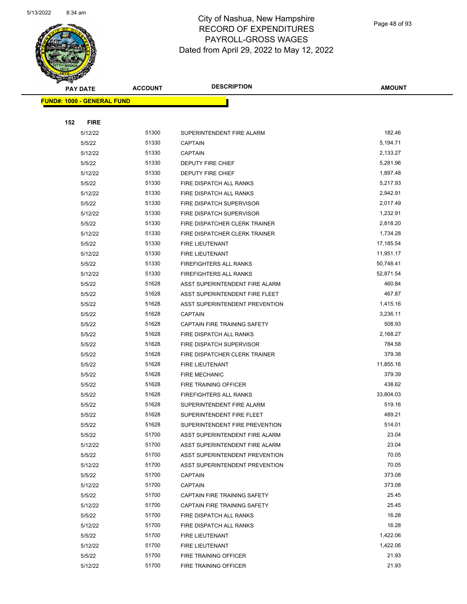

Page 48 of 93

| <b>PAY DATE</b>                   | <b>ACCOUNT</b> | <b>DESCRIPTION</b>             | <b>AMOUNT</b> |
|-----------------------------------|----------------|--------------------------------|---------------|
| <b>FUND#: 1000 - GENERAL FUND</b> |                |                                |               |
|                                   |                |                                |               |
| 152<br><b>FIRE</b>                |                |                                |               |
| 5/12/22                           | 51300          | SUPERINTENDENT FIRE ALARM      | 182.46        |
| 5/5/22                            | 51330          | <b>CAPTAIN</b>                 | 5,194.71      |
| 5/12/22                           | 51330          | <b>CAPTAIN</b>                 | 2,133.27      |
| 5/5/22                            | 51330          | DEPUTY FIRE CHIEF              | 5,281.96      |
| 5/12/22                           | 51330          | DEPUTY FIRE CHIEF              | 1,897.48      |
| 5/5/22                            | 51330          | FIRE DISPATCH ALL RANKS        | 5,217.93      |
| 5/12/22                           | 51330          | FIRE DISPATCH ALL RANKS        | 2,942.91      |
| 5/5/22                            | 51330          | FIRE DISPATCH SUPERVISOR       | 2,017.49      |
| 5/12/22                           | 51330          | FIRE DISPATCH SUPERVISOR       | 1,232.91      |
| 5/5/22                            | 51330          | FIRE DISPATCHER CLERK TRAINER  | 2,818.20      |
| 5/12/22                           | 51330          | FIRE DISPATCHER CLERK TRAINER  | 1,734.28      |
| 5/5/22                            | 51330          | FIRE LIEUTENANT                | 17,185.54     |
| 5/12/22                           | 51330          | FIRE LIEUTENANT                | 11,951.17     |
| 5/5/22                            | 51330          | <b>FIREFIGHTERS ALL RANKS</b>  | 50,748.41     |
| 5/12/22                           | 51330          | FIREFIGHTERS ALL RANKS         | 52,871.54     |
| 5/5/22                            | 51628          | ASST SUPERINTENDENT FIRE ALARM | 460.84        |
| 5/5/22                            | 51628          | ASST SUPERINTENDENT FIRE FLEET | 467.87        |
| 5/5/22                            | 51628          | ASST SUPERINTENDENT PREVENTION | 1,415.16      |
| 5/5/22                            | 51628          | <b>CAPTAIN</b>                 | 3,236.11      |
| 5/5/22                            | 51628          | CAPTAIN FIRE TRAINING SAFETY   | 508.93        |
| 5/5/22                            | 51628          | FIRE DISPATCH ALL RANKS        | 2,168.27      |
| 5/5/22                            | 51628          | FIRE DISPATCH SUPERVISOR       | 784.58        |
| 5/5/22                            | 51628          | FIRE DISPATCHER CLERK TRAINER  | 379.38        |
| 5/5/22                            | 51628          | FIRE LIEUTENANT                | 11,855.16     |
| 5/5/22                            | 51628          | <b>FIRE MECHANIC</b>           | 379.39        |
| 5/5/22                            | 51628          | FIRE TRAINING OFFICER          | 438.62        |
| 5/5/22                            | 51628          | FIREFIGHTERS ALL RANKS         | 33,804.03     |
| 5/5/22                            | 51628          | SUPERINTENDENT FIRE ALARM      | 519.16        |
| 5/5/22                            | 51628          | SUPERINTENDENT FIRE FLEET      | 489.21        |
| 5/5/22                            | 51628          | SUPERINTENDENT FIRE PREVENTION | 514.01        |
| 5/5/22                            | 51700          | ASST SUPERINTENDENT FIRE ALARM | 23.04         |
| 5/12/22                           | 51700          | ASST SUPERINTENDENT FIRE ALARM | 23.04         |
| 5/5/22                            | 51700          | ASST SUPERINTENDENT PREVENTION | 70.05         |
| 5/12/22                           | 51700          | ASST SUPERINTENDENT PREVENTION | 70.05         |
| 5/5/22                            | 51700          | <b>CAPTAIN</b>                 | 373.08        |
| 5/12/22                           | 51700          | <b>CAPTAIN</b>                 | 373.08        |
| 5/5/22                            | 51700          | CAPTAIN FIRE TRAINING SAFETY   | 25.45         |
| 5/12/22                           | 51700          | CAPTAIN FIRE TRAINING SAFETY   | 25.45         |
| 5/5/22                            | 51700          | FIRE DISPATCH ALL RANKS        | 16.28         |
| 5/12/22                           | 51700          | FIRE DISPATCH ALL RANKS        | 16.28         |
| 5/5/22                            | 51700          | FIRE LIEUTENANT                | 1,422.06      |
| 5/12/22                           | 51700          | FIRE LIEUTENANT                | 1,422.06      |
| 5/5/22                            | 51700          | FIRE TRAINING OFFICER          | 21.93         |
| 5/12/22                           | 51700          | FIRE TRAINING OFFICER          | 21.93         |
|                                   |                |                                |               |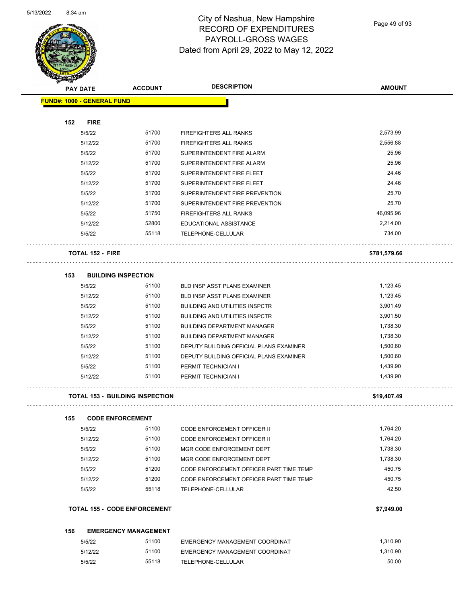

Page 49 of 93

| <b>PAY DATE</b> |                                   | <b>ACCOUNT</b>                         | <b>DESCRIPTION</b>                      | <b>AMOUNT</b> |
|-----------------|-----------------------------------|----------------------------------------|-----------------------------------------|---------------|
|                 | <b>FUND#: 1000 - GENERAL FUND</b> |                                        |                                         |               |
| 152             | <b>FIRE</b>                       |                                        |                                         |               |
|                 | 5/5/22                            | 51700                                  | FIREFIGHTERS ALL RANKS                  | 2,573.99      |
|                 | 5/12/22                           | 51700                                  | FIREFIGHTERS ALL RANKS                  | 2,556.88      |
|                 | 5/5/22                            | 51700                                  | SUPERINTENDENT FIRE ALARM               | 25.96         |
|                 | 5/12/22                           | 51700                                  | SUPERINTENDENT FIRE ALARM               | 25.96         |
|                 | 5/5/22                            | 51700                                  | SUPERINTENDENT FIRE FLEET               | 24.46         |
|                 | 5/12/22                           | 51700                                  | SUPERINTENDENT FIRE FLEET               | 24.46         |
|                 | 5/5/22                            | 51700                                  | SUPERINTENDENT FIRE PREVENTION          | 25.70         |
|                 | 5/12/22                           | 51700                                  | SUPERINTENDENT FIRE PREVENTION          | 25.70         |
|                 | 5/5/22                            | 51750                                  | FIREFIGHTERS ALL RANKS                  | 46,095.96     |
|                 | 5/12/22                           | 52800                                  | EDUCATIONAL ASSISTANCE                  | 2,214.00      |
|                 | 5/5/22                            | 55118                                  | TELEPHONE-CELLULAR                      | 734.00        |
|                 | <b>TOTAL 152 - FIRE</b>           |                                        |                                         | \$781,579.66  |
| 153             |                                   | <b>BUILDING INSPECTION</b>             |                                         |               |
|                 | 5/5/22                            | 51100                                  | <b>BLD INSP ASST PLANS EXAMINER</b>     | 1,123.45      |
|                 | 5/12/22                           | 51100                                  | <b>BLD INSP ASST PLANS EXAMINER</b>     | 1,123.45      |
|                 | 5/5/22                            | 51100                                  | <b>BUILDING AND UTILITIES INSPCTR</b>   | 3,901.49      |
|                 | 5/12/22                           | 51100                                  | <b>BUILDING AND UTILITIES INSPCTR</b>   | 3,901.50      |
|                 | 5/5/22                            | 51100                                  | <b>BUILDING DEPARTMENT MANAGER</b>      | 1,738.30      |
|                 | 5/12/22                           | 51100                                  | <b>BUILDING DEPARTMENT MANAGER</b>      | 1,738.30      |
|                 | 5/5/22                            | 51100                                  | DEPUTY BUILDING OFFICIAL PLANS EXAMINER | 1,500.60      |
|                 | 5/12/22                           | 51100                                  | DEPUTY BUILDING OFFICIAL PLANS EXAMINER | 1,500.60      |
|                 | 5/5/22                            | 51100                                  | PERMIT TECHNICIAN I                     | 1,439.90      |
|                 | 5/12/22                           | 51100                                  | PERMIT TECHNICIAN I                     | 1,439.90      |
|                 |                                   | <b>TOTAL 153 - BUILDING INSPECTION</b> |                                         | \$19,407.49   |
| 155             |                                   | <b>CODE ENFORCEMENT</b>                |                                         |               |
|                 | 5/5/22                            | 51100                                  | <b>CODE ENFORCEMENT OFFICER II</b>      | 1,764.20      |
|                 | 5/12/22                           | 51100                                  | <b>CODE ENFORCEMENT OFFICER II</b>      | 1,764.20      |
|                 | 5/5/22                            | 51100                                  | MGR CODE ENFORCEMENT DEPT               | 1,738.30      |
|                 | 5/12/22                           | 51100                                  | MGR CODE ENFORCEMENT DEPT               | 1,738.30      |
|                 | 5/5/22                            | 51200                                  | CODE ENFORCEMENT OFFICER PART TIME TEMP | 450.75        |
|                 | 5/12/22                           | 51200                                  | CODE ENFORCEMENT OFFICER PART TIME TEMP | 450.75        |
|                 | 5/5/22                            | 55118                                  | TELEPHONE-CELLULAR                      | 42.50         |
|                 |                                   | <b>TOTAL 155 - CODE ENFORCEMENT</b>    |                                         | \$7,949.00    |
| 156             |                                   | <b>EMERGENCY MANAGEMENT</b>            |                                         |               |
|                 | 5/5/22                            | 51100                                  | EMERGENCY MANAGEMENT COORDINAT          | 1,310.90      |
|                 | 5/12/22                           | 51100                                  | EMERGENCY MANAGEMENT COORDINAT          | 1,310.90      |

5/5/22 55118 TELEPHONE-CELLULAR 50.00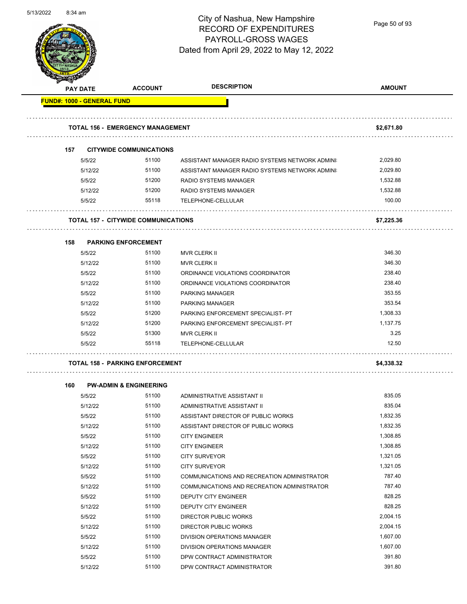

Page 50 of 93

|                                   | <b>PAY DATE</b> | <b>ACCOUNT</b>                             | <b>DESCRIPTION</b>                             | <b>AMOUNT</b> |
|-----------------------------------|-----------------|--------------------------------------------|------------------------------------------------|---------------|
| <b>FUND#: 1000 - GENERAL FUND</b> |                 |                                            |                                                |               |
|                                   |                 |                                            |                                                |               |
|                                   |                 | <b>TOTAL 156 - EMERGENCY MANAGEMENT</b>    |                                                | \$2,671.80    |
| 157                               |                 | <b>CITYWIDE COMMUNICATIONS</b>             |                                                |               |
|                                   | 5/5/22          | 51100                                      | ASSISTANT MANAGER RADIO SYSTEMS NETWORK ADMINI | 2,029.80      |
|                                   | 5/12/22         | 51100                                      | ASSISTANT MANAGER RADIO SYSTEMS NETWORK ADMINI | 2,029.80      |
|                                   | 5/5/22          | 51200                                      | <b>RADIO SYSTEMS MANAGER</b>                   | 1,532.88      |
|                                   | 5/12/22         | 51200                                      | RADIO SYSTEMS MANAGER                          | 1,532.88      |
|                                   | 5/5/22          | 55118                                      | TELEPHONE-CELLULAR                             | 100.00        |
|                                   |                 |                                            |                                                |               |
|                                   |                 | <b>TOTAL 157 - CITYWIDE COMMUNICATIONS</b> |                                                | \$7,225.36    |
| 158                               |                 | <b>PARKING ENFORCEMENT</b>                 |                                                |               |
|                                   | 5/5/22          | 51100                                      | MVR CLERK II                                   | 346.30        |
|                                   | 5/12/22         | 51100                                      | <b>MVR CLERK II</b>                            | 346.30        |
|                                   | 5/5/22          | 51100                                      | ORDINANCE VIOLATIONS COORDINATOR               | 238.40        |
|                                   | 5/12/22         | 51100                                      | ORDINANCE VIOLATIONS COORDINATOR               | 238.40        |
|                                   | 5/5/22          | 51100                                      | <b>PARKING MANAGER</b>                         | 353.55        |
|                                   | 5/12/22         | 51100                                      | PARKING MANAGER                                | 353.54        |
|                                   | 5/5/22          | 51200                                      | PARKING ENFORCEMENT SPECIALIST- PT             | 1,308.33      |
|                                   | 5/12/22         | 51200                                      | PARKING ENFORCEMENT SPECIALIST- PT             | 1,137.75      |
|                                   | 5/5/22          | 51300                                      | MVR CLERK II                                   | 3.25          |
|                                   | 5/5/22          | 55118                                      | TELEPHONE-CELLULAR                             | 12.50         |
|                                   |                 |                                            |                                                |               |
|                                   |                 | <b>TOTAL 158 - PARKING ENFORCEMENT</b>     |                                                | \$4,338.32    |
| 160                               |                 | <b>PW-ADMIN &amp; ENGINEERING</b>          |                                                |               |
|                                   | 5/5/22          | 51100                                      | ADMINISTRATIVE ASSISTANT II                    | 835.05        |
|                                   | 5/12/22         | 51100                                      | ADMINISTRATIVE ASSISTANT II                    | 835.04        |
|                                   | 5/5/22          | 51100                                      | ASSISTANT DIRECTOR OF PUBLIC WORKS             | 1,832.35      |
|                                   | 5/12/22         | 51100                                      | ASSISTANT DIRECTOR OF PUBLIC WORKS             | 1,832.35      |
|                                   | 5/5/22          | 51100                                      | <b>CITY ENGINEER</b>                           | 1,308.85      |
|                                   | 5/12/22         | 51100                                      | <b>CITY ENGINEER</b>                           | 1,308.85      |
|                                   | 5/5/22          | 51100                                      | <b>CITY SURVEYOR</b>                           | 1,321.05      |
|                                   | 5/12/22         | 51100                                      | <b>CITY SURVEYOR</b>                           | 1,321.05      |
|                                   | 5/5/22          | 51100                                      | COMMUNICATIONS AND RECREATION ADMINISTRATOR    | 787.40        |
|                                   | 5/12/22         | 51100                                      | COMMUNICATIONS AND RECREATION ADMINISTRATOR    | 787.40        |
|                                   | 5/5/22          | 51100                                      | DEPUTY CITY ENGINEER                           | 828.25        |
|                                   | 5/12/22         | 51100                                      | <b>DEPUTY CITY ENGINEER</b>                    | 828.25        |
|                                   | 5/5/22          | 51100                                      | <b>DIRECTOR PUBLIC WORKS</b>                   | 2,004.15      |
|                                   | 5/12/22         | 51100                                      | <b>DIRECTOR PUBLIC WORKS</b>                   | 2,004.15      |
|                                   | 5/5/22          | 51100                                      | DIVISION OPERATIONS MANAGER                    | 1,607.00      |
|                                   | 5/12/22         | 51100                                      | DIVISION OPERATIONS MANAGER                    | 1,607.00      |
|                                   | 5/5/22          | 51100                                      | DPW CONTRACT ADMINISTRATOR                     | 391.80        |
|                                   | 5/12/22         | 51100                                      | DPW CONTRACT ADMINISTRATOR                     | 391.80        |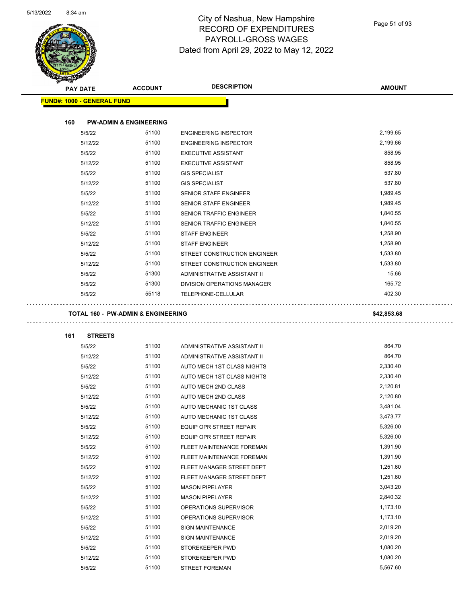

Page 51 of 93

|     | <b>PAY DATE</b>                   | <b>ACCOUNT</b>                                | <b>DESCRIPTION</b>                | <b>AMOUNT</b> |
|-----|-----------------------------------|-----------------------------------------------|-----------------------------------|---------------|
|     | <b>FUND#: 1000 - GENERAL FUND</b> |                                               |                                   |               |
|     |                                   |                                               |                                   |               |
| 160 |                                   | <b>PW-ADMIN &amp; ENGINEERING</b>             |                                   |               |
|     | 5/5/22                            | 51100                                         | <b>ENGINEERING INSPECTOR</b>      | 2,199.65      |
|     | 5/12/22                           | 51100                                         | <b>ENGINEERING INSPECTOR</b>      | 2,199.66      |
|     | 5/5/22                            | 51100                                         | <b>EXECUTIVE ASSISTANT</b>        | 858.95        |
|     | 5/12/22                           | 51100                                         | <b>EXECUTIVE ASSISTANT</b>        | 858.95        |
|     | 5/5/22                            | 51100                                         | <b>GIS SPECIALIST</b>             | 537.80        |
|     | 5/12/22                           | 51100                                         | <b>GIS SPECIALIST</b>             | 537.80        |
|     | 5/5/22                            | 51100                                         | SENIOR STAFF ENGINEER             | 1,989.45      |
|     | 5/12/22                           | 51100                                         | SENIOR STAFF ENGINEER             | 1,989.45      |
|     | 5/5/22                            | 51100                                         | SENIOR TRAFFIC ENGINEER           | 1,840.55      |
|     | 5/12/22                           | 51100                                         | <b>SENIOR TRAFFIC ENGINEER</b>    | 1,840.55      |
|     | 5/5/22                            | 51100                                         | <b>STAFF ENGINEER</b>             | 1,258.90      |
|     | 5/12/22                           | 51100                                         | <b>STAFF ENGINEER</b>             | 1,258.90      |
|     | 5/5/22                            | 51100                                         | STREET CONSTRUCTION ENGINEER      | 1,533.80      |
|     | 5/12/22                           | 51100                                         | STREET CONSTRUCTION ENGINEER      | 1,533.80      |
|     | 5/5/22                            | 51300                                         | ADMINISTRATIVE ASSISTANT II       | 15.66         |
|     | 5/5/22                            | 51300                                         | DIVISION OPERATIONS MANAGER       | 165.72        |
|     | 5/5/22                            | 55118                                         | TELEPHONE-CELLULAR                | 402.30        |
|     |                                   | <b>TOTAL 160 - PW-ADMIN &amp; ENGINEERING</b> |                                   | \$42,853.68   |
| 161 | <b>STREETS</b>                    |                                               |                                   |               |
|     | 5/5/22                            | 51100                                         | ADMINISTRATIVE ASSISTANT II       | 864.70        |
|     | 5/12/22                           | 51100                                         | ADMINISTRATIVE ASSISTANT II       | 864.70        |
|     | 5/5/22                            | 51100                                         | AUTO MECH 1ST CLASS NIGHTS        | 2,330.40      |
|     | 5/12/22                           | 51100                                         | <b>AUTO MECH 1ST CLASS NIGHTS</b> | 2,330.40      |
|     | 5/5/22                            | 51100                                         | <b>AUTO MECH 2ND CLASS</b>        | 2,120.81      |
|     | 5/12/22                           | 51100                                         | AUTO MECH 2ND CLASS               | 2,120.80      |
|     | 5/5/22                            | 51100                                         | AUTO MECHANIC 1ST CLASS           | 3,481.04      |
|     | 5/12/22                           | 51100                                         | AUTO MECHANIC 1ST CLASS           | 3,473.77      |
|     | 5/5/22                            | 51100                                         | EQUIP OPR STREET REPAIR           | 5,326.00      |
|     | 5/12/22                           | 51100                                         | EQUIP OPR STREET REPAIR           | 5,326.00      |
|     | 5/5/22                            | 51100                                         | FLEET MAINTENANCE FOREMAN         | 1,391.90      |
|     | 5/12/22                           | 51100                                         | FLEET MAINTENANCE FOREMAN         | 1,391.90      |
|     | 5/5/22                            | 51100                                         | FLEET MANAGER STREET DEPT         | 1,251.60      |
|     | 5/12/22                           | 51100                                         | FLEET MANAGER STREET DEPT         | 1,251.60      |
|     | 5/5/22                            | 51100                                         | <b>MASON PIPELAYER</b>            | 3,043.20      |
|     | 5/12/22                           | 51100                                         | <b>MASON PIPELAYER</b>            | 2,840.32      |
|     | 5/5/22                            | 51100                                         | OPERATIONS SUPERVISOR             | 1,173.10      |
|     | 5/12/22                           | 51100                                         | OPERATIONS SUPERVISOR             | 1,173.10      |
|     | 5/5/22                            | 51100                                         | SIGN MAINTENANCE                  | 2,019.20      |
|     | 5/12/22                           | 51100                                         | <b>SIGN MAINTENANCE</b>           | 2,019.20      |
|     | 5/5/22                            | 51100                                         | STOREKEEPER PWD                   | 1,080.20      |
|     | 5/12/22                           | 51100                                         | STOREKEEPER PWD                   | 1,080.20      |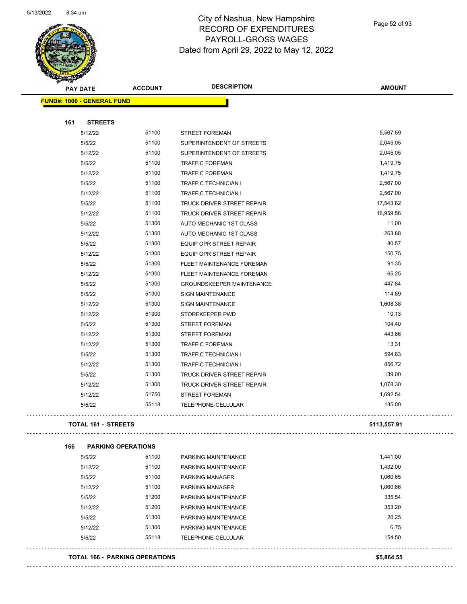

Page 52 of 93

| alban | <b>PAY DATE</b>                   | <b>ACCOUNT</b>                        | <b>DESCRIPTION</b>                | <b>AMOUNT</b> |
|-------|-----------------------------------|---------------------------------------|-----------------------------------|---------------|
|       | <b>FUND#: 1000 - GENERAL FUND</b> |                                       |                                   |               |
| 161   | <b>STREETS</b>                    |                                       |                                   |               |
|       | 5/12/22                           | 51100                                 | <b>STREET FOREMAN</b>             | 5,567.59      |
|       | 5/5/22                            | 51100                                 | SUPERINTENDENT OF STREETS         | 2,045.05      |
|       | 5/12/22                           | 51100                                 | SUPERINTENDENT OF STREETS         | 2,045.05      |
|       | 5/5/22                            | 51100                                 | <b>TRAFFIC FOREMAN</b>            | 1,419.75      |
|       | 5/12/22                           | 51100                                 | <b>TRAFFIC FOREMAN</b>            | 1,419.75      |
|       | 5/5/22                            | 51100                                 | <b>TRAFFIC TECHNICIAN I</b>       | 2,567.00      |
|       | 5/12/22                           | 51100                                 | <b>TRAFFIC TECHNICIAN I</b>       | 2,567.00      |
|       | 5/5/22                            | 51100                                 | TRUCK DRIVER STREET REPAIR        | 17,543.82     |
|       | 5/12/22                           | 51100                                 | TRUCK DRIVER STREET REPAIR        | 16,959.56     |
|       | 5/5/22                            | 51300                                 | AUTO MECHANIC 1ST CLASS           | 11.00         |
|       | 5/12/22                           | 51300                                 | AUTO MECHANIC 1ST CLASS           | 263.88        |
|       | 5/5/22                            | 51300                                 | EQUIP OPR STREET REPAIR           | 80.57         |
|       | 5/12/22                           | 51300                                 | EQUIP OPR STREET REPAIR           | 150.75        |
|       | 5/5/22                            | 51300                                 | FLEET MAINTENANCE FOREMAN         | 91.35         |
|       | 5/12/22                           | 51300                                 | FLEET MAINTENANCE FOREMAN         | 65.25         |
|       | 5/5/22                            | 51300                                 | <b>GROUNDSKEEPER MAINTENANCE</b>  | 447.84        |
|       | 5/5/22                            | 51300                                 | <b>SIGN MAINTENANCE</b>           | 114.89        |
|       | 5/12/22                           | 51300                                 | <b>SIGN MAINTENANCE</b>           | 1,608.38      |
|       | 5/12/22                           | 51300                                 | STOREKEEPER PWD                   | 10.13         |
|       | 5/5/22                            | 51300                                 | <b>STREET FOREMAN</b>             | 104.40        |
|       | 5/12/22                           | 51300                                 | <b>STREET FOREMAN</b>             | 443.66        |
|       | 5/12/22                           | 51300                                 | <b>TRAFFIC FOREMAN</b>            | 13.31         |
|       | 5/5/22                            | 51300                                 | TRAFFIC TECHNICIAN I              | 594.63        |
|       | 5/12/22                           | 51300                                 | <b>TRAFFIC TECHNICIAN I</b>       | 856.72        |
|       | 5/5/22                            | 51300                                 | <b>TRUCK DRIVER STREET REPAIR</b> | 139.00        |
|       | 5/12/22                           | 51300                                 | TRUCK DRIVER STREET REPAIR        | 1,078.30      |
|       | 5/12/22                           | 51750                                 | <b>STREET FOREMAN</b>             | 1,692.54      |
|       | 5/5/22                            | 55118                                 | TELEPHONE-CELLULAR                | 135.00        |
|       | TOTAL 161 - STREETS               |                                       |                                   | \$113,557.91  |
| 166   | <b>PARKING OPERATIONS</b>         |                                       |                                   |               |
|       | 5/5/22                            | 51100                                 | PARKING MAINTENANCE               | 1,441.00      |
|       | 5/12/22                           | 51100                                 | PARKING MAINTENANCE               | 1,432.00      |
|       | 5/5/22                            | 51100                                 | <b>PARKING MANAGER</b>            | 1,060.65      |
|       | 5/12/22                           | 51100                                 | <b>PARKING MANAGER</b>            | 1,060.66      |
|       | 5/5/22                            | 51200                                 | PARKING MAINTENANCE               | 335.54        |
|       | 5/12/22                           | 51200                                 | PARKING MAINTENANCE               | 353.20        |
|       | 5/5/22                            | 51300                                 | PARKING MAINTENANCE               | 20.25         |
|       | 5/12/22                           | 51300                                 | PARKING MAINTENANCE               | 6.75          |
|       | 5/5/22                            | 55118                                 | TELEPHONE-CELLULAR                | 154.50        |
|       |                                   | <b>TOTAL 166 - PARKING OPERATIONS</b> |                                   | \$5,864.55    |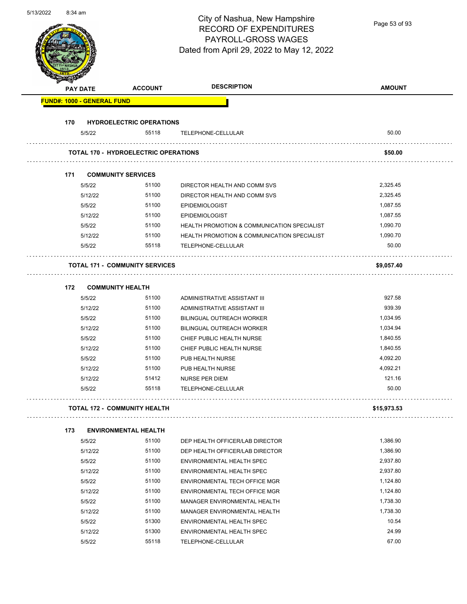| 5/13/2022 | $8:34$ am |                 |                                             | City of Nashua, New Hampshire<br><b>RECORD OF EXPENDITURES</b><br>PAYROLL-GROSS WAGES<br>Dated from April 29, 2022 to May 12, 2022 | Page 53 of 93 |
|-----------|-----------|-----------------|---------------------------------------------|------------------------------------------------------------------------------------------------------------------------------------|---------------|
|           |           | <b>PAY DATE</b> | <b>ACCOUNT</b>                              | <b>DESCRIPTION</b>                                                                                                                 | <b>AMOUNT</b> |
|           |           |                 | <b>FUND#: 1000 - GENERAL FUND</b>           |                                                                                                                                    |               |
|           |           |                 | <b>HYDROELECTRIC OPERATIONS</b>             |                                                                                                                                    |               |
|           | 170       | 5/5/22          | 55118                                       | TELEPHONE-CELLULAR                                                                                                                 | 50.00         |
|           |           |                 |                                             |                                                                                                                                    |               |
|           |           |                 | <b>TOTAL 170 - HYDROELECTRIC OPERATIONS</b> |                                                                                                                                    | \$50.00       |
|           | 171       |                 | <b>COMMUNITY SERVICES</b>                   |                                                                                                                                    |               |
|           |           | 5/5/22          | 51100                                       | DIRECTOR HEALTH AND COMM SVS                                                                                                       | 2,325.45      |
|           |           | 5/12/22         | 51100                                       | DIRECTOR HEALTH AND COMM SVS                                                                                                       | 2,325.45      |
|           |           | 5/5/22          | 51100                                       | <b>EPIDEMIOLOGIST</b>                                                                                                              | 1,087.55      |
|           |           | 5/12/22         | 51100                                       | <b>EPIDEMIOLOGIST</b>                                                                                                              | 1,087.55      |
|           |           | 5/5/22          | 51100                                       | HEALTH PROMOTION & COMMUNICATION SPECIALIST                                                                                        | 1,090.70      |
|           |           | 5/12/22         | 51100                                       | HEALTH PROMOTION & COMMUNICATION SPECIALIST                                                                                        | 1,090.70      |
|           |           | 5/5/22          | 55118                                       | TELEPHONE-CELLULAR                                                                                                                 | 50.00         |
|           |           |                 | <b>TOTAL 171 - COMMUNITY SERVICES</b>       |                                                                                                                                    | \$9,057.40    |
|           | 172       |                 | <b>COMMUNITY HEALTH</b>                     |                                                                                                                                    |               |
|           |           | 5/5/22          | 51100                                       | ADMINISTRATIVE ASSISTANT III                                                                                                       | 927.58        |
|           |           | 5/12/22         | 51100                                       | ADMINISTRATIVE ASSISTANT III                                                                                                       | 939.39        |
|           |           | 5/5/22          | 51100                                       | <b>BILINGUAL OUTREACH WORKER</b>                                                                                                   | 1,034.95      |
|           |           | 5/12/22         | 51100                                       | <b>BILINGUAL OUTREACH WORKER</b>                                                                                                   | 1,034.94      |
|           |           | 5/5/22          | 51100                                       | CHIEF PUBLIC HEALTH NURSE                                                                                                          | 1,840.55      |
|           |           | 5/12/22         | 51100                                       | CHIEF PUBLIC HEALTH NURSE                                                                                                          | 1,840.55      |
|           |           | 5/5/22          | 51100                                       | PUB HEALTH NURSE                                                                                                                   | 4,092.20      |
|           |           | 5/12/22         | 51100                                       | PUB HEALTH NURSE                                                                                                                   | 4,092.21      |
|           |           | 5/12/22         | 51412                                       | <b>NURSE PER DIEM</b>                                                                                                              | 121.16        |
|           |           | 5/5/22          | 55118                                       | TELEPHONE-CELLULAR                                                                                                                 | 50.00         |
|           |           |                 | <b>TOTAL 172 - COMMUNITY HEALTH</b>         |                                                                                                                                    | \$15,973.53   |
|           | 173       |                 | <b>ENVIRONMENTAL HEALTH</b>                 |                                                                                                                                    |               |
|           |           | 5/5/22          | 51100                                       | DEP HEALTH OFFICER/LAB DIRECTOR                                                                                                    | 1,386.90      |
|           |           | 5/12/22         | 51100                                       | DEP HEALTH OFFICER/LAB DIRECTOR                                                                                                    | 1,386.90      |
|           |           | 5/5/22          | 51100                                       | ENVIRONMENTAL HEALTH SPEC                                                                                                          | 2,937.80      |
|           |           | 5/12/22         | 51100                                       | ENVIRONMENTAL HEALTH SPEC                                                                                                          | 2,937.80      |
|           |           | 5/5/22          | 51100                                       | ENVIRONMENTAL TECH OFFICE MGR                                                                                                      | 1,124.80      |
|           |           | 5/12/22         | 51100                                       | ENVIRONMENTAL TECH OFFICE MGR                                                                                                      | 1,124.80      |
|           |           | 5/5/22          | 51100                                       | MANAGER ENVIRONMENTAL HEALTH                                                                                                       | 1,738.30      |
|           |           | 5/12/22         | 51100                                       | MANAGER ENVIRONMENTAL HEALTH                                                                                                       | 1,738.30      |
|           |           | 5/5/22          | 51300                                       | ENVIRONMENTAL HEALTH SPEC                                                                                                          | 10.54         |
|           |           | 5/12/22         | 51300                                       | ENVIRONMENTAL HEALTH SPEC                                                                                                          | 24.99         |

5/5/22 55118 TELEPHONE-CELLULAR 67.00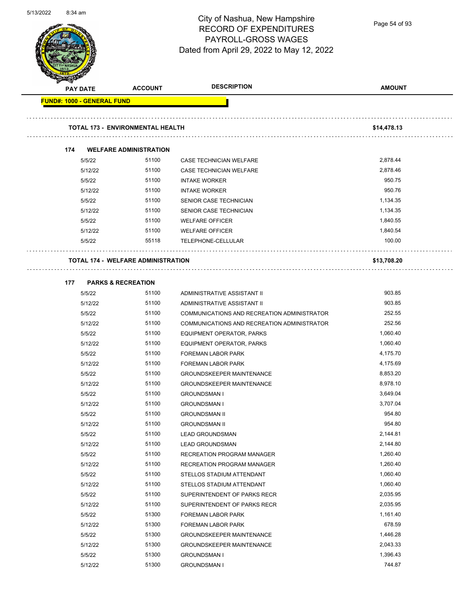

Page 54 of 93

| <b>Contraction</b><br><b>PAY DATE</b> | <b>ACCOUNT</b>                            | <b>DESCRIPTION</b>                          | <b>AMOUNT</b>        |  |
|---------------------------------------|-------------------------------------------|---------------------------------------------|----------------------|--|
| <b>FUND#: 1000 - GENERAL FUND</b>     |                                           |                                             |                      |  |
|                                       |                                           |                                             |                      |  |
|                                       | <b>TOTAL 173 - ENVIRONMENTAL HEALTH</b>   |                                             | \$14,478.13          |  |
| 174                                   | <b>WELFARE ADMINISTRATION</b>             |                                             |                      |  |
| 5/5/22                                | 51100                                     | CASE TECHNICIAN WELFARE                     | 2,878.44             |  |
| 5/12/22                               | 51100                                     | CASE TECHNICIAN WELFARE                     | 2,878.46             |  |
| 5/5/22                                | 51100                                     | <b>INTAKE WORKER</b>                        | 950.75               |  |
| 5/12/22                               | 51100                                     | <b>INTAKE WORKER</b>                        | 950.76               |  |
| 5/5/22                                | 51100                                     | SENIOR CASE TECHNICIAN                      | 1,134.35             |  |
| 5/12/22                               | 51100                                     | SENIOR CASE TECHNICIAN                      | 1,134.35             |  |
| 5/5/22                                | 51100                                     | <b>WELFARE OFFICER</b>                      | 1,840.55             |  |
| 5/12/22                               | 51100                                     | <b>WELFARE OFFICER</b>                      | 1,840.54             |  |
| 5/5/22                                | 55118                                     | TELEPHONE-CELLULAR                          | 100.00               |  |
|                                       |                                           |                                             |                      |  |
|                                       | <b>TOTAL 174 - WELFARE ADMINISTRATION</b> |                                             | \$13,708.20          |  |
|                                       | <b>PARKS &amp; RECREATION</b>             |                                             |                      |  |
| 177                                   |                                           |                                             |                      |  |
| 5/5/22                                | 51100                                     | ADMINISTRATIVE ASSISTANT II                 | 903.85               |  |
| 5/12/22                               | 51100                                     | ADMINISTRATIVE ASSISTANT II                 | 903.85               |  |
| 5/5/22                                | 51100                                     | COMMUNICATIONS AND RECREATION ADMINISTRATOR | 252.55               |  |
| 5/12/22                               | 51100                                     | COMMUNICATIONS AND RECREATION ADMINISTRATOR | 252.56               |  |
| 5/5/22                                | 51100                                     | EQUIPMENT OPERATOR, PARKS                   | 1,060.40             |  |
| 5/12/22                               | 51100                                     | EQUIPMENT OPERATOR, PARKS                   | 1,060.40             |  |
| 5/5/22                                | 51100                                     | <b>FOREMAN LABOR PARK</b>                   | 4,175.70             |  |
| 5/12/22                               | 51100                                     | <b>FOREMAN LABOR PARK</b>                   | 4,175.69             |  |
| 5/5/22                                | 51100                                     | <b>GROUNDSKEEPER MAINTENANCE</b>            | 8,853.20             |  |
| 5/12/22                               | 51100<br>51100                            | <b>GROUNDSKEEPER MAINTENANCE</b>            | 8,978.10<br>3,649.04 |  |
| 5/5/22<br>5/12/22                     | 51100                                     | <b>GROUNDSMAN I</b>                         | 3,707.04             |  |
| 5/5/22                                | 51100                                     | <b>GROUNDSMAN I</b><br><b>GROUNDSMAN II</b> | 954.80               |  |
|                                       | 51100                                     | <b>GROUNDSMAN II</b>                        | 954.80               |  |
| 5/12/22<br>5/5/22                     | 51100                                     | <b>LEAD GROUNDSMAN</b>                      | 2,144.81             |  |
| 5/12/22                               | 51100                                     | <b>LEAD GROUNDSMAN</b>                      | 2,144.80             |  |
| 5/5/22                                | 51100                                     | RECREATION PROGRAM MANAGER                  | 1,260.40             |  |
| 5/12/22                               | 51100                                     | RECREATION PROGRAM MANAGER                  | 1,260.40             |  |
| 5/5/22                                | 51100                                     | STELLOS STADIUM ATTENDANT                   | 1,060.40             |  |
| 5/12/22                               | 51100                                     | STELLOS STADIUM ATTENDANT                   | 1,060.40             |  |
| 5/5/22                                | 51100                                     | SUPERINTENDENT OF PARKS RECR                | 2,035.95             |  |
| 5/12/22                               | 51100                                     | SUPERINTENDENT OF PARKS RECR                | 2,035.95             |  |
| 5/5/22                                | 51300                                     | FOREMAN LABOR PARK                          | 1,161.40             |  |
| 5/12/22                               | 51300                                     | FOREMAN LABOR PARK                          | 678.59               |  |
| 5/5/22                                | 51300                                     | GROUNDSKEEPER MAINTENANCE                   | 1,446.28             |  |
| 5/12/22                               | 51300                                     | <b>GROUNDSKEEPER MAINTENANCE</b>            | 2,043.33             |  |
| 5/5/22                                | 51300                                     | <b>GROUNDSMAN I</b>                         | 1,396.43             |  |
| 5/12/22                               | 51300                                     | <b>GROUNDSMAN I</b>                         | 744.87               |  |
|                                       |                                           |                                             |                      |  |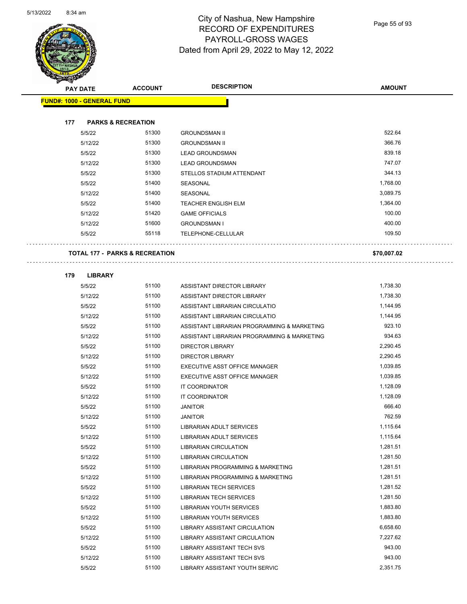

Page 55 of 93

| <b>PAY DATE</b>                   | <b>ACCOUNT</b>                            | <b>DESCRIPTION</b>                              | <b>AMOUNT</b>        |
|-----------------------------------|-------------------------------------------|-------------------------------------------------|----------------------|
| <b>FUND#: 1000 - GENERAL FUND</b> |                                           |                                                 |                      |
|                                   |                                           |                                                 |                      |
| 177                               | <b>PARKS &amp; RECREATION</b>             |                                                 |                      |
| 5/5/22                            | 51300                                     | <b>GROUNDSMAN II</b>                            | 522.64               |
| 5/12/22                           | 51300                                     | <b>GROUNDSMAN II</b>                            | 366.76               |
| 5/5/22                            | 51300                                     | <b>LEAD GROUNDSMAN</b>                          | 839.18               |
| 5/12/22                           | 51300                                     | <b>LEAD GROUNDSMAN</b>                          | 747.07               |
| 5/5/22                            | 51300                                     | STELLOS STADIUM ATTENDANT                       | 344.13               |
| 5/5/22                            | 51400                                     | SEASONAL                                        | 1,768.00             |
| 5/12/22                           | 51400                                     | SEASONAL                                        | 3,089.75             |
| 5/5/22                            | 51400                                     | <b>TEACHER ENGLISH ELM</b>                      | 1,364.00             |
| 5/12/22                           | 51420                                     | <b>GAME OFFICIALS</b>                           | 100.00               |
| 5/12/22                           | 51600                                     | <b>GROUNDSMAN I</b>                             | 400.00               |
| 5/5/22                            | 55118                                     | TELEPHONE-CELLULAR                              | 109.50               |
|                                   |                                           |                                                 |                      |
|                                   | <b>TOTAL 177 - PARKS &amp; RECREATION</b> |                                                 | \$70,007.02          |
|                                   |                                           |                                                 |                      |
| 179<br><b>LIBRARY</b>             |                                           |                                                 |                      |
| 5/5/22                            | 51100                                     | ASSISTANT DIRECTOR LIBRARY                      | 1,738.30             |
| 5/12/22                           | 51100                                     | ASSISTANT DIRECTOR LIBRARY                      | 1,738.30             |
| 5/5/22                            | 51100                                     | ASSISTANT LIBRARIAN CIRCULATIO                  | 1,144.95             |
| 5/12/22                           | 51100                                     | ASSISTANT LIBRARIAN CIRCULATIO                  | 1,144.95             |
| 5/5/22                            | 51100                                     | ASSISTANT LIBRARIAN PROGRAMMING & MARKETING     | 923.10               |
| 5/12/22                           | 51100                                     | ASSISTANT LIBRARIAN PROGRAMMING & MARKETING     | 934.63               |
| 5/5/22                            | 51100                                     | <b>DIRECTOR LIBRARY</b>                         | 2,290.45             |
| 5/12/22<br>5/5/22                 | 51100<br>51100                            | <b>DIRECTOR LIBRARY</b>                         | 2,290.45<br>1,039.85 |
|                                   | 51100                                     | EXECUTIVE ASST OFFICE MANAGER                   | 1,039.85             |
| 5/12/22<br>5/5/22                 | 51100                                     | EXECUTIVE ASST OFFICE MANAGER<br>IT COORDINATOR | 1,128.09             |
| 5/12/22                           | 51100                                     | <b>IT COORDINATOR</b>                           | 1,128.09             |
| 5/5/22                            | 51100                                     | JANITOR                                         | 666.40               |
| 5/12/22                           | 51100                                     | <b>JANITOR</b>                                  | 762.59               |
| 5/5/22                            | 51100                                     | LIBRARIAN ADULT SERVICES                        | 1,115.64             |
| 5/12/22                           | 51100                                     | LIBRARIAN ADULT SERVICES                        | 1,115.64             |
| 5/5/22                            | 51100                                     | <b>LIBRARIAN CIRCULATION</b>                    | 1,281.51             |
| 5/12/22                           | 51100                                     | <b>LIBRARIAN CIRCULATION</b>                    | 1,281.50             |
| 5/5/22                            | 51100                                     | LIBRARIAN PROGRAMMING & MARKETING               | 1,281.51             |
| 5/12/22                           | 51100                                     | LIBRARIAN PROGRAMMING & MARKETING               | 1,281.51             |
| 5/5/22                            | 51100                                     | LIBRARIAN TECH SERVICES                         | 1,281.52             |
| 5/12/22                           | 51100                                     | LIBRARIAN TECH SERVICES                         | 1,281.50             |
| 5/5/22                            | 51100                                     | LIBRARIAN YOUTH SERVICES                        | 1,883.80             |
| 5/12/22                           | 51100                                     | LIBRARIAN YOUTH SERVICES                        | 1,883.80             |
| 5/5/22                            | 51100                                     | LIBRARY ASSISTANT CIRCULATION                   | 6,658.60             |
| 5/12/22                           | 51100                                     | LIBRARY ASSISTANT CIRCULATION                   | 7,227.62             |
| 5/5/22                            | 51100                                     | LIBRARY ASSISTANT TECH SVS                      | 943.00               |
| 5/12/22                           | 51100                                     | LIBRARY ASSISTANT TECH SVS                      | 943.00               |
| 5/5/22                            | 51100                                     | LIBRARY ASSISTANT YOUTH SERVIC                  | 2,351.75             |
|                                   |                                           |                                                 |                      |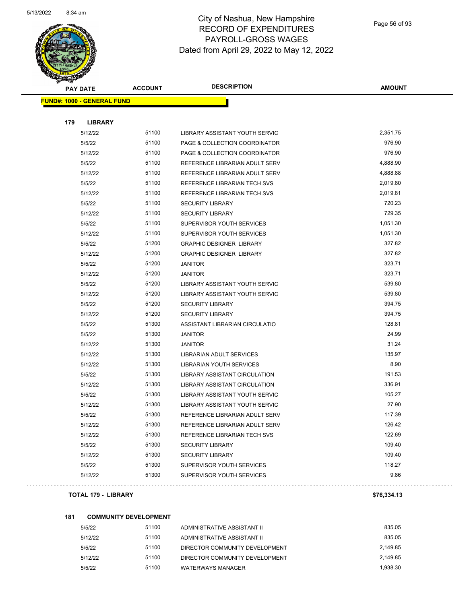

Page 56 of 93

| <b>MÉRECE</b>                     |                | <b>DESCRIPTION</b>                    |               |
|-----------------------------------|----------------|---------------------------------------|---------------|
| <b>PAY DATE</b>                   | <b>ACCOUNT</b> |                                       | <b>AMOUNT</b> |
| <b>FUND#: 1000 - GENERAL FUND</b> |                |                                       |               |
|                                   |                |                                       |               |
| 179<br><b>LIBRARY</b>             |                |                                       |               |
| 5/12/22                           | 51100          | <b>LIBRARY ASSISTANT YOUTH SERVIC</b> | 2,351.75      |
| 5/5/22                            | 51100          | PAGE & COLLECTION COORDINATOR         | 976.90        |
| 5/12/22                           | 51100          | PAGE & COLLECTION COORDINATOR         | 976.90        |
| 5/5/22                            | 51100          | REFERENCE LIBRARIAN ADULT SERV        | 4,888.90      |
| 5/12/22                           | 51100          | REFERENCE LIBRARIAN ADULT SERV        | 4,888.88      |
| 5/5/22                            | 51100          | REFERENCE LIBRARIAN TECH SVS          | 2,019.80      |
| 5/12/22                           | 51100          | REFERENCE LIBRARIAN TECH SVS          | 2,019.81      |
| 5/5/22                            | 51100          | <b>SECURITY LIBRARY</b>               | 720.23        |
| 5/12/22                           | 51100          | <b>SECURITY LIBRARY</b>               | 729.35        |
| 5/5/22                            | 51100          | SUPERVISOR YOUTH SERVICES             | 1,051.30      |
| 5/12/22                           | 51100          | SUPERVISOR YOUTH SERVICES             | 1,051.30      |
| 5/5/22                            | 51200          | <b>GRAPHIC DESIGNER LIBRARY</b>       | 327.82        |
| 5/12/22                           | 51200          | <b>GRAPHIC DESIGNER LIBRARY</b>       | 327.82        |
| 5/5/22                            | 51200          | <b>JANITOR</b>                        | 323.71        |
| 5/12/22                           | 51200          | <b>JANITOR</b>                        | 323.71        |
| 5/5/22                            | 51200          | LIBRARY ASSISTANT YOUTH SERVIC        | 539.80        |
| 5/12/22                           | 51200          | LIBRARY ASSISTANT YOUTH SERVIC        | 539.80        |
| 5/5/22                            | 51200          | <b>SECURITY LIBRARY</b>               | 394.75        |
| 5/12/22                           | 51200          | <b>SECURITY LIBRARY</b>               | 394.75        |
| 5/5/22                            | 51300          | ASSISTANT LIBRARIAN CIRCULATIO        | 128.81        |
| 5/5/22                            | 51300          | <b>JANITOR</b>                        | 24.99         |
| 5/12/22                           | 51300          | <b>JANITOR</b>                        | 31.24         |
| 5/12/22                           | 51300          | LIBRARIAN ADULT SERVICES              | 135.97        |
| 5/12/22                           | 51300          | LIBRARIAN YOUTH SERVICES              | 8.90          |
| 5/5/22                            | 51300          | LIBRARY ASSISTANT CIRCULATION         | 191.53        |
| 5/12/22                           | 51300          | <b>LIBRARY ASSISTANT CIRCULATION</b>  | 336.91        |
| 5/5/22                            | 51300          | LIBRARY ASSISTANT YOUTH SERVIC        | 105.27        |
| 5/12/22                           | 51300          | LIBRARY ASSISTANT YOUTH SERVIC        | 27.90         |
| 5/5/22                            | 51300          | REFERENCE LIBRARIAN ADULT SERV        | 117.39        |
| 5/12/22                           | 51300          | REFERENCE LIBRARIAN ADULT SERV        | 126.42        |
| 5/12/22                           | 51300          | REFERENCE LIBRARIAN TECH SVS          | 122.69        |
| 5/5/22                            | 51300          | <b>SECURITY LIBRARY</b>               | 109.40        |
| 5/12/22                           | 51300          | <b>SECURITY LIBRARY</b>               | 109.40        |
| 5/5/22                            | 51300          | SUPERVISOR YOUTH SERVICES             | 118.27        |
| 5/12/22                           | 51300          | SUPERVISOR YOUTH SERVICES             | 9.86          |
|                                   |                |                                       |               |

**TOTAL 179 - LIBRARY \$76,334.13**

 $\bar{\mathcal{A}}$  .

**181 COMMUNITY DEVELOPMENT**

| 5/5/22  | 51100 | ADMINISTRATIVE ASSISTANT II    | 835.05   |
|---------|-------|--------------------------------|----------|
| 5/12/22 | 51100 | ADMINISTRATIVE ASSISTANT II    | 835.05   |
| 5/5/22  | 51100 | DIRECTOR COMMUNITY DEVELOPMENT | 2.149.85 |
| 5/12/22 | 51100 | DIRECTOR COMMUNITY DEVELOPMENT | 2.149.85 |
| 5/5/22  | 51100 | <b>WATERWAYS MANAGER</b>       | 1.938.30 |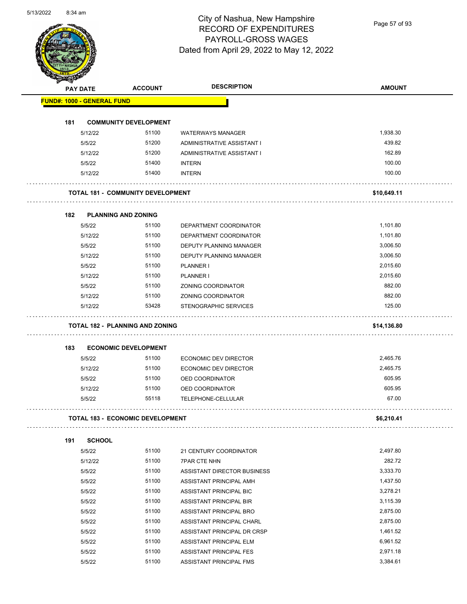

Page 57 of 93

|     | <b>PAY DATE</b>                   | <b>ACCOUNT</b>                           | <b>DESCRIPTION</b>          | <b>AMOUNT</b> |
|-----|-----------------------------------|------------------------------------------|-----------------------------|---------------|
|     | <b>FUND#: 1000 - GENERAL FUND</b> |                                          |                             |               |
|     |                                   |                                          |                             |               |
| 181 |                                   | <b>COMMUNITY DEVELOPMENT</b>             |                             |               |
|     | 5/12/22                           | 51100                                    | <b>WATERWAYS MANAGER</b>    | 1,938.30      |
|     | 5/5/22                            | 51200                                    | ADMINISTRATIVE ASSISTANT I  | 439.82        |
|     | 5/12/22                           | 51200                                    | ADMINISTRATIVE ASSISTANT I  | 162.89        |
|     | 5/5/22                            | 51400                                    | <b>INTERN</b>               | 100.00        |
|     | 5/12/22                           | 51400                                    | <b>INTERN</b>               | 100.00        |
|     |                                   | <b>TOTAL 181 - COMMUNITY DEVELOPMENT</b> |                             | \$10,649.11   |
| 182 |                                   | <b>PLANNING AND ZONING</b>               |                             |               |
|     | 5/5/22                            | 51100                                    | DEPARTMENT COORDINATOR      | 1,101.80      |
|     | 5/12/22                           | 51100                                    | DEPARTMENT COORDINATOR      | 1,101.80      |
|     | 5/5/22                            | 51100                                    | DEPUTY PLANNING MANAGER     | 3,006.50      |
|     | 5/12/22                           | 51100                                    | DEPUTY PLANNING MANAGER     | 3,006.50      |
|     | 5/5/22                            | 51100                                    | PLANNER I                   | 2,015.60      |
|     | 5/12/22                           | 51100                                    | PLANNER I                   | 2,015.60      |
|     | 5/5/22                            | 51100                                    | ZONING COORDINATOR          | 882.00        |
|     | 5/12/22                           | 51100                                    | ZONING COORDINATOR          | 882.00        |
|     | 5/12/22                           | 53428                                    | STENOGRAPHIC SERVICES       | 125.00        |
|     |                                   | <b>TOTAL 182 - PLANNING AND ZONING</b>   |                             | \$14,136.80   |
|     |                                   |                                          |                             |               |
| 183 |                                   | <b>ECONOMIC DEVELOPMENT</b>              |                             |               |
|     | 5/5/22                            | 51100                                    | ECONOMIC DEV DIRECTOR       | 2,465.76      |
|     | 5/12/22                           | 51100                                    | ECONOMIC DEV DIRECTOR       | 2,465.75      |
|     | 5/5/22                            | 51100                                    | OED COORDINATOR             | 605.95        |
|     | 5/12/22                           | 51100                                    | OED COORDINATOR             | 605.95        |
|     | 5/5/22                            | 55118                                    | TELEPHONE-CELLULAR          | 67.00         |
|     |                                   | TOTAL 183 - ECONOMIC DEVELOPMENT         |                             | \$6,210.41    |
| 191 | <b>SCHOOL</b>                     |                                          |                             |               |
|     | 5/5/22                            | 51100                                    | 21 CENTURY COORDINATOR      | 2,497.80      |
|     | 5/12/22                           | 51100                                    | <b>7PAR CTE NHN</b>         | 282.72        |
|     | 5/5/22                            | 51100                                    | ASSISTANT DIRECTOR BUSINESS | 3,333.70      |
|     | 5/5/22                            | 51100                                    | ASSISTANT PRINCIPAL AMH     | 1,437.50      |
|     | 5/5/22                            | 51100                                    | ASSISTANT PRINCIPAL BIC     | 3,278.21      |
|     | 5/5/22                            | 51100                                    | ASSISTANT PRINCIPAL BIR     | 3,115.39      |
|     | 5/5/22                            | 51100                                    | ASSISTANT PRINCIPAL BRO     | 2,875.00      |
|     | 5/5/22                            | 51100                                    | ASSISTANT PRINCIPAL CHARL   | 2,875.00      |
|     | 5/5/22                            | 51100                                    | ASSISTANT PRINCIPAL DR CRSP | 1,461.52      |
|     | 5/5/22                            | 51100                                    | ASSISTANT PRINCIPAL ELM     | 6,961.52      |
|     | 5/5/22                            | 51100                                    | ASSISTANT PRINCIPAL FES     | 2,971.18      |
|     |                                   |                                          |                             |               |

5/5/22 51100 ASSISTANT PRINCIPAL FMS 3,384.61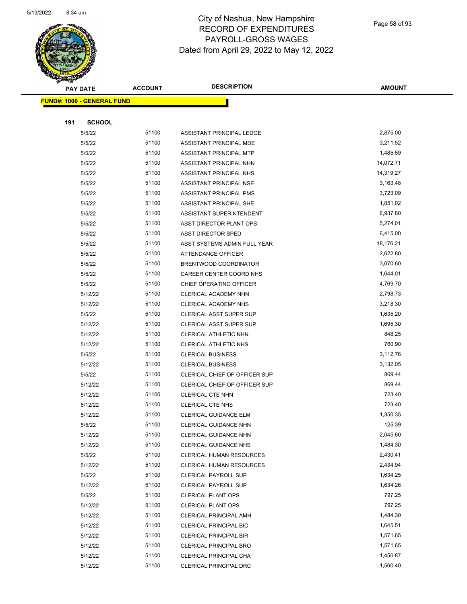

Page 58 of 93

|     | <b>PAY DATE</b>                   | <b>ACCOUNT</b> | <b>DESCRIPTION</b>              | <b>AMOUNT</b> |
|-----|-----------------------------------|----------------|---------------------------------|---------------|
|     | <b>FUND#: 1000 - GENERAL FUND</b> |                |                                 |               |
|     |                                   |                |                                 |               |
| 191 | <b>SCHOOL</b>                     |                |                                 |               |
|     | 5/5/22                            | 51100          | ASSISTANT PRINCIPAL LEDGE       | 2,875.00      |
|     | 5/5/22                            | 51100          | ASSISTANT PRINCIPAL MDE         | 3,211.52      |
|     | 5/5/22                            | 51100          | ASSISTANT PRINCIPAL MTP         | 1,485.59      |
|     | 5/5/22                            | 51100          | ASSISTANT PRINCIPAL NHN         | 14,072.71     |
|     | 5/5/22                            | 51100          | ASSISTANT PRINCIPAL NHS         | 14,319.27     |
|     | 5/5/22                            | 51100          | ASSISTANT PRINCIPAL NSE         | 3,163.48      |
|     | 5/5/22                            | 51100          | ASSISTANT PRINCIPAL PMS         | 3,723.09      |
|     | 5/5/22                            | 51100          | ASSISTANT PRINCIPAL SHE         | 1,851.02      |
|     | 5/5/22                            | 51100          | ASSISTANT SUPERINTENDENT        | 6,937.80      |
|     | 5/5/22                            | 51100          | ASST DIRECTOR PLANT OPS         | 5,274.01      |
|     | 5/5/22                            | 51100          | ASST DIRECTOR SPED              | 6,415.00      |
|     | 5/5/22                            | 51100          | ASST SYSTEMS ADMIN FULL YEAR    | 18,176.21     |
|     | 5/5/22                            | 51100          | ATTENDANCE OFFICER              | 2,622.80      |
|     | 5/5/22                            | 51100          | BRENTWOOD COORDINATOR           | 3,070.60      |
|     | 5/5/22                            | 51100          | CAREER CENTER COORD NHS         | 1,644.01      |
|     | 5/5/22                            | 51100          | CHIEF OPERATING OFFICER         | 4,769.70      |
|     | 5/12/22                           | 51100          | CLERICAL ACADEMY NHN            | 2,798.73      |
|     | 5/12/22                           | 51100          | CLERICAL ACADEMY NHS            | 3,218.30      |
|     | 5/5/22                            | 51100          | <b>CLERICAL ASST SUPER SUP</b>  | 1,635.20      |
|     | 5/12/22                           | 51100          | CLERICAL ASST SUPER SUP         | 1,695.30      |
|     | 5/12/22                           | 51100          | CLERICAL ATHLETIC NHN           | 848.25        |
|     | 5/12/22                           | 51100          | <b>CLERICAL ATHLETIC NHS</b>    | 760.90        |
|     | 5/5/22                            | 51100          | <b>CLERICAL BUSINESS</b>        | 3,112.76      |
|     | 5/12/22                           | 51100          | <b>CLERICAL BUSINESS</b>        | 3,132.05      |
|     | 5/5/22                            | 51100          | CLERICAL CHIEF OP OFFICER SUP   | 869.44        |
|     | 5/12/22                           | 51100          | CLERICAL CHIEF OP OFFICER SUP   | 869.44        |
|     | 5/12/22                           | 51100          | CLERICAL CTE NHN                | 723.40        |
|     | 5/12/22                           | 51100          | <b>CLERICAL CTE NHS</b>         | 723.40        |
|     | 5/12/22                           | 51100          | CLERICAL GUIDANCE ELM           | 1,350.35      |
|     | 5/5/22                            | 51100          | CLERICAL GUIDANCE NHN           | 125.39        |
|     | 5/12/22                           | 51100          | CLERICAL GUIDANCE NHN           | 2,045.60      |
|     | 5/12/22                           | 51100          | <b>CLERICAL GUIDANCE NHS</b>    | 1,484.30      |
|     | 5/5/22                            | 51100          | <b>CLERICAL HUMAN RESOURCES</b> | 2,430.41      |
|     | 5/12/22                           | 51100          | CLERICAL HUMAN RESOURCES        | 2,434.94      |
|     | 5/5/22                            | 51100          | <b>CLERICAL PAYROLL SUP</b>     | 1,634.25      |
|     | 5/12/22                           | 51100          | <b>CLERICAL PAYROLL SUP</b>     | 1,634.26      |
|     | 5/5/22                            | 51100          | <b>CLERICAL PLANT OPS</b>       | 797.25        |
|     | 5/12/22                           | 51100          | <b>CLERICAL PLANT OPS</b>       | 797.25        |
|     | 5/12/22                           | 51100          | <b>CLERICAL PRINCIPAL AMH</b>   | 1,484.30      |
|     | 5/12/22                           | 51100          | <b>CLERICAL PRINCIPAL BIC</b>   | 1,645.51      |
|     | 5/12/22                           | 51100          | <b>CLERICAL PRINCIPAL BIR</b>   | 1,571.65      |
|     | 5/12/22                           | 51100          | <b>CLERICAL PRINCIPAL BRO</b>   | 1,571.65      |
|     | 5/12/22                           | 51100          | CLERICAL PRINCIPAL CHA          | 1,456.87      |
|     | 5/12/22                           | 51100          | CLERICAL PRINCIPAL DRC          | 1,560.40      |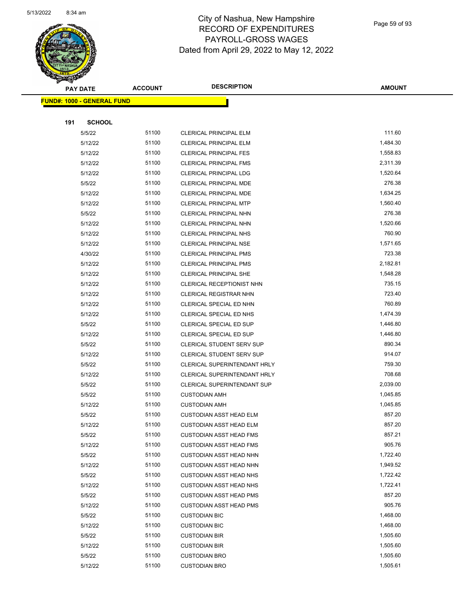

Page 59 of 93

|     | <b>PAY DATE</b>                   | <b>ACCOUNT</b> | <b>DESCRIPTION</b>                                     | <b>AMOUNT</b>      |
|-----|-----------------------------------|----------------|--------------------------------------------------------|--------------------|
|     | <b>FUND#: 1000 - GENERAL FUND</b> |                |                                                        |                    |
|     |                                   |                |                                                        |                    |
| 191 | <b>SCHOOL</b>                     |                |                                                        |                    |
|     | 5/5/22                            | 51100          | <b>CLERICAL PRINCIPAL ELM</b>                          | 111.60             |
|     | 5/12/22                           | 51100          | <b>CLERICAL PRINCIPAL ELM</b>                          | 1,484.30           |
|     | 5/12/22                           | 51100          | <b>CLERICAL PRINCIPAL FES</b>                          | 1,558.83           |
|     | 5/12/22                           | 51100          | <b>CLERICAL PRINCIPAL FMS</b>                          | 2,311.39           |
|     | 5/12/22                           | 51100          | CLERICAL PRINCIPAL LDG                                 | 1,520.64           |
|     | 5/5/22                            | 51100          | CLERICAL PRINCIPAL MDE                                 | 276.38             |
|     | 5/12/22                           | 51100          | CLERICAL PRINCIPAL MDE                                 | 1,634.25           |
|     | 5/12/22                           | 51100          | <b>CLERICAL PRINCIPAL MTP</b>                          | 1,560.40           |
|     | 5/5/22                            | 51100          | CLERICAL PRINCIPAL NHN                                 | 276.38             |
|     | 5/12/22                           | 51100          | <b>CLERICAL PRINCIPAL NHN</b>                          | 1,520.66           |
|     | 5/12/22                           | 51100          | CLERICAL PRINCIPAL NHS                                 | 760.90             |
|     | 5/12/22                           | 51100          | <b>CLERICAL PRINCIPAL NSE</b>                          | 1,571.65           |
|     | 4/30/22                           | 51100          | <b>CLERICAL PRINCIPAL PMS</b>                          | 723.38             |
|     | 5/12/22                           | 51100          | <b>CLERICAL PRINCIPAL PMS</b>                          | 2,182.81           |
|     | 5/12/22                           | 51100          | CLERICAL PRINCIPAL SHE                                 | 1,548.28           |
|     | 5/12/22                           | 51100          | CLERICAL RECEPTIONIST NHN                              | 735.15             |
|     | 5/12/22                           | 51100          | <b>CLERICAL REGISTRAR NHN</b>                          | 723.40             |
|     | 5/12/22                           | 51100          | CLERICAL SPECIAL ED NHN                                | 760.89             |
|     | 5/12/22                           | 51100          | CLERICAL SPECIAL ED NHS                                | 1,474.39           |
|     | 5/5/22                            | 51100          | CLERICAL SPECIAL ED SUP                                | 1,446.80           |
|     | 5/12/22                           | 51100          | CLERICAL SPECIAL ED SUP                                | 1,446.80           |
|     | 5/5/22                            | 51100          | <b>CLERICAL STUDENT SERV SUP</b>                       | 890.34             |
|     | 5/12/22                           | 51100          | <b>CLERICAL STUDENT SERV SUP</b>                       | 914.07             |
|     | 5/5/22                            | 51100          | CLERICAL SUPERINTENDANT HRLY                           | 759.30             |
|     | 5/12/22                           | 51100          | CLERICAL SUPERINTENDANT HRLY                           | 708.68             |
|     | 5/5/22                            | 51100          | CLERICAL SUPERINTENDANT SUP                            | 2,039.00           |
|     | 5/5/22                            | 51100          | <b>CUSTODIAN AMH</b>                                   | 1,045.85           |
|     | 5/12/22                           | 51100          | <b>CUSTODIAN AMH</b>                                   | 1,045.85           |
|     | 5/5/22                            | 51100          | <b>CUSTODIAN ASST HEAD ELM</b>                         | 857.20             |
|     | 5/12/22                           | 51100          | CUSTODIAN ASST HEAD ELM                                | 857.20             |
|     | 5/5/22                            | 51100          | <b>CUSTODIAN ASST HEAD FMS</b>                         | 857.21             |
|     | 5/12/22                           | 51100          | <b>CUSTODIAN ASST HEAD FMS</b>                         | 905.76             |
|     | 5/5/22                            | 51100          | <b>CUSTODIAN ASST HEAD NHN</b>                         | 1,722.40           |
|     | 5/12/22                           | 51100          | <b>CUSTODIAN ASST HEAD NHN</b>                         | 1,949.52           |
|     | 5/5/22                            | 51100          | <b>CUSTODIAN ASST HEAD NHS</b>                         | 1,722.42           |
|     | 5/12/22                           | 51100<br>51100 | <b>CUSTODIAN ASST HEAD NHS</b>                         | 1,722.41<br>857.20 |
|     | 5/5/22                            |                | <b>CUSTODIAN ASST HEAD PMS</b>                         | 905.76             |
|     | 5/12/22<br>5/5/22                 | 51100<br>51100 | <b>CUSTODIAN ASST HEAD PMS</b><br><b>CUSTODIAN BIC</b> | 1,468.00           |
|     | 5/12/22                           | 51100          | <b>CUSTODIAN BIC</b>                                   | 1,468.00           |
|     | 5/5/22                            | 51100          |                                                        | 1,505.60           |
|     | 5/12/22                           | 51100          | <b>CUSTODIAN BIR</b><br><b>CUSTODIAN BIR</b>           | 1,505.60           |
|     | 5/5/22                            | 51100          | <b>CUSTODIAN BRO</b>                                   | 1,505.60           |
|     | 5/12/22                           | 51100          | <b>CUSTODIAN BRO</b>                                   | 1,505.61           |
|     |                                   |                |                                                        |                    |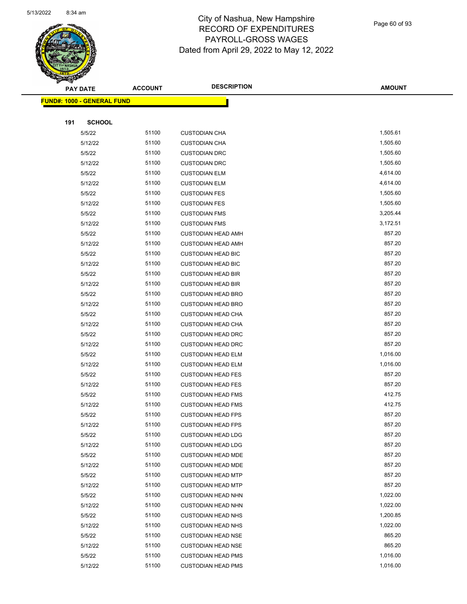

Page 60 of 93

|     | <b>PAY DATE</b>                    | <b>ACCOUNT</b> | <b>DESCRIPTION</b>                                     | <b>AMOUNT</b>        |
|-----|------------------------------------|----------------|--------------------------------------------------------|----------------------|
|     | <u> FUND#: 1000 - GENERAL FUND</u> |                |                                                        |                      |
|     |                                    |                |                                                        |                      |
| 191 | <b>SCHOOL</b>                      |                |                                                        |                      |
|     | 5/5/22                             | 51100          | <b>CUSTODIAN CHA</b>                                   | 1,505.61             |
|     | 5/12/22                            | 51100          | <b>CUSTODIAN CHA</b>                                   | 1,505.60             |
|     | 5/5/22                             | 51100          | <b>CUSTODIAN DRC</b>                                   | 1,505.60             |
|     | 5/12/22                            | 51100          | <b>CUSTODIAN DRC</b>                                   | 1,505.60             |
|     | 5/5/22                             | 51100          | <b>CUSTODIAN ELM</b>                                   | 4,614.00             |
|     | 5/12/22                            | 51100          | <b>CUSTODIAN ELM</b>                                   | 4,614.00             |
|     | 5/5/22                             | 51100          | <b>CUSTODIAN FES</b>                                   | 1,505.60             |
|     | 5/12/22                            | 51100          | <b>CUSTODIAN FES</b>                                   | 1,505.60             |
|     | 5/5/22                             | 51100          | <b>CUSTODIAN FMS</b>                                   | 3,205.44             |
|     | 5/12/22                            | 51100          | <b>CUSTODIAN FMS</b>                                   | 3,172.51             |
|     | 5/5/22                             | 51100          | <b>CUSTODIAN HEAD AMH</b>                              | 857.20               |
|     | 5/12/22                            | 51100          | <b>CUSTODIAN HEAD AMH</b>                              | 857.20               |
|     | 5/5/22                             | 51100          | <b>CUSTODIAN HEAD BIC</b>                              | 857.20               |
|     | 5/12/22                            | 51100          | <b>CUSTODIAN HEAD BIC</b>                              | 857.20               |
|     | 5/5/22                             | 51100          | <b>CUSTODIAN HEAD BIR</b>                              | 857.20               |
|     | 5/12/22                            | 51100          | <b>CUSTODIAN HEAD BIR</b>                              | 857.20               |
|     | 5/5/22                             | 51100          | <b>CUSTODIAN HEAD BRO</b>                              | 857.20               |
|     | 5/12/22                            | 51100          | <b>CUSTODIAN HEAD BRO</b>                              | 857.20               |
|     | 5/5/22                             | 51100          | <b>CUSTODIAN HEAD CHA</b>                              | 857.20               |
|     | 5/12/22                            | 51100          | <b>CUSTODIAN HEAD CHA</b>                              | 857.20               |
|     | 5/5/22                             | 51100          | <b>CUSTODIAN HEAD DRC</b>                              | 857.20               |
|     | 5/12/22                            | 51100          | <b>CUSTODIAN HEAD DRC</b>                              | 857.20               |
|     | 5/5/22                             | 51100          | <b>CUSTODIAN HEAD ELM</b>                              | 1,016.00             |
|     | 5/12/22                            | 51100          | <b>CUSTODIAN HEAD ELM</b>                              | 1,016.00             |
|     | 5/5/22                             | 51100          | <b>CUSTODIAN HEAD FES</b>                              | 857.20               |
|     | 5/12/22                            | 51100          | <b>CUSTODIAN HEAD FES</b>                              | 857.20               |
|     | 5/5/22                             | 51100          | <b>CUSTODIAN HEAD FMS</b>                              | 412.75               |
|     | 5/12/22                            | 51100          | <b>CUSTODIAN HEAD FMS</b>                              | 412.75               |
|     | 5/5/22                             | 51100          | <b>CUSTODIAN HEAD FPS</b>                              | 857.20               |
|     | 5/12/22                            | 51100          | <b>CUSTODIAN HEAD FPS</b>                              | 857.20               |
|     | 5/5/22                             | 51100          | <b>CUSTODIAN HEAD LDG</b>                              | 857.20               |
|     | 5/12/22                            | 51100          | <b>CUSTODIAN HEAD LDG</b>                              | 857.20               |
|     | 5/5/22                             | 51100          | <b>CUSTODIAN HEAD MDE</b>                              | 857.20               |
|     | 5/12/22                            | 51100          | <b>CUSTODIAN HEAD MDE</b>                              | 857.20<br>857.20     |
|     | 5/5/22                             | 51100<br>51100 | <b>CUSTODIAN HEAD MTP</b>                              | 857.20               |
|     | 5/12/22                            | 51100          | <b>CUSTODIAN HEAD MTP</b>                              | 1,022.00             |
|     | 5/5/22                             | 51100          | <b>CUSTODIAN HEAD NHN</b>                              |                      |
|     | 5/12/22<br>5/5/22                  | 51100          | <b>CUSTODIAN HEAD NHN</b><br><b>CUSTODIAN HEAD NHS</b> | 1,022.00<br>1,200.85 |
|     |                                    | 51100          |                                                        | 1,022.00             |
|     | 5/12/22<br>5/5/22                  | 51100          | <b>CUSTODIAN HEAD NHS</b>                              | 865.20               |
|     | 5/12/22                            | 51100          | <b>CUSTODIAN HEAD NSE</b><br><b>CUSTODIAN HEAD NSE</b> | 865.20               |
|     | 5/5/22                             | 51100          | <b>CUSTODIAN HEAD PMS</b>                              | 1,016.00             |
|     | 5/12/22                            | 51100          | <b>CUSTODIAN HEAD PMS</b>                              | 1,016.00             |
|     |                                    |                |                                                        |                      |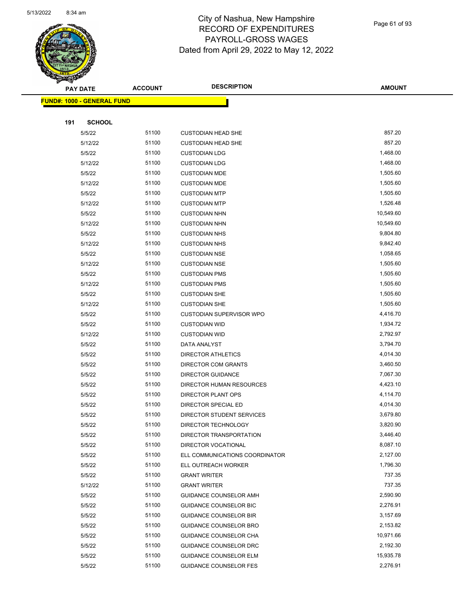

Page 61 of 93

|     | <b>PAY DATE</b>                    | <b>ACCOUNT</b> | <b>DESCRIPTION</b>              | <b>AMOUNT</b> |
|-----|------------------------------------|----------------|---------------------------------|---------------|
|     | <u> FUND#: 1000 - GENERAL FUND</u> |                |                                 |               |
|     |                                    |                |                                 |               |
| 191 | <b>SCHOOL</b>                      |                |                                 |               |
|     | 5/5/22                             | 51100          | <b>CUSTODIAN HEAD SHE</b>       | 857.20        |
|     | 5/12/22                            | 51100          | <b>CUSTODIAN HEAD SHE</b>       | 857.20        |
|     | 5/5/22                             | 51100          | <b>CUSTODIAN LDG</b>            | 1,468.00      |
|     | 5/12/22                            | 51100          | <b>CUSTODIAN LDG</b>            | 1,468.00      |
|     | 5/5/22                             | 51100          | <b>CUSTODIAN MDE</b>            | 1,505.60      |
|     | 5/12/22                            | 51100          | <b>CUSTODIAN MDE</b>            | 1,505.60      |
|     | 5/5/22                             | 51100          | <b>CUSTODIAN MTP</b>            | 1,505.60      |
|     | 5/12/22                            | 51100          | <b>CUSTODIAN MTP</b>            | 1,526.48      |
|     | 5/5/22                             | 51100          | <b>CUSTODIAN NHN</b>            | 10,549.60     |
|     | 5/12/22                            | 51100          | <b>CUSTODIAN NHN</b>            | 10,549.60     |
|     | 5/5/22                             | 51100          | <b>CUSTODIAN NHS</b>            | 9,804.80      |
|     | 5/12/22                            | 51100          | <b>CUSTODIAN NHS</b>            | 9,842.40      |
|     | 5/5/22                             | 51100          | <b>CUSTODIAN NSE</b>            | 1,058.65      |
|     | 5/12/22                            | 51100          | <b>CUSTODIAN NSE</b>            | 1,505.60      |
|     | 5/5/22                             | 51100          | <b>CUSTODIAN PMS</b>            | 1,505.60      |
|     | 5/12/22                            | 51100          | <b>CUSTODIAN PMS</b>            | 1,505.60      |
|     | 5/5/22                             | 51100          | <b>CUSTODIAN SHE</b>            | 1,505.60      |
|     | 5/12/22                            | 51100          | <b>CUSTODIAN SHE</b>            | 1,505.60      |
|     | 5/5/22                             | 51100          | <b>CUSTODIAN SUPERVISOR WPO</b> | 4,416.70      |
|     | 5/5/22                             | 51100          | <b>CUSTODIAN WID</b>            | 1,934.72      |
|     | 5/12/22                            | 51100          | <b>CUSTODIAN WID</b>            | 2,792.97      |
|     | 5/5/22                             | 51100          | DATA ANALYST                    | 3,794.70      |
|     | 5/5/22                             | 51100          | DIRECTOR ATHLETICS              | 4,014.30      |
|     | 5/5/22                             | 51100          | DIRECTOR COM GRANTS             | 3,460.50      |
|     | 5/5/22                             | 51100          | <b>DIRECTOR GUIDANCE</b>        | 7,067.30      |
|     | 5/5/22                             | 51100          | DIRECTOR HUMAN RESOURCES        | 4,423.10      |
|     | 5/5/22                             | 51100          | <b>DIRECTOR PLANT OPS</b>       | 4,114.70      |
|     | 5/5/22                             | 51100          | DIRECTOR SPECIAL ED             | 4,014.30      |
|     | 5/5/22                             | 51100          | DIRECTOR STUDENT SERVICES       | 3,679.80      |
|     | 5/5/22                             | 51100          | DIRECTOR TECHNOLOGY             | 3,820.90      |
|     | 5/5/22                             | 51100          | DIRECTOR TRANSPORTATION         | 3,446.40      |
|     | 5/5/22                             | 51100          | DIRECTOR VOCATIONAL             | 8,087.10      |
|     | 5/5/22                             | 51100          | ELL COMMUNICATIONS COORDINATOR  | 2,127.00      |
|     | 5/5/22                             | 51100          | ELL OUTREACH WORKER             | 1,796.30      |
|     | 5/5/22                             | 51100          | <b>GRANT WRITER</b>             | 737.35        |
|     | 5/12/22                            | 51100          | <b>GRANT WRITER</b>             | 737.35        |
|     | 5/5/22                             | 51100          | GUIDANCE COUNSELOR AMH          | 2,590.90      |
|     | 5/5/22                             | 51100          | <b>GUIDANCE COUNSELOR BIC</b>   | 2,276.91      |
|     | 5/5/22                             | 51100          | <b>GUIDANCE COUNSELOR BIR</b>   | 3,157.69      |
|     | 5/5/22                             | 51100          | <b>GUIDANCE COUNSELOR BRO</b>   | 2,153.82      |
|     | 5/5/22                             | 51100          | GUIDANCE COUNSELOR CHA          | 10,971.66     |
|     | 5/5/22                             | 51100          | GUIDANCE COUNSELOR DRC          | 2,192.30      |
|     | 5/5/22                             | 51100          | <b>GUIDANCE COUNSELOR ELM</b>   | 15,935.78     |
|     | 5/5/22                             | 51100          | <b>GUIDANCE COUNSELOR FES</b>   | 2,276.91      |
|     |                                    |                |                                 |               |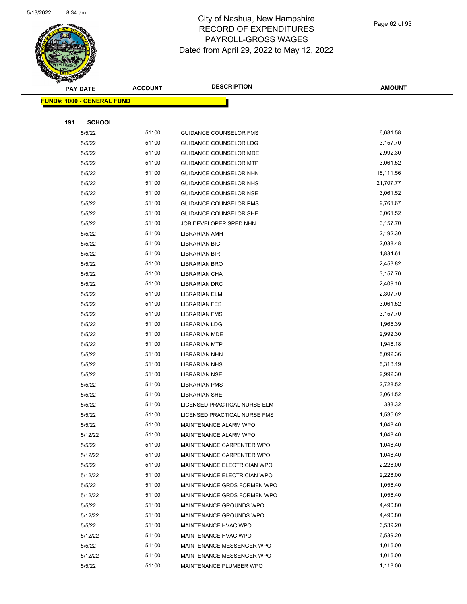

|     | <b>PAY DATE</b>                    | <b>ACCOUNT</b> | <b>DESCRIPTION</b>            | <b>AMOUNT</b> |
|-----|------------------------------------|----------------|-------------------------------|---------------|
|     | <u> FUND#: 1000 - GENERAL FUND</u> |                |                               |               |
|     |                                    |                |                               |               |
| 191 | <b>SCHOOL</b>                      |                |                               |               |
|     | 5/5/22                             | 51100          | GUIDANCE COUNSELOR FMS        | 6,681.58      |
|     | 5/5/22                             | 51100          | GUIDANCE COUNSELOR LDG        | 3,157.70      |
|     | 5/5/22                             | 51100          | <b>GUIDANCE COUNSELOR MDE</b> | 2,992.30      |
|     | 5/5/22                             | 51100          | <b>GUIDANCE COUNSELOR MTP</b> | 3,061.52      |
|     | 5/5/22                             | 51100          | GUIDANCE COUNSELOR NHN        | 18,111.56     |
|     | 5/5/22                             | 51100          | GUIDANCE COUNSELOR NHS        | 21,707.77     |
|     | 5/5/22                             | 51100          | GUIDANCE COUNSELOR NSE        | 3,061.52      |
|     | 5/5/22                             | 51100          | <b>GUIDANCE COUNSELOR PMS</b> | 9,761.67      |
|     | 5/5/22                             | 51100          | GUIDANCE COUNSELOR SHE        | 3,061.52      |
|     | 5/5/22                             | 51100          | JOB DEVELOPER SPED NHN        | 3,157.70      |
|     | 5/5/22                             | 51100          | <b>LIBRARIAN AMH</b>          | 2,192.30      |
|     | 5/5/22                             | 51100          | <b>LIBRARIAN BIC</b>          | 2,038.48      |
|     | 5/5/22                             | 51100          | LIBRARIAN BIR                 | 1,834.61      |
|     | 5/5/22                             | 51100          | <b>LIBRARIAN BRO</b>          | 2,453.82      |
|     | 5/5/22                             | 51100          | LIBRARIAN CHA                 | 3,157.70      |
|     | 5/5/22                             | 51100          | <b>LIBRARIAN DRC</b>          | 2,409.10      |
|     | 5/5/22                             | 51100          | LIBRARIAN ELM                 | 2,307.70      |
|     | 5/5/22                             | 51100          | <b>LIBRARIAN FES</b>          | 3,061.52      |
|     | 5/5/22                             | 51100          | <b>LIBRARIAN FMS</b>          | 3,157.70      |
|     | 5/5/22                             | 51100          | <b>LIBRARIAN LDG</b>          | 1,965.39      |
|     | 5/5/22                             | 51100          | LIBRARIAN MDE                 | 2,992.30      |
|     | 5/5/22                             | 51100          | <b>LIBRARIAN MTP</b>          | 1,946.18      |
|     | 5/5/22                             | 51100          | <b>LIBRARIAN NHN</b>          | 5,092.36      |
|     | 5/5/22                             | 51100          | <b>LIBRARIAN NHS</b>          | 5,318.19      |
|     | 5/5/22                             | 51100          | <b>LIBRARIAN NSE</b>          | 2,992.30      |
|     | 5/5/22                             | 51100          | <b>LIBRARIAN PMS</b>          | 2,728.52      |
|     | 5/5/22                             | 51100          | <b>LIBRARIAN SHE</b>          | 3,061.52      |
|     | 5/5/22                             | 51100          | LICENSED PRACTICAL NURSE ELM  | 383.32        |
|     | 5/5/22                             | 51100          | LICENSED PRACTICAL NURSE FMS  | 1,535.62      |
|     | 5/5/22                             | 51100          | MAINTENANCE ALARM WPO         | 1,048.40      |
|     | 5/12/22                            | 51100          | <b>MAINTENANCE ALARM WPO</b>  | 1,048.40      |
|     | 5/5/22                             | 51100          | MAINTENANCE CARPENTER WPO     | 1,048.40      |
|     | 5/12/22                            | 51100          | MAINTENANCE CARPENTER WPO     | 1,048.40      |
|     | 5/5/22                             | 51100          | MAINTENANCE ELECTRICIAN WPO   | 2,228.00      |
|     | 5/12/22                            | 51100          | MAINTENANCE ELECTRICIAN WPO   | 2,228.00      |
|     | 5/5/22                             | 51100          | MAINTENANCE GRDS FORMEN WPO   | 1,056.40      |
|     | 5/12/22                            | 51100          | MAINTENANCE GRDS FORMEN WPO   | 1,056.40      |
|     | 5/5/22                             | 51100          | MAINTENANCE GROUNDS WPO       | 4,490.80      |
|     | 5/12/22                            | 51100          | MAINTENANCE GROUNDS WPO       | 4,490.80      |
|     | 5/5/22                             | 51100          | MAINTENANCE HVAC WPO          | 6,539.20      |
|     | 5/12/22                            | 51100          | MAINTENANCE HVAC WPO          | 6,539.20      |
|     | 5/5/22                             | 51100          | MAINTENANCE MESSENGER WPO     | 1,016.00      |
|     | 5/12/22                            | 51100          | MAINTENANCE MESSENGER WPO     | 1,016.00      |
|     | 5/5/22                             | 51100          | MAINTENANCE PLUMBER WPO       | 1,118.00      |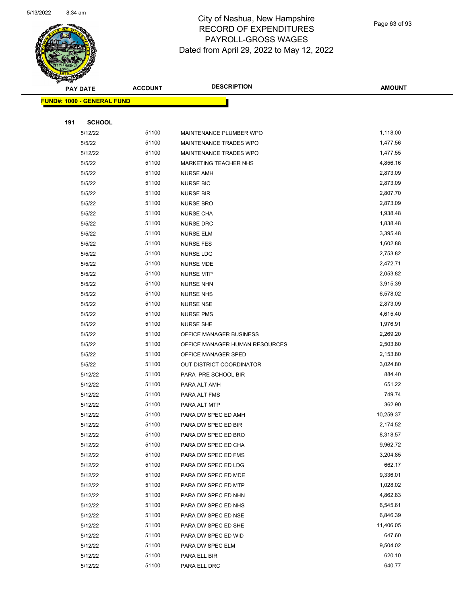

Page 63 of 93

| <b>STARBAN</b>                    |                |                                |           |
|-----------------------------------|----------------|--------------------------------|-----------|
| <b>PAY DATE</b>                   | <b>ACCOUNT</b> | <b>DESCRIPTION</b>             | AMOUNT    |
| <b>FUND#: 1000 - GENERAL FUND</b> |                |                                |           |
|                                   |                |                                |           |
| 191<br><b>SCHOOL</b>              |                |                                |           |
| 5/12/22                           | 51100          | MAINTENANCE PLUMBER WPO        | 1,118.00  |
| 5/5/22                            | 51100          | MAINTENANCE TRADES WPO         | 1,477.56  |
| 5/12/22                           | 51100          | MAINTENANCE TRADES WPO         | 1,477.55  |
| 5/5/22                            | 51100          | MARKETING TEACHER NHS          | 4,856.16  |
| 5/5/22                            | 51100          | <b>NURSE AMH</b>               | 2,873.09  |
| 5/5/22                            | 51100          | <b>NURSE BIC</b>               | 2,873.09  |
| 5/5/22                            | 51100          | <b>NURSE BIR</b>               | 2,807.70  |
| 5/5/22                            | 51100          | <b>NURSE BRO</b>               | 2,873.09  |
| 5/5/22                            | 51100          | <b>NURSE CHA</b>               | 1,938.48  |
| 5/5/22                            | 51100          | <b>NURSE DRC</b>               | 1,838.48  |
| 5/5/22                            | 51100          | <b>NURSE ELM</b>               | 3,395.48  |
| 5/5/22                            | 51100          | <b>NURSE FES</b>               | 1,602.88  |
| 5/5/22                            | 51100          | NURSE LDG                      | 2,753.82  |
| 5/5/22                            | 51100          | NURSE MDE                      | 2,472.71  |
| 5/5/22                            | 51100          | <b>NURSE MTP</b>               | 2,053.82  |
| 5/5/22                            | 51100          | <b>NURSE NHN</b>               | 3,915.39  |
| 5/5/22                            | 51100          | <b>NURSE NHS</b>               | 6,578.02  |
| 5/5/22                            | 51100          | <b>NURSE NSE</b>               | 2,873.09  |
| 5/5/22                            | 51100          | <b>NURSE PMS</b>               | 4,615.40  |
| 5/5/22                            | 51100          | <b>NURSE SHE</b>               | 1,976.91  |
| 5/5/22                            | 51100          | OFFICE MANAGER BUSINESS        | 2,269.20  |
| 5/5/22                            | 51100          | OFFICE MANAGER HUMAN RESOURCES | 2,503.80  |
| 5/5/22                            | 51100          | OFFICE MANAGER SPED            | 2,153.80  |
| 5/5/22                            | 51100          | OUT DISTRICT COORDINATOR       | 3,024.80  |
| 5/12/22                           | 51100          | PARA PRE SCHOOL BIR            | 884.40    |
| 5/12/22                           | 51100          | PARA ALT AMH                   | 651.22    |
| 5/12/22                           | 51100          | PARA ALT FMS                   | 749.74    |
| 5/12/22                           | 51100          | PARA ALT MTP                   | 362.90    |
| 5/12/22                           | 51100          | PARA DW SPEC ED AMH            | 10,259.37 |
| 5/12/22                           | 51100          | PARA DW SPEC ED BIR            | 2,174.52  |
| 5/12/22                           | 51100          | PARA DW SPEC ED BRO            | 8,318.57  |
| 5/12/22                           | 51100          | PARA DW SPEC ED CHA            | 9,962.72  |
| 5/12/22                           | 51100          | PARA DW SPEC ED FMS            | 3,204.85  |
| 5/12/22                           | 51100          | PARA DW SPEC ED LDG            | 662.17    |
| 5/12/22                           | 51100          | PARA DW SPEC ED MDE            | 9,336.01  |
| 5/12/22                           | 51100          | PARA DW SPEC ED MTP            | 1,028.02  |
| 5/12/22                           | 51100          | PARA DW SPEC ED NHN            | 4,862.83  |
| 5/12/22                           | 51100          | PARA DW SPEC ED NHS            | 6,545.61  |
| 5/12/22                           | 51100          | PARA DW SPEC ED NSE            | 6,846.39  |
| 5/12/22                           | 51100          | PARA DW SPEC ED SHE            | 11,406.05 |
| 5/12/22                           | 51100          | PARA DW SPEC ED WID            | 647.60    |
| 5/12/22                           | 51100          | PARA DW SPEC ELM               | 9,504.02  |
| 5/12/22                           | 51100          | PARA ELL BIR                   | 620.10    |
| 5/12/22                           | 51100          | PARA ELL DRC                   | 640.77    |
|                                   |                |                                |           |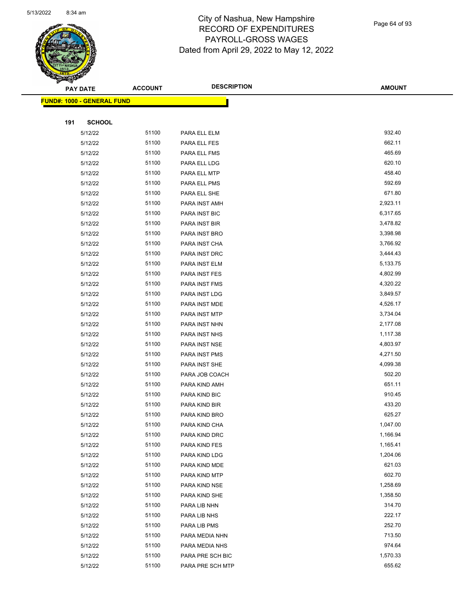

Page 64 of 93

|     | <b>PAY DATE</b>                    | <b>ACCOUNT</b> | <b>DESCRIPTION</b> | <b>AMOUNT</b> |
|-----|------------------------------------|----------------|--------------------|---------------|
|     | <u> FUND#: 1000 - GENERAL FUND</u> |                |                    |               |
|     |                                    |                |                    |               |
| 191 | <b>SCHOOL</b>                      |                |                    |               |
|     | 5/12/22                            | 51100          | PARA ELL ELM       | 932.40        |
|     | 5/12/22                            | 51100          | PARA ELL FES       | 662.11        |
|     | 5/12/22                            | 51100          | PARA ELL FMS       | 465.69        |
|     | 5/12/22                            | 51100          | PARA ELL LDG       | 620.10        |
|     | 5/12/22                            | 51100          | PARA ELL MTP       | 458.40        |
|     | 5/12/22                            | 51100          | PARA ELL PMS       | 592.69        |
|     | 5/12/22                            | 51100          | PARA ELL SHE       | 671.80        |
|     | 5/12/22                            | 51100          | PARA INST AMH      | 2,923.11      |
|     | 5/12/22                            | 51100          | PARA INST BIC      | 6,317.65      |
|     | 5/12/22                            | 51100          | PARA INST BIR      | 3,478.82      |
|     | 5/12/22                            | 51100          | PARA INST BRO      | 3,398.98      |
|     | 5/12/22                            | 51100          | PARA INST CHA      | 3,766.92      |
|     | 5/12/22                            | 51100          | PARA INST DRC      | 3,444.43      |
|     | 5/12/22                            | 51100          | PARA INST ELM      | 5,133.75      |
|     | 5/12/22                            | 51100          | PARA INST FES      | 4,802.99      |
|     | 5/12/22                            | 51100          | PARA INST FMS      | 4,320.22      |
|     | 5/12/22                            | 51100          | PARA INST LDG      | 3,849.57      |
|     | 5/12/22                            | 51100          | PARA INST MDE      | 4,526.17      |
|     | 5/12/22                            | 51100          | PARA INST MTP      | 3,734.04      |
|     | 5/12/22                            | 51100          | PARA INST NHN      | 2,177.08      |
|     | 5/12/22                            | 51100          | PARA INST NHS      | 1,117.38      |
|     | 5/12/22                            | 51100          | PARA INST NSE      | 4,803.97      |
|     | 5/12/22                            | 51100          | PARA INST PMS      | 4,271.50      |
|     | 5/12/22                            | 51100          | PARA INST SHE      | 4,099.38      |
|     | 5/12/22                            | 51100          | PARA JOB COACH     | 502.20        |
|     | 5/12/22                            | 51100          | PARA KIND AMH      | 651.11        |
|     | 5/12/22                            | 51100          | PARA KIND BIC      | 910.45        |
|     | 5/12/22                            | 51100          | PARA KIND BIR      | 433.20        |
|     | 5/12/22                            | 51100          | PARA KIND BRO      | 625.27        |
|     | 5/12/22                            | 51100          | PARA KIND CHA      | 1,047.00      |
|     | 5/12/22                            | 51100          | PARA KIND DRC      | 1,166.94      |
|     | 5/12/22                            | 51100          | PARA KIND FES      | 1,165.41      |
|     | 5/12/22                            | 51100          | PARA KIND LDG      | 1,204.06      |
|     | 5/12/22                            | 51100          | PARA KIND MDE      | 621.03        |
|     | 5/12/22                            | 51100          | PARA KIND MTP      | 602.70        |
|     | 5/12/22                            | 51100          | PARA KIND NSE      | 1,258.69      |
|     | 5/12/22                            | 51100          | PARA KIND SHE      | 1,358.50      |
|     | 5/12/22                            | 51100          | PARA LIB NHN       | 314.70        |
|     | 5/12/22                            | 51100          | PARA LIB NHS       | 222.17        |
|     | 5/12/22                            | 51100          | PARA LIB PMS       | 252.70        |
|     | 5/12/22                            | 51100          | PARA MEDIA NHN     | 713.50        |
|     | 5/12/22                            | 51100          | PARA MEDIA NHS     | 974.64        |
|     | 5/12/22                            | 51100          | PARA PRE SCH BIC   | 1,570.33      |
|     | 5/12/22                            | 51100          | PARA PRE SCH MTP   | 655.62        |
|     |                                    |                |                    |               |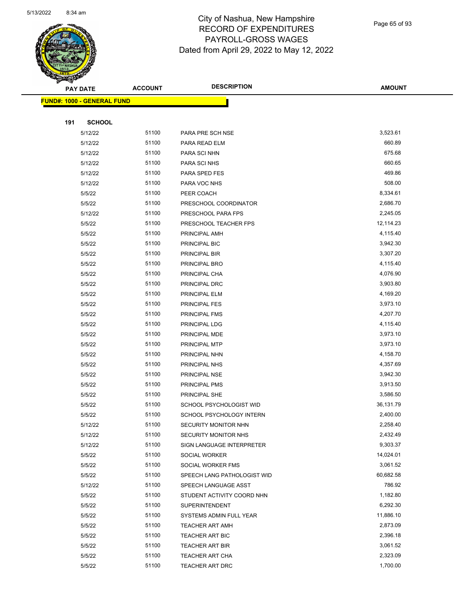

Page 65 of 93

|     | <b>PAY DATE</b>                    | <b>ACCOUNT</b> | <b>DESCRIPTION</b>          | <b>AMOUNT</b> |
|-----|------------------------------------|----------------|-----------------------------|---------------|
|     | <u> FUND#: 1000 - GENERAL FUND</u> |                |                             |               |
|     |                                    |                |                             |               |
| 191 | <b>SCHOOL</b>                      |                |                             |               |
|     | 5/12/22                            | 51100          | PARA PRE SCH NSE            | 3,523.61      |
|     | 5/12/22                            | 51100          | PARA READ ELM               | 660.89        |
|     | 5/12/22                            | 51100          | PARA SCI NHN                | 675.68        |
|     | 5/12/22                            | 51100          | PARA SCI NHS                | 660.65        |
|     | 5/12/22                            | 51100          | PARA SPED FES               | 469.86        |
|     | 5/12/22                            | 51100          | PARA VOC NHS                | 508.00        |
|     | 5/5/22                             | 51100          | PEER COACH                  | 8,334.61      |
|     | 5/5/22                             | 51100          | PRESCHOOL COORDINATOR       | 2,686.70      |
|     | 5/12/22                            | 51100          | PRESCHOOL PARA FPS          | 2,245.05      |
|     | 5/5/22                             | 51100          | PRESCHOOL TEACHER FPS       | 12,114.23     |
|     | 5/5/22                             | 51100          | PRINCIPAL AMH               | 4,115.40      |
|     | 5/5/22                             | 51100          | PRINCIPAL BIC               | 3,942.30      |
|     | 5/5/22                             | 51100          | PRINCIPAL BIR               | 3,307.20      |
|     | 5/5/22                             | 51100          | PRINCIPAL BRO               | 4,115.40      |
|     | 5/5/22                             | 51100          | PRINCIPAL CHA               | 4,076.90      |
|     | 5/5/22                             | 51100          | PRINCIPAL DRC               | 3,903.80      |
|     | 5/5/22                             | 51100          | PRINCIPAL ELM               | 4,169.20      |
|     | 5/5/22                             | 51100          | PRINCIPAL FES               | 3,973.10      |
|     | 5/5/22                             | 51100          | PRINCIPAL FMS               | 4,207.70      |
|     | 5/5/22                             | 51100          | PRINCIPAL LDG               | 4,115.40      |
|     | 5/5/22                             | 51100          | PRINCIPAL MDE               | 3,973.10      |
|     | 5/5/22                             | 51100          | PRINCIPAL MTP               | 3,973.10      |
|     | 5/5/22                             | 51100          | PRINCIPAL NHN               | 4,158.70      |
|     | 5/5/22                             | 51100          | PRINCIPAL NHS               | 4,357.69      |
|     | 5/5/22                             | 51100          | PRINCIPAL NSE               | 3,942.30      |
|     | 5/5/22                             | 51100          | PRINCIPAL PMS               | 3,913.50      |
|     | 5/5/22                             | 51100          | PRINCIPAL SHE               | 3,586.50      |
|     | 5/5/22                             | 51100          | SCHOOL PSYCHOLOGIST WID     | 36,131.79     |
|     | 5/5/22                             | 51100          | SCHOOL PSYCHOLOGY INTERN    | 2,400.00      |
|     | 5/12/22                            | 51100          | SECURITY MONITOR NHN        | 2,258.40      |
|     | 5/12/22                            | 51100          | <b>SECURITY MONITOR NHS</b> | 2,432.49      |
|     | 5/12/22                            | 51100          | SIGN LANGUAGE INTERPRETER   | 9,303.37      |
|     | 5/5/22                             | 51100          | SOCIAL WORKER               | 14,024.01     |
|     | 5/5/22                             | 51100          | SOCIAL WORKER FMS           | 3,061.52      |
|     | 5/5/22                             | 51100          | SPEECH LANG PATHOLOGIST WID | 60,682.58     |
|     | 5/12/22                            | 51100          | SPEECH LANGUAGE ASST        | 786.92        |
|     | 5/5/22                             | 51100          | STUDENT ACTIVITY COORD NHN  | 1,182.80      |
|     | 5/5/22                             | 51100          | <b>SUPERINTENDENT</b>       | 6,292.30      |
|     | 5/5/22                             | 51100          | SYSTEMS ADMIN FULL YEAR     | 11,886.10     |
|     | 5/5/22                             | 51100          | <b>TEACHER ART AMH</b>      | 2,873.09      |
|     | 5/5/22                             | 51100          | TEACHER ART BIC             | 2,396.18      |
|     | 5/5/22                             | 51100          | <b>TEACHER ART BIR</b>      | 3,061.52      |
|     | 5/5/22                             | 51100          | <b>TEACHER ART CHA</b>      | 2,323.09      |
|     | 5/5/22                             | 51100          | TEACHER ART DRC             | 1,700.00      |
|     |                                    |                |                             |               |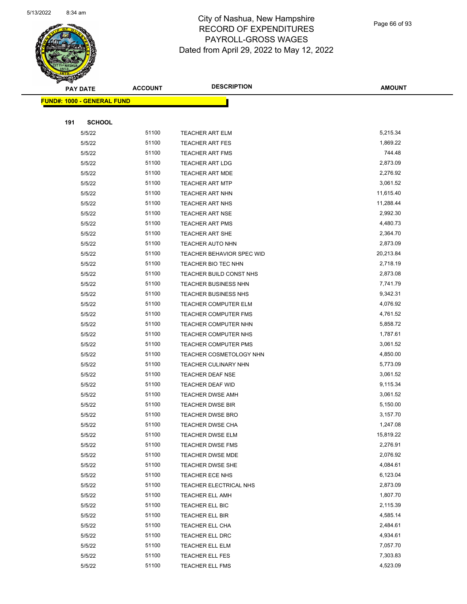

Page 66 of 93

|     | <b>PAY DATE</b>                    | <b>ACCOUNT</b> | <b>DESCRIPTION</b>          | <b>AMOUNT</b> |
|-----|------------------------------------|----------------|-----------------------------|---------------|
|     | <u> FUND#: 1000 - GENERAL FUND</u> |                |                             |               |
|     |                                    |                |                             |               |
| 191 | <b>SCHOOL</b>                      |                |                             |               |
|     | 5/5/22                             | 51100          | <b>TEACHER ART ELM</b>      | 5,215.34      |
|     | 5/5/22                             | 51100          | <b>TEACHER ART FES</b>      | 1,869.22      |
|     | 5/5/22                             | 51100          | <b>TEACHER ART FMS</b>      | 744.48        |
|     | 5/5/22                             | 51100          | <b>TEACHER ART LDG</b>      | 2,873.09      |
|     | 5/5/22                             | 51100          | <b>TEACHER ART MDE</b>      | 2,276.92      |
|     | 5/5/22                             | 51100          | <b>TEACHER ART MTP</b>      | 3,061.52      |
|     | 5/5/22                             | 51100          | <b>TEACHER ART NHN</b>      | 11,615.40     |
|     | 5/5/22                             | 51100          | TEACHER ART NHS             | 11,288.44     |
|     | 5/5/22                             | 51100          | <b>TEACHER ART NSE</b>      | 2,992.30      |
|     | 5/5/22                             | 51100          | <b>TEACHER ART PMS</b>      | 4,480.73      |
|     | 5/5/22                             | 51100          | TEACHER ART SHE             | 2,364.70      |
|     | 5/5/22                             | 51100          | TEACHER AUTO NHN            | 2,873.09      |
|     | 5/5/22                             | 51100          | TEACHER BEHAVIOR SPEC WID   | 20,213.84     |
|     | 5/5/22                             | 51100          | TEACHER BIO TEC NHN         | 2,718.19      |
|     | 5/5/22                             | 51100          | TEACHER BUILD CONST NHS     | 2,873.08      |
|     | 5/5/22                             | 51100          | TEACHER BUSINESS NHN        | 7,741.79      |
|     | 5/5/22                             | 51100          | TEACHER BUSINESS NHS        | 9,342.31      |
|     | 5/5/22                             | 51100          | TEACHER COMPUTER ELM        | 4,076.92      |
|     | 5/5/22                             | 51100          | <b>TEACHER COMPUTER FMS</b> | 4,761.52      |
|     | 5/5/22                             | 51100          | TEACHER COMPUTER NHN        | 5,858.72      |
|     | 5/5/22                             | 51100          | TEACHER COMPUTER NHS        | 1,787.61      |
|     | 5/5/22                             | 51100          | <b>TEACHER COMPUTER PMS</b> | 3,061.52      |
|     | 5/5/22                             | 51100          | TEACHER COSMETOLOGY NHN     | 4,850.00      |
|     | 5/5/22                             | 51100          | <b>TEACHER CULINARY NHN</b> | 5,773.09      |
|     | 5/5/22                             | 51100          | TEACHER DEAF NSE            | 3,061.52      |
|     | 5/5/22                             | 51100          | <b>TEACHER DEAF WID</b>     | 9,115.34      |
|     | 5/5/22                             | 51100          | <b>TEACHER DWSE AMH</b>     | 3,061.52      |
|     | 5/5/22                             | 51100          | <b>TEACHER DWSE BIR</b>     | 5,150.00      |
|     | 5/5/22                             | 51100          | <b>TEACHER DWSE BRO</b>     | 3,157.70      |
|     | 5/5/22                             | 51100          | TEACHER DWSE CHA            | 1,247.08      |
|     | 5/5/22                             | 51100          | TEACHER DWSE ELM            | 15,819.22     |
|     | 5/5/22                             | 51100          | TEACHER DWSE FMS            | 2,276.91      |
|     | 5/5/22                             | 51100          | TEACHER DWSE MDE            | 2,076.92      |
|     | 5/5/22                             | 51100          | <b>TEACHER DWSE SHE</b>     | 4,084.61      |
|     | 5/5/22                             | 51100          | TEACHER ECE NHS             | 6,123.04      |
|     | 5/5/22                             | 51100          | TEACHER ELECTRICAL NHS      | 2,873.09      |
|     | 5/5/22                             | 51100          | TEACHER ELL AMH             | 1,807.70      |
|     | 5/5/22                             | 51100          | TEACHER ELL BIC             | 2,115.39      |
|     | 5/5/22                             | 51100          | TEACHER ELL BIR             | 4,585.14      |
|     | 5/5/22                             | 51100          | TEACHER ELL CHA             | 2,484.61      |
|     | 5/5/22                             | 51100          | TEACHER ELL DRC             | 4,934.61      |
|     | 5/5/22                             | 51100          | TEACHER ELL ELM             | 7,057.70      |
|     | 5/5/22                             | 51100          | TEACHER ELL FES             | 7,303.83      |
|     | 5/5/22                             | 51100          | TEACHER ELL FMS             | 4,523.09      |
|     |                                    |                |                             |               |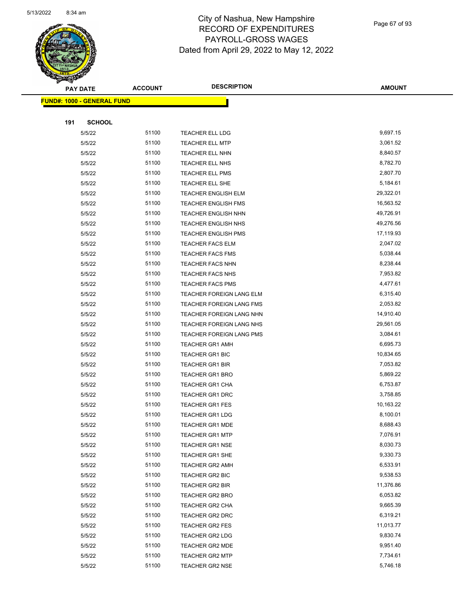

Page 67 of 93

|     | <b>PAY DATE</b>                    | <b>ACCOUNT</b> | <b>DESCRIPTION</b>              | <b>AMOUNT</b> |
|-----|------------------------------------|----------------|---------------------------------|---------------|
|     | <u> FUND#: 1000 - GENERAL FUND</u> |                |                                 |               |
|     |                                    |                |                                 |               |
| 191 | <b>SCHOOL</b>                      |                |                                 |               |
|     | 5/5/22                             | 51100          | TEACHER ELL LDG                 | 9,697.15      |
|     | 5/5/22                             | 51100          | <b>TEACHER ELL MTP</b>          | 3,061.52      |
|     | 5/5/22                             | 51100          | TEACHER ELL NHN                 | 8,840.57      |
|     | 5/5/22                             | 51100          | TEACHER ELL NHS                 | 8,782.70      |
|     | 5/5/22                             | 51100          | <b>TEACHER ELL PMS</b>          | 2,807.70      |
|     | 5/5/22                             | 51100          | TEACHER ELL SHE                 | 5,184.61      |
|     | 5/5/22                             | 51100          | <b>TEACHER ENGLISH ELM</b>      | 29,322.01     |
|     | 5/5/22                             | 51100          | <b>TEACHER ENGLISH FMS</b>      | 16,563.52     |
|     | 5/5/22                             | 51100          | TEACHER ENGLISH NHN             | 49,726.91     |
|     | 5/5/22                             | 51100          | <b>TEACHER ENGLISH NHS</b>      | 49,276.56     |
|     | 5/5/22                             | 51100          | <b>TEACHER ENGLISH PMS</b>      | 17,119.93     |
|     | 5/5/22                             | 51100          | <b>TEACHER FACS ELM</b>         | 2,047.02      |
|     | 5/5/22                             | 51100          | <b>TEACHER FACS FMS</b>         | 5,038.44      |
|     | 5/5/22                             | 51100          | <b>TEACHER FACS NHN</b>         | 8,238.44      |
|     | 5/5/22                             | 51100          | <b>TEACHER FACS NHS</b>         | 7,953.82      |
|     | 5/5/22                             | 51100          | <b>TEACHER FACS PMS</b>         | 4,477.61      |
|     | 5/5/22                             | 51100          | TEACHER FOREIGN LANG ELM        | 6,315.40      |
|     | 5/5/22                             | 51100          | <b>TEACHER FOREIGN LANG FMS</b> | 2,053.82      |
|     | 5/5/22                             | 51100          | TEACHER FOREIGN LANG NHN        | 14,910.40     |
|     | 5/5/22                             | 51100          | <b>TEACHER FOREIGN LANG NHS</b> | 29,561.05     |
|     | 5/5/22                             | 51100          | TEACHER FOREIGN LANG PMS        | 3,084.61      |
|     | 5/5/22                             | 51100          | <b>TEACHER GR1 AMH</b>          | 6,695.73      |
|     | 5/5/22                             | 51100          | <b>TEACHER GR1 BIC</b>          | 10,834.65     |
|     | 5/5/22                             | 51100          | <b>TEACHER GR1 BIR</b>          | 7,053.82      |
|     | 5/5/22                             | 51100          | TEACHER GR1 BRO                 | 5,869.22      |
|     | 5/5/22                             | 51100          | TEACHER GR1 CHA                 | 6,753.87      |
|     | 5/5/22                             | 51100          | <b>TEACHER GR1 DRC</b>          | 3,758.85      |
|     | 5/5/22                             | 51100          | <b>TEACHER GR1 FES</b>          | 10,163.22     |
|     | 5/5/22                             | 51100          | <b>TEACHER GR1 LDG</b>          | 8,100.01      |
|     | 5/5/22                             | 51100          | TEACHER GR1 MDE                 | 8,688.43      |
|     | 5/5/22                             | 51100          | <b>TEACHER GR1 MTP</b>          | 7,076.91      |
|     | 5/5/22                             | 51100          | <b>TEACHER GR1 NSE</b>          | 8,030.73      |
|     | 5/5/22                             | 51100          | TEACHER GR1 SHE                 | 9,330.73      |
|     | 5/5/22                             | 51100          | <b>TEACHER GR2 AMH</b>          | 6,533.91      |
|     | 5/5/22                             | 51100          | <b>TEACHER GR2 BIC</b>          | 9,538.53      |
|     | 5/5/22                             | 51100          | <b>TEACHER GR2 BIR</b>          | 11,376.86     |
|     | 5/5/22                             | 51100          | TEACHER GR2 BRO                 | 6,053.82      |
|     | 5/5/22                             | 51100          | TEACHER GR2 CHA                 | 9,665.39      |
|     | 5/5/22                             | 51100          | TEACHER GR2 DRC                 | 6,319.21      |
|     | 5/5/22                             | 51100          | <b>TEACHER GR2 FES</b>          | 11,013.77     |
|     | 5/5/22                             | 51100          | <b>TEACHER GR2 LDG</b>          | 9,830.74      |
|     | 5/5/22                             | 51100          | TEACHER GR2 MDE                 | 9,951.40      |
|     | 5/5/22                             | 51100          | <b>TEACHER GR2 MTP</b>          | 7,734.61      |
|     | 5/5/22                             | 51100          | <b>TEACHER GR2 NSE</b>          | 5,746.18      |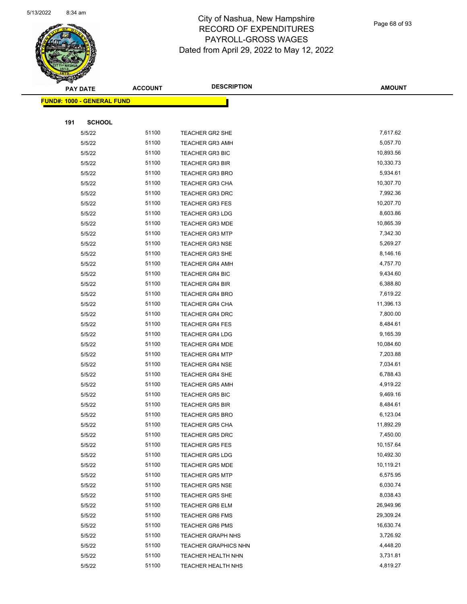

Page 68 of 93

|     | <b>PAY DATE</b>                    | <b>ACCOUNT</b> | <b>DESCRIPTION</b>          | <b>AMOUNT</b> |
|-----|------------------------------------|----------------|-----------------------------|---------------|
|     | <u> FUND#: 1000 - GENERAL FUND</u> |                |                             |               |
|     |                                    |                |                             |               |
| 191 | <b>SCHOOL</b>                      |                |                             |               |
|     | 5/5/22                             | 51100          | <b>TEACHER GR2 SHE</b>      | 7,617.62      |
|     | 5/5/22                             | 51100          | <b>TEACHER GR3 AMH</b>      | 5,057.70      |
|     | 5/5/22                             | 51100          | <b>TEACHER GR3 BIC</b>      | 10,893.56     |
|     | 5/5/22                             | 51100          | <b>TEACHER GR3 BIR</b>      | 10,330.73     |
|     | 5/5/22                             | 51100          | <b>TEACHER GR3 BRO</b>      | 5,934.61      |
|     | 5/5/22                             | 51100          | TEACHER GR3 CHA             | 10,307.70     |
|     | 5/5/22                             | 51100          | <b>TEACHER GR3 DRC</b>      | 7,992.36      |
|     | 5/5/22                             | 51100          | <b>TEACHER GR3 FES</b>      | 10,207.70     |
|     | 5/5/22                             | 51100          | <b>TEACHER GR3 LDG</b>      | 8,603.86      |
|     | 5/5/22                             | 51100          | <b>TEACHER GR3 MDE</b>      | 10,865.39     |
|     | 5/5/22                             | 51100          | <b>TEACHER GR3 MTP</b>      | 7,342.30      |
|     | 5/5/22                             | 51100          | <b>TEACHER GR3 NSE</b>      | 5,269.27      |
|     | 5/5/22                             | 51100          | <b>TEACHER GR3 SHE</b>      | 8,146.16      |
|     | 5/5/22                             | 51100          | <b>TEACHER GR4 AMH</b>      | 4,757.70      |
|     | 5/5/22                             | 51100          | <b>TEACHER GR4 BIC</b>      | 9,434.60      |
|     | 5/5/22                             | 51100          | <b>TEACHER GR4 BIR</b>      | 6,388.80      |
|     | 5/5/22                             | 51100          | <b>TEACHER GR4 BRO</b>      | 7,619.22      |
|     | 5/5/22                             | 51100          | <b>TEACHER GR4 CHA</b>      | 11,396.13     |
|     | 5/5/22                             | 51100          | TEACHER GR4 DRC             | 7,800.00      |
|     | 5/5/22                             | 51100          | <b>TEACHER GR4 FES</b>      | 8,484.61      |
|     | 5/5/22                             | 51100          | <b>TEACHER GR4 LDG</b>      | 9,165.39      |
|     | 5/5/22                             | 51100          | <b>TEACHER GR4 MDE</b>      | 10,084.60     |
|     | 5/5/22                             | 51100          | <b>TEACHER GR4 MTP</b>      | 7,203.88      |
|     | 5/5/22                             | 51100          | <b>TEACHER GR4 NSE</b>      | 7,034.61      |
|     | 5/5/22                             | 51100          | <b>TEACHER GR4 SHE</b>      | 6,788.43      |
|     | 5/5/22                             | 51100          | <b>TEACHER GR5 AMH</b>      | 4,919.22      |
|     | 5/5/22                             | 51100          | <b>TEACHER GR5 BIC</b>      | 9,469.16      |
|     | 5/5/22                             | 51100          | <b>TEACHER GR5 BIR</b>      | 8,484.61      |
|     | 5/5/22                             | 51100          | <b>TEACHER GR5 BRO</b>      | 6,123.04      |
|     | 5/5/22                             | 51100          | <b>TEACHER GR5 CHA</b>      | 11,892.29     |
|     | 5/5/22                             | 51100          | <b>TEACHER GR5 DRC</b>      | 7,450.00      |
|     | 5/5/22                             | 51100          | <b>TEACHER GR5 FES</b>      | 10,157.64     |
|     | 5/5/22                             | 51100          | <b>TEACHER GR5 LDG</b>      | 10,492.30     |
|     | 5/5/22                             | 51100          | <b>TEACHER GR5 MDE</b>      | 10,119.21     |
|     | 5/5/22                             | 51100          | <b>TEACHER GR5 MTP</b>      | 6,575.95      |
|     | 5/5/22                             | 51100          | <b>TEACHER GR5 NSE</b>      | 6,030.74      |
|     | 5/5/22                             | 51100          | <b>TEACHER GR5 SHE</b>      | 8,038.43      |
|     | 5/5/22                             | 51100          | <b>TEACHER GR6 ELM</b>      | 26,949.96     |
|     | 5/5/22                             | 51100          | <b>TEACHER GR6 FMS</b>      | 29,309.24     |
|     | 5/5/22                             | 51100          | <b>TEACHER GR6 PMS</b>      | 16,630.74     |
|     | 5/5/22                             | 51100          | <b>TEACHER GRAPH NHS</b>    | 3,726.92      |
|     | 5/5/22                             | 51100          | <b>TEACHER GRAPHICS NHN</b> | 4,448.20      |
|     | 5/5/22                             | 51100          | TEACHER HEALTH NHN          | 3,731.81      |
|     | 5/5/22                             | 51100          | TEACHER HEALTH NHS          | 4,819.27      |
|     |                                    |                |                             |               |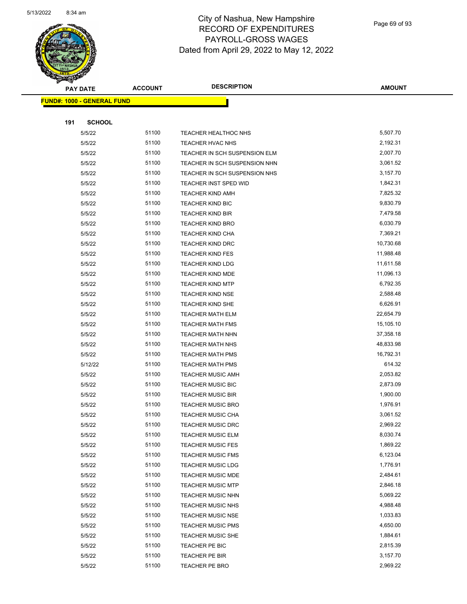

Page 69 of 93

|     | <b>PAY DATE</b>                    | <b>ACCOUNT</b> | <b>DESCRIPTION</b>            | <b>AMOUNT</b> |
|-----|------------------------------------|----------------|-------------------------------|---------------|
|     | <u> FUND#: 1000 - GENERAL FUND</u> |                |                               |               |
|     |                                    |                |                               |               |
| 191 | <b>SCHOOL</b>                      |                |                               |               |
|     | 5/5/22                             | 51100          | TEACHER HEALTHOC NHS          | 5,507.70      |
|     | 5/5/22                             | 51100          | <b>TEACHER HVAC NHS</b>       | 2,192.31      |
|     | 5/5/22                             | 51100          | TEACHER IN SCH SUSPENSION ELM | 2,007.70      |
|     | 5/5/22                             | 51100          | TEACHER IN SCH SUSPENSION NHN | 3,061.52      |
|     | 5/5/22                             | 51100          | TEACHER IN SCH SUSPENSION NHS | 3,157.70      |
|     | 5/5/22                             | 51100          | TEACHER INST SPED WID         | 1,842.31      |
|     | 5/5/22                             | 51100          | TEACHER KIND AMH              | 7,825.32      |
|     | 5/5/22                             | 51100          | <b>TEACHER KIND BIC</b>       | 9,830.79      |
|     | 5/5/22                             | 51100          | <b>TEACHER KIND BIR</b>       | 7,479.58      |
|     | 5/5/22                             | 51100          | <b>TEACHER KIND BRO</b>       | 6,030.79      |
|     | 5/5/22                             | 51100          | TEACHER KIND CHA              | 7,369.21      |
|     | 5/5/22                             | 51100          | <b>TEACHER KIND DRC</b>       | 10,730.68     |
|     | 5/5/22                             | 51100          | <b>TEACHER KIND FES</b>       | 11,988.48     |
|     | 5/5/22                             | 51100          | <b>TEACHER KIND LDG</b>       | 11,611.58     |
|     | 5/5/22                             | 51100          | <b>TEACHER KIND MDE</b>       | 11,096.13     |
|     | 5/5/22                             | 51100          | <b>TEACHER KIND MTP</b>       | 6,792.35      |
|     | 5/5/22                             | 51100          | <b>TEACHER KIND NSE</b>       | 2,588.48      |
|     | 5/5/22                             | 51100          | TEACHER KIND SHE              | 6,626.91      |
|     | 5/5/22                             | 51100          | <b>TEACHER MATH ELM</b>       | 22,654.79     |
|     | 5/5/22                             | 51100          | <b>TEACHER MATH FMS</b>       | 15,105.10     |
|     | 5/5/22                             | 51100          | <b>TEACHER MATH NHN</b>       | 37,358.18     |
|     | 5/5/22                             | 51100          | <b>TEACHER MATH NHS</b>       | 48,833.98     |
|     | 5/5/22                             | 51100          | <b>TEACHER MATH PMS</b>       | 16,792.31     |
|     | 5/12/22                            | 51100          | <b>TEACHER MATH PMS</b>       | 614.32        |
|     | 5/5/22                             | 51100          | <b>TEACHER MUSIC AMH</b>      | 2,053.82      |
|     | 5/5/22                             | 51100          | <b>TEACHER MUSIC BIC</b>      | 2,873.09      |
|     | 5/5/22                             | 51100          | <b>TEACHER MUSIC BIR</b>      | 1,900.00      |
|     | 5/5/22                             | 51100          | <b>TEACHER MUSIC BRO</b>      | 1,976.91      |
|     | 5/5/22                             | 51100          | TEACHER MUSIC CHA             | 3,061.52      |
|     | 5/5/22                             | 51100          | <b>TEACHER MUSIC DRC</b>      | 2,969.22      |
|     | 5/5/22                             | 51100          | <b>TEACHER MUSIC ELM</b>      | 8,030.74      |
|     | 5/5/22                             | 51100          | <b>TEACHER MUSIC FES</b>      | 1,869.22      |
|     | 5/5/22                             | 51100          | <b>TEACHER MUSIC FMS</b>      | 6,123.04      |
|     | 5/5/22                             | 51100          | <b>TEACHER MUSIC LDG</b>      | 1,776.91      |
|     | 5/5/22                             | 51100          | <b>TEACHER MUSIC MDE</b>      | 2,484.61      |
|     | 5/5/22                             | 51100          | <b>TEACHER MUSIC MTP</b>      | 2,846.18      |
|     | 5/5/22                             | 51100          | <b>TEACHER MUSIC NHN</b>      | 5,069.22      |
|     | 5/5/22                             | 51100          | <b>TEACHER MUSIC NHS</b>      | 4,988.48      |
|     | 5/5/22                             | 51100          | <b>TEACHER MUSIC NSE</b>      | 1,033.83      |
|     | 5/5/22                             | 51100          | <b>TEACHER MUSIC PMS</b>      | 4,650.00      |
|     | 5/5/22                             | 51100          | <b>TEACHER MUSIC SHE</b>      | 1,884.61      |
|     | 5/5/22                             | 51100          | TEACHER PE BIC                | 2,815.39      |
|     | 5/5/22                             | 51100          | TEACHER PE BIR                | 3,157.70      |
|     | 5/5/22                             | 51100          | TEACHER PE BRO                | 2,969.22      |
|     |                                    |                |                               |               |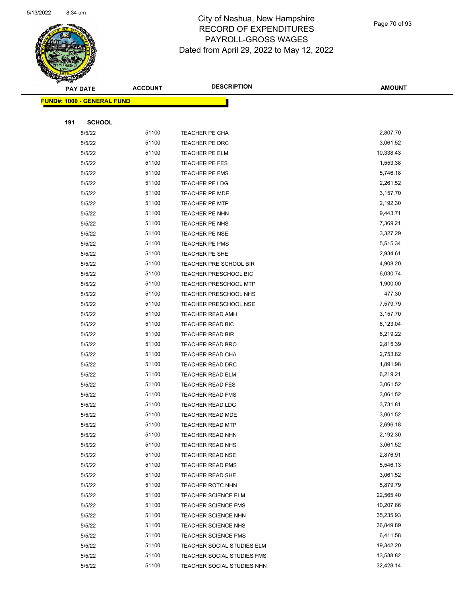

Page 70 of 93

|     | <b>PAY DATE</b>                   | <b>ACCOUNT</b> | <b>DESCRIPTION</b>           | <b>AMOUNT</b> |
|-----|-----------------------------------|----------------|------------------------------|---------------|
|     | <b>FUND#: 1000 - GENERAL FUND</b> |                |                              |               |
|     |                                   |                |                              |               |
| 191 | <b>SCHOOL</b>                     |                |                              |               |
|     | 5/5/22                            | 51100          | TEACHER PE CHA               | 2,807.70      |
|     | 5/5/22                            | 51100          | TEACHER PE DRC               | 3,061.52      |
|     | 5/5/22                            | 51100          | TEACHER PE ELM               | 10,338.43     |
|     | 5/5/22                            | 51100          | TEACHER PE FES               | 1,553.38      |
|     | 5/5/22                            | 51100          | TEACHER PE FMS               | 5,746.18      |
|     | 5/5/22                            | 51100          | <b>TEACHER PE LDG</b>        | 2,261.52      |
|     | 5/5/22                            | 51100          | <b>TEACHER PE MDE</b>        | 3,157.70      |
|     | 5/5/22                            | 51100          | <b>TEACHER PE MTP</b>        | 2,192.30      |
|     | 5/5/22                            | 51100          | TEACHER PE NHN               | 9,443.71      |
|     | 5/5/22                            | 51100          | TEACHER PE NHS               | 7,369.21      |
|     | 5/5/22                            | 51100          | <b>TEACHER PE NSE</b>        | 3,327.29      |
|     | 5/5/22                            | 51100          | TEACHER PE PMS               | 5,515.34      |
|     | 5/5/22                            | 51100          | TEACHER PE SHE               | 2,934.61      |
|     | 5/5/22                            | 51100          | TEACHER PRE SCHOOL BIR       | 4,908.20      |
|     | 5/5/22                            | 51100          | TEACHER PRESCHOOL BIC        | 6,030.74      |
|     | 5/5/22                            | 51100          | <b>TEACHER PRESCHOOL MTP</b> | 1,900.00      |
|     | 5/5/22                            | 51100          | TEACHER PRESCHOOL NHS        | 477.30        |
|     | 5/5/22                            | 51100          | TEACHER PRESCHOOL NSE        | 7,579.79      |
|     | 5/5/22                            | 51100          | <b>TEACHER READ AMH</b>      | 3,157.70      |
|     | 5/5/22                            | 51100          | TEACHER READ BIC             | 6,123.04      |
|     | 5/5/22                            | 51100          | TEACHER READ BIR             | 6,219.22      |
|     | 5/5/22                            | 51100          | <b>TEACHER READ BRO</b>      | 2,815.39      |
|     | 5/5/22                            | 51100          | TEACHER READ CHA             | 2,753.82      |
|     | 5/5/22                            | 51100          | TEACHER READ DRC             | 1,891.98      |
|     | 5/5/22                            | 51100          | TEACHER READ ELM             | 6,219.21      |
|     | 5/5/22                            | 51100          | <b>TEACHER READ FES</b>      | 3,061.52      |
|     | 5/5/22                            | 51100          | <b>TEACHER READ FMS</b>      | 3,061.52      |
|     | 5/5/22                            | 51100          | TEACHER READ LDG             | 3,731.81      |
|     | 5/5/22                            | 51100          | <b>TEACHER READ MDE</b>      | 3,061.52      |
|     | 5/5/22                            | 51100          | TEACHER READ MTP             | 2,696.18      |
|     | 5/5/22                            | 51100          | <b>TEACHER READ NHN</b>      | 2,192.30      |
|     | 5/5/22                            | 51100          | TEACHER READ NHS             | 3,061.52      |
|     | 5/5/22                            | 51100          | <b>TEACHER READ NSE</b>      | 2,876.91      |
|     | 5/5/22                            | 51100          | <b>TEACHER READ PMS</b>      | 5,546.13      |
|     | 5/5/22                            | 51100          | TEACHER READ SHE             | 3,061.52      |
|     | 5/5/22                            | 51100          | TEACHER ROTC NHN             | 5,879.79      |
|     | 5/5/22                            | 51100          | TEACHER SCIENCE ELM          | 22,565.40     |
|     | 5/5/22                            | 51100          | <b>TEACHER SCIENCE FMS</b>   | 10,207.66     |
|     | 5/5/22                            | 51100          | TEACHER SCIENCE NHN          | 35,235.93     |
|     | 5/5/22                            | 51100          | TEACHER SCIENCE NHS          | 36,849.89     |
|     | 5/5/22                            | 51100          | TEACHER SCIENCE PMS          | 6,411.58      |
|     | 5/5/22                            | 51100          | TEACHER SOCIAL STUDIES ELM   | 19,342.20     |
|     | 5/5/22                            | 51100          | TEACHER SOCIAL STUDIES FMS   | 13,538.82     |
|     | 5/5/22                            | 51100          | TEACHER SOCIAL STUDIES NHN   | 32,428.14     |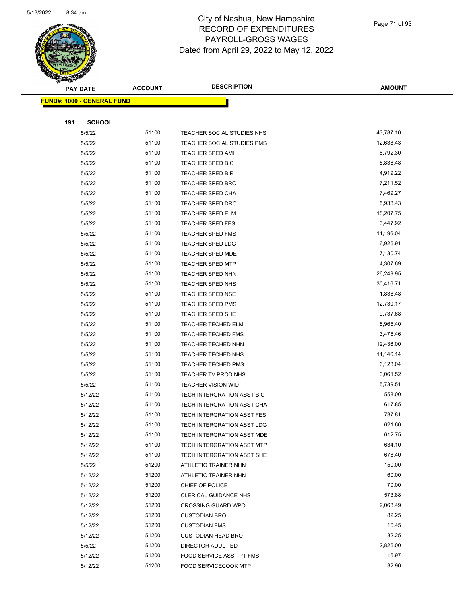

Page 71 of 93

|     | <b>PAY DATE</b>                    | <b>ACCOUNT</b> | <b>DESCRIPTION</b>           | <b>AMOUNT</b> |
|-----|------------------------------------|----------------|------------------------------|---------------|
|     | <u> FUND#: 1000 - GENERAL FUND</u> |                |                              |               |
|     |                                    |                |                              |               |
| 191 | <b>SCHOOL</b>                      |                |                              |               |
|     | 5/5/22                             | 51100          | TEACHER SOCIAL STUDIES NHS   | 43,787.10     |
|     | 5/5/22                             | 51100          | TEACHER SOCIAL STUDIES PMS   | 12,638.43     |
|     | 5/5/22                             | 51100          | <b>TEACHER SPED AMH</b>      | 6,792.30      |
|     | 5/5/22                             | 51100          | <b>TEACHER SPED BIC</b>      | 5,838.48      |
|     | 5/5/22                             | 51100          | <b>TEACHER SPED BIR</b>      | 4,919.22      |
|     | 5/5/22                             | 51100          | <b>TEACHER SPED BRO</b>      | 7,211.52      |
|     | 5/5/22                             | 51100          | TEACHER SPED CHA             | 7,469.27      |
|     | 5/5/22                             | 51100          | TEACHER SPED DRC             | 5,938.43      |
|     | 5/5/22                             | 51100          | <b>TEACHER SPED ELM</b>      | 18,207.75     |
|     | 5/5/22                             | 51100          | TEACHER SPED FES             | 3,447.92      |
|     | 5/5/22                             | 51100          | <b>TEACHER SPED FMS</b>      | 11,196.04     |
|     | 5/5/22                             | 51100          | <b>TEACHER SPED LDG</b>      | 6,926.91      |
|     | 5/5/22                             | 51100          | <b>TEACHER SPED MDE</b>      | 7,130.74      |
|     | 5/5/22                             | 51100          | <b>TEACHER SPED MTP</b>      | 4,307.69      |
|     | 5/5/22                             | 51100          | TEACHER SPED NHN             | 26,249.95     |
|     | 5/5/22                             | 51100          | TEACHER SPED NHS             | 30,416.71     |
|     | 5/5/22                             | 51100          | <b>TEACHER SPED NSE</b>      | 1,838.48      |
|     | 5/5/22                             | 51100          | TEACHER SPED PMS             | 12,730.17     |
|     | 5/5/22                             | 51100          | <b>TEACHER SPED SHE</b>      | 9,737.68      |
|     | 5/5/22                             | 51100          | <b>TEACHER TECHED ELM</b>    | 8,965.40      |
|     | 5/5/22                             | 51100          | <b>TEACHER TECHED FMS</b>    | 3,476.46      |
|     | 5/5/22                             | 51100          | <b>TEACHER TECHED NHN</b>    | 12,436.00     |
|     | 5/5/22                             | 51100          | <b>TEACHER TECHED NHS</b>    | 11,146.14     |
|     | 5/5/22                             | 51100          | <b>TEACHER TECHED PMS</b>    | 6,123.04      |
|     | 5/5/22                             | 51100          | TEACHER TV PROD NHS          | 3,061.52      |
|     | 5/5/22                             | 51100          | <b>TEACHER VISION WID</b>    | 5,739.51      |
|     | 5/12/22                            | 51100          | TECH INTERGRATION ASST BIC   | 558.00        |
|     | 5/12/22                            | 51100          | TECH INTERGRATION ASST CHA   | 617.85        |
|     | 5/12/22                            | 51100          | TECH INTERGRATION ASST FES   | 737.81        |
|     | 5/12/22                            | 51100          | TECH INTERGRATION ASST LDG   | 621.60        |
|     | 5/12/22                            | 51100          | TECH INTERGRATION ASST MDE   | 612.75        |
|     | 5/12/22                            | 51100          | TECH INTERGRATION ASST MTP   | 634.10        |
|     | 5/12/22                            | 51100          | TECH INTERGRATION ASST SHE   | 678.40        |
|     | 5/5/22                             | 51200          | ATHLETIC TRAINER NHN         | 150.00        |
|     | 5/12/22                            | 51200          | ATHLETIC TRAINER NHN         | 60.00         |
|     | 5/12/22                            | 51200          | CHIEF OF POLICE              | 70.00         |
|     | 5/12/22                            | 51200          | <b>CLERICAL GUIDANCE NHS</b> | 573.88        |
|     | 5/12/22                            | 51200          | <b>CROSSING GUARD WPO</b>    | 2,063.49      |
|     | 5/12/22                            | 51200          | <b>CUSTODIAN BRO</b>         | 82.25         |
|     | 5/12/22                            | 51200          | <b>CUSTODIAN FMS</b>         | 16.45         |
|     | 5/12/22                            | 51200          | <b>CUSTODIAN HEAD BRO</b>    | 82.25         |
|     | 5/5/22                             | 51200          | DIRECTOR ADULT ED            | 2,826.00      |
|     | 5/12/22                            | 51200          | FOOD SERVICE ASST PT FMS     | 115.97        |
|     | 5/12/22                            | 51200          | <b>FOOD SERVICECOOK MTP</b>  | 32.90         |
|     |                                    |                |                              |               |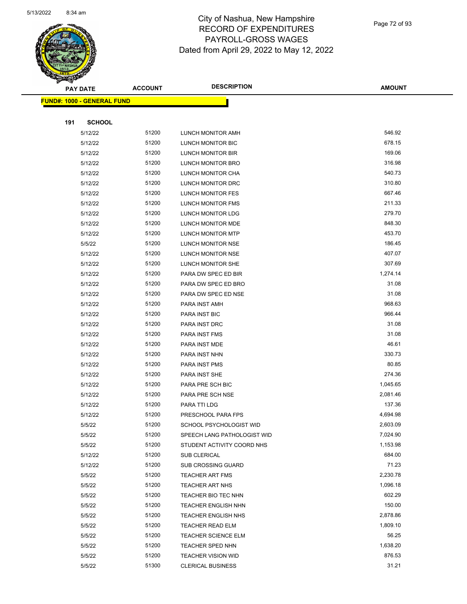

Page 72 of 93

|     | <b>PAY DATE</b>                   | <b>ACCOUNT</b> | <b>DESCRIPTION</b>                     | <b>AMOUNT</b>     |
|-----|-----------------------------------|----------------|----------------------------------------|-------------------|
|     | <b>FUND#: 1000 - GENERAL FUND</b> |                |                                        |                   |
|     |                                   |                |                                        |                   |
| 191 | <b>SCHOOL</b>                     |                |                                        |                   |
|     | 5/12/22                           | 51200          | LUNCH MONITOR AMH                      | 546.92            |
|     | 5/12/22                           | 51200          | LUNCH MONITOR BIC                      | 678.15            |
|     | 5/12/22                           | 51200          | LUNCH MONITOR BIR                      | 169.06            |
|     | 5/12/22                           | 51200          | LUNCH MONITOR BRO                      | 316.98            |
|     | 5/12/22                           | 51200          | LUNCH MONITOR CHA                      | 540.73            |
|     | 5/12/22                           | 51200          | LUNCH MONITOR DRC                      | 310.80            |
|     | 5/12/22                           | 51200          | LUNCH MONITOR FES                      | 667.46            |
|     | 5/12/22                           | 51200          | LUNCH MONITOR FMS                      | 211.33            |
|     | 5/12/22                           | 51200          | LUNCH MONITOR LDG                      | 279.70            |
|     | 5/12/22                           | 51200          | LUNCH MONITOR MDE                      | 848.30            |
|     | 5/12/22                           | 51200          | <b>LUNCH MONITOR MTP</b>               | 453.70            |
|     | 5/5/22                            | 51200          | LUNCH MONITOR NSE                      | 186.45            |
|     | 5/12/22                           | 51200          | LUNCH MONITOR NSE                      | 407.07            |
|     | 5/12/22                           | 51200          | LUNCH MONITOR SHE                      | 307.69            |
|     | 5/12/22                           | 51200          | PARA DW SPEC ED BIR                    | 1,274.14          |
|     | 5/12/22                           | 51200          | PARA DW SPEC ED BRO                    | 31.08             |
|     | 5/12/22                           | 51200          | PARA DW SPEC ED NSE                    | 31.08             |
|     | 5/12/22                           | 51200          | PARA INST AMH                          | 968.63            |
|     | 5/12/22                           | 51200          | PARA INST BIC                          | 966.44            |
|     | 5/12/22                           | 51200          | PARA INST DRC                          | 31.08             |
|     | 5/12/22                           | 51200          | PARA INST FMS                          | 31.08             |
|     | 5/12/22                           | 51200          | PARA INST MDE                          | 46.61             |
|     | 5/12/22                           | 51200          | PARA INST NHN                          | 330.73            |
|     | 5/12/22                           | 51200          | PARA INST PMS                          | 80.85             |
|     | 5/12/22                           | 51200          | PARA INST SHE                          | 274.36            |
|     | 5/12/22                           | 51200          | PARA PRE SCH BIC                       | 1,045.65          |
|     | 5/12/22                           | 51200          | PARA PRE SCH NSE                       | 2,081.46          |
|     | 5/12/22                           | 51200          | PARA TTI LDG                           | 137.36            |
|     | 5/12/22                           | 51200          | PRESCHOOL PARA FPS                     | 4,694.98          |
|     | 5/5/22                            | 51200          | SCHOOL PSYCHOLOGIST WID                | 2,603.09          |
|     | 5/5/22                            | 51200          | SPEECH LANG PATHOLOGIST WID            | 7,024.90          |
|     | 5/5/22                            | 51200          | STUDENT ACTIVITY COORD NHS             | 1,153.98          |
|     | 5/12/22                           | 51200          | <b>SUB CLERICAL</b>                    | 684.00            |
|     | 5/12/22                           | 51200          | <b>SUB CROSSING GUARD</b>              | 71.23<br>2,230.78 |
|     | 5/5/22                            | 51200<br>51200 | <b>TEACHER ART FMS</b>                 | 1,096.18          |
|     | 5/5/22<br>5/5/22                  | 51200          | TEACHER ART NHS<br>TEACHER BIO TEC NHN | 602.29            |
|     | 5/5/22                            | 51200          | TEACHER ENGLISH NHN                    | 150.00            |
|     | 5/5/22                            | 51200          | <b>TEACHER ENGLISH NHS</b>             | 2,878.86          |
|     | 5/5/22                            | 51200          | <b>TEACHER READ ELM</b>                | 1,809.10          |
|     | 5/5/22                            | 51200          | <b>TEACHER SCIENCE ELM</b>             | 56.25             |
|     | 5/5/22                            | 51200          | <b>TEACHER SPED NHN</b>                | 1,638.20          |
|     | 5/5/22                            | 51200          | <b>TEACHER VISION WID</b>              | 876.53            |
|     | 5/5/22                            | 51300          | <b>CLERICAL BUSINESS</b>               | 31.21             |
|     |                                   |                |                                        |                   |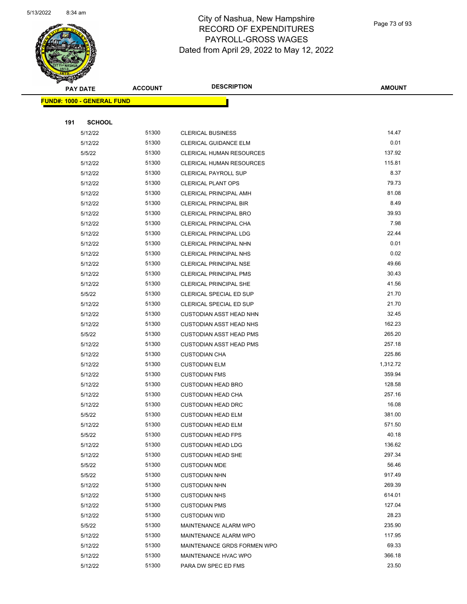

Page 73 of 93

|     | <b>PAY DATE</b>                   | <b>ACCOUNT</b> | <b>DESCRIPTION</b>             | <b>AMOUNT</b> |
|-----|-----------------------------------|----------------|--------------------------------|---------------|
|     | <b>FUND#: 1000 - GENERAL FUND</b> |                |                                |               |
|     |                                   |                |                                |               |
| 191 | <b>SCHOOL</b>                     |                |                                |               |
|     | 5/12/22                           | 51300          | <b>CLERICAL BUSINESS</b>       | 14.47         |
|     | 5/12/22                           | 51300          | <b>CLERICAL GUIDANCE ELM</b>   | 0.01          |
|     | 5/5/22                            | 51300          | CLERICAL HUMAN RESOURCES       | 137.92        |
|     | 5/12/22                           | 51300          | CLERICAL HUMAN RESOURCES       | 115.81        |
|     | 5/12/22                           | 51300          | <b>CLERICAL PAYROLL SUP</b>    | 8.37          |
|     | 5/12/22                           | 51300          | <b>CLERICAL PLANT OPS</b>      | 79.73         |
|     | 5/12/22                           | 51300          | <b>CLERICAL PRINCIPAL AMH</b>  | 81.08         |
|     | 5/12/22                           | 51300          | CLERICAL PRINCIPAL BIR         | 8.49          |
|     | 5/12/22                           | 51300          | <b>CLERICAL PRINCIPAL BRO</b>  | 39.93         |
|     | 5/12/22                           | 51300          | CLERICAL PRINCIPAL CHA         | 7.98          |
|     | 5/12/22                           | 51300          | CLERICAL PRINCIPAL LDG         | 22.44         |
|     | 5/12/22                           | 51300          | <b>CLERICAL PRINCIPAL NHN</b>  | 0.01          |
|     | 5/12/22                           | 51300          | <b>CLERICAL PRINCIPAL NHS</b>  | 0.02          |
|     | 5/12/22                           | 51300          | CLERICAL PRINCIPAL NSE         | 49.66         |
|     | 5/12/22                           | 51300          | <b>CLERICAL PRINCIPAL PMS</b>  | 30.43         |
|     | 5/12/22                           | 51300          | CLERICAL PRINCIPAL SHE         | 41.56         |
|     | 5/5/22                            | 51300          | CLERICAL SPECIAL ED SUP        | 21.70         |
|     | 5/12/22                           | 51300          | CLERICAL SPECIAL ED SUP        | 21.70         |
|     | 5/12/22                           | 51300          | <b>CUSTODIAN ASST HEAD NHN</b> | 32.45         |
|     | 5/12/22                           | 51300          | <b>CUSTODIAN ASST HEAD NHS</b> | 162.23        |
|     | 5/5/22                            | 51300          | <b>CUSTODIAN ASST HEAD PMS</b> | 265.20        |
|     | 5/12/22                           | 51300          | <b>CUSTODIAN ASST HEAD PMS</b> | 257.18        |
|     | 5/12/22                           | 51300          | <b>CUSTODIAN CHA</b>           | 225.86        |
|     | 5/12/22                           | 51300          | <b>CUSTODIAN ELM</b>           | 1,312.72      |
|     | 5/12/22                           | 51300          | <b>CUSTODIAN FMS</b>           | 359.94        |
|     | 5/12/22                           | 51300          | <b>CUSTODIAN HEAD BRO</b>      | 128.58        |
|     | 5/12/22                           | 51300          | <b>CUSTODIAN HEAD CHA</b>      | 257.16        |
|     | 5/12/22                           | 51300          | <b>CUSTODIAN HEAD DRC</b>      | 16.08         |
|     | 5/5/22                            | 51300          | <b>CUSTODIAN HEAD ELM</b>      | 381.00        |
|     | 5/12/22                           | 51300          | <b>CUSTODIAN HEAD ELM</b>      | 571.50        |
|     | 5/5/22                            | 51300          | <b>CUSTODIAN HEAD FPS</b>      | 40.18         |
|     | 5/12/22                           | 51300          | <b>CUSTODIAN HEAD LDG</b>      | 136.62        |
|     | 5/12/22                           | 51300          | <b>CUSTODIAN HEAD SHE</b>      | 297.34        |
|     | 5/5/22                            | 51300          | <b>CUSTODIAN MDE</b>           | 56.46         |
|     | 5/5/22                            | 51300          | <b>CUSTODIAN NHN</b>           | 917.49        |
|     | 5/12/22                           | 51300          | <b>CUSTODIAN NHN</b>           | 269.39        |
|     | 5/12/22                           | 51300          | <b>CUSTODIAN NHS</b>           | 614.01        |
|     | 5/12/22                           | 51300          | <b>CUSTODIAN PMS</b>           | 127.04        |
|     | 5/12/22                           | 51300          | <b>CUSTODIAN WID</b>           | 28.23         |
|     | 5/5/22                            | 51300          | MAINTENANCE ALARM WPO          | 235.90        |
|     | 5/12/22                           | 51300          | MAINTENANCE ALARM WPO          | 117.95        |
|     | 5/12/22                           | 51300          | MAINTENANCE GRDS FORMEN WPO    | 69.33         |
|     | 5/12/22                           | 51300          | MAINTENANCE HVAC WPO           | 366.18        |
|     | 5/12/22                           | 51300          | PARA DW SPEC ED FMS            | 23.50         |
|     |                                   |                |                                |               |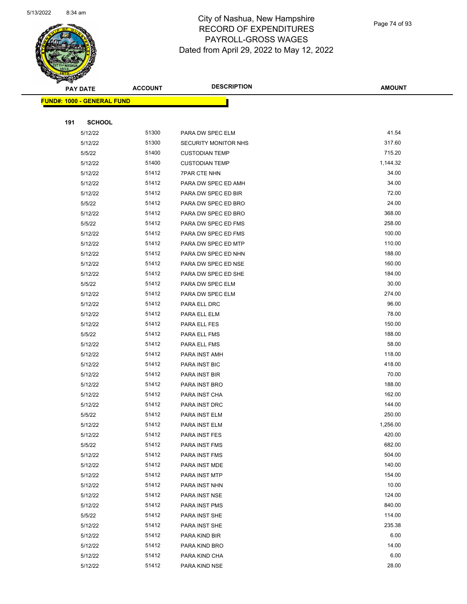

Page 74 of 93

|     | <b>PAY DATE</b>                    | <b>ACCOUNT</b> | <b>DESCRIPTION</b>    | <b>AMOUNT</b> |
|-----|------------------------------------|----------------|-----------------------|---------------|
|     | <u> FUND#: 1000 - GENERAL FUND</u> |                |                       |               |
|     |                                    |                |                       |               |
| 191 | <b>SCHOOL</b>                      |                |                       |               |
|     | 5/12/22                            | 51300          | PARA DW SPEC ELM      | 41.54         |
|     | 5/12/22                            | 51300          | SECURITY MONITOR NHS  | 317.60        |
|     | 5/5/22                             | 51400          | <b>CUSTODIAN TEMP</b> | 715.20        |
|     | 5/12/22                            | 51400          | <b>CUSTODIAN TEMP</b> | 1,144.32      |
|     | 5/12/22                            | 51412          | <b>7PAR CTE NHN</b>   | 34.00         |
|     | 5/12/22                            | 51412          | PARA DW SPEC ED AMH   | 34.00         |
|     | 5/12/22                            | 51412          | PARA DW SPEC ED BIR   | 72.00         |
|     | 5/5/22                             | 51412          | PARA DW SPEC ED BRO   | 24.00         |
|     | 5/12/22                            | 51412          | PARA DW SPEC ED BRO   | 368.00        |
|     | 5/5/22                             | 51412          | PARA DW SPEC ED FMS   | 258.00        |
|     | 5/12/22                            | 51412          | PARA DW SPEC ED FMS   | 100.00        |
|     | 5/12/22                            | 51412          | PARA DW SPEC ED MTP   | 110.00        |
|     | 5/12/22                            | 51412          | PARA DW SPEC ED NHN   | 188.00        |
|     | 5/12/22                            | 51412          | PARA DW SPEC ED NSE   | 160.00        |
|     | 5/12/22                            | 51412          | PARA DW SPEC ED SHE   | 184.00        |
|     | 5/5/22                             | 51412          | PARA DW SPEC ELM      | 30.00         |
|     | 5/12/22                            | 51412          | PARA DW SPEC ELM      | 274.00        |
|     | 5/12/22                            | 51412          | PARA ELL DRC          | 96.00         |
|     | 5/12/22                            | 51412          | PARA ELL ELM          | 78.00         |
|     | 5/12/22                            | 51412          | PARA ELL FES          | 150.00        |
|     | 5/5/22                             | 51412          | PARA ELL FMS          | 188.00        |
|     | 5/12/22                            | 51412          | PARA ELL FMS          | 58.00         |
|     | 5/12/22                            | 51412          | PARA INST AMH         | 118.00        |
|     | 5/12/22                            | 51412          | PARA INST BIC         | 418.00        |
|     | 5/12/22                            | 51412          | PARA INST BIR         | 70.00         |
|     | 5/12/22                            | 51412          | PARA INST BRO         | 188.00        |
|     | 5/12/22                            | 51412          | PARA INST CHA         | 162.00        |
|     | 5/12/22                            | 51412          | PARA INST DRC         | 144.00        |
|     | 5/5/22                             | 51412          | <b>PARA INST ELM</b>  | 250.00        |
|     | 5/12/22                            | 51412          | PARA INST ELM         | 1,256.00      |
|     | 5/12/22                            | 51412          | PARA INST FES         | 420.00        |
|     | 5/5/22                             | 51412          | PARA INST FMS         | 682.00        |
|     | 5/12/22                            | 51412          | PARA INST FMS         | 504.00        |
|     | 5/12/22                            | 51412          | PARA INST MDE         | 140.00        |
|     | 5/12/22                            | 51412          | PARA INST MTP         | 154.00        |
|     | 5/12/22                            | 51412          | PARA INST NHN         | 10.00         |
|     | 5/12/22                            | 51412          | PARA INST NSE         | 124.00        |
|     | 5/12/22                            | 51412          | PARA INST PMS         | 840.00        |
|     | 5/5/22                             | 51412          | PARA INST SHE         | 114.00        |
|     | 5/12/22                            | 51412          | PARA INST SHE         | 235.38        |
|     | 5/12/22                            | 51412          | PARA KIND BIR         | 6.00          |
|     | 5/12/22                            | 51412          | PARA KIND BRO         | 14.00         |
|     | 5/12/22                            | 51412          | PARA KIND CHA         | 6.00          |
|     | 5/12/22                            | 51412          | PARA KIND NSE         | 28.00         |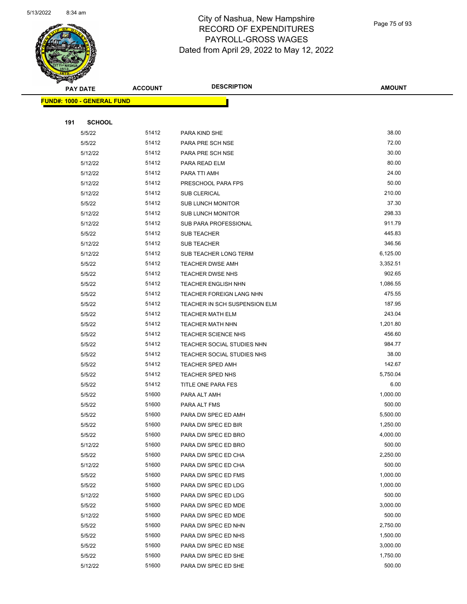

Page 75 of 93

|     | <b>PAY DATE</b>                    | <b>ACCOUNT</b> | <b>DESCRIPTION</b>                         | <b>AMOUNT</b>      |
|-----|------------------------------------|----------------|--------------------------------------------|--------------------|
|     | <u> FUND#: 1000 - GENERAL FUND</u> |                |                                            |                    |
|     |                                    |                |                                            |                    |
| 191 | <b>SCHOOL</b>                      |                |                                            |                    |
|     | 5/5/22                             | 51412          | PARA KIND SHE                              | 38.00              |
|     | 5/5/22                             | 51412          | PARA PRE SCH NSE                           | 72.00              |
|     | 5/12/22                            | 51412          | PARA PRE SCH NSE                           | 30.00              |
|     | 5/12/22                            | 51412          | PARA READ ELM                              | 80.00              |
|     | 5/12/22                            | 51412          | PARA TTI AMH                               | 24.00              |
|     | 5/12/22                            | 51412          | PRESCHOOL PARA FPS                         | 50.00              |
|     | 5/12/22                            | 51412          | SUB CLERICAL                               | 210.00             |
|     | 5/5/22                             | 51412          | <b>SUB LUNCH MONITOR</b>                   | 37.30              |
|     | 5/12/22                            | 51412          | <b>SUB LUNCH MONITOR</b>                   | 298.33             |
|     | 5/12/22                            | 51412          | SUB PARA PROFESSIONAL                      | 911.79             |
|     | 5/5/22                             | 51412          | SUB TEACHER                                | 445.83             |
|     | 5/12/22                            | 51412          | SUB TEACHER                                | 346.56             |
|     | 5/12/22                            | 51412          | SUB TEACHER LONG TERM                      | 6,125.00           |
|     | 5/5/22                             | 51412          | <b>TEACHER DWSE AMH</b>                    | 3,352.51           |
|     | 5/5/22                             | 51412          | TEACHER DWSE NHS                           | 902.65             |
|     | 5/5/22                             | 51412          | TEACHER ENGLISH NHN                        | 1,086.55           |
|     | 5/5/22                             | 51412          | TEACHER FOREIGN LANG NHN                   | 475.55             |
|     | 5/5/22                             | 51412          | TEACHER IN SCH SUSPENSION ELM              | 187.95             |
|     | 5/5/22                             | 51412          | <b>TEACHER MATH ELM</b>                    | 243.04             |
|     | 5/5/22                             | 51412          | <b>TEACHER MATH NHN</b>                    | 1,201.80           |
|     | 5/5/22                             | 51412          | <b>TEACHER SCIENCE NHS</b>                 | 456.60             |
|     | 5/5/22                             | 51412          | TEACHER SOCIAL STUDIES NHN                 | 984.77             |
|     | 5/5/22                             | 51412          | TEACHER SOCIAL STUDIES NHS                 | 38.00              |
|     | 5/5/22                             | 51412          | <b>TEACHER SPED AMH</b>                    | 142.67             |
|     | 5/5/22                             | 51412          | <b>TEACHER SPED NHS</b>                    | 5,750.04           |
|     | 5/5/22                             | 51412          | TITLE ONE PARA FES                         | 6.00               |
|     | 5/5/22                             | 51600          | PARA ALT AMH                               | 1,000.00           |
|     | 5/5/22                             | 51600          | PARA ALT FMS                               | 500.00             |
|     | 5/5/22                             | 51600          | PARA DW SPEC ED AMH                        | 5,500.00           |
|     | 5/5/22                             | 51600          | PARA DW SPEC ED BIR                        | 1,250.00           |
|     | 5/5/22                             | 51600<br>51600 | PARA DW SPEC ED BRO                        | 4,000.00<br>500.00 |
|     | 5/12/22                            | 51600          | PARA DW SPEC ED BRO                        | 2,250.00           |
|     | 5/5/22<br>5/12/22                  | 51600          | PARA DW SPEC ED CHA<br>PARA DW SPEC ED CHA | 500.00             |
|     | 5/5/22                             | 51600          | PARA DW SPEC ED FMS                        | 1,000.00           |
|     | 5/5/22                             | 51600          | PARA DW SPEC ED LDG                        | 1,000.00           |
|     | 5/12/22                            | 51600          | PARA DW SPEC ED LDG                        | 500.00             |
|     | 5/5/22                             | 51600          | PARA DW SPEC ED MDE                        | 3,000.00           |
|     | 5/12/22                            | 51600          | PARA DW SPEC ED MDE                        | 500.00             |
|     | 5/5/22                             | 51600          | PARA DW SPEC ED NHN                        | 2,750.00           |
|     | 5/5/22                             | 51600          | PARA DW SPEC ED NHS                        | 1,500.00           |
|     | 5/5/22                             | 51600          | PARA DW SPEC ED NSE                        | 3,000.00           |
|     | 5/5/22                             | 51600          | PARA DW SPEC ED SHE                        | 1,750.00           |
|     | 5/12/22                            | 51600          | PARA DW SPEC ED SHE                        | 500.00             |
|     |                                    |                |                                            |                    |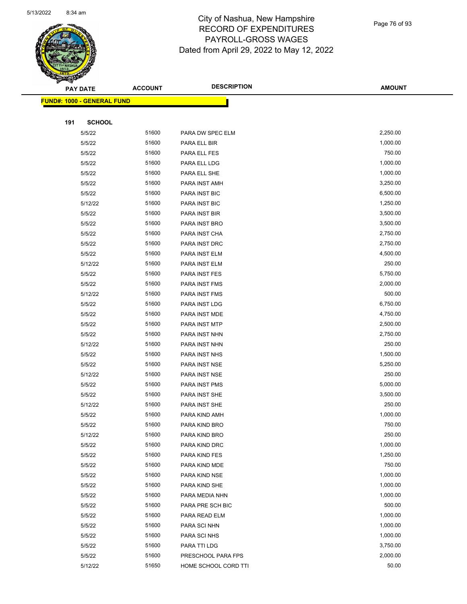

Page 76 of 93

|     | <b>PAY DATE</b>                    | <b>ACCOUNT</b> | <b>DESCRIPTION</b>   | <b>AMOUNT</b> |
|-----|------------------------------------|----------------|----------------------|---------------|
|     | <u> FUND#: 1000 - GENERAL FUND</u> |                |                      |               |
|     |                                    |                |                      |               |
| 191 | <b>SCHOOL</b>                      |                |                      |               |
|     | 5/5/22                             | 51600          | PARA DW SPEC ELM     | 2,250.00      |
|     | 5/5/22                             | 51600          | PARA ELL BIR         | 1,000.00      |
|     | 5/5/22                             | 51600          | PARA ELL FES         | 750.00        |
|     | 5/5/22                             | 51600          | PARA ELL LDG         | 1,000.00      |
|     | 5/5/22                             | 51600          | PARA ELL SHE         | 1,000.00      |
|     | 5/5/22                             | 51600          | PARA INST AMH        | 3,250.00      |
|     | 5/5/22                             | 51600          | PARA INST BIC        | 6,500.00      |
|     | 5/12/22                            | 51600          | PARA INST BIC        | 1,250.00      |
|     | 5/5/22                             | 51600          | PARA INST BIR        | 3,500.00      |
|     | 5/5/22                             | 51600          | PARA INST BRO        | 3,500.00      |
|     | 5/5/22                             | 51600          | PARA INST CHA        | 2,750.00      |
|     | 5/5/22                             | 51600          | PARA INST DRC        | 2,750.00      |
|     | 5/5/22                             | 51600          | PARA INST ELM        | 4,500.00      |
|     | 5/12/22                            | 51600          | PARA INST ELM        | 250.00        |
|     | 5/5/22                             | 51600          | PARA INST FES        | 5,750.00      |
|     | 5/5/22                             | 51600          | PARA INST FMS        | 2,000.00      |
|     | 5/12/22                            | 51600          | PARA INST FMS        | 500.00        |
|     | 5/5/22                             | 51600          | PARA INST LDG        | 6,750.00      |
|     | 5/5/22                             | 51600          | PARA INST MDE        | 4,750.00      |
|     | 5/5/22                             | 51600          | PARA INST MTP        | 2,500.00      |
|     | 5/5/22                             | 51600          | PARA INST NHN        | 2,750.00      |
|     | 5/12/22                            | 51600          | PARA INST NHN        | 250.00        |
|     | 5/5/22                             | 51600          | PARA INST NHS        | 1,500.00      |
|     | 5/5/22                             | 51600          | PARA INST NSE        | 5,250.00      |
|     | 5/12/22                            | 51600          | PARA INST NSE        | 250.00        |
|     | 5/5/22                             | 51600          | PARA INST PMS        | 5,000.00      |
|     | 5/5/22                             | 51600          | PARA INST SHE        | 3,500.00      |
|     | 5/12/22                            | 51600          | PARA INST SHE        | 250.00        |
|     | 5/5/22                             | 51600          | PARA KIND AMH        | 1,000.00      |
|     | 5/5/22                             | 51600          | PARA KIND BRO        | 750.00        |
|     | 5/12/22                            | 51600          | PARA KIND BRO        | 250.00        |
|     | 5/5/22                             | 51600          | PARA KIND DRC        | 1,000.00      |
|     | 5/5/22                             | 51600          | PARA KIND FES        | 1,250.00      |
|     | 5/5/22                             | 51600          | PARA KIND MDE        | 750.00        |
|     | 5/5/22                             | 51600          | PARA KIND NSE        | 1,000.00      |
|     | 5/5/22                             | 51600          | PARA KIND SHE        | 1,000.00      |
|     | 5/5/22                             | 51600          | PARA MEDIA NHN       | 1,000.00      |
|     | 5/5/22                             | 51600          | PARA PRE SCH BIC     | 500.00        |
|     | 5/5/22                             | 51600          | PARA READ ELM        | 1,000.00      |
|     | 5/5/22                             | 51600          | PARA SCI NHN         | 1,000.00      |
|     | 5/5/22                             | 51600          | PARA SCI NHS         | 1,000.00      |
|     | 5/5/22                             | 51600          | PARA TTI LDG         | 3,750.00      |
|     | 5/5/22                             | 51600          | PRESCHOOL PARA FPS   | 2,000.00      |
|     | 5/12/22                            | 51650          | HOME SCHOOL CORD TTI | 50.00         |
|     |                                    |                |                      |               |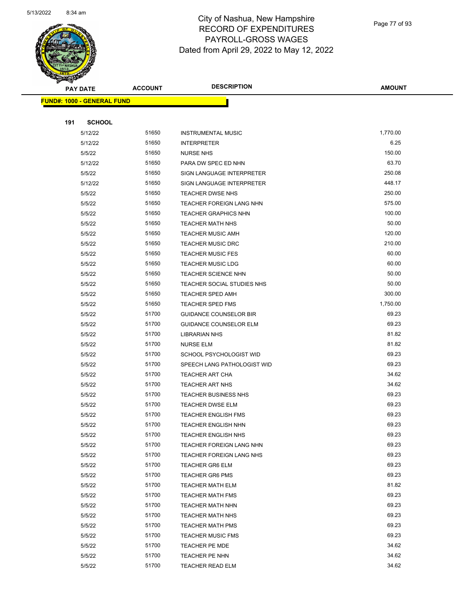

Page 77 of 93

| <b>PAY DATE</b>                   | <b>ACCOUNT</b> | <b>DESCRIPTION</b>                                   | <b>AMOUNT</b>  |
|-----------------------------------|----------------|------------------------------------------------------|----------------|
| <b>FUND#: 1000 - GENERAL FUND</b> |                |                                                      |                |
|                                   |                |                                                      |                |
| 191<br><b>SCHOOL</b>              |                |                                                      |                |
| 5/12/22                           | 51650          | <b>INSTRUMENTAL MUSIC</b>                            | 1,770.00       |
| 5/12/22                           | 51650          | <b>INTERPRETER</b>                                   | 6.25           |
| 5/5/22                            | 51650          | <b>NURSE NHS</b>                                     | 150.00         |
| 5/12/22                           | 51650          | PARA DW SPEC ED NHN                                  | 63.70          |
| 5/5/22                            | 51650          | SIGN LANGUAGE INTERPRETER                            | 250.08         |
| 5/12/22                           | 51650          | SIGN LANGUAGE INTERPRETER                            | 448.17         |
| 5/5/22                            | 51650          | <b>TEACHER DWSE NHS</b>                              | 250.00         |
| 5/5/22                            | 51650          | TEACHER FOREIGN LANG NHN                             | 575.00         |
| 5/5/22                            | 51650          | <b>TEACHER GRAPHICS NHN</b>                          | 100.00         |
| 5/5/22                            | 51650          | TEACHER MATH NHS                                     | 50.00          |
| 5/5/22                            | 51650          | <b>TEACHER MUSIC AMH</b>                             | 120.00         |
| 5/5/22                            | 51650          | <b>TEACHER MUSIC DRC</b>                             | 210.00         |
| 5/5/22                            | 51650          | <b>TEACHER MUSIC FES</b>                             | 60.00          |
| 5/5/22                            | 51650          | <b>TEACHER MUSIC LDG</b>                             | 60.00          |
| 5/5/22                            | 51650          | <b>TEACHER SCIENCE NHN</b>                           | 50.00          |
| 5/5/22                            | 51650          | TEACHER SOCIAL STUDIES NHS                           | 50.00          |
| 5/5/22                            | 51650          | TEACHER SPED AMH                                     | 300.00         |
| 5/5/22                            | 51650          | <b>TEACHER SPED FMS</b>                              | 1,750.00       |
| 5/5/22                            | 51700          | <b>GUIDANCE COUNSELOR BIR</b>                        | 69.23          |
| 5/5/22                            | 51700          | <b>GUIDANCE COUNSELOR ELM</b>                        | 69.23          |
| 5/5/22                            | 51700          | <b>LIBRARIAN NHS</b>                                 | 81.82          |
| 5/5/22                            | 51700          | <b>NURSE ELM</b>                                     | 81.82          |
| 5/5/22                            | 51700          | SCHOOL PSYCHOLOGIST WID                              | 69.23          |
| 5/5/22                            | 51700          | SPEECH LANG PATHOLOGIST WID                          | 69.23          |
| 5/5/22                            | 51700          | TEACHER ART CHA                                      | 34.62          |
| 5/5/22                            | 51700          | <b>TEACHER ART NHS</b>                               | 34.62          |
| 5/5/22                            | 51700          | <b>TEACHER BUSINESS NHS</b>                          | 69.23          |
| 5/5/22                            | 51700          | <b>TEACHER DWSE ELM</b>                              | 69.23          |
| 5/5/22                            | 51700          | <b>TEACHER ENGLISH FMS</b>                           | 69.23          |
| 5/5/22                            | 51700          | <b>TEACHER ENGLISH NHN</b>                           | 69.23<br>69.23 |
| 5/5/22                            | 51700<br>51700 | <b>TEACHER ENGLISH NHS</b>                           | 69.23          |
| 5/5/22<br>5/5/22                  | 51700          | TEACHER FOREIGN LANG NHN<br>TEACHER FOREIGN LANG NHS | 69.23          |
| 5/5/22                            | 51700          | <b>TEACHER GR6 ELM</b>                               | 69.23          |
| 5/5/22                            | 51700          | <b>TEACHER GR6 PMS</b>                               | 69.23          |
| 5/5/22                            | 51700          | <b>TEACHER MATH ELM</b>                              | 81.82          |
| 5/5/22                            | 51700          | <b>TEACHER MATH FMS</b>                              | 69.23          |
| 5/5/22                            | 51700          | <b>TEACHER MATH NHN</b>                              | 69.23          |
| 5/5/22                            | 51700          | <b>TEACHER MATH NHS</b>                              | 69.23          |
| 5/5/22                            | 51700          | TEACHER MATH PMS                                     | 69.23          |
| 5/5/22                            | 51700          | <b>TEACHER MUSIC FMS</b>                             | 69.23          |
| 5/5/22                            | 51700          | <b>TEACHER PE MDE</b>                                | 34.62          |
| 5/5/22                            | 51700          | TEACHER PE NHN                                       | 34.62          |
| 5/5/22                            | 51700          | TEACHER READ ELM                                     | 34.62          |
|                                   |                |                                                      |                |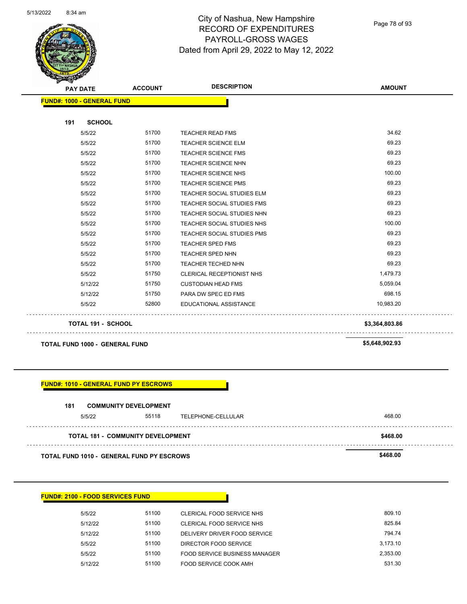

Page 78 of 93

| <b>PAY DATE</b>                   | <b>ACCOUNT</b> | <b>DESCRIPTION</b>                | <b>AMOUNT</b>  |
|-----------------------------------|----------------|-----------------------------------|----------------|
| <b>FUND#: 1000 - GENERAL FUND</b> |                |                                   |                |
|                                   |                |                                   |                |
| <b>SCHOOL</b><br>191              |                |                                   |                |
| 5/5/22                            | 51700          | <b>TEACHER READ FMS</b>           | 34.62          |
| 5/5/22                            | 51700          | <b>TEACHER SCIENCE ELM</b>        | 69.23          |
| 5/5/22                            | 51700          | <b>TEACHER SCIENCE FMS</b>        | 69.23          |
| 5/5/22                            | 51700          | <b>TEACHER SCIENCE NHN</b>        | 69.23          |
| 5/5/22                            | 51700          | <b>TEACHER SCIENCE NHS</b>        | 100.00         |
| 5/5/22                            | 51700          | <b>TEACHER SCIENCE PMS</b>        | 69.23          |
| 5/5/22                            | 51700          | TEACHER SOCIAL STUDIES ELM        | 69.23          |
| 5/5/22                            | 51700          | <b>TEACHER SOCIAL STUDIES FMS</b> | 69.23          |
| 5/5/22                            | 51700          | TEACHER SOCIAL STUDIES NHN        | 69.23          |
| 5/5/22                            | 51700          | TEACHER SOCIAL STUDIES NHS        | 100.00         |
| 5/5/22                            | 51700          | TEACHER SOCIAL STUDIES PMS        | 69.23          |
| 5/5/22                            | 51700          | <b>TEACHER SPED FMS</b>           | 69.23          |
| 5/5/22                            | 51700          | TEACHER SPED NHN                  | 69.23          |
| 5/5/22                            | 51700          | TEACHER TECHED NHN                | 69.23          |
| 5/5/22                            | 51750          | <b>CLERICAL RECEPTIONIST NHS</b>  | 1,479.73       |
| 5/12/22                           | 51750          | <b>CUSTODIAN HEAD FMS</b>         | 5,059.04       |
| 5/12/22                           | 51750          | PARA DW SPEC ED FMS               | 698.15         |
| 5/5/22                            | 52800          | EDUCATIONAL ASSISTANCE            | 10,983.20      |
| <b>TOTAL 191 - SCHOOL</b>         |                |                                   | \$3,364,803.86 |
|                                   |                |                                   |                |

**TOTAL FUND 1000 - GENERAL FUND \$5,648,902.93** 

**FUND#: 1010 - GENERAL FUND PY ESCROWS**

| 181 | <b>COMMUNITY DEVELOPMENT</b> |  |
|-----|------------------------------|--|
|     | _ _ _ _ _                    |  |

| <b>TOTAL FUND 1010 - GENERAL FUND PY ESCROWS</b> |       |                    | \$468.00 |
|--------------------------------------------------|-------|--------------------|----------|
| <b>TOTAL 181 - COMMUNITY DEVELOPMENT</b>         |       |                    | \$468.00 |
| 5/5/22                                           | 55118 | TELEPHONE-CELLULAR | 468.00   |

|  | <b>FUND#: 2100 - FOOD SERVICES FUND</b> |  |
|--|-----------------------------------------|--|
|--|-----------------------------------------|--|

| 5/5/22  | 51100 | CLERICAL FOOD SERVICE NHS     | 809.10   |
|---------|-------|-------------------------------|----------|
| 5/12/22 | 51100 | CLERICAL FOOD SERVICE NHS     | 825.84   |
| 5/12/22 | 51100 | DELIVERY DRIVER FOOD SERVICE  | 794.74   |
| 5/5/22  | 51100 | DIRECTOR FOOD SERVICE         | 3.173.10 |
| 5/5/22  | 51100 | FOOD SERVICE BUSINESS MANAGER | 2.353.00 |
| 5/12/22 | 51100 | FOOD SERVICE COOK AMH         | 531.30   |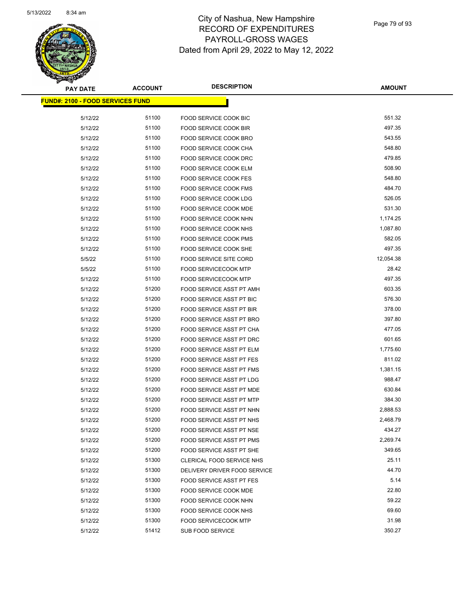

Page 79 of 93

| <b>PAY DATE</b>                          | <b>ACCOUNT</b> | <b>DESCRIPTION</b>                                              | <b>AMOUNT</b>      |
|------------------------------------------|----------------|-----------------------------------------------------------------|--------------------|
| <u> FUND#: 2100 - FOOD SERVICES FUND</u> |                |                                                                 |                    |
|                                          |                |                                                                 |                    |
| 5/12/22<br>5/12/22                       | 51100<br>51100 | FOOD SERVICE COOK BIC<br><b>FOOD SERVICE COOK BIR</b>           | 551.32<br>497.35   |
|                                          |                |                                                                 |                    |
| 5/12/22                                  | 51100          | FOOD SERVICE COOK BRO                                           | 543.55<br>548.80   |
| 5/12/22                                  | 51100          | FOOD SERVICE COOK CHA                                           | 479.85             |
| 5/12/22                                  | 51100          | FOOD SERVICE COOK DRC                                           |                    |
| 5/12/22                                  | 51100          | FOOD SERVICE COOK ELM                                           | 508.90<br>548.80   |
| 5/12/22                                  | 51100          | <b>FOOD SERVICE COOK FES</b>                                    |                    |
| 5/12/22                                  | 51100          | <b>FOOD SERVICE COOK FMS</b>                                    | 484.70<br>526.05   |
| 5/12/22                                  | 51100<br>51100 | FOOD SERVICE COOK LDG                                           | 531.30             |
| 5/12/22                                  |                | FOOD SERVICE COOK MDE                                           |                    |
| 5/12/22                                  | 51100          | FOOD SERVICE COOK NHN                                           | 1,174.25           |
| 5/12/22                                  | 51100          | FOOD SERVICE COOK NHS                                           | 1,087.80           |
| 5/12/22                                  | 51100<br>51100 | <b>FOOD SERVICE COOK PMS</b>                                    | 582.05<br>497.35   |
| 5/12/22                                  | 51100          | FOOD SERVICE COOK SHE                                           | 12,054.38          |
| 5/5/22                                   |                | <b>FOOD SERVICE SITE CORD</b>                                   |                    |
| 5/5/22                                   | 51100          | <b>FOOD SERVICECOOK MTP</b>                                     | 28.42              |
| 5/12/22                                  | 51100          | <b>FOOD SERVICECOOK MTP</b>                                     | 497.35             |
| 5/12/22                                  | 51200          | FOOD SERVICE ASST PT AMH                                        | 603.35             |
| 5/12/22                                  | 51200          | <b>FOOD SERVICE ASST PT BIC</b>                                 | 576.30             |
| 5/12/22                                  | 51200          | FOOD SERVICE ASST PT BIR                                        | 378.00             |
| 5/12/22                                  | 51200          | FOOD SERVICE ASST PT BRO                                        | 397.80             |
| 5/12/22                                  | 51200          | FOOD SERVICE ASST PT CHA                                        | 477.05             |
| 5/12/22                                  | 51200          | FOOD SERVICE ASST PT DRC                                        | 601.65             |
| 5/12/22                                  | 51200<br>51200 | FOOD SERVICE ASST PT ELM                                        | 1,775.60<br>811.02 |
| 5/12/22<br>5/12/22                       | 51200          | <b>FOOD SERVICE ASST PT FES</b>                                 | 1,381.15           |
|                                          | 51200          | FOOD SERVICE ASST PT FMS                                        | 988.47             |
| 5/12/22                                  | 51200          | FOOD SERVICE ASST PT LDG                                        | 630.84             |
| 5/12/22                                  | 51200          | FOOD SERVICE ASST PT MDE                                        | 384.30             |
| 5/12/22                                  | 51200          | FOOD SERVICE ASST PT MTP<br><b>FOOD SERVICE ASST PT NHN</b>     | 2,888.53           |
| 5/12/22<br>5/12/22                       | 51200          | FOOD SERVICE ASST PT NHS                                        | 2,468.79           |
| 5/12/22                                  | 51200          | FOOD SERVICE ASST PT NSE                                        | 434.27             |
| 5/12/22                                  | 51200          | FOOD SERVICE ASST PT PMS                                        | 2,269.74           |
| 5/12/22                                  | 51200          | FOOD SERVICE ASST PT SHE                                        | 349.65             |
| 5/12/22                                  | 51300          | CLERICAL FOOD SERVICE NHS                                       | 25.11              |
| 5/12/22                                  | 51300          |                                                                 | 44.70              |
| 5/12/22                                  | 51300          | DELIVERY DRIVER FOOD SERVICE<br><b>FOOD SERVICE ASST PT FES</b> | 5.14               |
|                                          | 51300          |                                                                 | 22.80              |
| 5/12/22                                  | 51300          | FOOD SERVICE COOK MDE<br>FOOD SERVICE COOK NHN                  | 59.22              |
| 5/12/22                                  | 51300          |                                                                 | 69.60              |
| 5/12/22<br>5/12/22                       | 51300          | FOOD SERVICE COOK NHS                                           | 31.98              |
|                                          |                | <b>FOOD SERVICECOOK MTP</b>                                     |                    |
| 5/12/22                                  | 51412          | <b>SUB FOOD SERVICE</b>                                         | 350.27             |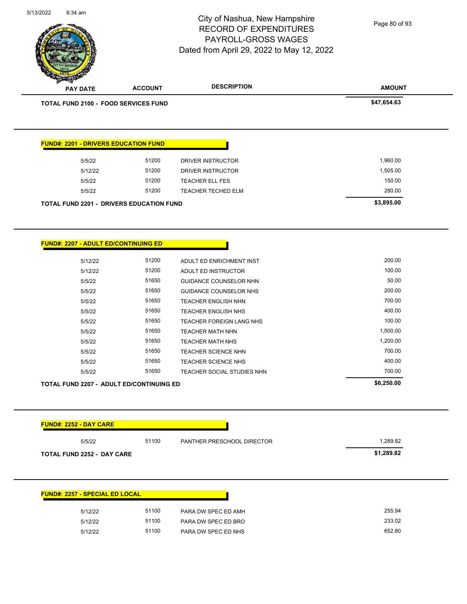**AMOUNT** City of Nashua, New Hampshire RECORD OF EXPENDITURES PAYROLL-GROSS WAGES Dated from April 29, 2022 to May 12, 2022 **PAY DATE ACCOUNT DESCRIPTION TOTAL FUND 2100 - FOOD SERVICES FUND \$47,654.63**  Page 80 of 93

|         | <b>TOTAL FUND 2201 - DRIVERS EDUCATION FUND</b> |                        | \$3,895.00 |
|---------|-------------------------------------------------|------------------------|------------|
| 5/5/22  | 51200                                           | TEACHER TECHED ELM     | 280.00     |
| 5/5/22  | 51200                                           | <b>TEACHER ELL FES</b> | 150.00     |
| 5/12/22 | 51200                                           | DRIVER INSTRUCTOR      | 1.505.00   |
| 5/5/22  | 51200                                           | DRIVER INSTRUCTOR      | 1,960.00   |

5/13/2022 8:34 am

| TOTAL FUND 2207 - ADULT ED/CONTINUING ED |       |                                 | \$6,250.00 |
|------------------------------------------|-------|---------------------------------|------------|
| 5/5/22                                   | 51650 | TEACHER SOCIAL STUDIES NHN      | 700.00     |
| 5/5/22                                   | 51650 | <b>TEACHER SCIENCE NHS</b>      | 400.00     |
| 5/5/22                                   | 51650 | <b>TEACHER SCIENCE NHN</b>      | 700.00     |
| 5/5/22                                   | 51650 | <b>TEACHER MATH NHS</b>         | 1,200.00   |
| 5/5/22                                   | 51650 | <b>TEACHER MATH NHN</b>         | 1,500.00   |
| 5/5/22                                   | 51650 | <b>TEACHER FOREIGN LANG NHS</b> | 100.00     |
| 5/5/22                                   | 51650 | <b>TEACHER ENGLISH NHS</b>      | 400.00     |
| 5/5/22                                   | 51650 | <b>TEACHER ENGLISH NHN</b>      | 700.00     |
| 5/5/22                                   | 51650 | GUIDANCE COUNSELOR NHS          | 200.00     |
| 5/5/22                                   | 51650 | <b>GUIDANCE COUNSELOR NHN</b>   | 50.00      |
| 5/12/22                                  | 51200 | ADULT ED INSTRUCTOR             | 100.00     |
| 5/12/22                                  | 51200 | ADULT ED ENRICHMENT INST        | 200.00     |

| 5/5/22                                | 51100 | PANTHER PRESCHOOL DIRECTOR | 1,289.82   |
|---------------------------------------|-------|----------------------------|------------|
| <b>TOTAL FUND 2252 - DAY CARE</b>     |       |                            | \$1,289.82 |
|                                       |       |                            |            |
|                                       |       |                            |            |
|                                       |       |                            |            |
| <b>FUND#: 2257 - SPECIAL ED LOCAL</b> |       |                            |            |
|                                       |       |                            |            |
| 5/12/22                               | 51100 | PARA DW SPEC ED AMH        | 255.94     |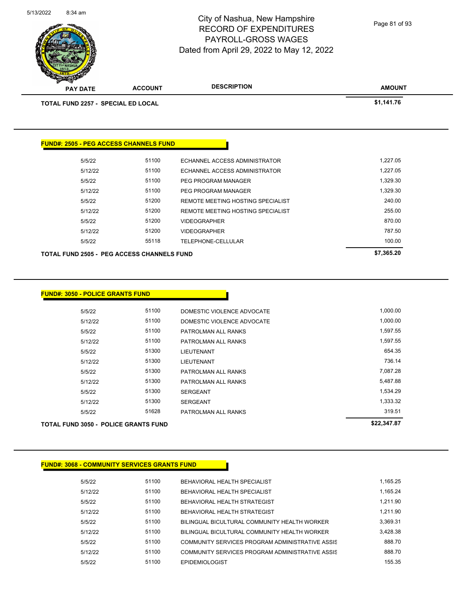**AMOUNT** City of Nashua, New Hampshire RECORD OF EXPENDITURES PAYROLL-GROSS WAGES Dated from April 29, 2022 to May 12, 2022 **PAY DATE ACCOUNT DESCRIPTION** 5/13/2022 8:34 am Page 81 of 93

| <b>TOTAL FUND 2257 - SPECIAL ED LOCAL</b>                                                    | \$1,141.76     |                                    |                      |
|----------------------------------------------------------------------------------------------|----------------|------------------------------------|----------------------|
|                                                                                              |                |                                    |                      |
| <b>FUND#: 2505 - PEG ACCESS CHANNELS FUND</b>                                                |                |                                    |                      |
| 5/5/22                                                                                       | 51100          | ECHANNEL ACCESS ADMINISTRATOR      | 1,227.05             |
| 5/12/22                                                                                      | 51100          | ECHANNEL ACCESS ADMINISTRATOR      | 1,227.05             |
| 5/5/22                                                                                       | 51100          | PEG PROGRAM MANAGER                | 1,329.30             |
| 5/12/22                                                                                      | 51100          | PEG PROGRAM MANAGER                | 1,329.30             |
| 5/5/22                                                                                       | 51200          | REMOTE MEETING HOSTING SPECIALIST  | 240.00               |
| 5/12/22                                                                                      | 51200          | REMOTE MEETING HOSTING SPECIALIST  | 255.00               |
| 5/5/22                                                                                       | 51200          | <b>VIDEOGRAPHER</b>                | 870.00               |
| 5/12/22                                                                                      | 51200          | <b>VIDEOGRAPHER</b>                | 787.50               |
|                                                                                              |                |                                    |                      |
| 5/5/22                                                                                       | 55118          | TELEPHONE-CELLULAR                 | 100.00<br>\$7,365.20 |
|                                                                                              |                |                                    |                      |
| <b>TOTAL FUND 2505 - PEG ACCESS CHANNELS FUND</b><br><b>FUND#: 3050 - POLICE GRANTS FUND</b> |                |                                    |                      |
| 5/5/22                                                                                       | 51100          | DOMESTIC VIOLENCE ADVOCATE         | 1,000.00             |
| 5/12/22                                                                                      | 51100          | DOMESTIC VIOLENCE ADVOCATE         | 1,000.00             |
| 5/5/22                                                                                       | 51100          | PATROLMAN ALL RANKS                | 1,597.55             |
| 5/12/22                                                                                      | 51100          | PATROLMAN ALL RANKS                | 1,597.55             |
| 5/5/22                                                                                       | 51300          | LIEUTENANT                         | 654.35               |
| 5/12/22                                                                                      | 51300          | <b>LIEUTENANT</b>                  | 736.14               |
| 5/5/22                                                                                       | 51300          | PATROLMAN ALL RANKS                | 7,087.28             |
| 5/12/22                                                                                      | 51300          | PATROLMAN ALL RANKS                | 5,487.88             |
| 5/5/22<br>5/12/22                                                                            | 51300<br>51300 | <b>SERGEANT</b><br><b>SERGEANT</b> | 1,534.29<br>1,333.32 |

**TOTAL FUND 3050 - POLICE GRANTS FUND \$22,347.87** 

| <b>FUND#: 3068 - COMMUNITY SERVICES GRANTS FUND</b> |       |                                                 |          |
|-----------------------------------------------------|-------|-------------------------------------------------|----------|
| 5/5/22                                              | 51100 | BEHAVIORAL HEALTH SPECIALIST                    | 1.165.25 |
| 5/12/22                                             | 51100 | BEHAVIORAL HEALTH SPECIALIST                    | 1.165.24 |
| 5/5/22                                              | 51100 | BEHAVIORAL HEALTH STRATEGIST                    | 1.211.90 |
| 5/12/22                                             | 51100 | BEHAVIORAL HEALTH STRATEGIST                    | 1.211.90 |
| 5/5/22                                              | 51100 | BILINGUAL BICULTURAL COMMUNITY HEALTH WORKER    | 3.369.31 |
| 5/12/22                                             | 51100 | BILINGUAL BICULTURAL COMMUNITY HEALTH WORKER    | 3.428.38 |
| 5/5/22                                              | 51100 | COMMUNITY SERVICES PROGRAM ADMINISTRATIVE ASSIS | 888.70   |
| 5/12/22                                             | 51100 | COMMUNITY SERVICES PROGRAM ADMINISTRATIVE ASSIS | 888.70   |
| 5/5/22                                              | 51100 | <b>EPIDEMIOLOGIST</b>                           | 155.35   |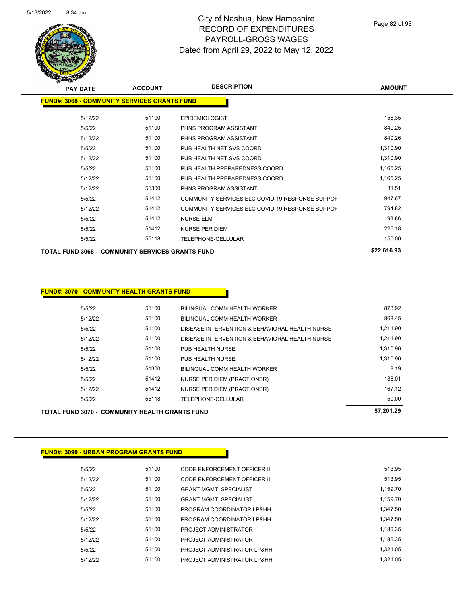

| <b>PAY DATE</b>                                         | <b>ACCOUNT</b> | <b>DESCRIPTION</b>                              | <b>AMOUNT</b> |
|---------------------------------------------------------|----------------|-------------------------------------------------|---------------|
| <b>FUND#: 3068 - COMMUNITY SERVICES GRANTS FUND</b>     |                |                                                 |               |
| 5/12/22                                                 | 51100          | <b>EPIDEMIOLOGIST</b>                           | 155.35        |
| 5/5/22                                                  | 51100          | PHNS PROGRAM ASSISTANT                          | 840.25        |
| 5/12/22                                                 | 51100          | PHNS PROGRAM ASSISTANT                          | 840.26        |
| 5/5/22                                                  | 51100          | PUB HEALTH NET SVS COORD                        | 1,310.90      |
| 5/12/22                                                 | 51100          | PUB HEALTH NET SVS COORD                        | 1,310.90      |
| 5/5/22                                                  | 51100          | PUB HEALTH PREPAREDNESS COORD                   | 1,165.25      |
| 5/12/22                                                 | 51100          | PUB HEALTH PREPAREDNESS COORD                   | 1,165.25      |
| 5/12/22                                                 | 51300          | PHNS PROGRAM ASSISTANT                          | 31.51         |
| 5/5/22                                                  | 51412          | COMMUNITY SERVICES ELC COVID-19 RESPONSE SUPPOF | 947.67        |
| 5/12/22                                                 | 51412          | COMMUNITY SERVICES ELC COVID-19 RESPONSE SUPPOF | 794.82        |
| 5/5/22                                                  | 51412          | <b>NURSE ELM</b>                                | 193.86        |
| 5/5/22                                                  | 51412          | <b>NURSE PER DIEM</b>                           | 226.18        |
| 5/5/22                                                  | 55118          | TELEPHONE-CELLULAR                              | 150.00        |
| <b>TOTAL FUND 3068 - COMMUNITY SERVICES GRANTS FUND</b> |                |                                                 | \$22,616.93   |

#### **FUND#: 3070 - COMMUNITY HEALTH GRANTS FUND**

| <b>TOTAL FUND 3070 - COMMUNITY HEALTH GRANTS FUND</b> | \$7,201.29 |       |                                                |          |
|-------------------------------------------------------|------------|-------|------------------------------------------------|----------|
|                                                       | 5/5/22     | 55118 | TELEPHONE-CELLULAR                             | 50.00    |
|                                                       | 5/12/22    | 51412 | NURSE PER DIEM (PRACTIONER)                    | 167.12   |
|                                                       | 5/5/22     | 51412 | <b>NURSE PER DIEM (PRACTIONER)</b>             | 188.01   |
|                                                       | 5/5/22     | 51300 | BILINGUAL COMM HEALTH WORKER                   | 8.19     |
|                                                       | 5/12/22    | 51100 | PUB HEALTH NURSE                               | 1.310.90 |
|                                                       | 5/5/22     | 51100 | PUB HEALTH NURSE                               | 1.310.90 |
|                                                       | 5/12/22    | 51100 | DISEASE INTERVENTION & BEHAVIORAL HEALTH NURSE | 1,211.90 |
|                                                       | 5/5/22     | 51100 | DISEASE INTERVENTION & BEHAVIORAL HEALTH NURSE | 1,211.90 |
|                                                       | 5/12/22    | 51100 | BILINGUAL COMM HEALTH WORKER                   | 868.45   |
|                                                       | 5/5/22     | 51100 | BILINGUAL COMM HEALTH WORKER                   | 873.92   |
|                                                       |            |       |                                                |          |

# **FUND#: 3090 - URBAN PROGRAM GRANTS FUND**

| 5/5/22  | 51100 | CODE ENFORCEMENT OFFICER II  | 513.95   |
|---------|-------|------------------------------|----------|
| 5/12/22 | 51100 | CODE ENFORCEMENT OFFICER II  | 513.95   |
| 5/5/22  | 51100 | <b>GRANT MGMT SPECIALIST</b> | 1.159.70 |
| 5/12/22 | 51100 | <b>GRANT MGMT SPECIALIST</b> | 1.159.70 |
| 5/5/22  | 51100 | PROGRAM COORDINATOR LP&HH    | 1.347.50 |
| 5/12/22 | 51100 | PROGRAM COORDINATOR LP&HH    | 1.347.50 |
| 5/5/22  | 51100 | PROJECT ADMINISTRATOR        | 1.186.35 |
| 5/12/22 | 51100 | PROJECT ADMINISTRATOR        | 1.186.35 |
| 5/5/22  | 51100 | PROJECT ADMINISTRATOR LP&HH  | 1.321.05 |
| 5/12/22 | 51100 | PROJECT ADMINISTRATOR LP&HH  | 1.321.05 |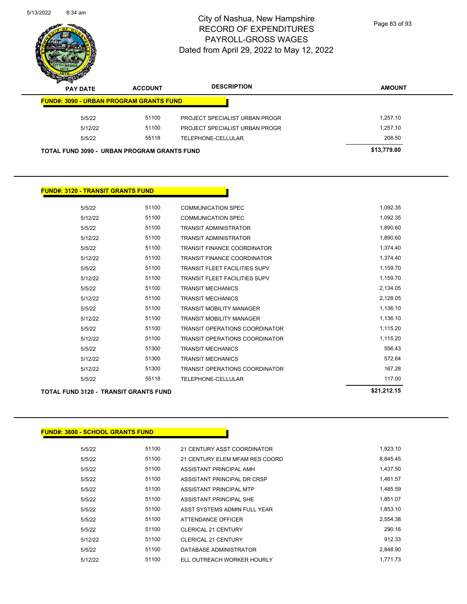

Page 83 of 93

| $\boldsymbol{\nu}$<br>$\sim$ | <b>PAY DATE</b>                                | <b>ACCOUNT</b> | <b>DESCRIPTION</b>             | <b>AMOUNT</b> |
|------------------------------|------------------------------------------------|----------------|--------------------------------|---------------|
|                              | <b>FUND#: 3090 - URBAN PROGRAM GRANTS FUND</b> |                |                                |               |
|                              | 5/5/22                                         | 51100          | PROJECT SPECIALIST URBAN PROGR | 1.257.10      |
|                              | 5/12/22                                        | 51100          | PROJECT SPECIALIST URBAN PROGR | 1.257.10      |
|                              | 5/5/22                                         | 55118          | TELEPHONE-CELLULAR             | 208.50        |
|                              | TOTAL FUND 3090 - URBAN PROGRAM GRANTS FUND    |                |                                | \$13,779.80   |

#### **FUND#: 3120 - TRANSIT GRANTS FUND**

| <b>TOTAL FUND 3120 - TRANSIT GRANTS FUND</b> |         | \$21,212.15 |                                       |          |
|----------------------------------------------|---------|-------------|---------------------------------------|----------|
| 5/5/22                                       |         | 55118       | TELEPHONE-CELLULAR                    | 117.00   |
|                                              | 5/12/22 | 51300       | <b>TRANSIT OPERATIONS COORDINATOR</b> | 167.28   |
|                                              | 5/12/22 | 51300       | <b>TRANSIT MECHANICS</b>              | 572.64   |
| 5/5/22                                       |         | 51300       | <b>TRANSIT MECHANICS</b>              | 556.43   |
|                                              | 5/12/22 | 51100       | <b>TRANSIT OPERATIONS COORDINATOR</b> | 1,115.20 |
| 5/5/22                                       |         | 51100       | <b>TRANSIT OPERATIONS COORDINATOR</b> | 1,115.20 |
|                                              | 5/12/22 | 51100       | <b>TRANSIT MOBILITY MANAGER</b>       | 1,136.10 |
| 5/5/22                                       |         | 51100       | <b>TRANSIT MOBILITY MANAGER</b>       | 1,136.10 |
|                                              | 5/12/22 | 51100       | <b>TRANSIT MECHANICS</b>              | 2,128.05 |
| 5/5/22                                       |         | 51100       | <b>TRANSIT MECHANICS</b>              | 2,134.05 |
|                                              | 5/12/22 | 51100       | <b>TRANSIT FLEET FACILITIES SUPV</b>  | 1,159.70 |
| 5/5/22                                       |         | 51100       | <b>TRANSIT FLEET FACILITIES SUPV</b>  | 1,159.70 |
|                                              | 5/12/22 | 51100       | <b>TRANSIT FINANCE COORDINATOR</b>    | 1,374.40 |
| 5/5/22                                       |         | 51100       | <b>TRANSIT FINANCE COORDINATOR</b>    | 1,374.40 |
|                                              | 5/12/22 | 51100       | <b>TRANSIT ADMINISTRATOR</b>          | 1,890.60 |
| 5/5/22                                       |         | 51100       | <b>TRANSIT ADMINISTRATOR</b>          | 1,890.60 |
|                                              | 5/12/22 | 51100       | <b>COMMUNICATION SPEC</b>             | 1,092.35 |
| 5/5/22                                       |         | 51100       | <b>COMMUNICATION SPEC</b>             | 1,092.35 |
|                                              |         |             |                                       |          |

#### **FUND#: 3800 - SCHOOL GRANTS FUND**

| 5/5/22  | 51100 | 21 CENTURY ASST COORDINATOR    | 1,923.10 |
|---------|-------|--------------------------------|----------|
| 5/5/22  | 51100 | 21 CENTURY ELEM MFAM RES COORD | 8.845.45 |
| 5/5/22  | 51100 | ASSISTANT PRINCIPAL AMH        | 1,437.50 |
| 5/5/22  | 51100 | ASSISTANT PRINCIPAL DR CRSP    | 1,461.57 |
| 5/5/22  | 51100 | ASSISTANT PRINCIPAL MTP        | 1,485.59 |
| 5/5/22  | 51100 | ASSISTANT PRINCIPAL SHE        | 1,851.07 |
| 5/5/22  | 51100 | ASST SYSTEMS ADMIN FULL YEAR   | 1,853.10 |
| 5/5/22  | 51100 | ATTENDANCE OFFICER             | 2,554.38 |
| 5/5/22  | 51100 | <b>CLERICAL 21 CENTURY</b>     | 290.16   |
| 5/12/22 | 51100 | <b>CLERICAL 21 CENTURY</b>     | 912.33   |
| 5/5/22  | 51100 | DATABASE ADMINISTRATOR         | 2.848.90 |
| 5/12/22 | 51100 | ELL OUTREACH WORKER HOURLY     | 1.771.73 |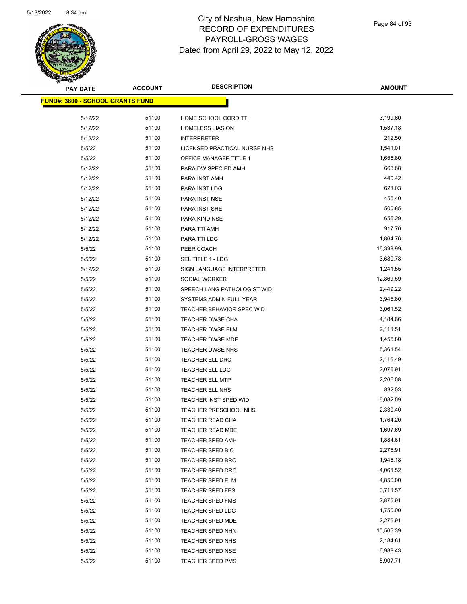

Page 84 of 93

| <b>PAY DATE</b>                  | <b>ACCOUNT</b> | <b>DESCRIPTION</b>                              | <b>AMOUNT</b>        |
|----------------------------------|----------------|-------------------------------------------------|----------------------|
| FUND#: 3800 - SCHOOL GRANTS FUND |                |                                                 |                      |
|                                  | 51100          |                                                 |                      |
| 5/12/22<br>5/12/22               | 51100          | HOME SCHOOL CORD TTI<br><b>HOMELESS LIASION</b> | 3,199.60<br>1,537.18 |
| 5/12/22                          | 51100          | <b>INTERPRETER</b>                              | 212.50               |
| 5/5/22                           | 51100          | LICENSED PRACTICAL NURSE NHS                    | 1,541.01             |
| 5/5/22                           | 51100          | OFFICE MANAGER TITLE 1                          | 1,656.80             |
| 5/12/22                          | 51100          | PARA DW SPEC ED AMH                             | 668.68               |
| 5/12/22                          | 51100          | PARA INST AMH                                   | 440.42               |
|                                  | 51100          |                                                 | 621.03               |
| 5/12/22<br>5/12/22               | 51100          | PARA INST LDG<br>PARA INST NSE                  | 455.40               |
| 5/12/22                          | 51100          | PARA INST SHE                                   | 500.85               |
| 5/12/22                          | 51100          | PARA KIND NSE                                   | 656.29               |
| 5/12/22                          | 51100          | PARA TTI AMH                                    | 917.70               |
|                                  | 51100          |                                                 | 1,864.76             |
| 5/12/22                          | 51100          | PARA TTI LDG                                    | 16,399.99            |
| 5/5/22                           | 51100          | PEER COACH                                      | 3,680.78             |
| 5/5/22                           | 51100          | SEL TITLE 1 - LDG                               | 1,241.55             |
| 5/12/22<br>5/5/22                | 51100          | SIGN LANGUAGE INTERPRETER                       | 12,869.59            |
|                                  | 51100          | SOCIAL WORKER                                   | 2,449.22             |
| 5/5/22                           | 51100          | SPEECH LANG PATHOLOGIST WID                     | 3,945.80             |
| 5/5/22                           | 51100          | SYSTEMS ADMIN FULL YEAR                         | 3,061.52             |
| 5/5/22                           |                | TEACHER BEHAVIOR SPEC WID                       |                      |
| 5/5/22                           | 51100          | <b>TEACHER DWSE CHA</b>                         | 4,184.66             |
| 5/5/22                           | 51100          | <b>TEACHER DWSE ELM</b>                         | 2,111.51             |
| 5/5/22                           | 51100          | TEACHER DWSE MDE                                | 1,455.80             |
| 5/5/22                           | 51100          | TEACHER DWSE NHS                                | 5,361.54             |
| 5/5/22                           | 51100          | TEACHER ELL DRC                                 | 2,116.49             |
| 5/5/22                           | 51100          | <b>TEACHER ELL LDG</b>                          | 2,076.91             |
| 5/5/22                           | 51100          | <b>TEACHER ELL MTP</b>                          | 2,266.08             |
| 5/5/22                           | 51100          | TEACHER ELL NHS                                 | 832.03               |
| 5/5/22                           | 51100          | TEACHER INST SPED WID                           | 6,082.09             |
| 5/5/22                           | 51100          | <b>TEACHER PRESCHOOL NHS</b>                    | 2,330.40             |
| 5/5/22                           | 51100          | TEACHER READ CHA                                | 1,764.20             |
| 5/5/22                           | 51100          | <b>TEACHER READ MDE</b>                         | 1,697.69             |
| 5/5/22                           | 51100          | <b>TEACHER SPED AMH</b>                         | 1,884.61             |
| 5/5/22                           | 51100          | TEACHER SPED BIC                                | 2,276.91             |
| 5/5/22                           | 51100          | TEACHER SPED BRO                                | 1,946.18             |
| 5/5/22                           | 51100          | <b>TEACHER SPED DRC</b>                         | 4,061.52             |
| 5/5/22                           | 51100          | TEACHER SPED ELM                                | 4,850.00             |
| 5/5/22                           | 51100          | TEACHER SPED FES                                | 3,711.57             |
| 5/5/22                           | 51100          | TEACHER SPED FMS                                | 2,876.91             |
| 5/5/22                           | 51100          | TEACHER SPED LDG                                | 1,750.00             |
| 5/5/22                           | 51100          | <b>TEACHER SPED MDE</b>                         | 2,276.91             |
| 5/5/22                           | 51100          | TEACHER SPED NHN                                | 10,565.39            |
| 5/5/22                           | 51100          | TEACHER SPED NHS                                | 2,184.61             |
| 5/5/22                           | 51100          | TEACHER SPED NSE                                | 6,988.43             |
| 5/5/22                           | 51100          | <b>TEACHER SPED PMS</b>                         | 5,907.71             |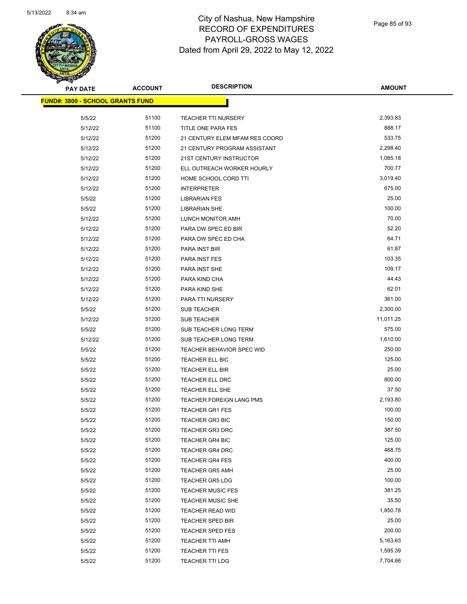

| <b>PAY DATE</b>                         | <b>ACCOUNT</b> | <b>DESCRIPTION</b>               | <b>AMOUNT</b> |
|-----------------------------------------|----------------|----------------------------------|---------------|
| <b>FUND#: 3800 - SCHOOL GRANTS FUND</b> |                |                                  |               |
|                                         |                |                                  |               |
| 5/5/22                                  | 51100          | <b>TEACHER TTI NURSERY</b>       | 2,393.83      |
| 5/12/22                                 | 51100          | <b>TITLE ONE PARA FES</b>        | 888.17        |
| 5/12/22                                 | 51200          | 21 CENTURY ELEM MFAM RES COORD   | 533.75        |
| 5/12/22                                 | 51200          | 21 CENTURY PROGRAM ASSISTANT     | 2,298.40      |
| 5/12/22                                 | 51200          | 21ST CENTURY INSTRUCTOR          | 1,085.18      |
| 5/12/22                                 | 51200          | ELL OUTREACH WORKER HOURLY       | 700.77        |
| 5/12/22                                 | 51200          | HOME SCHOOL CORD TTI             | 3,019.40      |
| 5/12/22                                 | 51200          | <b>INTERPRETER</b>               | 675.00        |
| 5/5/22                                  | 51200          | <b>LIBRARIAN FES</b>             | 25.00         |
| 5/5/22                                  | 51200          | <b>LIBRARIAN SHE</b>             | 100.00        |
| 5/12/22                                 | 51200          | LUNCH MONITOR AMH                | 70.00         |
| 5/12/22                                 | 51200          | PARA DW SPEC ED BIR              | 52.20         |
| 5/12/22                                 | 51200          | PARA DW SPEC ED CHA              | 64.71         |
| 5/12/22                                 | 51200          | PARA INST BIR                    | 61.87         |
| 5/12/22                                 | 51200          | PARA INST FES                    | 103.35        |
| 5/12/22                                 | 51200          | PARA INST SHE                    | 109.17        |
| 5/12/22                                 | 51200          | PARA KIND CHA                    | 44.43         |
| 5/12/22                                 | 51200          | PARA KIND SHE                    | 62.01         |
| 5/12/22                                 | 51200          | PARA TTI NURSERY                 | 361.00        |
| 5/5/22                                  | 51200          | <b>SUB TEACHER</b>               | 2,300.00      |
| 5/12/22                                 | 51200          | SUB TEACHER                      | 11,011.25     |
| 5/5/22                                  | 51200          | SUB TEACHER LONG TERM            | 575.00        |
| 5/12/22                                 | 51200          | SUB TEACHER LONG TERM            | 1,610.00      |
| 5/5/22                                  | 51200          | <b>TEACHER BEHAVIOR SPEC WID</b> | 250.00        |
| 5/5/22                                  | 51200          | TEACHER ELL BIC                  | 125.00        |
| 5/5/22                                  | 51200          | <b>TEACHER ELL BIR</b>           | 25.00         |
| 5/5/22                                  | 51200          | TEACHER ELL DRC                  | 800.00        |
| 5/5/22                                  | 51200          | <b>TEACHER ELL SHE</b>           | 37.50         |
| 5/5/22                                  | 51200          | TEACHER FOREIGN LANG PMS         | 2,193.80      |
| 5/5/22                                  | 51200          | <b>TEACHER GR1 FES</b>           | 100.00        |
| 5/5/22                                  | 51200          | <b>TEACHER GR3 BIC</b>           | 150.00        |
| 5/5/22                                  | 51200          | <b>TEACHER GR3 DRC</b>           | 387.50        |
| 5/5/22                                  | 51200          | <b>TEACHER GR4 BIC</b>           | 125.00        |
| 5/5/22                                  | 51200          | <b>TEACHER GR4 DRC</b>           | 468.75        |
| 5/5/22                                  | 51200          | <b>TEACHER GR4 FES</b>           | 400.00        |
| 5/5/22                                  | 51200          | <b>TEACHER GR5 AMH</b>           | 25.00         |
| 5/5/22                                  | 51200          | <b>TEACHER GR5 LDG</b>           | 100.00        |
| 5/5/22                                  | 51200          | <b>TEACHER MUSIC FES</b>         | 381.25        |
| 5/5/22                                  | 51200          | <b>TEACHER MUSIC SHE</b>         | 35.50         |
| 5/5/22                                  | 51200          | <b>TEACHER READ WID</b>          | 1,850.78      |
| 5/5/22                                  | 51200          | <b>TEACHER SPED BIR</b>          | 25.00         |
| 5/5/22                                  | 51200          | <b>TEACHER SPED FES</b>          | 200.00        |
| 5/5/22                                  | 51200          | <b>TEACHER TTI AMH</b>           | 5,163.63      |
| 5/5/22                                  | 51200          | TEACHER TTI FES                  | 1,595.39      |
| 5/5/22                                  | 51200          | <b>TEACHER TTI LDG</b>           | 7,704.66      |
|                                         |                |                                  |               |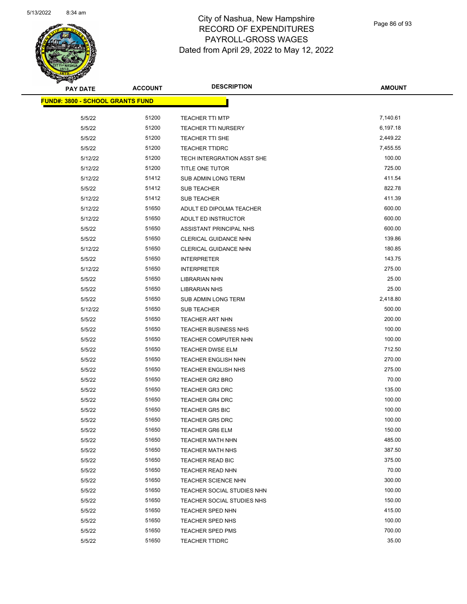

Page 86 of 93

| <b>PAY DATE</b>                         | <b>ACCOUNT</b> | <b>DESCRIPTION</b>           | <b>AMOUNT</b>        |
|-----------------------------------------|----------------|------------------------------|----------------------|
| <b>FUND#: 3800 - SCHOOL GRANTS FUND</b> |                |                              |                      |
|                                         |                |                              |                      |
| 5/5/22                                  | 51200          | <b>TEACHER TTI MTP</b>       | 7,140.61<br>6,197.18 |
| 5/5/22                                  | 51200          | <b>TEACHER TTI NURSERY</b>   |                      |
| 5/5/22                                  | 51200          | <b>TEACHER TTI SHE</b>       | 2,449.22             |
| 5/5/22                                  | 51200          | <b>TEACHER TTIDRC</b>        | 7,455.55             |
| 5/12/22                                 | 51200          | TECH INTERGRATION ASST SHE   | 100.00<br>725.00     |
| 5/12/22                                 | 51200          | TITLE ONE TUTOR              |                      |
| 5/12/22                                 | 51412          | <b>SUB ADMIN LONG TERM</b>   | 411.54               |
| 5/5/22                                  | 51412          | <b>SUB TEACHER</b>           | 822.78               |
| 5/12/22                                 | 51412          | <b>SUB TEACHER</b>           | 411.39               |
| 5/12/22                                 | 51650          | ADULT ED DIPOLMA TEACHER     | 600.00               |
| 5/12/22                                 | 51650          | ADULT ED INSTRUCTOR          | 600.00               |
| 5/5/22                                  | 51650          | ASSISTANT PRINCIPAL NHS      | 600.00               |
| 5/5/22                                  | 51650          | <b>CLERICAL GUIDANCE NHN</b> | 139.86               |
| 5/12/22                                 | 51650          | CLERICAL GUIDANCE NHN        | 180.85               |
| 5/5/22                                  | 51650          | <b>INTERPRETER</b>           | 143.75               |
| 5/12/22                                 | 51650          | <b>INTERPRETER</b>           | 275.00               |
| 5/5/22                                  | 51650          | <b>LIBRARIAN NHN</b>         | 25.00                |
| 5/5/22                                  | 51650          | <b>LIBRARIAN NHS</b>         | 25.00                |
| 5/5/22                                  | 51650          | SUB ADMIN LONG TERM          | 2,418.80             |
| 5/12/22                                 | 51650          | <b>SUB TEACHER</b>           | 500.00               |
| 5/5/22                                  | 51650          | TEACHER ART NHN              | 200.00               |
| 5/5/22                                  | 51650          | <b>TEACHER BUSINESS NHS</b>  | 100.00               |
| 5/5/22                                  | 51650          | TEACHER COMPUTER NHN         | 100.00               |
| 5/5/22                                  | 51650          | <b>TEACHER DWSE ELM</b>      | 712.50               |
| 5/5/22                                  | 51650          | <b>TEACHER ENGLISH NHN</b>   | 270.00               |
| 5/5/22                                  | 51650          | <b>TEACHER ENGLISH NHS</b>   | 275.00               |
| 5/5/22                                  | 51650          | <b>TEACHER GR2 BRO</b>       | 70.00                |
| 5/5/22                                  | 51650          | <b>TEACHER GR3 DRC</b>       | 135.00               |
| 5/5/22                                  | 51650          | <b>TEACHER GR4 DRC</b>       | 100.00               |
| 5/5/22                                  | 51650          | <b>TEACHER GR5 BIC</b>       | 100.00               |
| 5/5/22                                  | 51650          | <b>TEACHER GR5 DRC</b>       | 100.00               |
| 5/5/22                                  | 51650          | <b>TEACHER GR6 ELM</b>       | 150.00               |
| 5/5/22                                  | 51650          | <b>TEACHER MATH NHN</b>      | 485.00               |
| 5/5/22                                  | 51650          | <b>TEACHER MATH NHS</b>      | 387.50               |
| 5/5/22                                  | 51650          | TEACHER READ BIC             | 375.00               |
| 5/5/22                                  | 51650          | TEACHER READ NHN             | 70.00                |
| 5/5/22                                  | 51650          | <b>TEACHER SCIENCE NHN</b>   | 300.00               |
| 5/5/22                                  | 51650          | TEACHER SOCIAL STUDIES NHN   | 100.00               |
| 5/5/22                                  | 51650          | TEACHER SOCIAL STUDIES NHS   | 150.00               |
| 5/5/22                                  | 51650          | <b>TEACHER SPED NHN</b>      | 415.00               |
| 5/5/22                                  | 51650          | TEACHER SPED NHS             | 100.00               |
| 5/5/22                                  | 51650          | <b>TEACHER SPED PMS</b>      | 700.00               |
| 5/5/22                                  | 51650          | <b>TEACHER TTIDRC</b>        | 35.00                |
|                                         |                |                              |                      |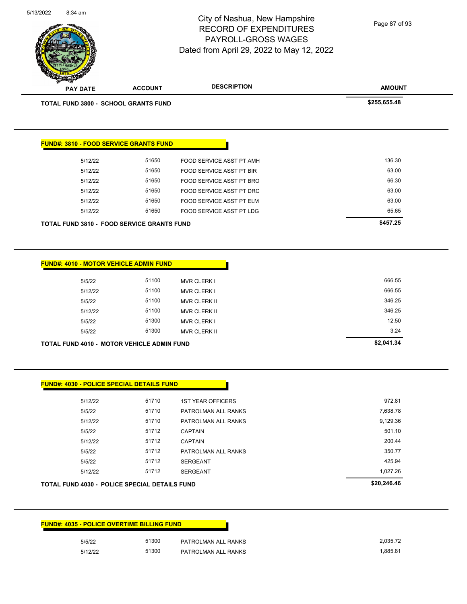| <b>FUND#: 4035 - POLICE OVERTIME BILLING FUND</b> |         |       |                     |  |
|---------------------------------------------------|---------|-------|---------------------|--|
|                                                   | 5/5/22  | 51300 | PATROLMAN ALL RANKS |  |
|                                                   | 5/12/22 | 51300 | PATROLMAN ALL RANKS |  |

| TOTAL FUND 4030 - POLICE SPECIAL DETAILS FUND | \$20,246.46 |                          |          |
|-----------------------------------------------|-------------|--------------------------|----------|
| 5/12/22                                       | 51712       | <b>SERGEANT</b>          | 1,027.26 |
| 5/5/22                                        | 51712       | <b>SERGEANT</b>          | 425.94   |
| 5/5/22                                        | 51712       | PATROLMAN ALL RANKS      | 350.77   |
| 5/12/22                                       | 51712       | <b>CAPTAIN</b>           | 200.44   |
| 5/5/22                                        | 51712       | <b>CAPTAIN</b>           | 501.10   |
| 5/12/22                                       | 51710       | PATROLMAN ALL RANKS      | 9,129.36 |
| 5/5/22                                        | 51710       | PATROLMAN ALL RANKS      | 7,638.78 |
| 5/12/22                                       | 51710       | <b>1ST YEAR OFFICERS</b> | 972.81   |

|  |  | <b>FUND#: 4030 - POLICE SPECIAL DETAILS FUND</b> |  |
|--|--|--------------------------------------------------|--|
|  |  |                                                  |  |

| <b>TOTAL FUND 4010 - MOTOR VEHICLE ADMIN FUND</b> |       |                     | \$2,041.34 |
|---------------------------------------------------|-------|---------------------|------------|
| 5/5/22                                            | 51300 | <b>MVR CLERK II</b> | 3.24       |
| 5/5/22                                            | 51300 | <b>MVR CLERK I</b>  | 12.50      |
| 5/12/22                                           | 51100 | <b>MVR CLERK II</b> | 346.25     |
| 5/5/22                                            | 51100 | <b>MVR CLERK II</b> | 346.25     |
| 5/12/22                                           | 51100 | <b>MVR CLERK I</b>  | 666.55     |
| 5/5/22                                            | 51100 | <b>MVR CLERK I</b>  | 666.55     |

**FUND#: 4010 - MOTOR VEHICLE ADMIN FUND**

| <b>FUND#: 3810 - FOOD SERVICE GRANTS FUND</b>     |       |                          |          |
|---------------------------------------------------|-------|--------------------------|----------|
|                                                   |       |                          |          |
| 5/12/22                                           | 51650 | FOOD SERVICE ASST PT AMH | 136.30   |
| 5/12/22                                           | 51650 | FOOD SERVICE ASST PT BIR | 63.00    |
| 5/12/22                                           | 51650 | FOOD SERVICE ASST PT BRO | 66.30    |
| 5/12/22                                           | 51650 | FOOD SERVICE ASST PT DRC | 63.00    |
| 5/12/22                                           | 51650 | FOOD SERVICE ASST PT ELM | 63.00    |
| 5/12/22                                           | 51650 | FOOD SERVICE ASST PT LDG | 65.65    |
| <b>TOTAL FUND 3810 - FOOD SERVICE GRANTS FUND</b> |       |                          | \$457.25 |

| <b>TOTAL FUND 3800 - SCHOOL GRANTS FUND</b> | \$255,655,48 |
|---------------------------------------------|--------------|
|                                             |              |

5/13/2022 8:34 am

**PAY DATE ACCOUNT DESCRIPTION**

## City of Nashua, New Hampshire RECORD OF EXPENDITURES PAYROLL-GROSS WAGES Dated from April 29, 2022 to May 12, 2022

Page 87 of 93

**AMOUNT**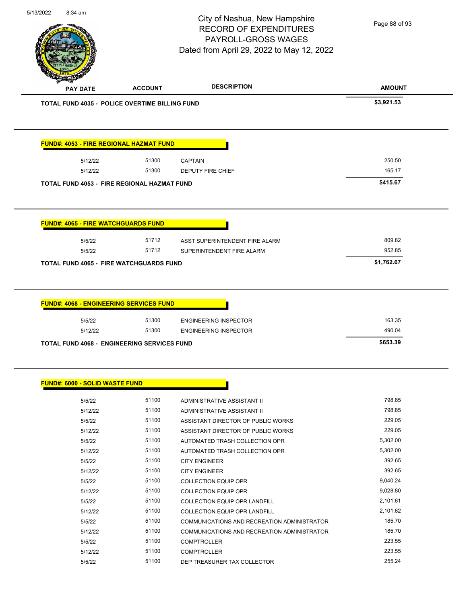| City of Nashua, New Hampshire                         |
|-------------------------------------------------------|
| Page 88 of 93                                         |
| <b>RECORD OF EXPENDITURES</b>                         |
| <b>PAYROLL-GROSS WAGES</b>                            |
| Dated from April 29, 2022 to May 12, 2022             |
|                                                       |
|                                                       |
| <b>DESCRIPTION</b><br><b>AMOUNT</b>                   |
| \$3,921.53                                            |
|                                                       |
|                                                       |
| 250.50                                                |
| 165.17                                                |
| \$415.67                                              |
|                                                       |
|                                                       |
| 809.82                                                |
| ASST SUPERINTENDENT FIRE ALARM                        |
| 952.85<br>SUPERINTENDENT FIRE ALARM                   |
| \$1,762.67                                            |
|                                                       |
| 163.35<br><b>ENGINEERING INSPECTOR</b>                |
|                                                       |
| 490.04<br><b>ENGINEERING INSPECTOR</b>                |
| \$653.39                                              |
|                                                       |
|                                                       |
| 798.85<br>ADMINISTRATIVE ASSISTANT II                 |
| 798.85<br>ADMINISTRATIVE ASSISTANT II                 |
| 229.05<br>ASSISTANT DIRECTOR OF PUBLIC WORKS          |
| 229.05<br>ASSISTANT DIRECTOR OF PUBLIC WORKS          |
| 5,302.00<br>AUTOMATED TRASH COLLECTION OPR            |
| 5,302.00<br>AUTOMATED TRASH COLLECTION OPR            |
| 392.65                                                |
| 392.65                                                |
| 9,040.24<br><b>COLLECTION EQUIP OPR</b>               |
| 9,028.80<br><b>COLLECTION EQUIP OPR</b>               |
| 2,101.61<br><b>COLLECTION EQUIP OPR LANDFILL</b>      |
| 2,101.62<br><b>COLLECTION EQUIP OPR LANDFILL</b>      |
| 185.70<br>COMMUNICATIONS AND RECREATION ADMINISTRATOR |
| 185.70<br>COMMUNICATIONS AND RECREATION ADMINISTRATOR |
|                                                       |

5/12/22 51100 COMPTROLLER 223.55 5/5/22 51100 DEP TREASURER TAX COLLECTOR 255.24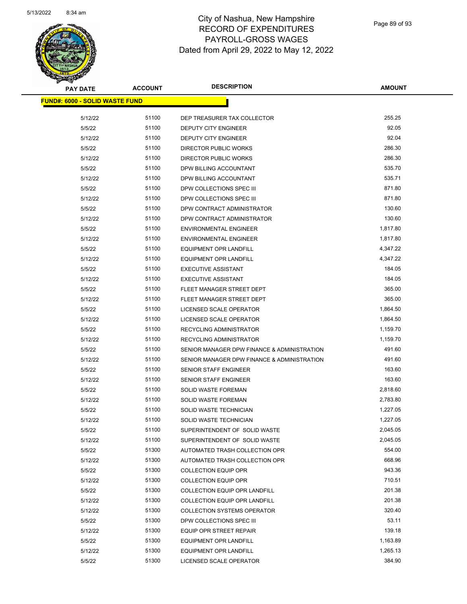

| <b>PAY DATE</b>                        | <b>ACCOUNT</b> | <b>DESCRIPTION</b>                          | <b>AMOUNT</b> |
|----------------------------------------|----------------|---------------------------------------------|---------------|
| <u> FUND#: 6000 - SOLID WASTE FUND</u> |                |                                             |               |
| 5/12/22                                | 51100          | DEP TREASURER TAX COLLECTOR                 | 255.25        |
| 5/5/22                                 | 51100          | <b>DEPUTY CITY ENGINEER</b>                 | 92.05         |
| 5/12/22                                | 51100          | DEPUTY CITY ENGINEER                        | 92.04         |
| 5/5/22                                 | 51100          | DIRECTOR PUBLIC WORKS                       | 286.30        |
| 5/12/22                                | 51100          | DIRECTOR PUBLIC WORKS                       | 286.30        |
| 5/5/22                                 | 51100          | DPW BILLING ACCOUNTANT                      | 535.70        |
| 5/12/22                                | 51100          | DPW BILLING ACCOUNTANT                      | 535.71        |
| 5/5/22                                 | 51100          | DPW COLLECTIONS SPEC III                    | 871.80        |
| 5/12/22                                | 51100          | DPW COLLECTIONS SPEC III                    | 871.80        |
| 5/5/22                                 | 51100          | DPW CONTRACT ADMINISTRATOR                  | 130.60        |
| 5/12/22                                | 51100          | DPW CONTRACT ADMINISTRATOR                  | 130.60        |
| 5/5/22                                 | 51100          | <b>ENVIRONMENTAL ENGINEER</b>               | 1,817.80      |
| 5/12/22                                | 51100          | <b>ENVIRONMENTAL ENGINEER</b>               | 1,817.80      |
| 5/5/22                                 | 51100          | <b>EQUIPMENT OPR LANDFILL</b>               | 4,347.22      |
| 5/12/22                                | 51100          | <b>EQUIPMENT OPR LANDFILL</b>               | 4,347.22      |
| 5/5/22                                 | 51100          | <b>EXECUTIVE ASSISTANT</b>                  | 184.05        |
| 5/12/22                                | 51100          | <b>EXECUTIVE ASSISTANT</b>                  | 184.05        |
| 5/5/22                                 | 51100          | FLEET MANAGER STREET DEPT                   | 365.00        |
| 5/12/22                                | 51100          | FLEET MANAGER STREET DEPT                   | 365.00        |
| 5/5/22                                 | 51100          | LICENSED SCALE OPERATOR                     | 1,864.50      |
| 5/12/22                                | 51100          | LICENSED SCALE OPERATOR                     | 1,864.50      |
| 5/5/22                                 | 51100          | RECYCLING ADMINISTRATOR                     | 1,159.70      |
| 5/12/22                                | 51100          | RECYCLING ADMINISTRATOR                     | 1,159.70      |
| 5/5/22                                 | 51100          | SENIOR MANAGER DPW FINANCE & ADMINISTRATION | 491.60        |
| 5/12/22                                | 51100          | SENIOR MANAGER DPW FINANCE & ADMINISTRATION | 491.60        |
| 5/5/22                                 | 51100          | SENIOR STAFF ENGINEER                       | 163.60        |
| 5/12/22                                | 51100          | SENIOR STAFF ENGINEER                       | 163.60        |
| 5/5/22                                 | 51100          | <b>SOLID WASTE FOREMAN</b>                  | 2,818.60      |
| 5/12/22                                | 51100          | <b>SOLID WASTE FOREMAN</b>                  | 2,783.80      |
| 5/5/22                                 | 51100          | <b>SOLID WASTE TECHNICIAN</b>               | 1,227.05      |
| 5/12/22                                | 51100          | SOLID WASTE TECHNICIAN                      | 1,227.05      |
| 5/5/22                                 | 51100          | SUPERINTENDENT OF SOLID WASTE               | 2,045.05      |
| 5/12/22                                | 51100          | SUPERINTENDENT OF SOLID WASTE               | 2,045.05      |
| 5/5/22                                 | 51300          | AUTOMATED TRASH COLLECTION OPR              | 554.00        |
| 5/12/22                                | 51300          | AUTOMATED TRASH COLLECTION OPR              | 668.96        |
| 5/5/22                                 | 51300          | <b>COLLECTION EQUIP OPR</b>                 | 943.36        |
| 5/12/22                                | 51300          | <b>COLLECTION EQUIP OPR</b>                 | 710.51        |
| 5/5/22                                 | 51300          | <b>COLLECTION EQUIP OPR LANDFILL</b>        | 201.38        |
| 5/12/22                                | 51300          | COLLECTION EQUIP OPR LANDFILL               | 201.38        |
| 5/12/22                                | 51300          | <b>COLLECTION SYSTEMS OPERATOR</b>          | 320.40        |
| 5/5/22                                 | 51300          | DPW COLLECTIONS SPEC III                    | 53.11         |
| 5/12/22                                | 51300          | EQUIP OPR STREET REPAIR                     | 139.18        |
| 5/5/22                                 | 51300          | EQUIPMENT OPR LANDFILL                      | 1,163.89      |
| 5/12/22                                | 51300          | EQUIPMENT OPR LANDFILL                      | 1,265.13      |
| 5/5/22                                 | 51300          | LICENSED SCALE OPERATOR                     | 384.90        |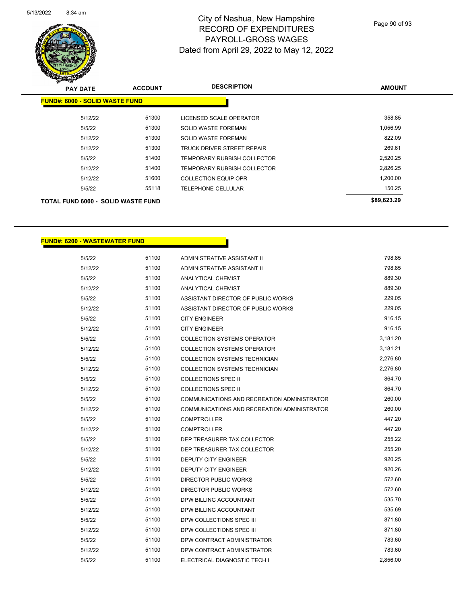

Page 90 of 93

| <b>PAY DATE</b>                           | <b>ACCOUNT</b> | <b>DESCRIPTION</b>          | <b>AMOUNT</b> |  |  |  |
|-------------------------------------------|----------------|-----------------------------|---------------|--|--|--|
| <b>FUND#: 6000 - SOLID WASTE FUND</b>     |                |                             |               |  |  |  |
| 5/12/22                                   | 51300          | LICENSED SCALE OPERATOR     | 358.85        |  |  |  |
| 5/5/22                                    | 51300          | <b>SOLID WASTE FOREMAN</b>  | 1,056.99      |  |  |  |
| 5/12/22                                   | 51300          | <b>SOLID WASTE FOREMAN</b>  | 822.09        |  |  |  |
| 5/12/22                                   | 51300          | TRUCK DRIVER STREET REPAIR  | 269.61        |  |  |  |
| 5/5/22                                    | 51400          | TEMPORARY RUBBISH COLLECTOR | 2,520.25      |  |  |  |
| 5/12/22                                   | 51400          | TEMPORARY RUBBISH COLLECTOR | 2,826.25      |  |  |  |
| 5/12/22                                   | 51600          | COLLECTION EQUIP OPR        | 1.200.00      |  |  |  |
| 5/5/22                                    | 55118          | TELEPHONE-CELLULAR          | 150.25        |  |  |  |
| <b>TOTAL FUND 6000 - SOLID WASTE FUND</b> |                | \$89,623.29                 |               |  |  |  |

#### **FUND#: 6200 - WASTEWATER FUND**

| 5/5/22  | 51100 | ADMINISTRATIVE ASSISTANT II                 | 798.85   |
|---------|-------|---------------------------------------------|----------|
| 5/12/22 | 51100 | ADMINISTRATIVE ASSISTANT II                 | 798.85   |
| 5/5/22  | 51100 | ANALYTICAL CHEMIST                          | 889.30   |
| 5/12/22 | 51100 | <b>ANALYTICAL CHEMIST</b>                   | 889.30   |
| 5/5/22  | 51100 | ASSISTANT DIRECTOR OF PUBLIC WORKS          | 229.05   |
| 5/12/22 | 51100 | ASSISTANT DIRECTOR OF PUBLIC WORKS          | 229.05   |
| 5/5/22  | 51100 | <b>CITY ENGINEER</b>                        | 916.15   |
| 5/12/22 | 51100 | <b>CITY ENGINEER</b>                        | 916.15   |
| 5/5/22  | 51100 | <b>COLLECTION SYSTEMS OPERATOR</b>          | 3,181.20 |
| 5/12/22 | 51100 | <b>COLLECTION SYSTEMS OPERATOR</b>          | 3,181.21 |
| 5/5/22  | 51100 | <b>COLLECTION SYSTEMS TECHNICIAN</b>        | 2,276.80 |
| 5/12/22 | 51100 | COLLECTION SYSTEMS TECHNICIAN               | 2,276.80 |
| 5/5/22  | 51100 | <b>COLLECTIONS SPEC II</b>                  | 864.70   |
| 5/12/22 | 51100 | <b>COLLECTIONS SPEC II</b>                  | 864.70   |
| 5/5/22  | 51100 | COMMUNICATIONS AND RECREATION ADMINISTRATOR | 260.00   |
| 5/12/22 | 51100 | COMMUNICATIONS AND RECREATION ADMINISTRATOR | 260.00   |
| 5/5/22  | 51100 | <b>COMPTROLLER</b>                          | 447.20   |
| 5/12/22 | 51100 | <b>COMPTROLLER</b>                          | 447.20   |
| 5/5/22  | 51100 | DEP TREASURER TAX COLLECTOR                 | 255.22   |
| 5/12/22 | 51100 | DEP TREASURER TAX COLLECTOR                 | 255.20   |
| 5/5/22  | 51100 | <b>DEPUTY CITY ENGINEER</b>                 | 920.25   |
| 5/12/22 | 51100 | <b>DEPUTY CITY ENGINEER</b>                 | 920.26   |
| 5/5/22  | 51100 | <b>DIRECTOR PUBLIC WORKS</b>                | 572.60   |
| 5/12/22 | 51100 | <b>DIRECTOR PUBLIC WORKS</b>                | 572.60   |
| 5/5/22  | 51100 | DPW BILLING ACCOUNTANT                      | 535.70   |
| 5/12/22 | 51100 | DPW BILLING ACCOUNTANT                      | 535.69   |
| 5/5/22  | 51100 | DPW COLLECTIONS SPEC III                    | 871.80   |
| 5/12/22 | 51100 | DPW COLLECTIONS SPEC III                    | 871.80   |
| 5/5/22  | 51100 | DPW CONTRACT ADMINISTRATOR                  | 783.60   |
| 5/12/22 | 51100 | DPW CONTRACT ADMINISTRATOR                  | 783.60   |
| 5/5/22  | 51100 | ELECTRICAL DIAGNOSTIC TECH I                | 2,856.00 |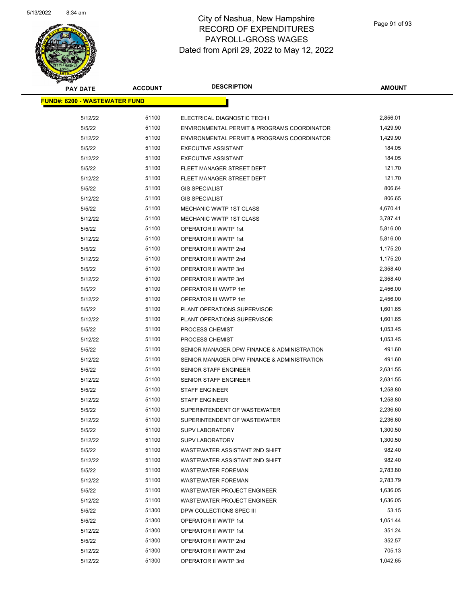

| <b>PAY DATE</b>                      | <b>ACCOUNT</b> | <b>DESCRIPTION</b>                          | <b>AMOUNT</b> |
|--------------------------------------|----------------|---------------------------------------------|---------------|
| <b>FUND#: 6200 - WASTEWATER FUND</b> |                |                                             |               |
| 5/12/22                              | 51100          | ELECTRICAL DIAGNOSTIC TECH I                | 2,856.01      |
| 5/5/22                               | 51100          | ENVIRONMENTAL PERMIT & PROGRAMS COORDINATOR | 1,429.90      |
| 5/12/22                              | 51100          | ENVIRONMENTAL PERMIT & PROGRAMS COORDINATOR | 1,429.90      |
| 5/5/22                               | 51100          | <b>EXECUTIVE ASSISTANT</b>                  | 184.05        |
| 5/12/22                              | 51100          | <b>EXECUTIVE ASSISTANT</b>                  | 184.05        |
| 5/5/22                               | 51100          | FLEET MANAGER STREET DEPT                   | 121.70        |
| 5/12/22                              | 51100          | FLEET MANAGER STREET DEPT                   | 121.70        |
| 5/5/22                               | 51100          | <b>GIS SPECIALIST</b>                       | 806.64        |
| 5/12/22                              | 51100          | <b>GIS SPECIALIST</b>                       | 806.65        |
| 5/5/22                               | 51100          | MECHANIC WWTP 1ST CLASS                     | 4,670.41      |
| 5/12/22                              | 51100          | MECHANIC WWTP 1ST CLASS                     | 3,787.41      |
| 5/5/22                               | 51100          | OPERATOR II WWTP 1st                        | 5,816.00      |
| 5/12/22                              | 51100          | OPERATOR II WWTP 1st                        | 5,816.00      |
| 5/5/22                               | 51100          | OPERATOR II WWTP 2nd                        | 1,175.20      |
| 5/12/22                              | 51100          | OPERATOR II WWTP 2nd                        | 1,175.20      |
| 5/5/22                               | 51100          | OPERATOR II WWTP 3rd                        | 2,358.40      |
| 5/12/22                              | 51100          | OPERATOR II WWTP 3rd                        | 2,358.40      |
| 5/5/22                               | 51100          | OPERATOR III WWTP 1st                       | 2,456.00      |
| 5/12/22                              | 51100          | OPERATOR III WWTP 1st                       | 2,456.00      |
| 5/5/22                               | 51100          | PLANT OPERATIONS SUPERVISOR                 | 1,601.65      |
| 5/12/22                              | 51100          | PLANT OPERATIONS SUPERVISOR                 | 1,601.65      |
| 5/5/22                               | 51100          | PROCESS CHEMIST                             | 1,053.45      |
| 5/12/22                              | 51100          | PROCESS CHEMIST                             | 1,053.45      |
| 5/5/22                               | 51100          | SENIOR MANAGER DPW FINANCE & ADMINISTRATION | 491.60        |
| 5/12/22                              | 51100          | SENIOR MANAGER DPW FINANCE & ADMINISTRATION | 491.60        |
| 5/5/22                               | 51100          | <b>SENIOR STAFF ENGINEER</b>                | 2,631.55      |
| 5/12/22                              | 51100          | <b>SENIOR STAFF ENGINEER</b>                | 2,631.55      |
| 5/5/22                               | 51100          | <b>STAFF ENGINEER</b>                       | 1,258.80      |
| 5/12/22                              | 51100          | <b>STAFF ENGINEER</b>                       | 1,258.80      |
| 5/5/22                               | 51100          | SUPERINTENDENT OF WASTEWATER                | 2,236.60      |
| 5/12/22                              | 51100          | SUPERINTENDENT OF WASTEWATER                | 2,236.60      |
| 5/5/22                               | 51100          | <b>SUPV LABORATORY</b>                      | 1,300.50      |
| 5/12/22                              | 51100          | <b>SUPV LABORATORY</b>                      | 1,300.50      |
| 5/5/22                               | 51100          | WASTEWATER ASSISTANT 2ND SHIFT              | 982.40        |
| 5/12/22                              | 51100          | WASTEWATER ASSISTANT 2ND SHIFT              | 982.40        |
| 5/5/22                               | 51100          | <b>WASTEWATER FOREMAN</b>                   | 2,783.80      |
| 5/12/22                              | 51100          | <b>WASTEWATER FOREMAN</b>                   | 2,783.79      |
| 5/5/22                               | 51100          | <b>WASTEWATER PROJECT ENGINEER</b>          | 1,636.05      |
| 5/12/22                              | 51100          | <b>WASTEWATER PROJECT ENGINEER</b>          | 1,636.05      |
| 5/5/22                               | 51300          | DPW COLLECTIONS SPEC III                    | 53.15         |
| 5/5/22                               | 51300          | OPERATOR II WWTP 1st                        | 1,051.44      |
| 5/12/22                              | 51300          | OPERATOR II WWTP 1st                        | 351.24        |
| 5/5/22                               | 51300          | OPERATOR II WWTP 2nd                        | 352.57        |
| 5/12/22                              | 51300          | OPERATOR II WWTP 2nd                        | 705.13        |
| 5/12/22                              | 51300          | OPERATOR II WWTP 3rd                        | 1,042.65      |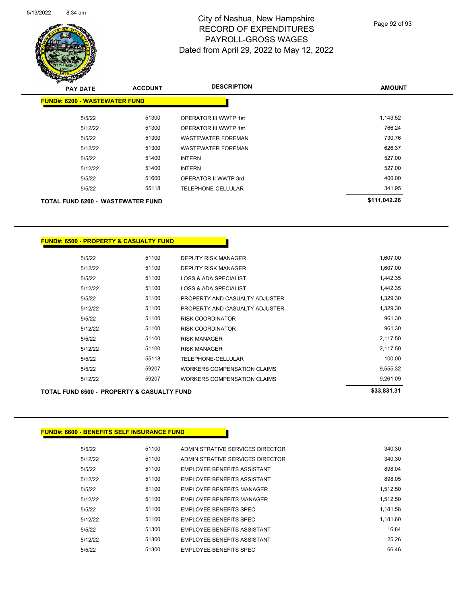

Page 92 of 93

| <b>PAY DATE</b>                      | <b>ACCOUNT</b> | <b>DESCRIPTION</b>           | <b>AMOUNT</b> |
|--------------------------------------|----------------|------------------------------|---------------|
| <b>FUND#: 6200 - WASTEWATER FUND</b> |                |                              |               |
| 5/5/22                               | 51300          | <b>OPERATOR III WWTP 1st</b> | 1,143.52      |
| 5/12/22                              | 51300          | OPERATOR III WWTP 1st        | 766.24        |
| 5/5/22                               | 51300          | <b>WASTEWATER FOREMAN</b>    | 730.76        |
| 5/12/22                              | 51300          | WASTEWATER FOREMAN           | 626.37        |
| 5/5/22                               | 51400          | <b>INTERN</b>                | 527.00        |
| 5/12/22                              | 51400          | <b>INTERN</b>                | 527.00        |
| 5/5/22                               | 51600          | OPERATOR II WWTP 3rd         | 400.00        |
| 5/5/22                               | 55118          | <b>TELEPHONE-CELLULAR</b>    | 341.95        |
| TOTAL FUND 6200 - WASTEWATER FUND    |                |                              | \$111,042.26  |

#### **FUND#: 6500 - PROPERTY & CASUALTY FUND**

| 5/12/22 | 59207 | <b>WORKERS COMPENSATION CLAIMS</b> | 9,261.09 |
|---------|-------|------------------------------------|----------|
| 5/5/22  | 59207 | WORKERS COMPENSATION CLAIMS        | 9,555.32 |
| 5/5/22  | 55118 | TELEPHONE-CELLULAR                 | 100.00   |
| 5/12/22 | 51100 | <b>RISK MANAGER</b>                | 2,117.50 |
| 5/5/22  | 51100 | <b>RISK MANAGER</b>                | 2,117.50 |
| 5/12/22 | 51100 | <b>RISK COORDINATOR</b>            | 961.30   |
| 5/5/22  | 51100 | <b>RISK COORDINATOR</b>            | 961.30   |
| 5/12/22 | 51100 | PROPERTY AND CASUALTY ADJUSTER     | 1,329.30 |
| 5/5/22  | 51100 | PROPERTY AND CASUALTY ADJUSTER     | 1,329.30 |
| 5/12/22 | 51100 | LOSS & ADA SPECIALIST              | 1.442.35 |
| 5/5/22  | 51100 | LOSS & ADA SPECIALIST              | 1,442.35 |
| 5/12/22 | 51100 | <b>DEPUTY RISK MANAGER</b>         | 1,607.00 |
| 5/5/22  | 51100 | <b>DEPUTY RISK MANAGER</b>         | 1,607.00 |
|         |       |                                    |          |

#### **TOTAL FUND 6500 - PROPERTY & CASUALTY FUND \$33,831.31**

#### **FUND#: 6600 - BENEFITS SELF INSURANCE FUND**

| 5/5/22  | 51100 | ADMINISTRATIVE SERVICES DIRECTOR    | 340.30   |
|---------|-------|-------------------------------------|----------|
| 5/12/22 | 51100 | ADMINISTRATIVE SERVICES DIRECTOR    | 340.30   |
| 5/5/22  | 51100 | <b>EMPLOYEE BENEFITS ASSISTANT</b>  | 898.04   |
| 5/12/22 | 51100 | <b>EMPLOYEE BENEFITS ASSISTANT</b>  | 898.05   |
| 5/5/22  | 51100 | <b>EMPLOYEE BENEFITS MANAGER</b>    | 1,512.50 |
| 5/12/22 | 51100 | EMPLOYEE BENEFITS MANAGER           | 1.512.50 |
| 5/5/22  | 51100 | <b>EMPLOYEE BENEFITS SPEC</b>       | 1.181.58 |
| 5/12/22 | 51100 | <b>EMPLOYEE BENEFITS SPEC</b>       | 1.181.60 |
| 5/5/22  | 51300 | <b>EMPLOYEE BENEFITS ASSISTANT</b>  | 16.84    |
| 5/12/22 | 51300 | <b>FMPI OYFF BENFFITS ASSISTANT</b> | 25.26    |
| 5/5/22  | 51300 | <b>EMPLOYEE BENEFITS SPEC</b>       | 66.46    |